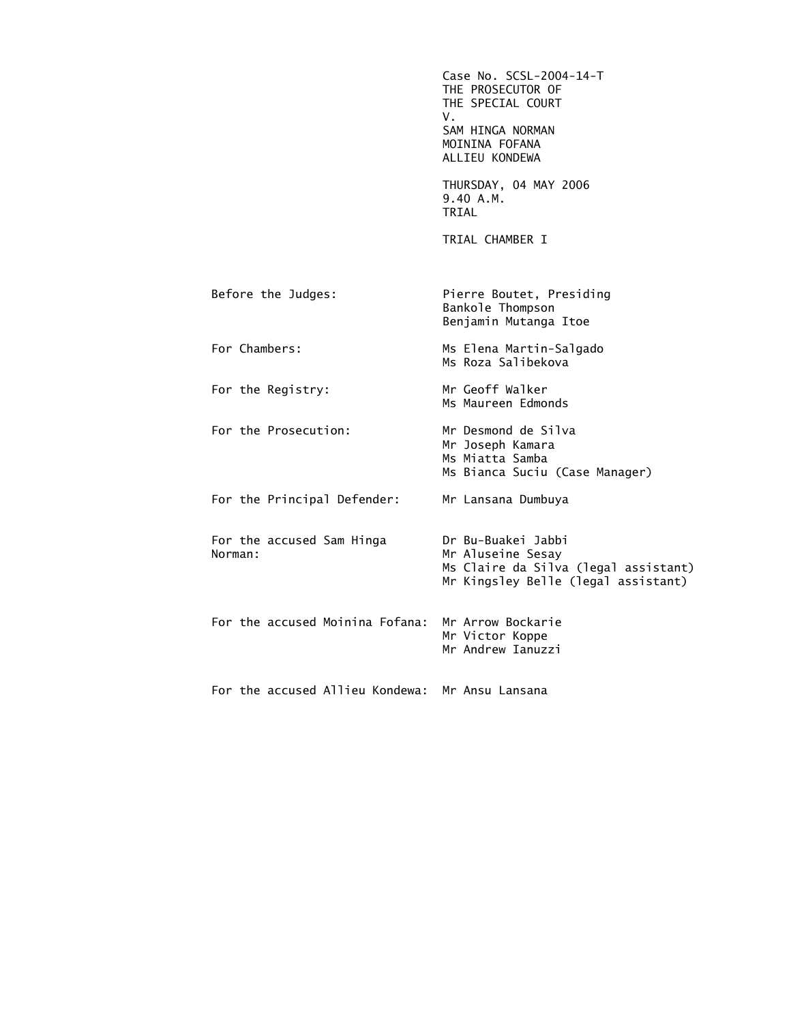|                                      | Case No. SCSL-2004-14-T<br>THE PROSECUTOR OF<br>THE SPECIAL COURT<br>V.<br>SAM HINGA NORMAN<br>MOININA FOFANA<br>ALLIEU KONDEWA |
|--------------------------------------|---------------------------------------------------------------------------------------------------------------------------------|
|                                      | THURSDAY, 04 MAY 2006<br>9.40 A.M.<br>TRIAL                                                                                     |
|                                      | TRIAL CHAMBER I                                                                                                                 |
| Before the Judges:                   | Pierre Boutet, Presiding<br>Bankole Thompson<br>Benjamin Mutanga Itoe                                                           |
| For Chambers:                        | Ms Elena Martin-Salgado<br>Ms Roza Salibekova                                                                                   |
| For the Registry:                    | Mr Geoff Walker<br>Ms Maureen Edmonds                                                                                           |
| For the Prosecution:                 | Mr Desmond de Silva<br>Mr Joseph Kamara<br>Ms Miatta Samba<br>Ms Bianca Suciu (Case Manager)                                    |
| For the Principal Defender:          | Mr Lansana Dumbuya                                                                                                              |
| For the accused Sam Hinga<br>Norman: | Dr Bu-Buakei Jabbi<br>Mr Aluseine Sesay<br>Ms Claire da Silva (legal assistant)<br>Mr Kingsley Belle (legal assistant)          |
| For the accused Moinina Fofana:      | Mr Arrow Bockarie<br>Mr Victor Koppe<br>Mr Andrew Ianuzzi                                                                       |
| For the accused Allieu Kondewa:      | Mr Ansu Lansana                                                                                                                 |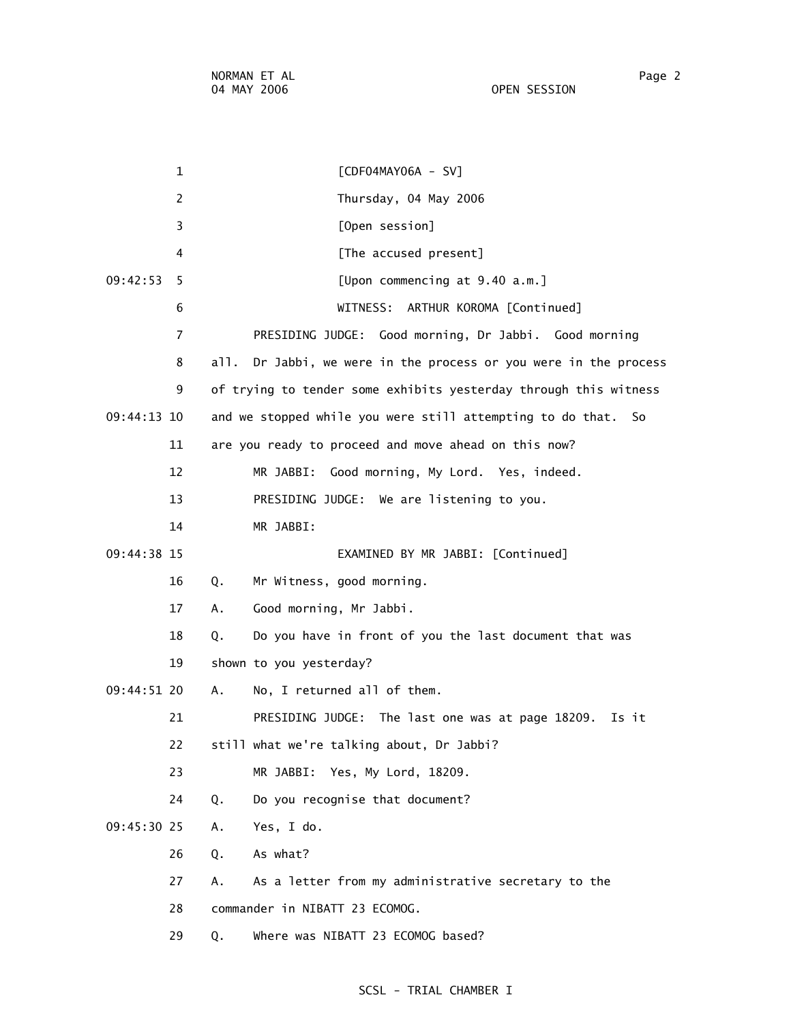1 [CDF04MAY06A - SV] 2 Thursday, 04 May 2006 3 [Open session] 4 **A [The accused present]**  09:42:53 5 [Upon commencing at 9.40 a.m.] 6 WITNESS: ARTHUR KOROMA [Continued] 7 PRESIDING JUDGE: Good morning, Dr Jabbi. Good morning 8 all. Dr Jabbi, we were in the process or you were in the process 9 of trying to tender some exhibits yesterday through this witness 09:44:13 10 and we stopped while you were still attempting to do that. So 11 are you ready to proceed and move ahead on this now? 12 MR JABBI: Good morning, My Lord. Yes, indeed. 13 PRESIDING JUDGE: We are listening to you. 14 MR JABBI: 09:44:38 15 EXAMINED BY MR JABBI: [Continued] 16 Q. Mr Witness, good morning. 17 A. Good morning, Mr Jabbi. 18 Q. Do you have in front of you the last document that was 19 shown to you yesterday? 09:44:51 20 A. No, I returned all of them. 21 PRESIDING JUDGE: The last one was at page 18209. Is it 22 still what we're talking about, Dr Jabbi? 23 MR JABBI: Yes, My Lord, 18209. 24 Q. Do you recognise that document? 09:45:30 25 A. Yes, I do. 26 Q. As what? 27 A. As a letter from my administrative secretary to the 28 commander in NIBATT 23 ECOMOG. 29 Q. Where was NIBATT 23 ECOMOG based?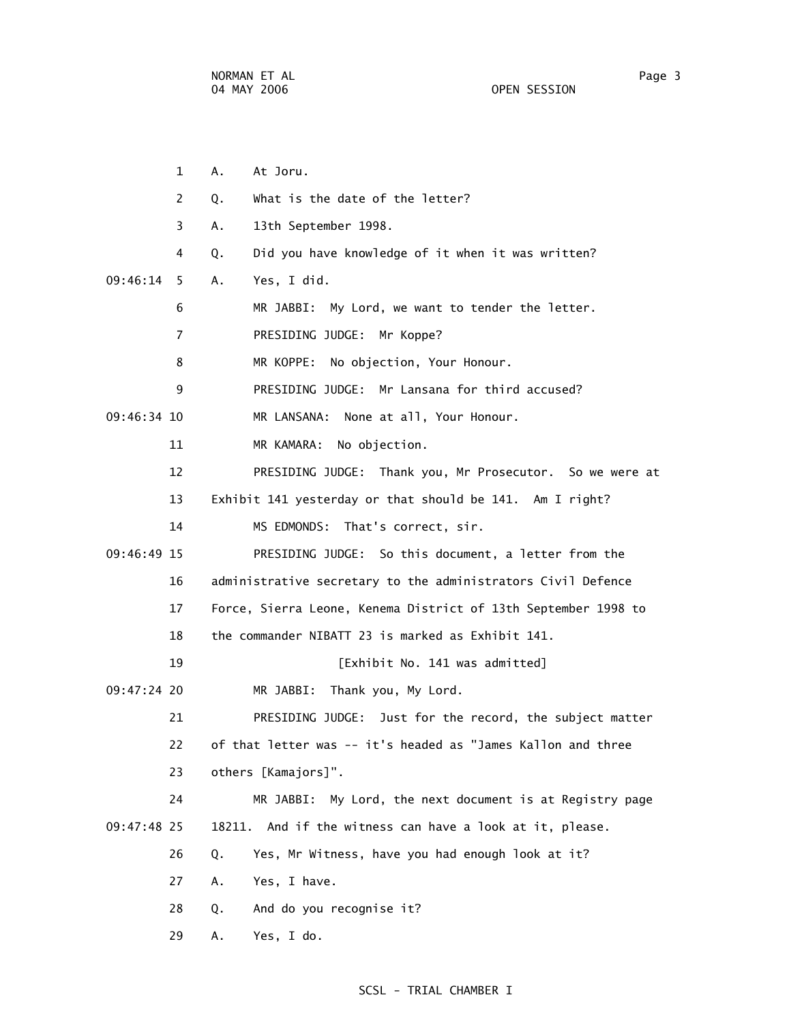1 A. At Joru. 2 Q. What is the date of the letter? 3 A. 13th September 1998. 4 Q. Did you have knowledge of it when it was written? 09:46:14 5 A. Yes, I did. 6 MR JABBI: My Lord, we want to tender the letter. 7 PRESIDING JUDGE: Mr Koppe? 8 MR KOPPE: No objection, Your Honour. 9 PRESIDING JUDGE: Mr Lansana for third accused? 09:46:34 10 MR LANSANA: None at all, Your Honour. 11 MR KAMARA: No objection. 12 PRESIDING JUDGE: Thank you, Mr Prosecutor. So we were at 13 Exhibit 141 yesterday or that should be 141. Am I right? 14 MS EDMONDS: That's correct, sir. 09:46:49 15 PRESIDING JUDGE: So this document, a letter from the 16 administrative secretary to the administrators Civil Defence 17 Force, Sierra Leone, Kenema District of 13th September 1998 to 18 the commander NIBATT 23 is marked as Exhibit 141. 19 **Interval Exhibit No. 141 was admitted**] 09:47:24 20 MR JABBI: Thank you, My Lord. 21 PRESIDING JUDGE: Just for the record, the subject matter 22 of that letter was -- it's headed as "James Kallon and three 23 others [Kamajors]". 24 MR JABBI: My Lord, the next document is at Registry page 09:47:48 25 18211. And if the witness can have a look at it, please. 26 Q. Yes, Mr Witness, have you had enough look at it? 27 A. Yes, I have. 28 Q. And do you recognise it? 29 A. Yes, I do.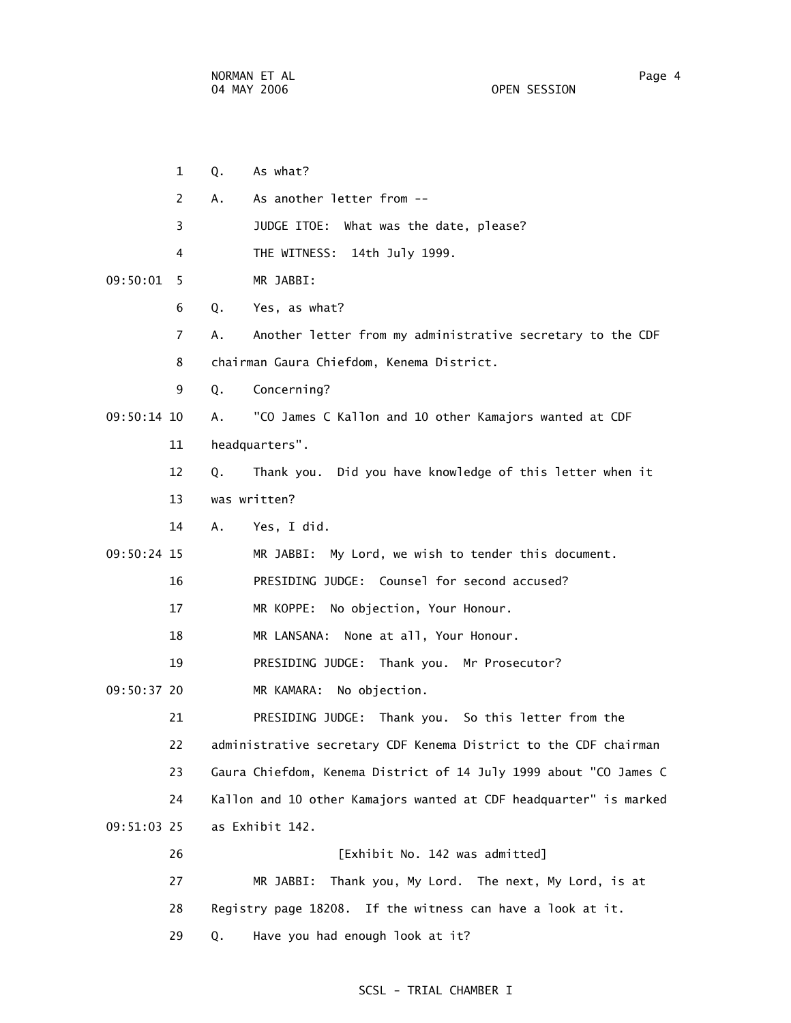1 Q. As what? 2 A. As another letter from -- 3 JUDGE ITOE: What was the date, please? 4 THE WITNESS: 14th July 1999. 09:50:01 5 MR JABBI: 6 Q. Yes, as what? 7 A. Another letter from my administrative secretary to the CDF 8 chairman Gaura Chiefdom, Kenema District. 9 Q. Concerning? 09:50:14 10 A. "CO James C Kallon and 10 other Kamajors wanted at CDF 11 headquarters". 12 Q. Thank you. Did you have knowledge of this letter when it 13 was written? 14 A. Yes, I did. 09:50:24 15 MR JABBI: My Lord, we wish to tender this document. 16 PRESIDING JUDGE: Counsel for second accused? 17 MR KOPPE: No objection, Your Honour. 18 MR LANSANA: None at all, Your Honour. 19 PRESIDING JUDGE: Thank you. Mr Prosecutor? 09:50:37 20 MR KAMARA: No objection. 21 PRESIDING JUDGE: Thank you. So this letter from the 22 administrative secretary CDF Kenema District to the CDF chairman 23 Gaura Chiefdom, Kenema District of 14 July 1999 about "CO James C 24 Kallon and 10 other Kamajors wanted at CDF headquarter" is marked 09:51:03 25 as Exhibit 142. 26 [Exhibit No. 142 was admitted] 27 MR JABBI: Thank you, My Lord. The next, My Lord, is at 28 Registry page 18208. If the witness can have a look at it. 29 Q. Have you had enough look at it?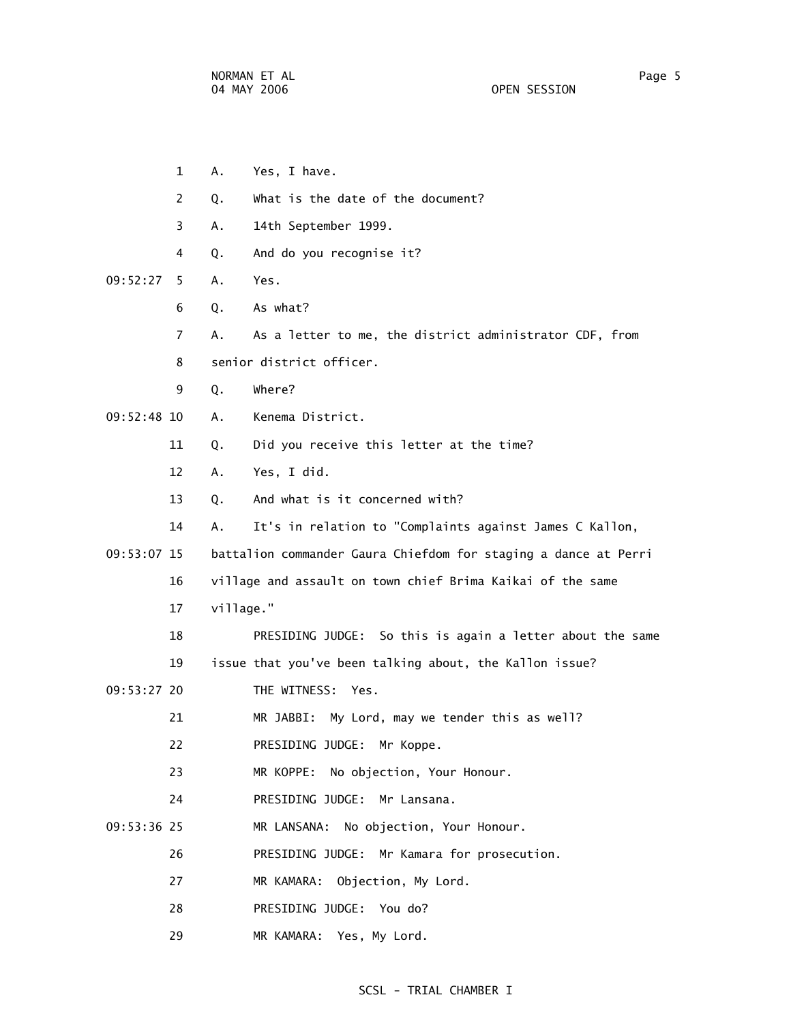|             | 1                     | Α.        | Yes, I have.                                                    |
|-------------|-----------------------|-----------|-----------------------------------------------------------------|
|             | $\mathbf{2}^{\prime}$ | Q.        | What is the date of the document?                               |
|             | 3                     | Α.        | 14th September 1999.                                            |
|             | 4                     | Q.        | And do you recognise it?                                        |
| 09:52:27    | 5.                    | Α.        | Yes.                                                            |
|             | 6                     | Q.        | As what?                                                        |
|             | $\overline{7}$        | А.        | As a letter to me, the district administrator CDF, from         |
|             | 8                     |           | senior district officer.                                        |
|             | 9                     | Q.        | Where?                                                          |
| 09:52:48 10 |                       | Α.        | Kenema District.                                                |
|             | 11                    | Q.        | Did you receive this letter at the time?                        |
|             | 12                    | Α.        | Yes, I did.                                                     |
|             | 13                    | Q.        | And what is it concerned with?                                  |
|             | 14                    | А.        | It's in relation to "Complaints against James C Kallon,         |
| 09:53:07 15 |                       |           | battalion commander Gaura Chiefdom for staging a dance at Perri |
|             | 16                    |           | village and assault on town chief Brima Kaikai of the same      |
|             | 17                    | village." |                                                                 |
|             | 18                    |           | PRESIDING JUDGE: So this is again a letter about the same       |
|             | 19                    |           | issue that you've been talking about, the Kallon issue?         |
| 09:53:27 20 |                       |           | THE WITNESS: Yes.                                               |
|             | 21                    |           | MR JABBI: My Lord, may we tender this as well?                  |
|             | 22                    |           | PRESIDING JUDGE: Mr Koppe.                                      |
|             | 23                    |           | MR KOPPE: No objection, Your Honour.                            |
|             | 24                    |           | PRESIDING JUDGE: Mr Lansana.                                    |
| 09:53:36 25 |                       |           | MR LANSANA: No objection, Your Honour.                          |
|             | 26                    |           | PRESIDING JUDGE: Mr Kamara for prosecution.                     |
|             | 27                    |           | MR KAMARA: Objection, My Lord.                                  |
|             | 28                    |           | PRESIDING JUDGE: You do?                                        |
|             | 29                    |           | MR KAMARA: Yes, My Lord.                                        |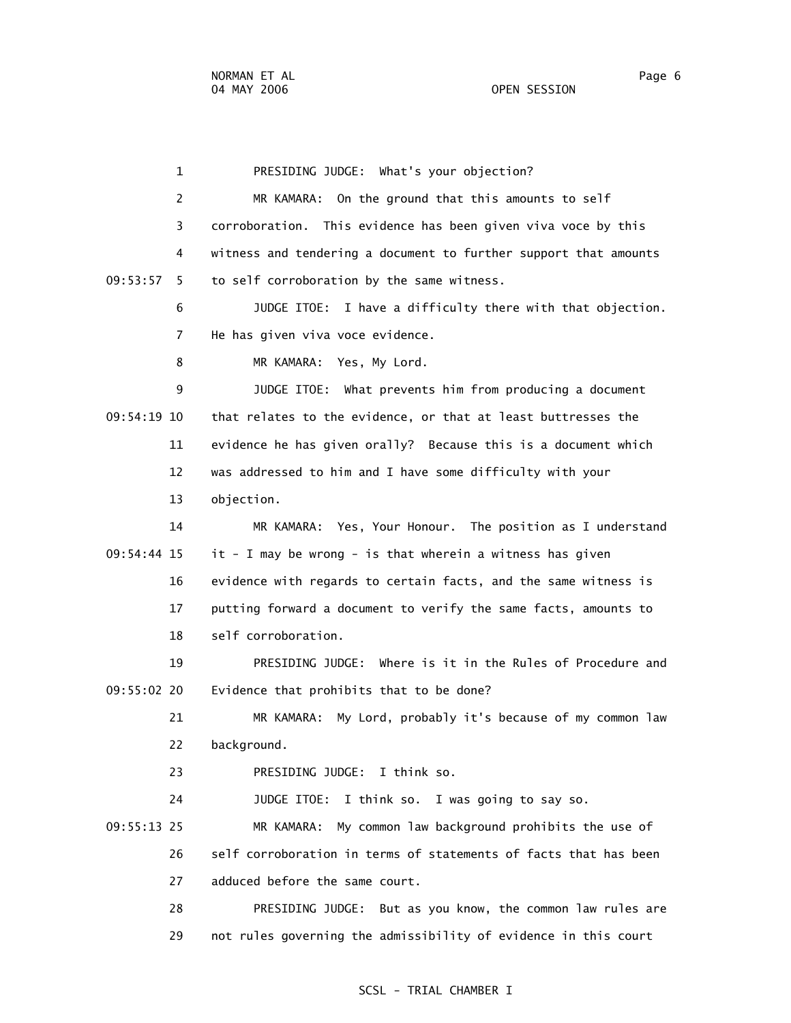1 PRESIDING JUDGE: What's your objection? 2 MR KAMARA: On the ground that this amounts to self 3 corroboration. This evidence has been given viva voce by this 4 witness and tendering a document to further support that amounts 09:53:57 5 to self corroboration by the same witness. 6 JUDGE ITOE: I have a difficulty there with that objection. 7 He has given viva voce evidence. 8 MR KAMARA: Yes, My Lord. 9 JUDGE ITOE: What prevents him from producing a document 09:54:19 10 that relates to the evidence, or that at least buttresses the 11 evidence he has given orally? Because this is a document which 12 was addressed to him and I have some difficulty with your 13 objection. 14 MR KAMARA: Yes, Your Honour. The position as I understand 09:54:44 15 it - I may be wrong - is that wherein a witness has given 16 evidence with regards to certain facts, and the same witness is 17 putting forward a document to verify the same facts, amounts to 18 self corroboration. 19 PRESIDING JUDGE: Where is it in the Rules of Procedure and 09:55:02 20 Evidence that prohibits that to be done? 21 MR KAMARA: My Lord, probably it's because of my common law 22 background. 23 PRESIDING JUDGE: I think so. 24 JUDGE ITOE: I think so. I was going to say so. 09:55:13 25 MR KAMARA: My common law background prohibits the use of 26 self corroboration in terms of statements of facts that has been 27 adduced before the same court. 28 PRESIDING JUDGE: But as you know, the common law rules are 29 not rules governing the admissibility of evidence in this court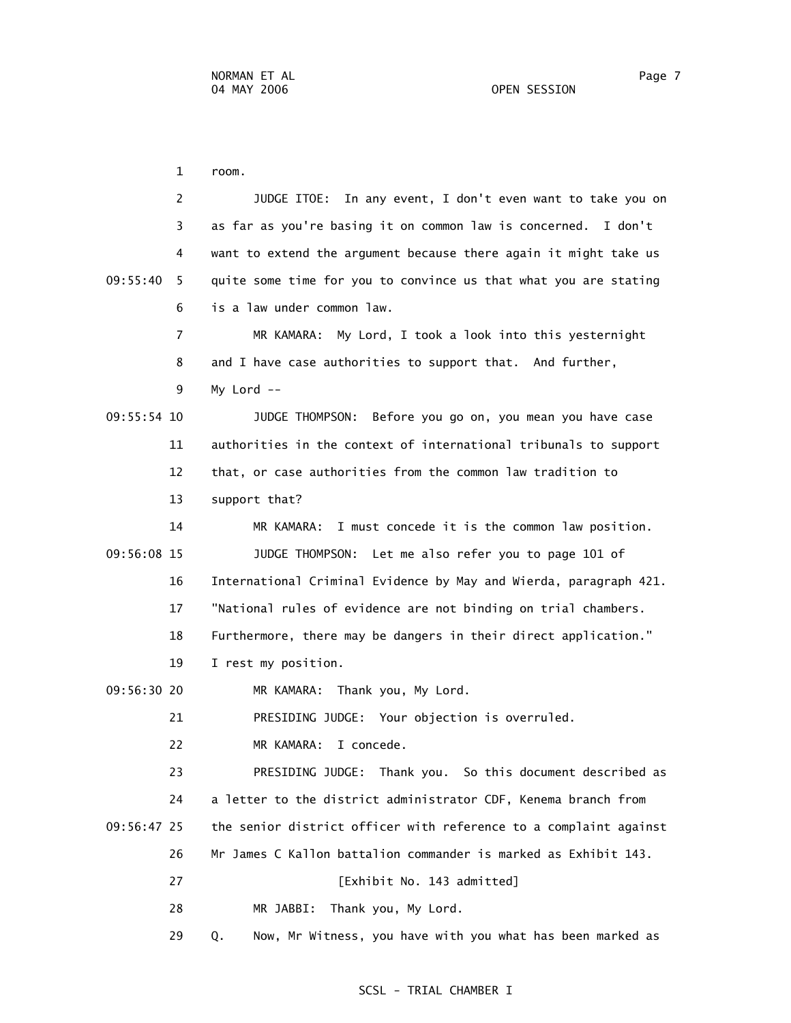1 room. 2 JUDGE ITOE: In any event, I don't even want to take you on 3 as far as you're basing it on common law is concerned. I don't 4 want to extend the argument because there again it might take us 09:55:40 5 quite some time for you to convince us that what you are stating 6 is a law under common law. 7 MR KAMARA: My Lord, I took a look into this yesternight 8 and I have case authorities to support that. And further, 9 My Lord -- 09:55:54 10 JUDGE THOMPSON: Before you go on, you mean you have case 11 authorities in the context of international tribunals to support 12 that, or case authorities from the common law tradition to 13 support that? 14 MR KAMARA: I must concede it is the common law position. 09:56:08 15 JUDGE THOMPSON: Let me also refer you to page 101 of 16 International Criminal Evidence by May and Wierda, paragraph 421. 17 "National rules of evidence are not binding on trial chambers. 18 Furthermore, there may be dangers in their direct application." 19 I rest my position. 09:56:30 20 MR KAMARA: Thank you, My Lord. 21 PRESIDING JUDGE: Your objection is overruled. 22 MR KAMARA: I concede. 23 PRESIDING JUDGE: Thank you. So this document described as 24 a letter to the district administrator CDF, Kenema branch from 09:56:47 25 the senior district officer with reference to a complaint against 26 Mr James C Kallon battalion commander is marked as Exhibit 143. 27 **[Exhibit No. 143 admitted]**  28 MR JABBI: Thank you, My Lord. 29 Q. Now, Mr Witness, you have with you what has been marked as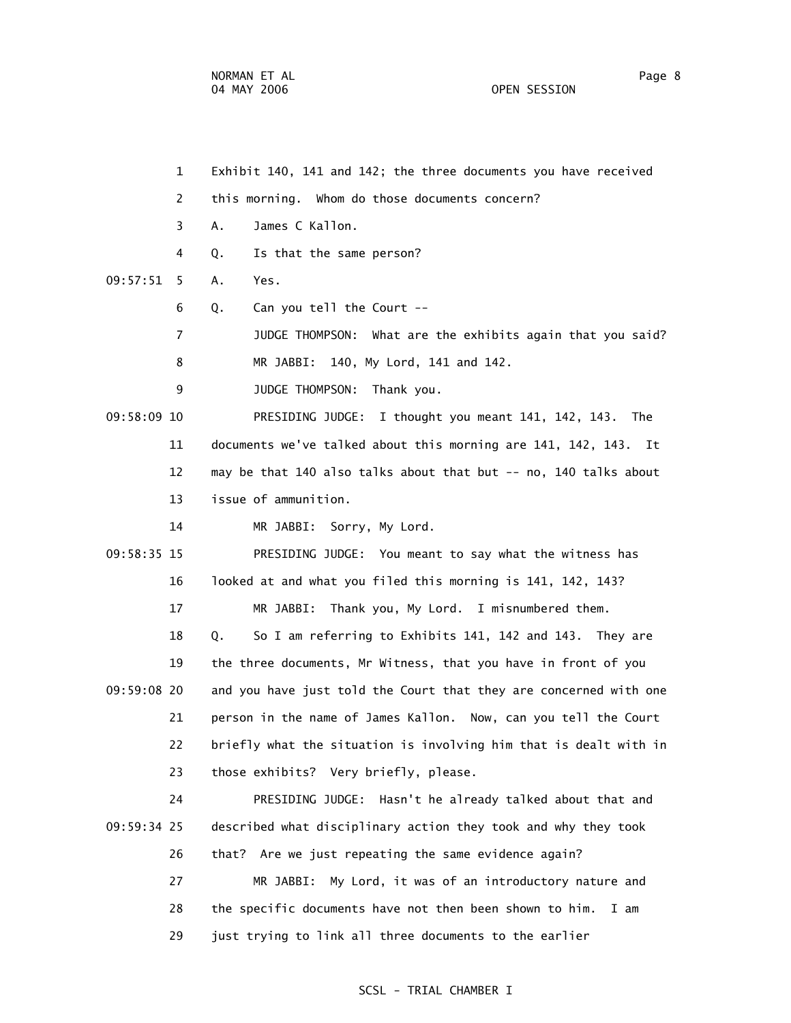- 1 Exhibit 140, 141 and 142; the three documents you have received
- 2 this morning. Whom do those documents concern?
- 3 A. James C Kallon.
- 4 Q. Is that the same person?

09:57:51 5 A. Yes.

- 6 Q. Can you tell the Court --
- 7 JUDGE THOMPSON: What are the exhibits again that you said?

8 MR JABBI: 140, My Lord, 141 and 142.

9 JUDGE THOMPSON: Thank you.

 09:58:09 10 PRESIDING JUDGE: I thought you meant 141, 142, 143. The 11 documents we've talked about this morning are 141, 142, 143. It 12 may be that 140 also talks about that but -- no, 140 talks about 13 issue of ammunition.

14 MR JABBI: Sorry, My Lord.

 09:58:35 15 PRESIDING JUDGE: You meant to say what the witness has 16 looked at and what you filed this morning is 141, 142, 143?

17 MR JABBI: Thank you, My Lord. I misnumbered them.

 18 Q. So I am referring to Exhibits 141, 142 and 143. They are 19 the three documents, Mr Witness, that you have in front of you 09:59:08 20 and you have just told the Court that they are concerned with one 21 person in the name of James Kallon. Now, can you tell the Court 22 briefly what the situation is involving him that is dealt with in 23 those exhibits? Very briefly, please.

 24 PRESIDING JUDGE: Hasn't he already talked about that and 09:59:34 25 described what disciplinary action they took and why they took 26 that? Are we just repeating the same evidence again?

> 27 MR JABBI: My Lord, it was of an introductory nature and 28 the specific documents have not then been shown to him. I am 29 just trying to link all three documents to the earlier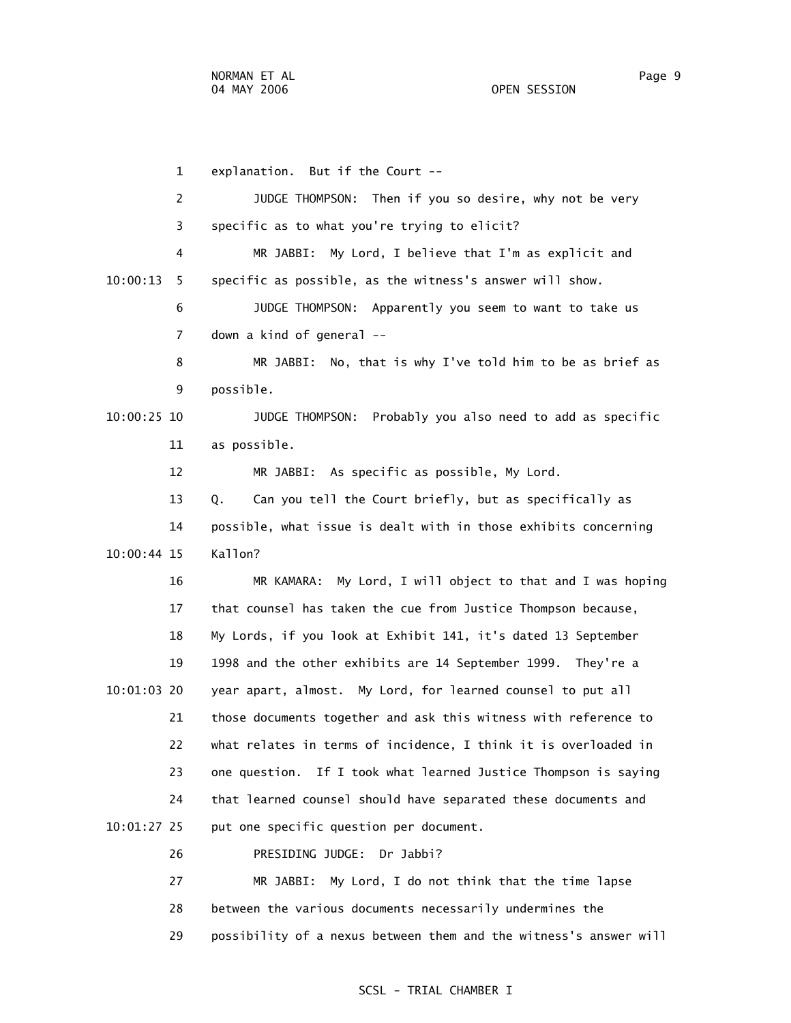1 explanation. But if the Court -- 2 JUDGE THOMPSON: Then if you so desire, why not be very 3 specific as to what you're trying to elicit? 4 MR JABBI: My Lord, I believe that I'm as explicit and 10:00:13 5 specific as possible, as the witness's answer will show. 6 JUDGE THOMPSON: Apparently you seem to want to take us 7 down a kind of general -- 8 MR JABBI: No, that is why I've told him to be as brief as 9 possible. 10:00:25 10 JUDGE THOMPSON: Probably you also need to add as specific 11 as possible. 12 MR JABBI: As specific as possible, My Lord. 13 Q. Can you tell the Court briefly, but as specifically as 14 possible, what issue is dealt with in those exhibits concerning 10:00:44 15 Kallon? 16 MR KAMARA: My Lord, I will object to that and I was hoping 17 that counsel has taken the cue from Justice Thompson because, 18 My Lords, if you look at Exhibit 141, it's dated 13 September 19 1998 and the other exhibits are 14 September 1999. They're a 10:01:03 20 year apart, almost. My Lord, for learned counsel to put all 21 those documents together and ask this witness with reference to 22 what relates in terms of incidence, I think it is overloaded in 23 one question. If I took what learned Justice Thompson is saying 24 that learned counsel should have separated these documents and 10:01:27 25 put one specific question per document. 26 PRESIDING JUDGE: Dr Jabbi? 27 MR JABBI: My Lord, I do not think that the time lapse

> 28 between the various documents necessarily undermines the 29 possibility of a nexus between them and the witness's answer will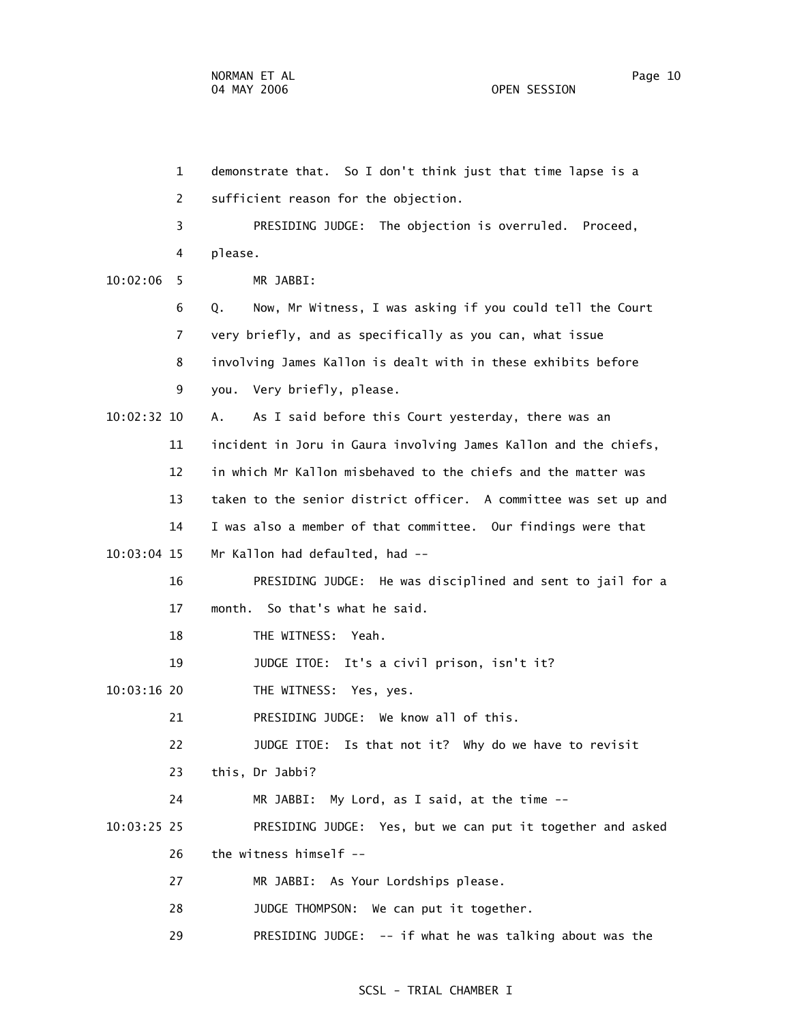1 demonstrate that. So I don't think just that time lapse is a 2 sufficient reason for the objection. 3 PRESIDING JUDGE: The objection is overruled. Proceed, 4 please. 10:02:06 5 MR JABBI: 6 Q. Now, Mr Witness, I was asking if you could tell the Court 7 very briefly, and as specifically as you can, what issue 8 involving James Kallon is dealt with in these exhibits before 9 you. Very briefly, please. 10:02:32 10 A. As I said before this Court yesterday, there was an 11 incident in Joru in Gaura involving James Kallon and the chiefs, 12 in which Mr Kallon misbehaved to the chiefs and the matter was 13 taken to the senior district officer. A committee was set up and 14 I was also a member of that committee. Our findings were that 10:03:04 15 Mr Kallon had defaulted, had -- 16 PRESIDING JUDGE: He was disciplined and sent to jail for a 17 month. So that's what he said. 18 THE WITNESS: Yeah. 19 JUDGE ITOE: It's a civil prison, isn't it? 10:03:16 20 THE WITNESS: Yes, yes. 21 PRESIDING JUDGE: We know all of this. 22 JUDGE ITOE: Is that not it? Why do we have to revisit 23 this, Dr Jabbi? 24 MR JABBI: My Lord, as I said, at the time -- 10:03:25 25 PRESIDING JUDGE: Yes, but we can put it together and asked 26 the witness himself -- 27 MR JABBI: As Your Lordships please. 28 JUDGE THOMPSON: We can put it together. 29 PRESIDING JUDGE: -- if what he was talking about was the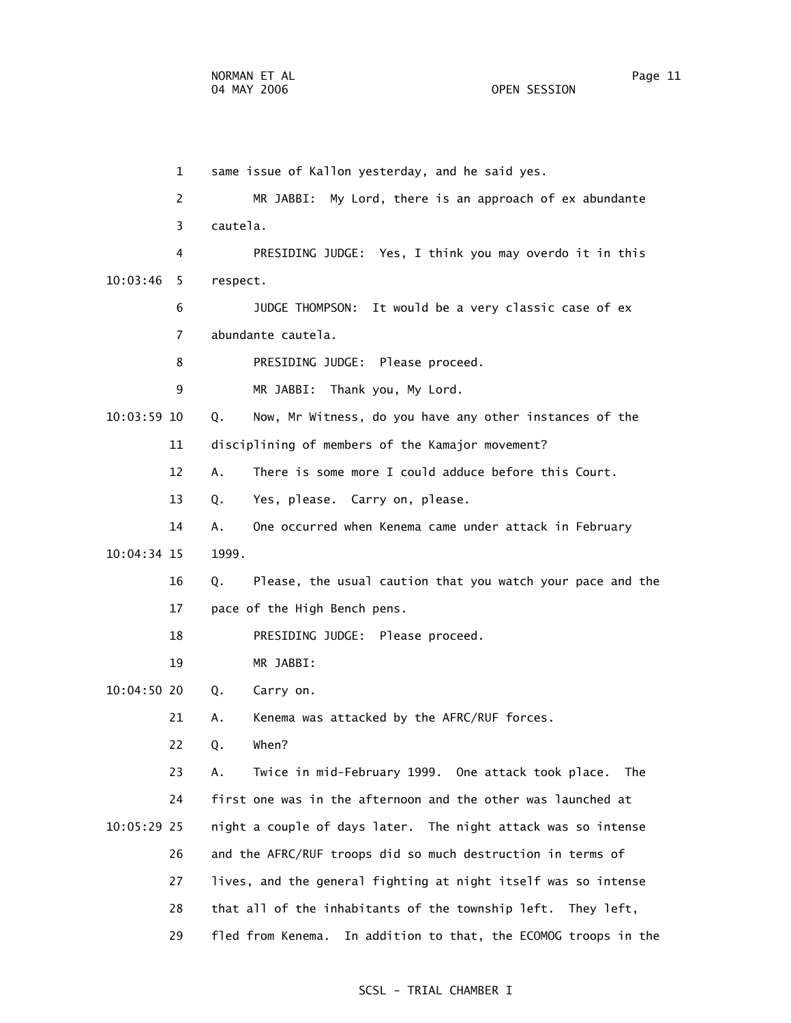1 same issue of Kallon yesterday, and he said yes. 2 MR JABBI: My Lord, there is an approach of ex abundante 3 cautela. 4 PRESIDING JUDGE: Yes, I think you may overdo it in this 10:03:46 5 respect. 6 JUDGE THOMPSON: It would be a very classic case of ex 7 abundante cautela. 8 PRESIDING JUDGE: Please proceed. 9 MR JABBI: Thank you, My Lord. 10:03:59 10 Q. Now, Mr Witness, do you have any other instances of the 11 disciplining of members of the Kamajor movement? 12 A. There is some more I could adduce before this Court. 13 Q. Yes, please. Carry on, please. 14 A. One occurred when Kenema came under attack in February 10:04:34 15 1999. 16 Q. Please, the usual caution that you watch your pace and the 17 pace of the High Bench pens. 18 PRESIDING JUDGE: Please proceed. 19 MR JABBI: 10:04:50 20 Q. Carry on. 21 A. Kenema was attacked by the AFRC/RUF forces. 22 Q. When? 23 A. Twice in mid-February 1999. One attack took place. The 24 first one was in the afternoon and the other was launched at 10:05:29 25 night a couple of days later. The night attack was so intense 26 and the AFRC/RUF troops did so much destruction in terms of 27 lives, and the general fighting at night itself was so intense 28 that all of the inhabitants of the township left. They left, 29 fled from Kenema. In addition to that, the ECOMOG troops in the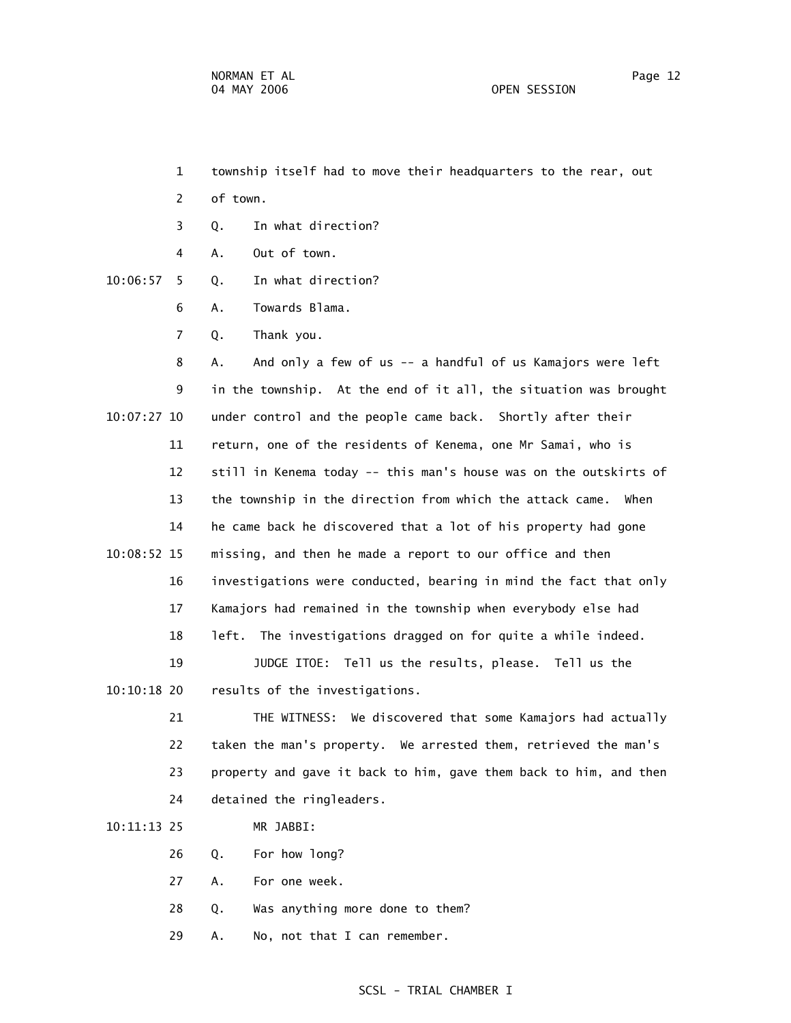- 1 township itself had to move their headquarters to the rear, out
- 2 of town.
- 3 Q. In what direction?
- 4 A. Out of town.
- 10:06:57 5 Q. In what direction?
	- 6 A. Towards Blama.
	- 7 Q. Thank you.

 8 A. And only a few of us -- a handful of us Kamajors were left 9 in the township. At the end of it all, the situation was brought 10:07:27 10 under control and the people came back. Shortly after their 11 return, one of the residents of Kenema, one Mr Samai, who is 12 still in Kenema today -- this man's house was on the outskirts of 13 the township in the direction from which the attack came. When 14 he came back he discovered that a lot of his property had gone 10:08:52 15 missing, and then he made a report to our office and then 16 investigations were conducted, bearing in mind the fact that only 17 Kamajors had remained in the township when everybody else had 18 left. The investigations dragged on for quite a while indeed. 19 JUDGE ITOE: Tell us the results, please. Tell us the 10:10:18 20 results of the investigations.

 21 THE WITNESS: We discovered that some Kamajors had actually 22 taken the man's property. We arrested them, retrieved the man's 23 property and gave it back to him, gave them back to him, and then 24 detained the ringleaders.

### 10:11:13 25 MR JABBI:

- 26 Q. For how long?
- 27 A. For one week.
- 28 Q. Was anything more done to them?
- 29 A. No, not that I can remember.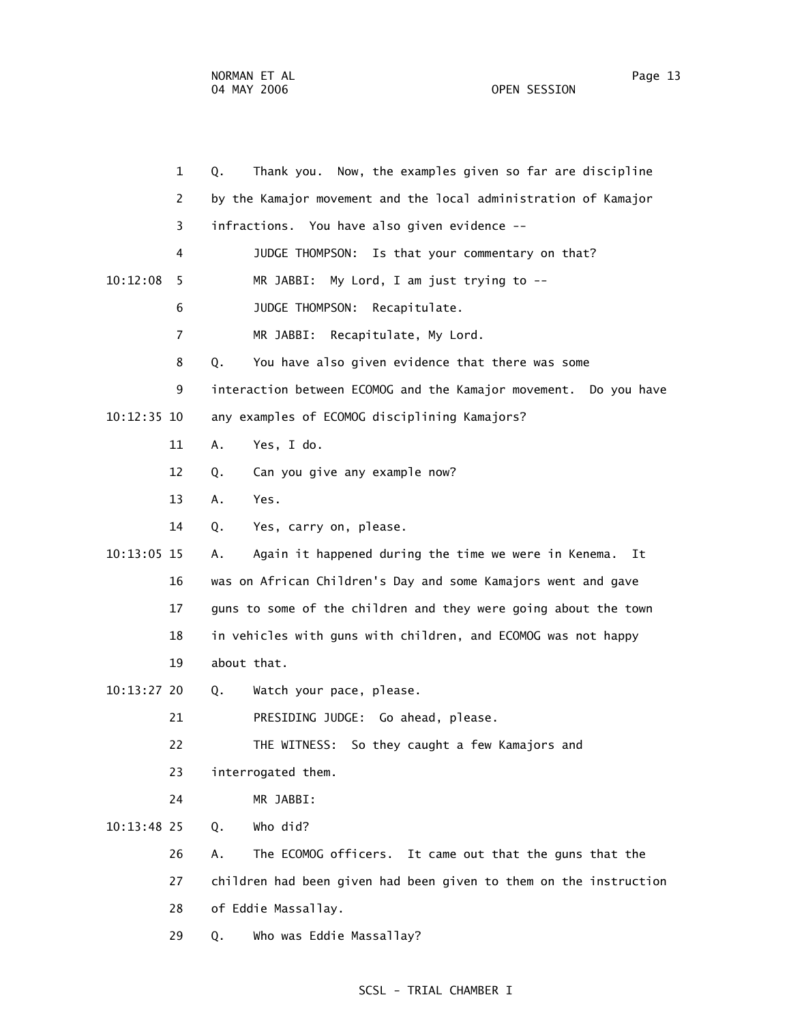|             | $\mathbf{1}$   | Thank you. Now, the examples given so far are discipline<br>Q.    |
|-------------|----------------|-------------------------------------------------------------------|
|             | 2              | by the Kamajor movement and the local administration of Kamajor   |
|             | 3              | infractions. You have also given evidence --                      |
|             | 4              | JUDGE THOMPSON: Is that your commentary on that?                  |
| 10:12:08    | 5              | MR JABBI: My Lord, I am just trying to --                         |
|             | 6              | JUDGE THOMPSON:<br>Recapitulate.                                  |
|             | $\overline{7}$ | MR JABBI: Recapitulate, My Lord.                                  |
|             | 8              | You have also given evidence that there was some<br>Q.            |
|             | 9              | interaction between ECOMOG and the Kamajor movement. Do you have  |
| 10:12:35 10 |                | any examples of ECOMOG disciplining Kamajors?                     |
|             | 11             | Yes, I do.<br>Α.                                                  |
|             | 12             | Can you give any example now?<br>Q.                               |
|             | 13             | Α.<br>Yes.                                                        |
|             | 14             | Yes, carry on, please.<br>Q.                                      |
| 10:13:05 15 |                | Again it happened during the time we were in Kenema.<br>Ιt<br>А.  |
|             | 16             | was on African Children's Day and some Kamajors went and gave     |
|             | 17             | guns to some of the children and they were going about the town   |
|             | 18             | in vehicles with guns with children, and ECOMOG was not happy     |
|             | 19             | about that.                                                       |
| 10:13:27 20 |                | Watch your pace, please.<br>Q.                                    |
|             | 21             | PRESIDING JUDGE: Go ahead, please.                                |
|             | 22             | THE WITNESS:<br>So they caught a few Kamajors and                 |
|             | 23             | interrogated them.                                                |
|             | 24             | MR JABBI:                                                         |
| 10:13:48 25 |                | Who did?<br>Q.                                                    |
|             | 26             | The ECOMOG officers. It came out that the guns that the<br>Α.     |
|             | 27             | children had been given had been given to them on the instruction |
|             | 28             | of Eddie Massallay.                                               |
|             | 29             | Who was Eddie Massallay?<br>Q.                                    |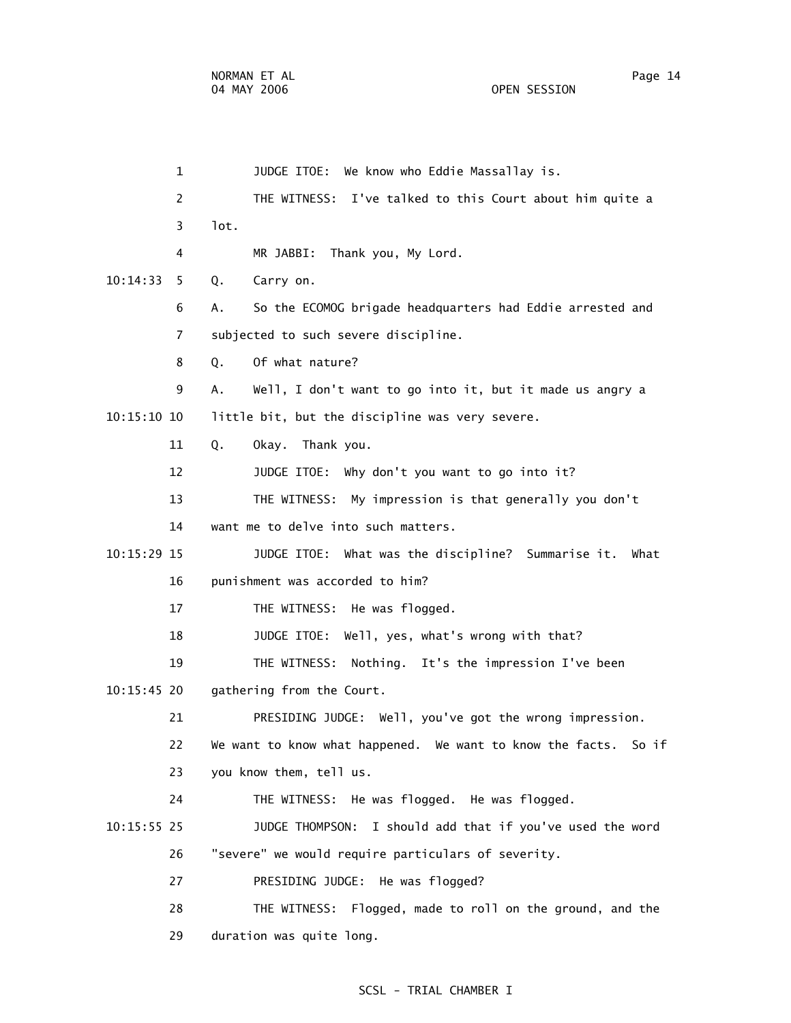1 JUDGE ITOE: We know who Eddie Massallay is. 2 THE WITNESS: I've talked to this Court about him quite a 3 lot. 4 MR JABBI: Thank you, My Lord. 10:14:33 5 Q. Carry on. 6 A. So the ECOMOG brigade headquarters had Eddie arrested and 7 subjected to such severe discipline. 8 Q. Of what nature? 9 A. Well, I don't want to go into it, but it made us angry a 10:15:10 10 little bit, but the discipline was very severe. 11 Q. Okay. Thank you. 12 JUDGE ITOE: Why don't you want to go into it? 13 THE WITNESS: My impression is that generally you don't 14 want me to delve into such matters. 10:15:29 15 JUDGE ITOE: What was the discipline? Summarise it. What 16 punishment was accorded to him? 17 THE WITNESS: He was flogged. 18 JUDGE ITOE: Well, yes, what's wrong with that? 19 THE WITNESS: Nothing. It's the impression I've been 10:15:45 20 gathering from the Court. 21 PRESIDING JUDGE: Well, you've got the wrong impression. 22 We want to know what happened. We want to know the facts. So if 23 you know them, tell us. 24 THE WITNESS: He was flogged. He was flogged. 10:15:55 25 JUDGE THOMPSON: I should add that if you've used the word 26 "severe" we would require particulars of severity. 27 PRESIDING JUDGE: He was flogged? 28 THE WITNESS: Flogged, made to roll on the ground, and the 29 duration was quite long.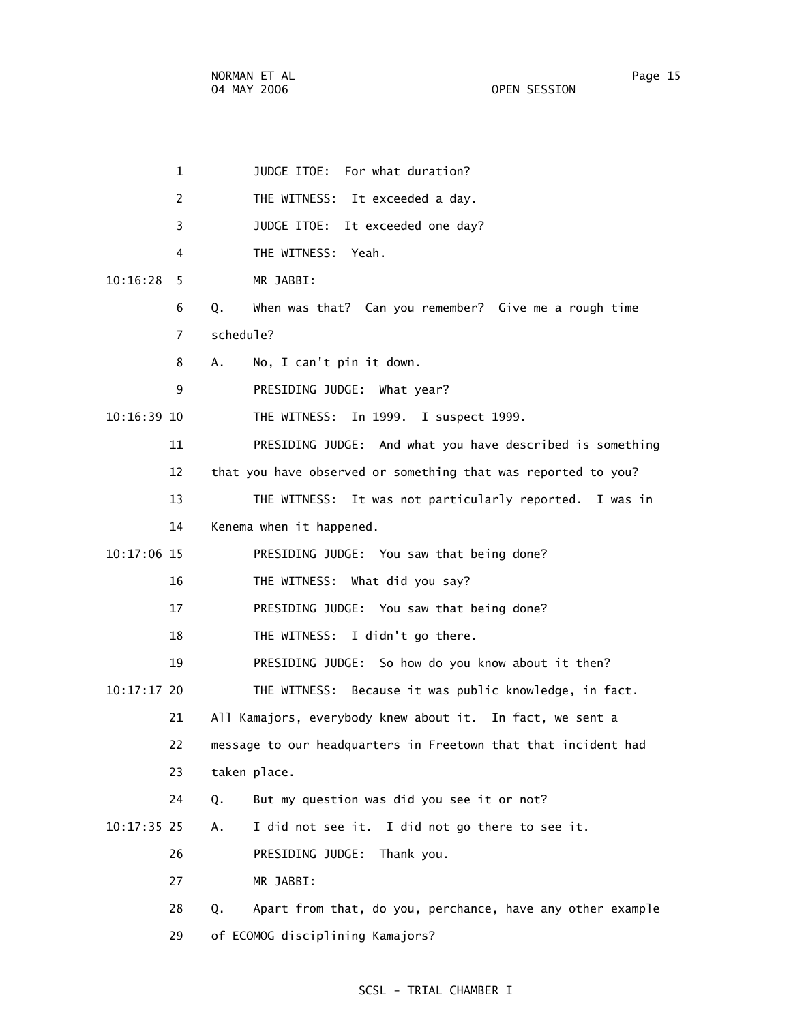1 JUDGE ITOE: For what duration? 2 THE WITNESS: It exceeded a day. 3 JUDGE ITOE: It exceeded one day? 4 THE WITNESS: Yeah. 10:16:28 5 MR JABBI: 6 Q. When was that? Can you remember? Give me a rough time 7 schedule? 8 A. No, I can't pin it down. 9 PRESIDING JUDGE: What year? 10:16:39 10 THE WITNESS: In 1999. I suspect 1999. 11 PRESIDING JUDGE: And what you have described is something 12 that you have observed or something that was reported to you? 13 THE WITNESS: It was not particularly reported. I was in 14 Kenema when it happened. 10:17:06 15 PRESIDING JUDGE: You saw that being done? 16 THE WITNESS: What did you say? 17 PRESIDING JUDGE: You saw that being done? 18 THE WITNESS: I didn't go there. 19 PRESIDING JUDGE: So how do you know about it then? 10:17:17 20 THE WITNESS: Because it was public knowledge, in fact. 21 All Kamajors, everybody knew about it. In fact, we sent a 22 message to our headquarters in Freetown that that incident had 23 taken place. 24 Q. But my question was did you see it or not? 10:17:35 25 A. I did not see it. I did not go there to see it. 26 PRESIDING JUDGE: Thank you. 27 MR JABBI: 28 Q. Apart from that, do you, perchance, have any other example 29 of ECOMOG disciplining Kamajors?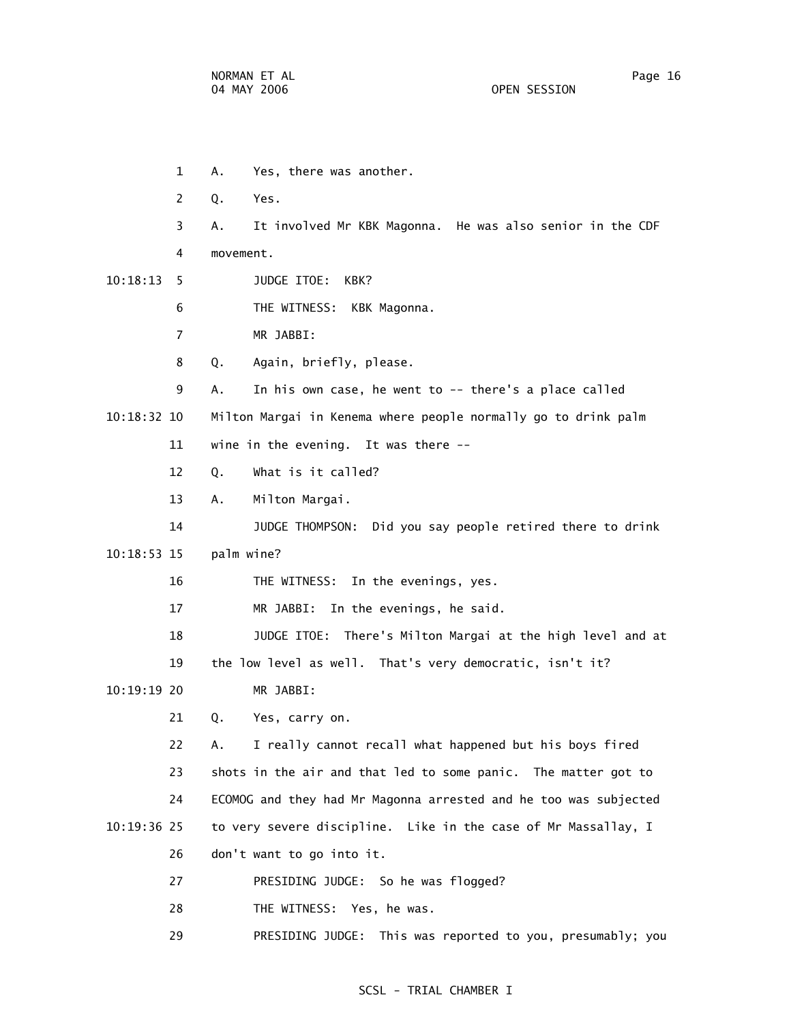1 A. Yes, there was another. 2 Q. Yes. 3 A. It involved Mr KBK Magonna. He was also senior in the CDF 4 movement. 10:18:13 5 JUDGE ITOE: KBK? 6 THE WITNESS: KBK Magonna. 7 MR JABBI: 8 Q. Again, briefly, please. 9 A. In his own case, he went to -- there's a place called 10:18:32 10 Milton Margai in Kenema where people normally go to drink palm 11 wine in the evening. It was there -- 12 Q. What is it called? 13 A. Milton Margai. 14 JUDGE THOMPSON: Did you say people retired there to drink 10:18:53 15 palm wine? 16 THE WITNESS: In the evenings, yes. 17 MR JABBI: In the evenings, he said. 18 JUDGE ITOE: There's Milton Margai at the high level and at 19 the low level as well. That's very democratic, isn't it? 10:19:19 20 MR JABBI: 21 Q. Yes, carry on. 22 A. I really cannot recall what happened but his boys fired 23 shots in the air and that led to some panic. The matter got to 24 ECOMOG and they had Mr Magonna arrested and he too was subjected 10:19:36 25 to very severe discipline. Like in the case of Mr Massallay, I 26 don't want to go into it. 27 PRESIDING JUDGE: So he was flogged? 28 THE WITNESS: Yes, he was.

29 PRESIDING JUDGE: This was reported to you, presumably; you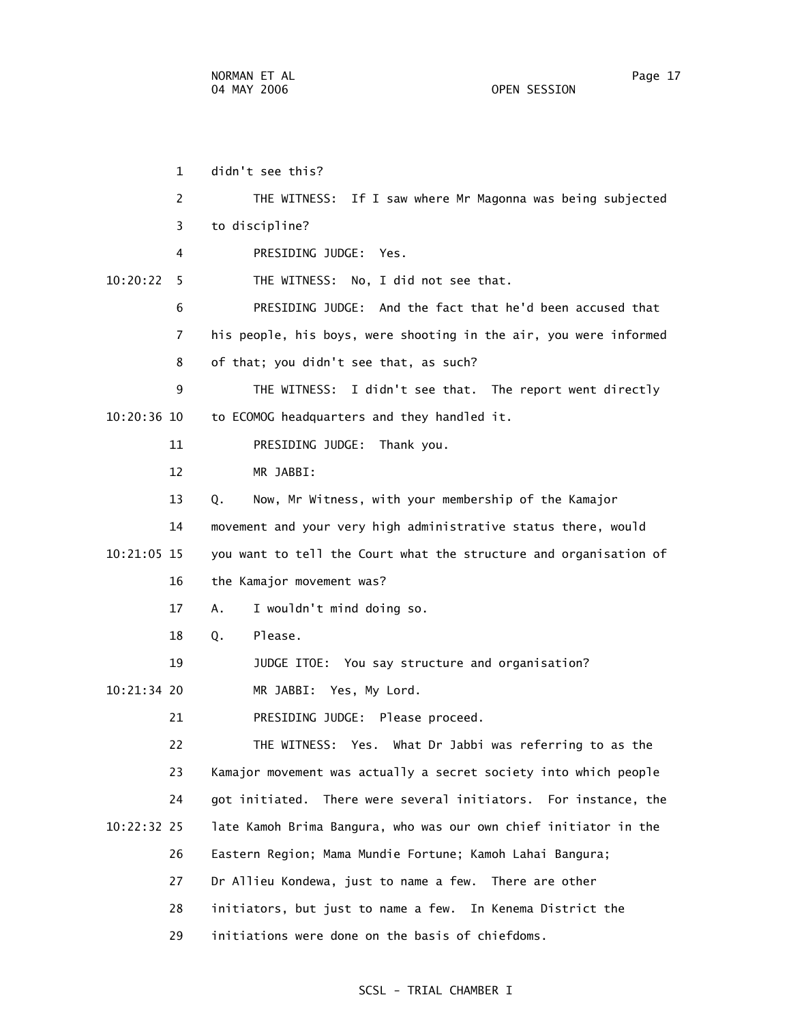1 didn't see this? 2 THE WITNESS: If I saw where Mr Magonna was being subjected 3 to discipline? 4 PRESIDING JUDGE: Yes. 10:20:22 5 THE WITNESS: No, I did not see that. 6 PRESIDING JUDGE: And the fact that he'd been accused that 7 his people, his boys, were shooting in the air, you were informed 8 of that; you didn't see that, as such? 9 THE WITNESS: I didn't see that. The report went directly 10:20:36 10 to ECOMOG headquarters and they handled it. 11 PRESIDING JUDGE: Thank you. 12 MR JABBI: 13 Q. Now, Mr Witness, with your membership of the Kamajor 14 movement and your very high administrative status there, would 10:21:05 15 you want to tell the Court what the structure and organisation of 16 the Kamajor movement was? 17 A. I wouldn't mind doing so. 18 Q. Please. 19 JUDGE ITOE: You say structure and organisation? 10:21:34 20 MR JABBI: Yes, My Lord. 21 PRESIDING JUDGE: Please proceed. 22 THE WITNESS: Yes. What Dr Jabbi was referring to as the 23 Kamajor movement was actually a secret society into which people 24 got initiated. There were several initiators. For instance, the 10:22:32 25 late Kamoh Brima Bangura, who was our own chief initiator in the 26 Eastern Region; Mama Mundie Fortune; Kamoh Lahai Bangura; 27 Dr Allieu Kondewa, just to name a few. There are other 28 initiators, but just to name a few. In Kenema District the 29 initiations were done on the basis of chiefdoms.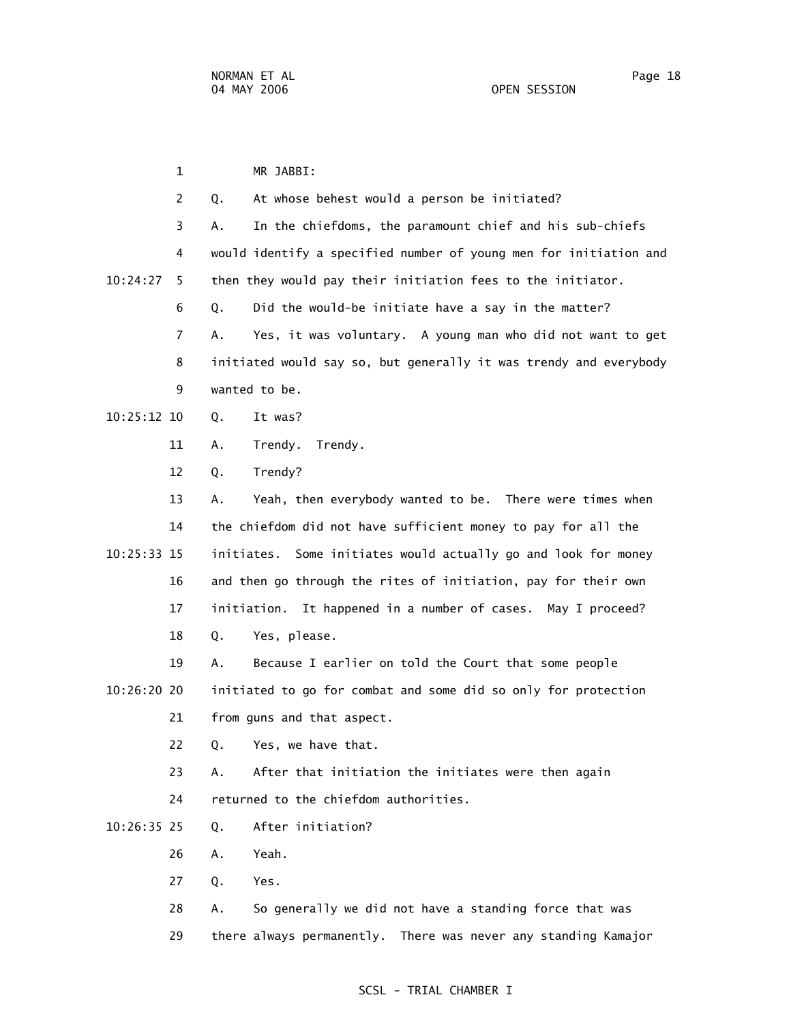1 MR JABBI: 2 Q. At whose behest would a person be initiated? 3 A. In the chiefdoms, the paramount chief and his sub-chiefs 4 would identify a specified number of young men for initiation and 10:24:27 5 then they would pay their initiation fees to the initiator. 6 Q. Did the would-be initiate have a say in the matter? 7 A. Yes, it was voluntary. A young man who did not want to get 8 initiated would say so, but generally it was trendy and everybody 9 wanted to be. 10:25:12 10 Q. It was? 11 A. Trendy. Trendy. 12 Q. Trendy? 13 A. Yeah, then everybody wanted to be. There were times when 14 the chiefdom did not have sufficient money to pay for all the 10:25:33 15 initiates. Some initiates would actually go and look for money 16 and then go through the rites of initiation, pay for their own 17 initiation. It happened in a number of cases. May I proceed? 18 Q. Yes, please. 19 A. Because I earlier on told the Court that some people 10:26:20 20 initiated to go for combat and some did so only for protection 21 from guns and that aspect. 22 Q. Yes, we have that. 23 A. After that initiation the initiates were then again 24 returned to the chiefdom authorities. 10:26:35 25 Q. After initiation? 26 A. Yeah. 27 Q. Yes. 28 A. So generally we did not have a standing force that was 29 there always permanently. There was never any standing Kamajor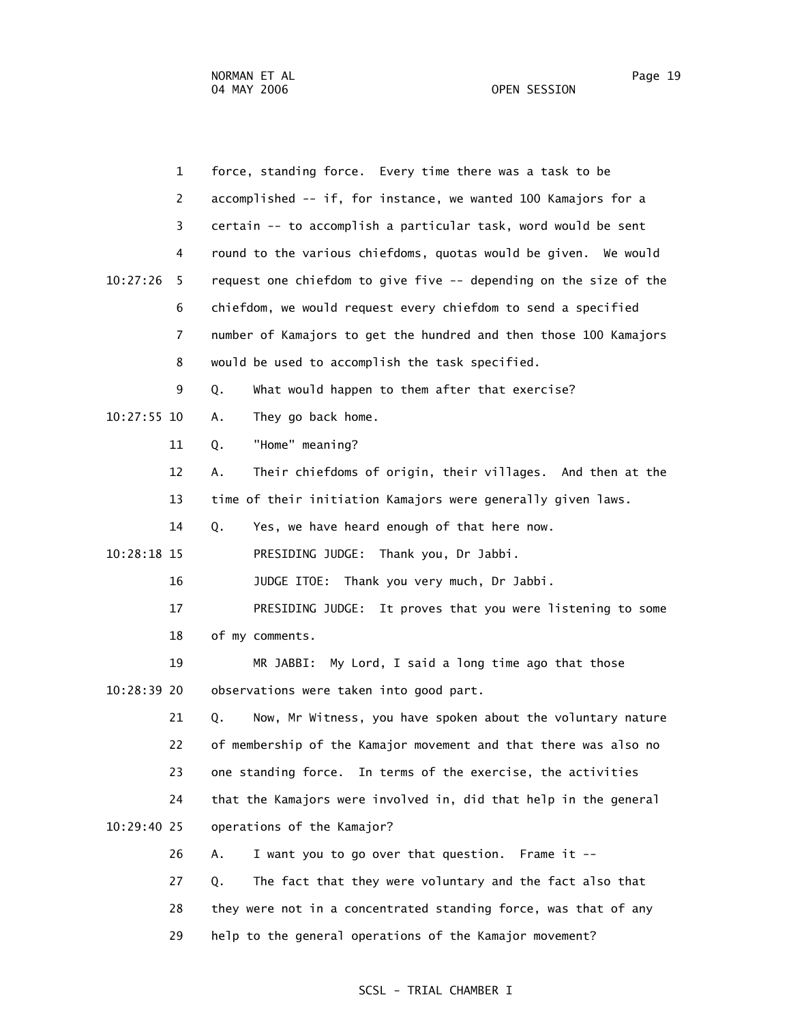|             | $\mathbf{1}$   | force, standing force. Every time there was a task to be          |
|-------------|----------------|-------------------------------------------------------------------|
|             | $\overline{2}$ | accomplished -- if, for instance, we wanted 100 Kamajors for a    |
|             | 3              | certain -- to accomplish a particular task, word would be sent    |
|             | 4              | round to the various chiefdoms, quotas would be given. We would   |
| 10:27:26    | 5.             | request one chiefdom to give five -- depending on the size of the |
|             | 6              | chiefdom, we would request every chiefdom to send a specified     |
|             | 7              | number of Kamajors to get the hundred and then those 100 Kamajors |
|             | 8              | would be used to accomplish the task specified.                   |
|             | 9              | Q.<br>What would happen to them after that exercise?              |
| 10:27:55 10 |                | They go back home.<br>Α.                                          |
|             | 11             | "Home" meaning?<br>Q.                                             |
|             | 12             | Their chiefdoms of origin, their villages. And then at the<br>Α.  |
|             | 13             | time of their initiation Kamajors were generally given laws.      |
|             | 14             | Yes, we have heard enough of that here now.<br>Q.                 |
| 10:28:18 15 |                | PRESIDING JUDGE: Thank you, Dr Jabbi.                             |
|             | 16             | JUDGE ITOE: Thank you very much, Dr Jabbi.                        |
|             | 17             | PRESIDING JUDGE: It proves that you were listening to some        |
|             | 18             | of my comments.                                                   |
|             | 19             | My Lord, I said a long time ago that those<br>MR JABBI:           |
| 10:28:39 20 |                | observations were taken into good part.                           |
|             | 21             | Now, Mr Witness, you have spoken about the voluntary nature<br>Q. |
|             | 22             | of membership of the Kamajor movement and that there was also no  |
|             | 23             | one standing force. In terms of the exercise, the activities      |
|             | 24             | that the Kamajors were involved in, did that help in the general  |
| 10:29:40 25 |                | operations of the Kamajor?                                        |
|             | 26             | I want you to go over that question. Frame it --<br>А.            |
|             | 27             | The fact that they were voluntary and the fact also that<br>Q.    |
|             | 28             | they were not in a concentrated standing force, was that of any   |
|             | 29             | help to the general operations of the Kamajor movement?           |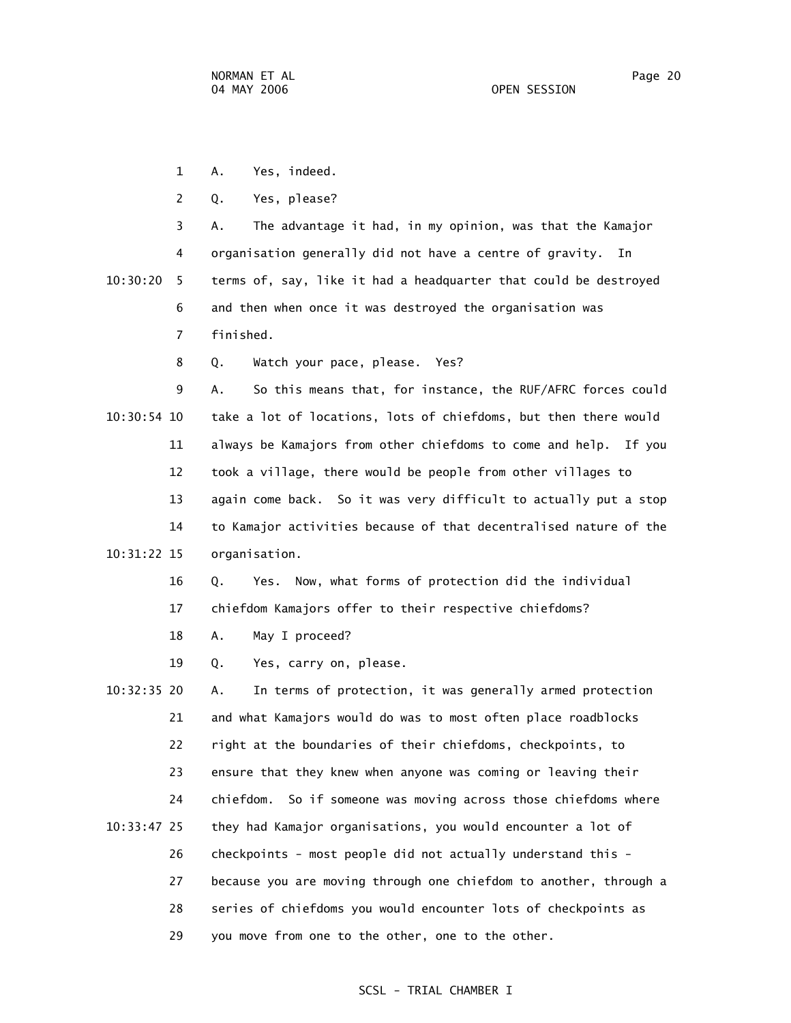- 1 A. Yes, indeed.
- 2 Q. Yes, please?

 3 A. The advantage it had, in my opinion, was that the Kamajor 4 organisation generally did not have a centre of gravity. In

 10:30:20 5 terms of, say, like it had a headquarter that could be destroyed 6 and then when once it was destroyed the organisation was 7 finished.

8 Q. Watch your pace, please. Yes?

 9 A. So this means that, for instance, the RUF/AFRC forces could 10:30:54 10 take a lot of locations, lots of chiefdoms, but then there would 11 always be Kamajors from other chiefdoms to come and help. If you 12 took a village, there would be people from other villages to 13 again come back. So it was very difficult to actually put a stop 14 to Kamajor activities because of that decentralised nature of the 10:31:22 15 organisation.

> 16 Q. Yes. Now, what forms of protection did the individual 17 chiefdom Kamajors offer to their respective chiefdoms?

18 A. May I proceed?

19 Q. Yes, carry on, please.

 10:32:35 20 A. In terms of protection, it was generally armed protection 21 and what Kamajors would do was to most often place roadblocks 22 right at the boundaries of their chiefdoms, checkpoints, to 23 ensure that they knew when anyone was coming or leaving their 24 chiefdom. So if someone was moving across those chiefdoms where 10:33:47 25 they had Kamajor organisations, you would encounter a lot of 26 checkpoints - most people did not actually understand this - 27 because you are moving through one chiefdom to another, through a 28 series of chiefdoms you would encounter lots of checkpoints as 29 you move from one to the other, one to the other.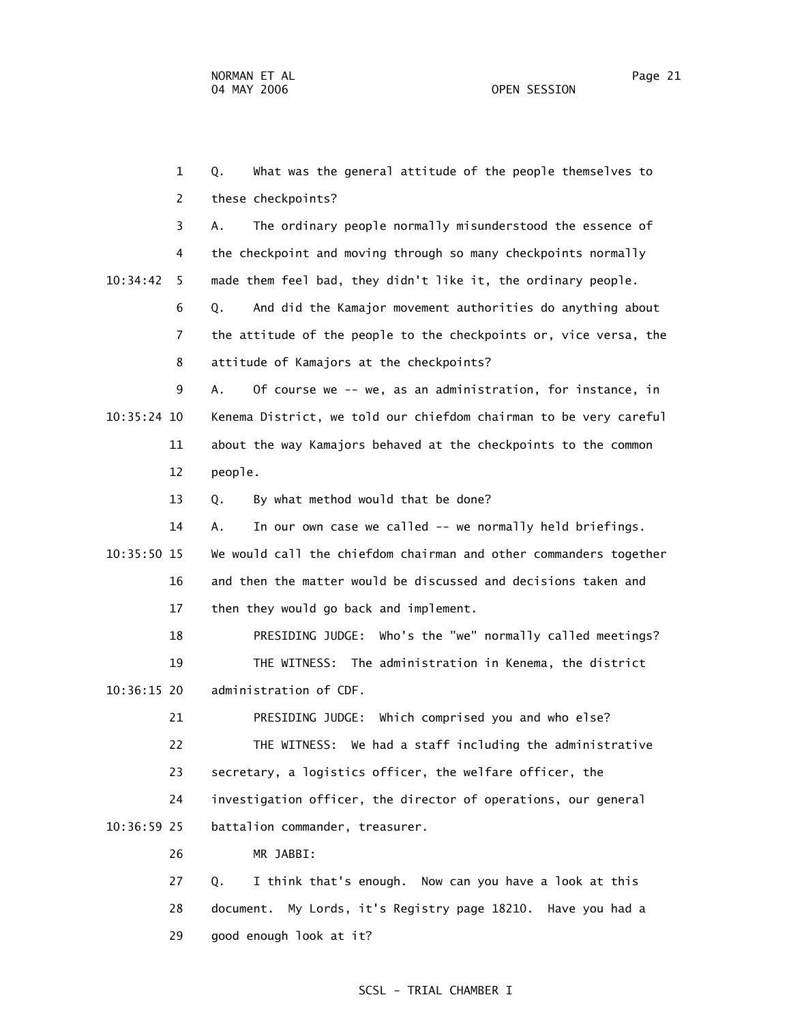1 Q. What was the general attitude of the people themselves to 2 these checkpoints? 3 A. The ordinary people normally misunderstood the essence of 4 the checkpoint and moving through so many checkpoints normally 10:34:42 5 made them feel bad, they didn't like it, the ordinary people. 6 Q. And did the Kamajor movement authorities do anything about 7 the attitude of the people to the checkpoints or, vice versa, the 8 attitude of Kamajors at the checkpoints? 9 A. Of course we -- we, as an administration, for instance, in 10:35:24 10 Kenema District, we told our chiefdom chairman to be very careful 11 about the way Kamajors behaved at the checkpoints to the common 12 people. 13 Q. By what method would that be done? 14 A. In our own case we called -- we normally held briefings. 10:35:50 15 We would call the chiefdom chairman and other commanders together 16 and then the matter would be discussed and decisions taken and 17 then they would go back and implement. 18 PRESIDING JUDGE: Who's the "we" normally called meetings? 19 THE WITNESS: The administration in Kenema, the district 10:36:15 20 administration of CDF. 21 PRESIDING JUDGE: Which comprised you and who else? 22 THE WITNESS: We had a staff including the administrative 23 secretary, a logistics officer, the welfare officer, the 24 investigation officer, the director of operations, our general 10:36:59 25 battalion commander, treasurer. 26 MR JABBI: 27 Q. I think that's enough. Now can you have a look at this 28 document. My Lords, it's Registry page 18210. Have you had a

29 good enough look at it?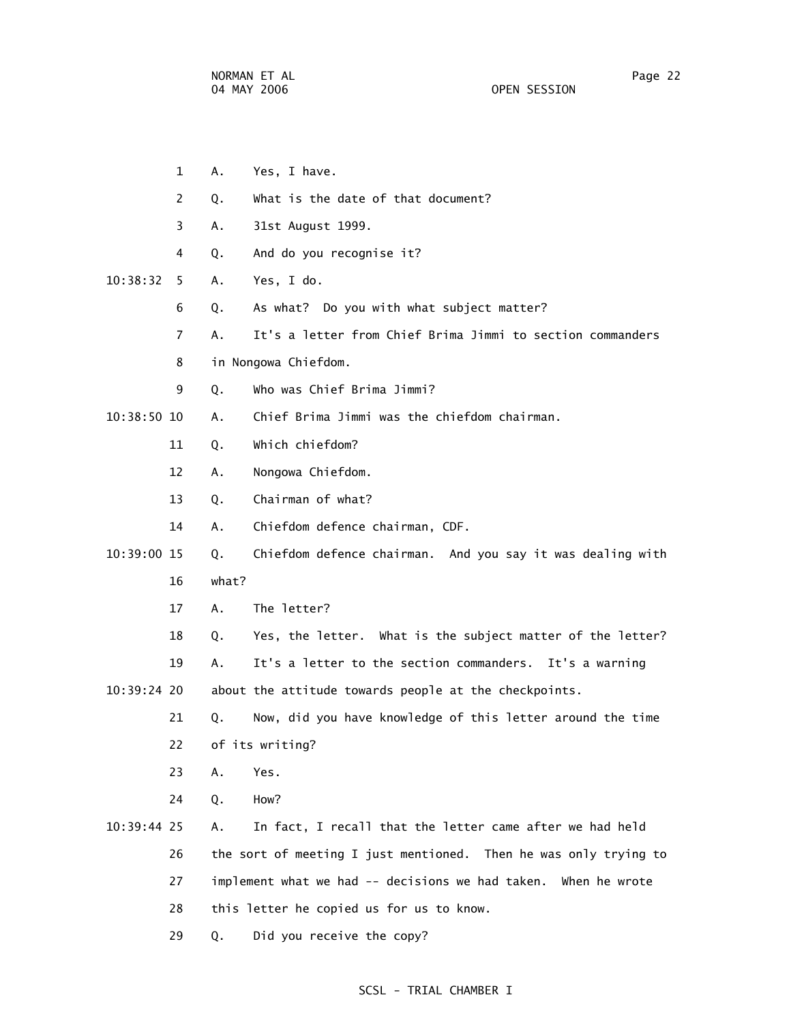|             | $\mathbf{1}$   | Α.    | Yes, I have.                                                     |
|-------------|----------------|-------|------------------------------------------------------------------|
|             | 2              | Q.    | What is the date of that document?                               |
|             | 3              | Α.    | 31st August 1999.                                                |
|             | 4              | Q.    | And do you recognise it?                                         |
| 10:38:32    | 5              | Α.    | Yes, I do.                                                       |
|             | 6              | Q.    | As what? Do you with what subject matter?                        |
|             | $\overline{7}$ | А.    | It's a letter from Chief Brima Jimmi to section commanders       |
|             | 8              |       | in Nongowa Chiefdom.                                             |
|             | 9              | Q.    | Who was Chief Brima Jimmi?                                       |
| 10:38:50 10 |                | А.    | Chief Brima Jimmi was the chiefdom chairman.                     |
|             | 11             | Q.    | Which chiefdom?                                                  |
|             | 12             | Α.    | Nongowa Chiefdom.                                                |
|             | 13             | Q.    | Chairman of what?                                                |
|             | 14             | А.    | Chiefdom defence chairman, CDF.                                  |
| 10:39:00 15 |                | Q.    | Chiefdom defence chairman. And you say it was dealing with       |
|             | 16             | what? |                                                                  |
|             | 17             | A.    | The letter?                                                      |
|             | 18             | Q.    | Yes, the letter. What is the subject matter of the letter?       |
|             | 19             | А.    | It's a letter to the section commanders. It's a warning          |
| 10:39:24 20 |                |       | about the attitude towards people at the checkpoints.            |
|             | 21             | Q.    | Now, did you have knowledge of this letter around the time       |
|             | 22             |       | of its writing?                                                  |
|             | 23             | Α.    | Yes.                                                             |
|             | 24             | Q.    | How?                                                             |
| 10:39:44 25 |                | А.    | In fact, I recall that the letter came after we had held         |
|             | 26             |       | the sort of meeting I just mentioned. Then he was only trying to |
|             | 27             |       | implement what we had -- decisions we had taken. When he wrote   |
|             | 28             |       | this letter he copied us for us to know.                         |
|             |                |       |                                                                  |

29 Q. Did you receive the copy?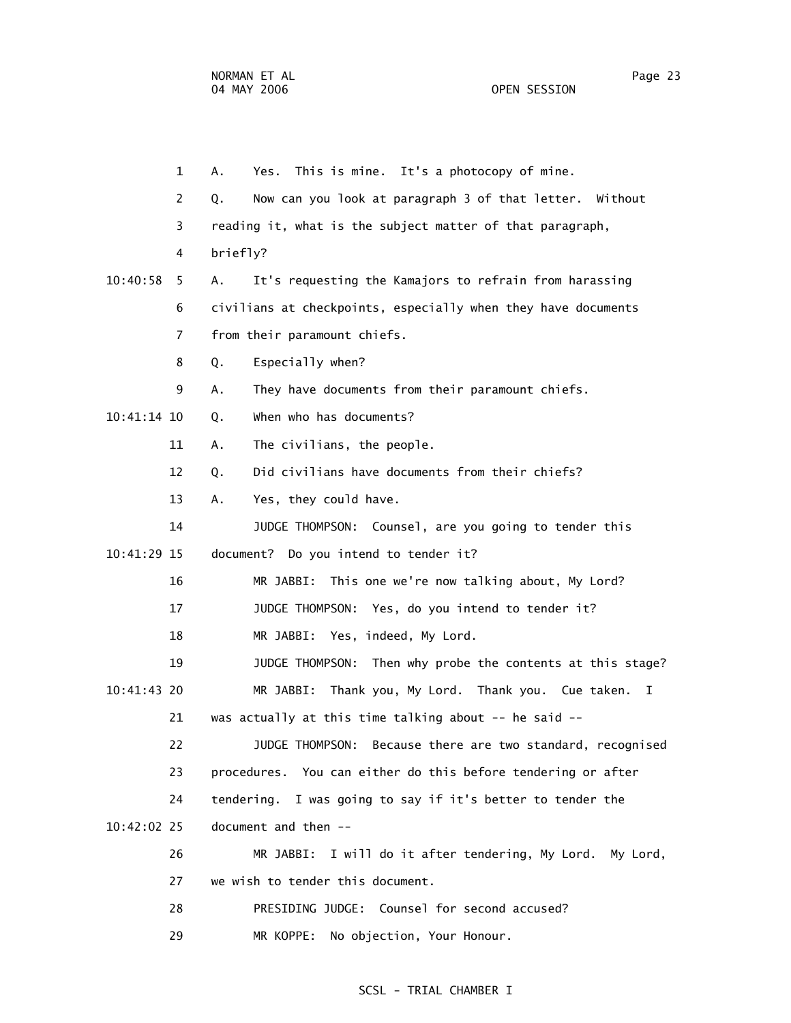|             | $\mathbf{1}$ | Yes. This is mine. It's a photocopy of mine.<br>Α.            |
|-------------|--------------|---------------------------------------------------------------|
|             | 2            | Now can you look at paragraph 3 of that letter. Without<br>Q. |
|             | 3            | reading it, what is the subject matter of that paragraph,     |
|             | 4            | briefly?                                                      |
| 10:40:58    | 5.           | It's requesting the Kamajors to refrain from harassing<br>А.  |
|             | 6            | civilians at checkpoints, especially when they have documents |
|             | 7            | from their paramount chiefs.                                  |
|             | 8            | Especially when?<br>Q.                                        |
|             | 9            | They have documents from their paramount chiefs.<br>Α.        |
| 10:41:14 10 |              | When who has documents?<br>Q.                                 |
|             | 11           | The civilians, the people.<br>Α.                              |
|             | 12           | Did civilians have documents from their chiefs?<br>Q.         |
|             | 13           | Yes, they could have.<br>Α.                                   |
|             | 14           | JUDGE THOMPSON: Counsel, are you going to tender this         |
| 10:41:29 15 |              | document? Do you intend to tender it?                         |
|             | 16           | This one we're now talking about, My Lord?<br>MR JABBI:       |
|             | 17           | JUDGE THOMPSON: Yes, do you intend to tender it?              |
|             | 18           | MR JABBI: Yes, indeed, My Lord.                               |
|             | 19           | JUDGE THOMPSON:<br>Then why probe the contents at this stage? |
| 10:41:43 20 |              | Thank you, My Lord. Thank you. Cue taken.<br>MR JABBI:<br>I   |
|             | 21           | was actually at this time talking about -- he said --         |
|             | 22           | Because there are two standard, recognised<br>JUDGE THOMPSON: |
|             | 23           | procedures. You can either do this before tendering or after  |
|             | 24           | tendering. I was going to say if it's better to tender the    |
| 10:42:02 25 |              | document and then --                                          |
|             | 26           | I will do it after tendering, My Lord. My Lord,<br>MR JABBI:  |
|             | 27           | we wish to tender this document.                              |
|             | 28           | PRESIDING JUDGE: Counsel for second accused?                  |
|             | 29           | No objection, Your Honour.<br>MR KOPPE:                       |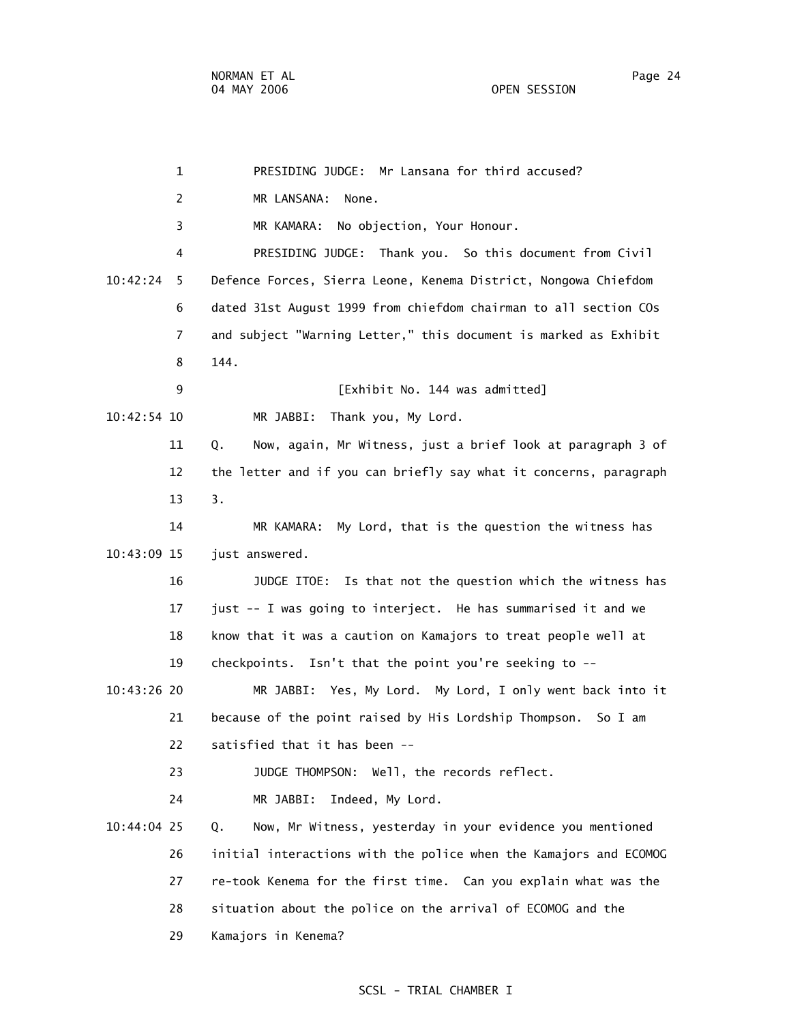1 PRESIDING JUDGE: Mr Lansana for third accused? 2 MR LANSANA: None. 3 MR KAMARA: No objection, Your Honour. 4 PRESIDING JUDGE: Thank you. So this document from Civil 10:42:24 5 Defence Forces, Sierra Leone, Kenema District, Nongowa Chiefdom 6 dated 31st August 1999 from chiefdom chairman to all section COs 7 and subject "Warning Letter," this document is marked as Exhibit 8 144. 9 [Exhibit No. 144 was admitted] 10:42:54 10 MR JABBI: Thank you, My Lord. 11 Q. Now, again, Mr Witness, just a brief look at paragraph 3 of 12 the letter and if you can briefly say what it concerns, paragraph 13 3. 14 MR KAMARA: My Lord, that is the question the witness has 10:43:09 15 just answered. 16 JUDGE ITOE: Is that not the question which the witness has 17 just -- I was going to interject. He has summarised it and we 18 know that it was a caution on Kamajors to treat people well at 19 checkpoints. Isn't that the point you're seeking to -- 10:43:26 20 MR JABBI: Yes, My Lord. My Lord, I only went back into it 21 because of the point raised by His Lordship Thompson. So I am 22 satisfied that it has been -- 23 JUDGE THOMPSON: Well, the records reflect. 24 MR JABBI: Indeed, My Lord. 10:44:04 25 Q. Now, Mr Witness, yesterday in your evidence you mentioned 26 initial interactions with the police when the Kamajors and ECOMOG 27 re-took Kenema for the first time. Can you explain what was the 28 situation about the police on the arrival of ECOMOG and the 29 Kamajors in Kenema?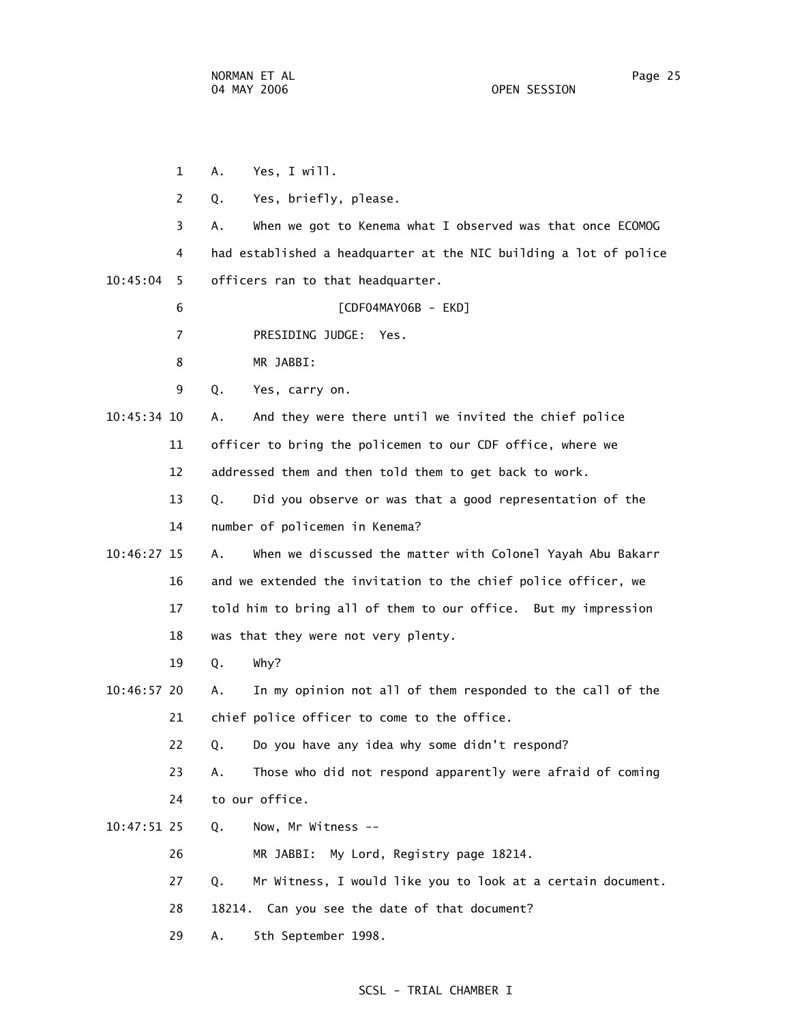|             | 1<br>А. | Yes, I will.                                                      |
|-------------|---------|-------------------------------------------------------------------|
|             | 2<br>Q. | Yes, briefly, please.                                             |
|             | 3<br>А. | When we got to Kenema what I observed was that once ECOMOG        |
|             | 4       | had established a headquarter at the NIC building a lot of police |
| 10:45:04    | 5       | officers ran to that headquarter.                                 |
|             | 6       | [CDF04MAY06B - EKD]                                               |
|             | 7       | PRESIDING JUDGE: Yes.                                             |
|             | 8       | MR JABBI:                                                         |
| 9           | Q.      | Yes, carry on.                                                    |
| 10:45:34 10 | А.      | And they were there until we invited the chief police             |
| 11          |         | officer to bring the policemen to our CDF office, where we        |
| 12          |         | addressed them and then told them to get back to work.            |
| 13          | Q.      | Did you observe or was that a good representation of the          |
| 14          |         | number of policemen in Kenema?                                    |
| 10:46:27 15 | А.      | When we discussed the matter with Colonel Yayah Abu Bakarr        |
| 16          |         | and we extended the invitation to the chief police officer, we    |
| 17          |         | told him to bring all of them to our office. But my impression    |
| 18          |         | was that they were not very plenty.                               |
| 19          | Q.      | Why?                                                              |
| 10:46:57 20 | А.      | In my opinion not all of them responded to the call of the        |
| 21          |         | chief police officer to come to the office.                       |
| 22          | Q.      | Do you have any idea why some didn't respond?                     |
| 23          | Α.      | Those who did not respond apparently were afraid of coming        |
| 24          |         | to our office.                                                    |
| 10:47:51 25 | Q.      | Now, Mr Witness --                                                |
| 26          |         | My Lord, Registry page 18214.<br>MR JABBI:                        |
| 27          | Q.      | Mr Witness, I would like you to look at a certain document.       |
| 28          | 18214.  | Can you see the date of that document?                            |
| 29          | Α.      | 5th September 1998.                                               |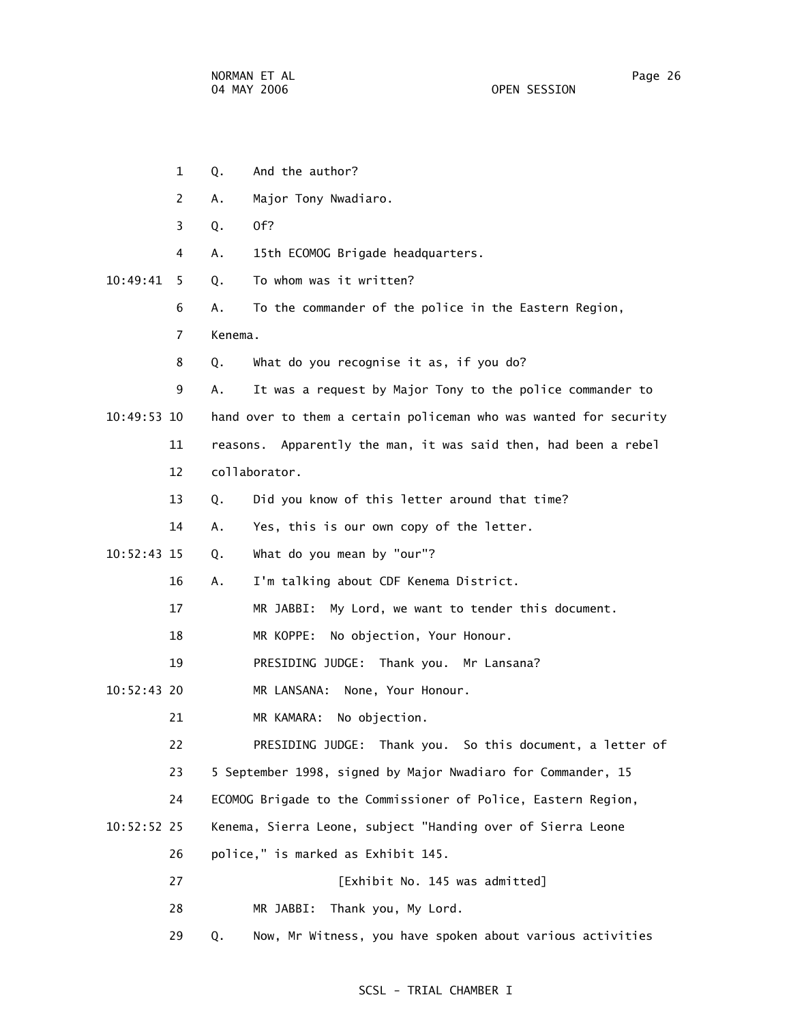|               | 1              | Q.      | And the author?                                                   |
|---------------|----------------|---------|-------------------------------------------------------------------|
|               | 2              | Α.      | Major Tony Nwadiaro.                                              |
|               | 3              | Q.      | Of?                                                               |
|               | 4              | А.      | 15th ECOMOG Brigade headquarters.                                 |
| 10:49:41      | 5.             | Q.      | To whom was it written?                                           |
|               | 6              | Α.      | To the commander of the police in the Eastern Region,             |
|               | $\overline{7}$ | Kenema. |                                                                   |
|               | 8              | Q.      | What do you recognise it as, if you do?                           |
|               | 9              | А.      | It was a request by Major Tony to the police commander to         |
| 10:49:53 10   |                |         | hand over to them a certain policeman who was wanted for security |
|               | 11             |         | reasons. Apparently the man, it was said then, had been a rebel   |
|               | 12             |         | collaborator.                                                     |
|               | 13             | Q.      | Did you know of this letter around that time?                     |
|               | 14             | Α.      | Yes, this is our own copy of the letter.                          |
| $10:52:43$ 15 |                | Q.      | What do you mean by "our"?                                        |
|               | 16             | Α.      | I'm talking about CDF Kenema District.                            |
|               | 17             |         | My Lord, we want to tender this document.<br>MR JABBI:            |
|               | 18             |         | MR KOPPE:<br>No objection, Your Honour.                           |
|               | 19             |         | PRESIDING JUDGE: Thank you. Mr Lansana?                           |
| $10:52:43$ 20 |                |         | MR LANSANA:<br>None, Your Honour.                                 |
|               | 21             |         | No objection.<br>MR KAMARA:                                       |
|               | 22             |         | PRESIDING JUDGE: Thank you. So this document, a letter of         |
|               | 23             |         | 5 September 1998, signed by Major Nwadiaro for Commander, 15      |
|               | 24             |         | ECOMOG Brigade to the Commissioner of Police, Eastern Region,     |
| $10:52:52$ 25 |                |         | Kenema, Sierra Leone, subject "Handing over of Sierra Leone       |
|               | 26             |         | police," is marked as Exhibit 145.                                |
|               | 27             |         | [Exhibit No. 145 was admitted]                                    |
|               | 28             |         | Thank you, My Lord.<br>MR JABBI:                                  |
|               | 29             | Q.      | Now, Mr Witness, you have spoken about various activities         |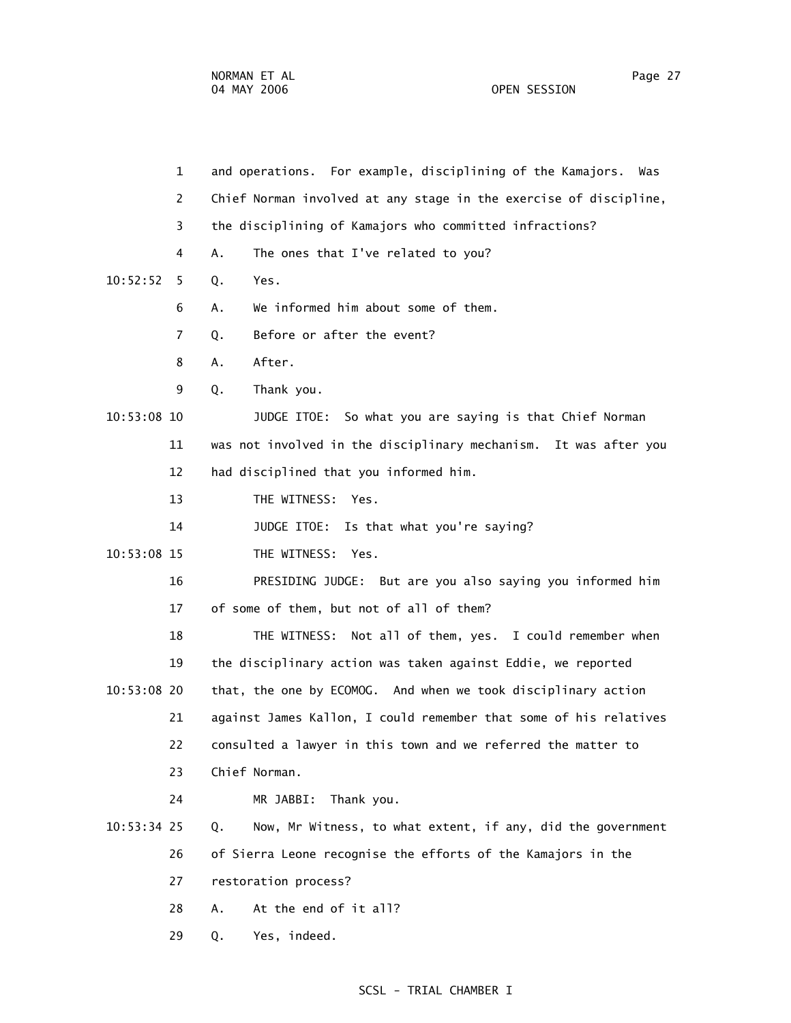|               | $\mathbf 1$ | and operations. For example, disciplining of the Kamajors.<br>Was |
|---------------|-------------|-------------------------------------------------------------------|
|               | 2           | Chief Norman involved at any stage in the exercise of discipline, |
|               | 3           | the disciplining of Kamajors who committed infractions?           |
|               | 4           | The ones that I've related to you?<br>А.                          |
| 10:52:52      | 5           | Yes.<br>Q.                                                        |
|               | 6           | We informed him about some of them.<br>Α.                         |
|               | 7           | Before or after the event?<br>Q.                                  |
|               | 8           | After.<br>Α.                                                      |
|               | 9           | Thank you.<br>Q.                                                  |
| 10:53:08 10   |             | JUDGE ITOE: So what you are saying is that Chief Norman           |
|               | 11          | was not involved in the disciplinary mechanism. It was after you  |
|               | 12          | had disciplined that you informed him.                            |
|               | 13          | THE WITNESS: Yes.                                                 |
|               | 14          | JUDGE ITOE: Is that what you're saying?                           |
| 10:53:08 15   |             | THE WITNESS:<br>Yes.                                              |
|               | 16          | PRESIDING JUDGE: But are you also saying you informed him         |
|               | 17          | of some of them, but not of all of them?                          |
|               | 18          | Not all of them, yes. I could remember when<br>THE WITNESS:       |
|               | 19          | the disciplinary action was taken against Eddie, we reported      |
| 10:53:08 20   |             | that, the one by ECOMOG. And when we took disciplinary action     |
|               | 21          | against James Kallon, I could remember that some of his relatives |
|               | 22          | consulted a lawyer in this town and we referred the matter to     |
|               | 23          | Chief Norman.                                                     |
|               | 24          | Thank you.<br>MR JABBI:                                           |
| $10:53:34$ 25 |             | Now, Mr Witness, to what extent, if any, did the government<br>Q. |
|               | 26          | of Sierra Leone recognise the efforts of the Kamajors in the      |
|               | 27          | restoration process?                                              |
|               | 28          | At the end of it all?<br>Α.                                       |
|               | 29          | Yes, indeed.<br>Q.                                                |
|               |             |                                                                   |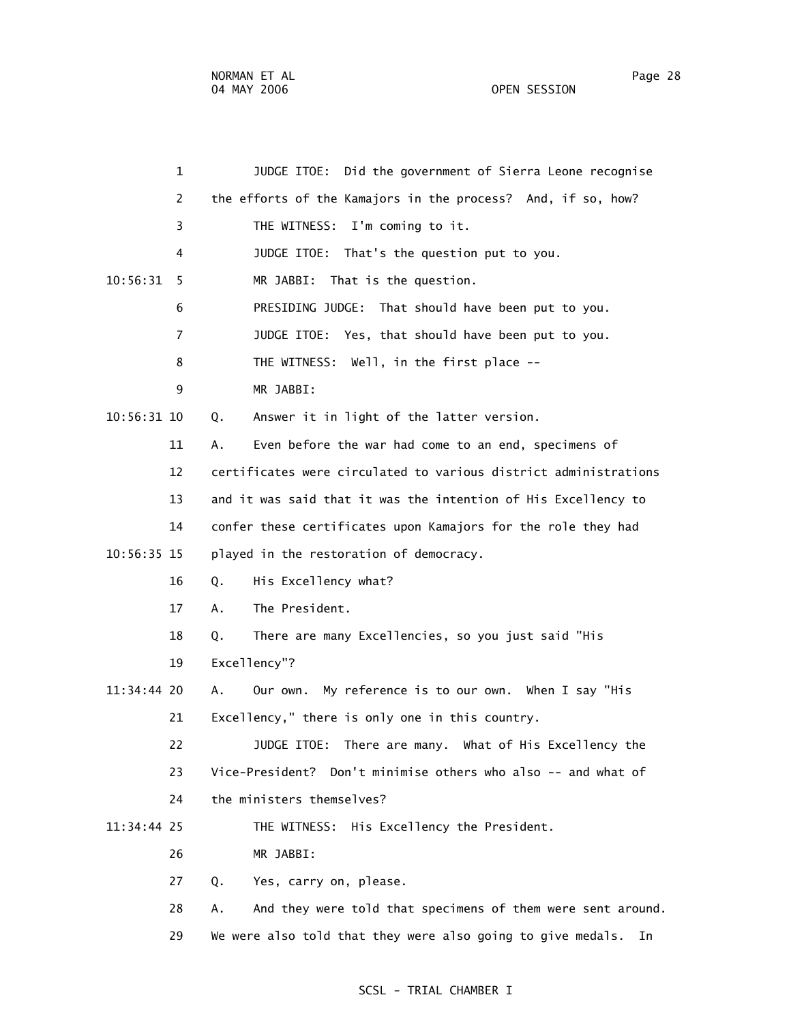| $\mathbf 1$    | JUDGE ITOE: Did the government of Sierra Leone recognise          |
|----------------|-------------------------------------------------------------------|
| 2              | the efforts of the Kamajors in the process? And, if so, how?      |
| 3              | THE WITNESS:<br>I'm coming to it.                                 |
| 4              | JUDGE ITOE: That's the question put to you.                       |
| 10:56:31<br>5  | That is the question.<br>MR JABBI:                                |
| 6              | PRESIDING JUDGE: That should have been put to you.                |
| $\overline{7}$ | JUDGE ITOE: Yes, that should have been put to you.                |
| 8              | THE WITNESS: Well, in the first place --                          |
| 9              | MR JABBI:                                                         |
| 10:56:31 10    | Answer it in light of the latter version.<br>Q.                   |
| 11             | Even before the war had come to an end, specimens of<br>Α.        |
| 12             | certificates were circulated to various district administrations  |
| 13             | and it was said that it was the intention of His Excellency to    |
| 14             | confer these certificates upon Kamajors for the role they had     |
| 10:56:35 15    | played in the restoration of democracy.                           |
| 16             | His Excellency what?<br>Q.                                        |
| 17             | The President.<br>Α.                                              |
| 18             | There are many Excellencies, so you just said "His<br>Q.          |
| 19             | Excellency"?                                                      |
| 11:34:44 20    | Α.<br>Our own. My reference is to our own. When I say "His        |
| 21             | Excellency," there is only one in this country.                   |
| 22             | JUDGE ITOE: There are many. What of His Excellency the            |
| 23             | Vice-President? Don't minimise others who also -- and what of     |
| 24             | the ministers themselves?                                         |
| 11:34:44 25    | THE WITNESS: His Excellency the President.                        |
| 26             | MR JABBI:                                                         |
| 27             | Q.<br>Yes, carry on, please.                                      |
| 28             | And they were told that specimens of them were sent around.<br>А. |
| 29             | We were also told that they were also going to give medals.<br>In |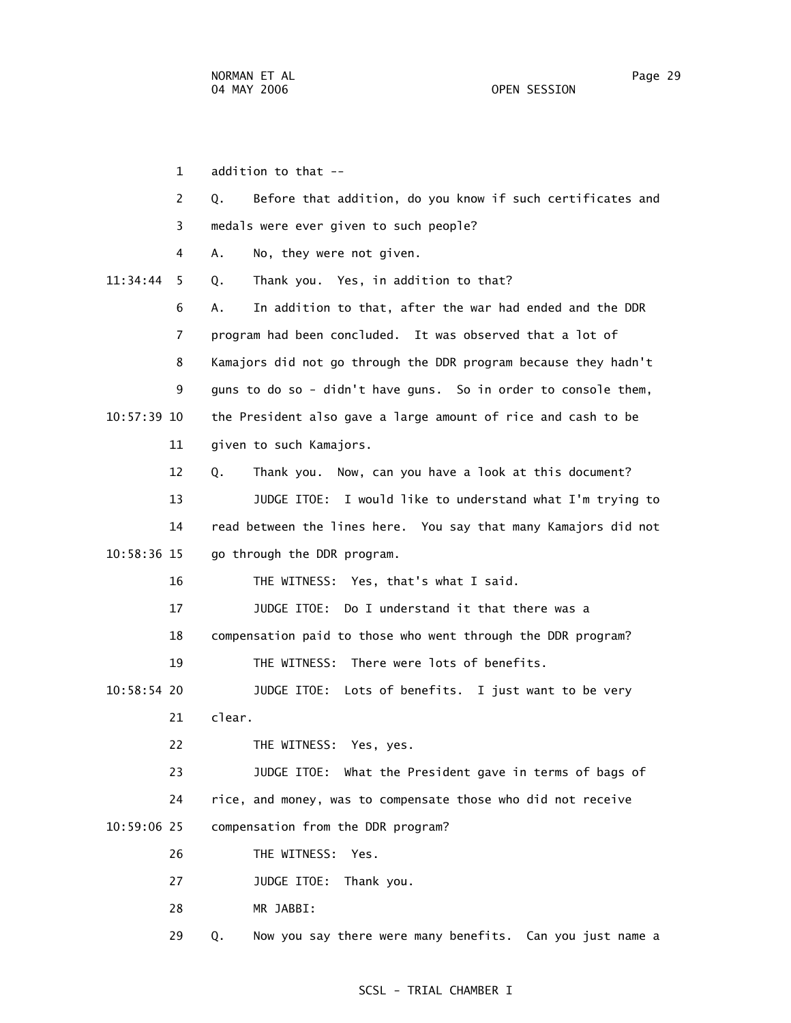1 addition to that -- 2 Q. Before that addition, do you know if such certificates and 3 medals were ever given to such people? 4 A. No, they were not given. 11:34:44 5 Q. Thank you. Yes, in addition to that? 6 A. In addition to that, after the war had ended and the DDR 7 program had been concluded. It was observed that a lot of 8 Kamajors did not go through the DDR program because they hadn't 9 guns to do so - didn't have guns. So in order to console them, 10:57:39 10 the President also gave a large amount of rice and cash to be 11 given to such Kamajors. 12 Q. Thank you. Now, can you have a look at this document? 13 JUDGE ITOE: I would like to understand what I'm trying to 14 read between the lines here. You say that many Kamajors did not 10:58:36 15 go through the DDR program. 16 THE WITNESS: Yes, that's what I said. 17 JUDGE ITOE: Do I understand it that there was a 18 compensation paid to those who went through the DDR program? 19 THE WITNESS: There were lots of benefits. 10:58:54 20 JUDGE ITOE: Lots of benefits. I just want to be very 21 clear. 22 THE WITNESS: Yes, yes. 23 JUDGE ITOE: What the President gave in terms of bags of 24 rice, and money, was to compensate those who did not receive 10:59:06 25 compensation from the DDR program? 26 THE WITNESS: Yes. 27 JUDGE ITOE: Thank you. 28 MR JABBI:

#### SCSL - TRIAL CHAMBER I

29 Q. Now you say there were many benefits. Can you just name a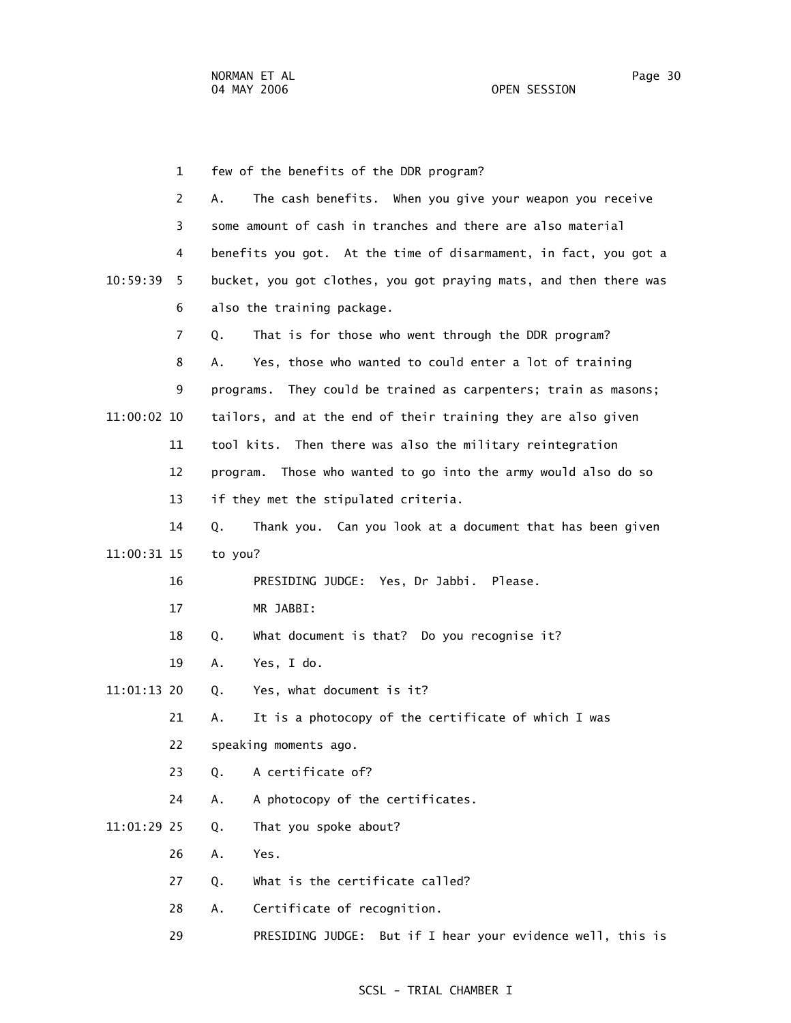1 few of the benefits of the DDR program? 2 A. The cash benefits. When you give your weapon you receive 3 some amount of cash in tranches and there are also material 4 benefits you got. At the time of disarmament, in fact, you got a 10:59:39 5 bucket, you got clothes, you got praying mats, and then there was 6 also the training package. 7 Q. That is for those who went through the DDR program? 8 A. Yes, those who wanted to could enter a lot of training 9 programs. They could be trained as carpenters; train as masons; 11:00:02 10 tailors, and at the end of their training they are also given 11 tool kits. Then there was also the military reintegration 12 program. Those who wanted to go into the army would also do so 13 if they met the stipulated criteria. 14 Q. Thank you. Can you look at a document that has been given 11:00:31 15 to you? 16 PRESIDING JUDGE: Yes, Dr Jabbi. Please. 17 MR JABBI: 18 Q. What document is that? Do you recognise it? 19 A. Yes, I do. 11:01:13 20 Q. Yes, what document is it? 21 A. It is a photocopy of the certificate of which I was 22 speaking moments ago. 23 Q. A certificate of? 24 A. A photocopy of the certificates. 11:01:29 25 Q. That you spoke about? 26 A. Yes. 27 Q. What is the certificate called? 28 A. Certificate of recognition. 29 PRESIDING JUDGE: But if I hear your evidence well, this is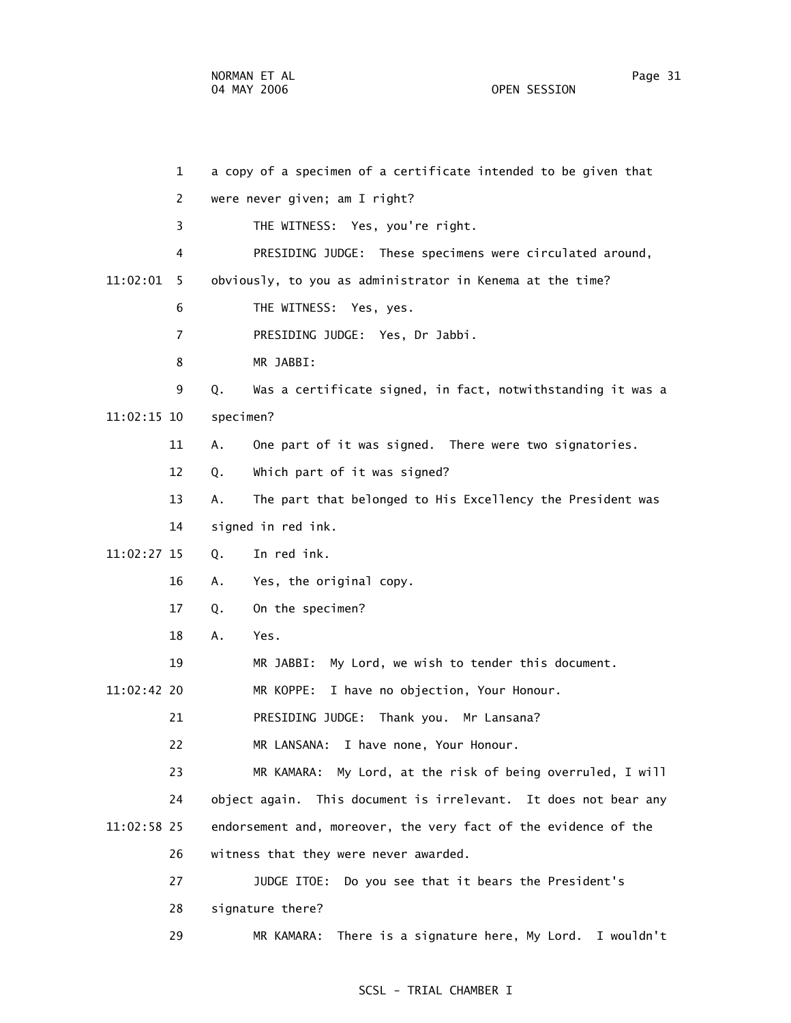1 a copy of a specimen of a certificate intended to be given that 2 were never given; am I right? 3 THE WITNESS: Yes, you're right. 4 PRESIDING JUDGE: These specimens were circulated around, 11:02:01 5 obviously, to you as administrator in Kenema at the time? 6 THE WITNESS: Yes, yes. 7 PRESIDING JUDGE: Yes, Dr Jabbi. 8 MR JABBI: 9 Q. Was a certificate signed, in fact, notwithstanding it was a 11:02:15 10 specimen? 11 A. One part of it was signed. There were two signatories. 12 Q. Which part of it was signed? 13 A. The part that belonged to His Excellency the President was 14 signed in red ink. 11:02:27 15 Q. In red ink. 16 A. Yes, the original copy. 17 Q. On the specimen? 18 A. Yes. 19 MR JABBI: My Lord, we wish to tender this document. 11:02:42 20 MR KOPPE: I have no objection, Your Honour. 21 PRESIDING JUDGE: Thank you. Mr Lansana? 22 MR LANSANA: I have none, Your Honour. 23 MR KAMARA: My Lord, at the risk of being overruled, I will 24 object again. This document is irrelevant. It does not bear any 11:02:58 25 endorsement and, moreover, the very fact of the evidence of the 26 witness that they were never awarded. 27 JUDGE ITOE: Do you see that it bears the President's 28 signature there?

29 MR KAMARA: There is a signature here, My Lord. I wouldn't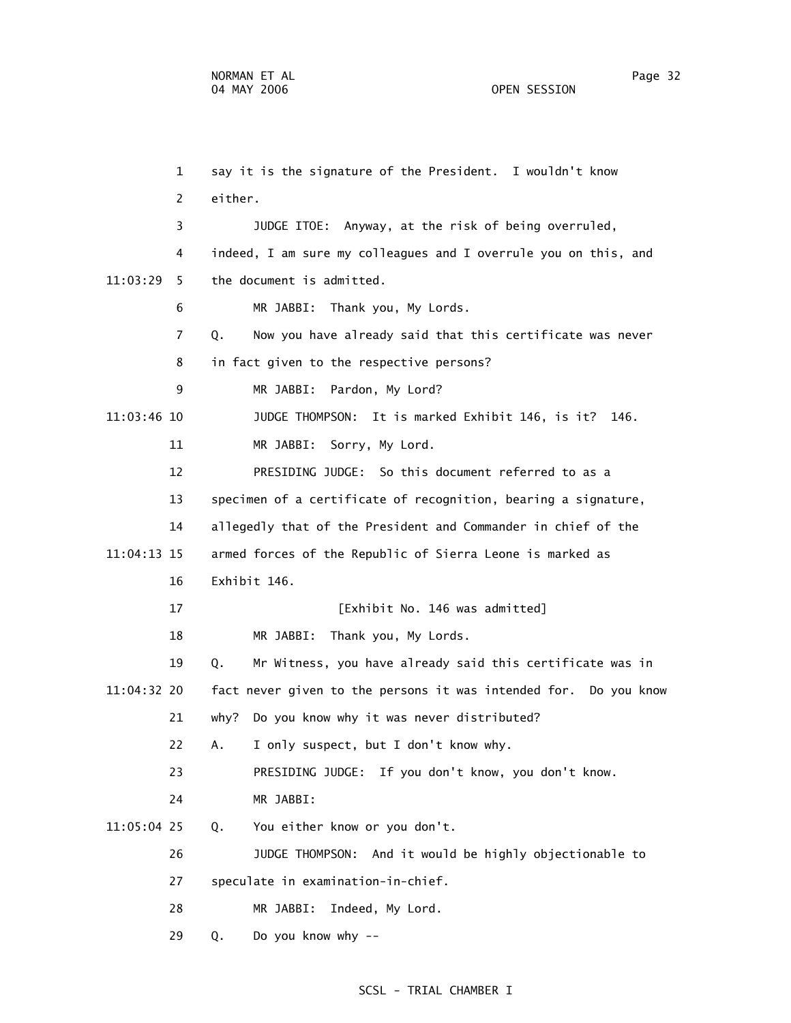1 say it is the signature of the President. I wouldn't know 2 either. 3 JUDGE ITOE: Anyway, at the risk of being overruled, 4 indeed, I am sure my colleagues and I overrule you on this, and 11:03:29 5 the document is admitted. 6 MR JABBI: Thank you, My Lords. 7 Q. Now you have already said that this certificate was never 8 in fact given to the respective persons? 9 MR JABBI: Pardon, My Lord? 11:03:46 10 JUDGE THOMPSON: It is marked Exhibit 146, is it? 146. 11 MR JABBI: Sorry, My Lord. 12 PRESIDING JUDGE: So this document referred to as a 13 specimen of a certificate of recognition, bearing a signature, 14 allegedly that of the President and Commander in chief of the 11:04:13 15 armed forces of the Republic of Sierra Leone is marked as 16 Exhibit 146. 17 **Exhibit No. 146 was admitted**] 18 MR JABBI: Thank you, My Lords. 19 Q. Mr Witness, you have already said this certificate was in 11:04:32 20 fact never given to the persons it was intended for. Do you know 21 why? Do you know why it was never distributed? 22 A. I only suspect, but I don't know why. 23 PRESIDING JUDGE: If you don't know, you don't know. 24 MR JABBI: 11:05:04 25 Q. You either know or you don't. 26 JUDGE THOMPSON: And it would be highly objectionable to 27 speculate in examination-in-chief. 28 MR JABBI: Indeed, My Lord. 29 Q. Do you know why --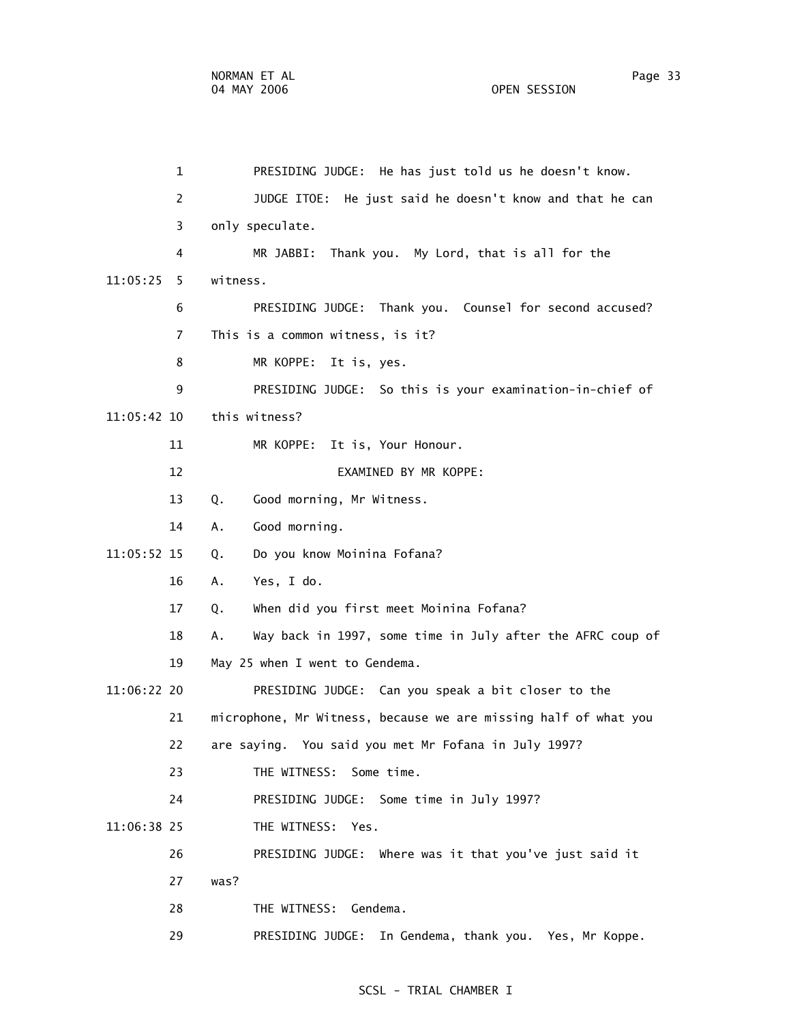| 2              | JUDGE ITOE: He just said he doesn't know and that he can         |
|----------------|------------------------------------------------------------------|
| 3              | only speculate.                                                  |
| 4              | Thank you. My Lord, that is all for the<br>MR JABBI:             |
| 11:05:25<br>5. | witness.                                                         |
| 6              | PRESIDING JUDGE: Thank you. Counsel for second accused?          |
| $\overline{7}$ | This is a common witness, is it?                                 |
| 8              | MR KOPPE:<br>It is, yes.                                         |
| 9              | PRESIDING JUDGE: So this is your examination-in-chief of         |
| 11:05:42 10    | this witness?                                                    |
| 11             | MR KOPPE:<br>It is, Your Honour.                                 |
| 12             | EXAMINED BY MR KOPPE:                                            |
| 13             | Good morning, Mr Witness.<br>Q.                                  |
| 14             | Good morning.<br>Α.                                              |
| 11:05:52 15    | Do you know Moinina Fofana?<br>Q.                                |
| 16             | Yes, I do.<br>А.                                                 |
| 17             | When did you first meet Moinina Fofana?<br>Q.                    |
| 18             | Way back in 1997, some time in July after the AFRC coup of<br>А. |
| 19             | May 25 when I went to Gendema.                                   |
| 11:06:22 20    | PRESIDING JUDGE: Can you speak a bit closer to the               |
| 21             | microphone, Mr Witness, because we are missing half of what you  |
| 22             | are saying. You said you met Mr Fofana in July 1997?             |
| 23             | THE WITNESS: Some time.                                          |
| 24             | PRESIDING JUDGE: Some time in July 1997?                         |
| 11:06:38 25    | THE WITNESS: Yes.                                                |
| 26             | PRESIDING JUDGE: Where was it that you've just said it           |
| 27             | was?                                                             |
| 28             | THE WITNESS: Gendema.                                            |
| 29             | PRESIDING JUDGE:<br>In Gendema, thank you. Yes, Mr Koppe.        |

1 PRESIDING JUDGE: He has just told us he doesn't know.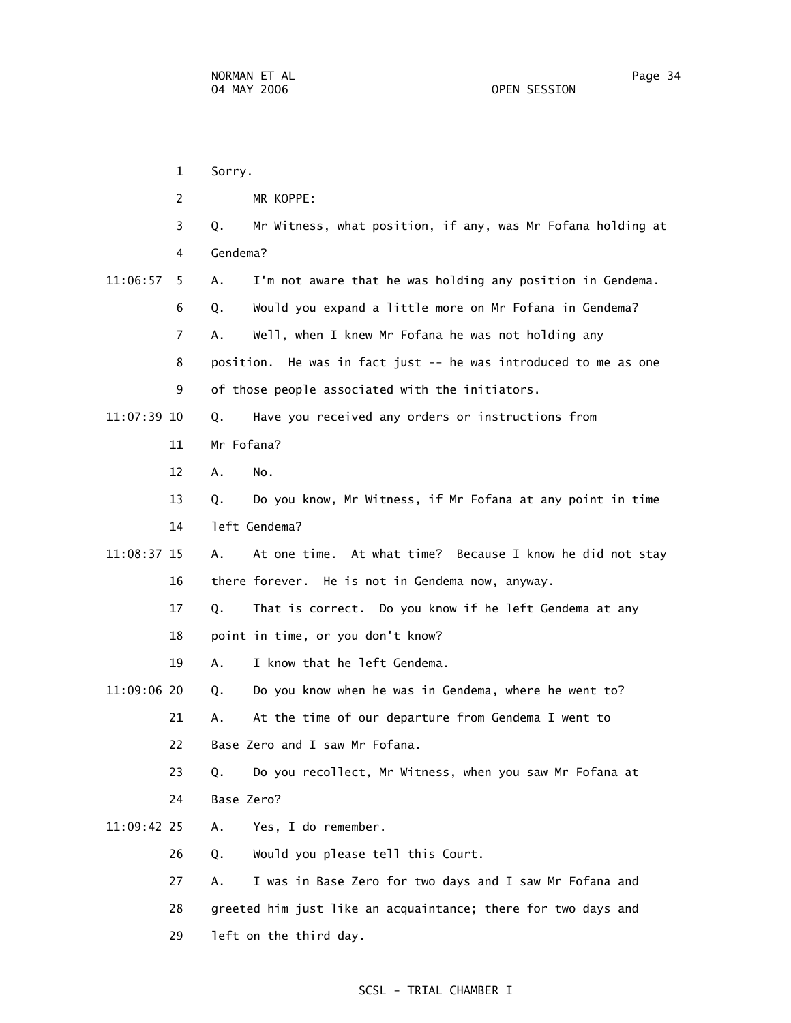1 Sorry. 2 MR KOPPE: 3 Q. Mr Witness, what position, if any, was Mr Fofana holding at 4 Gendema? 11:06:57 5 A. I'm not aware that he was holding any position in Gendema. 6 Q. Would you expand a little more on Mr Fofana in Gendema? 7 A. Well, when I knew Mr Fofana he was not holding any 8 position. He was in fact just -- he was introduced to me as one 9 of those people associated with the initiators. 11:07:39 10 Q. Have you received any orders or instructions from 11 Mr Fofana? 12 A. No. 13 Q. Do you know, Mr Witness, if Mr Fofana at any point in time 14 left Gendema? 11:08:37 15 A. At one time. At what time? Because I know he did not stay 16 there forever. He is not in Gendema now, anyway. 17 Q. That is correct. Do you know if he left Gendema at any 18 point in time, or you don't know? 19 A. I know that he left Gendema. 11:09:06 20 Q. Do you know when he was in Gendema, where he went to? 21 A. At the time of our departure from Gendema I went to 22 Base Zero and I saw Mr Fofana. 23 Q. Do you recollect, Mr Witness, when you saw Mr Fofana at 24 Base Zero? 11:09:42 25 A. Yes, I do remember. 26 Q. Would you please tell this Court. 27 A. I was in Base Zero for two days and I saw Mr Fofana and 28 greeted him just like an acquaintance; there for two days and 29 left on the third day.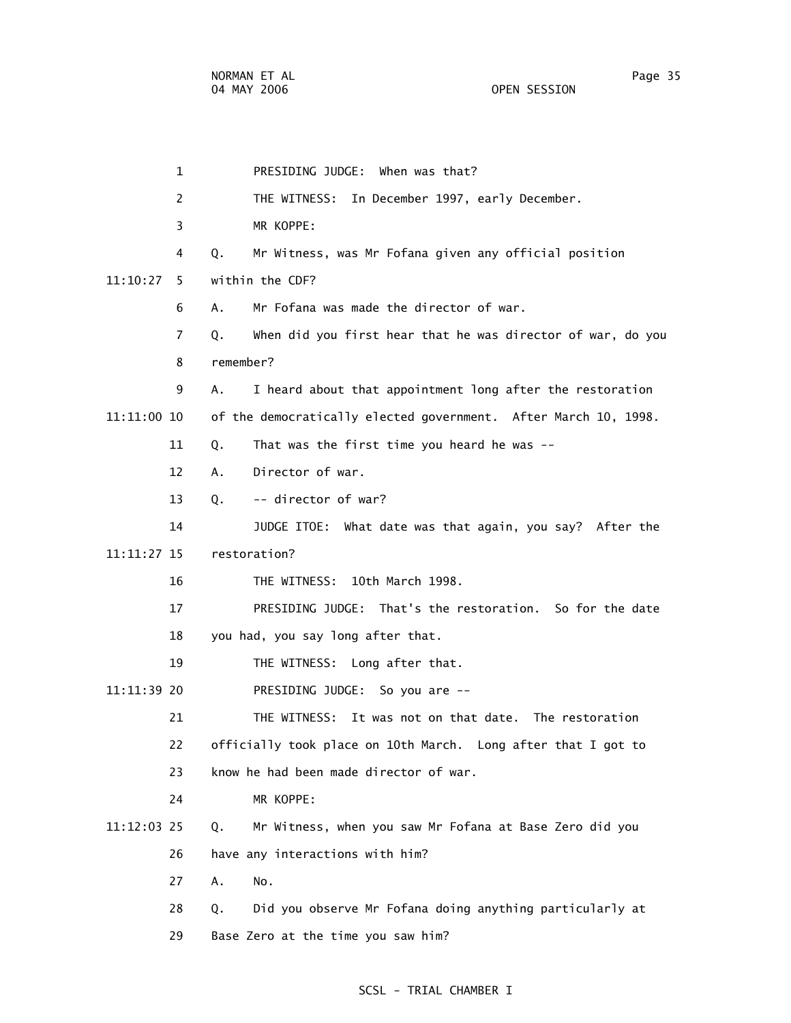| $\mathbf{1}$   | PRESIDING JUDGE: When was that?                                   |
|----------------|-------------------------------------------------------------------|
| 2              | THE WITNESS: In December 1997, early December.                    |
| 3              | MR KOPPE:                                                         |
| 4              | Mr Witness, was Mr Fofana given any official position<br>Q.       |
| 11:10:27<br>5. | within the CDF?                                                   |
| 6              | Mr Fofana was made the director of war.<br>А.                     |
| $\overline{7}$ | When did you first hear that he was director of war, do you<br>Q. |
| 8              | remember?                                                         |
| 9              | I heard about that appointment long after the restoration<br>А.   |
| 11:11:00 10    | of the democratically elected government. After March 10, 1998.   |
| 11             | That was the first time you heard he was --<br>Q.                 |
| 12             | Director of war.<br>Α.                                            |
| 13             | -- director of war?<br>Q.                                         |
| 14             | JUDGE ITOE: What date was that again, you say? After the          |
| 11:11:27 15    | restoration?                                                      |
| 16             | 10th March 1998.<br>THE WITNESS:                                  |
| 17             | PRESIDING JUDGE: That's the restoration. So for the date          |
| 18             | you had, you say long after that.                                 |
| 19             | THE WITNESS: Long after that.                                     |
| 11:11:39 20    | PRESIDING JUDGE: So you are --                                    |
| 21             | It was not on that date. The restoration<br>THE WITNESS:          |
| 22             | officially took place on 10th March. Long after that I got to     |
| 23             | know he had been made director of war.                            |
| 24             | MR KOPPE:                                                         |
| 11:12:03 25    | Mr Witness, when you saw Mr Fofana at Base Zero did you<br>Q.     |
| 26             | have any interactions with him?                                   |
| 27             | Α.<br>No.                                                         |
| 28             | Did you observe Mr Fofana doing anything particularly at<br>Q.    |
| 29             | Base Zero at the time you saw him?                                |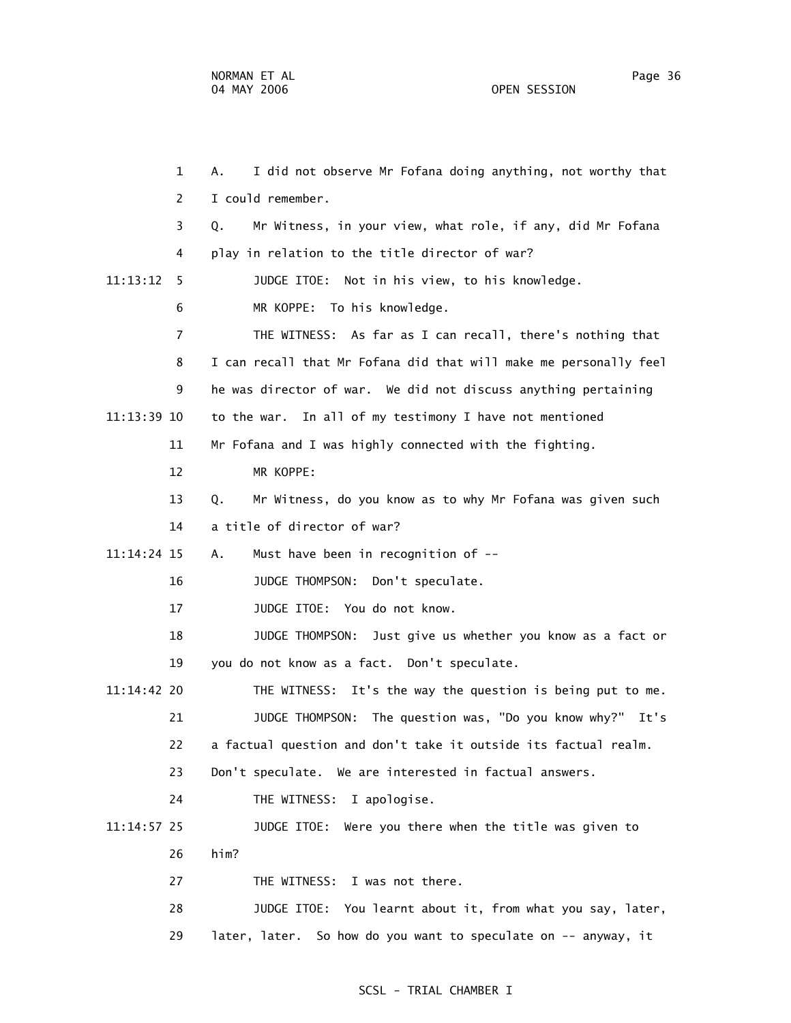1 A. I did not observe Mr Fofana doing anything, not worthy that 2 I could remember. 3 Q. Mr Witness, in your view, what role, if any, did Mr Fofana 4 play in relation to the title director of war? 11:13:12 5 JUDGE ITOE: Not in his view, to his knowledge. 6 MR KOPPE: To his knowledge. 7 THE WITNESS: As far as I can recall, there's nothing that 8 I can recall that Mr Fofana did that will make me personally feel 9 he was director of war. We did not discuss anything pertaining 11:13:39 10 to the war. In all of my testimony I have not mentioned 11 Mr Fofana and I was highly connected with the fighting. 12 MR KOPPE: 13 Q. Mr Witness, do you know as to why Mr Fofana was given such 14 a title of director of war? 11:14:24 15 A. Must have been in recognition of -- 16 JUDGE THOMPSON: Don't speculate. 17 JUDGE ITOE: You do not know. 18 JUDGE THOMPSON: Just give us whether you know as a fact or 19 you do not know as a fact. Don't speculate. 11:14:42 20 THE WITNESS: It's the way the question is being put to me. 21 JUDGE THOMPSON: The question was, "Do you know why?" It's 22 a factual question and don't take it outside its factual realm. 23 Don't speculate. We are interested in factual answers. 24 THE WITNESS: I apologise. 11:14:57 25 JUDGE ITOE: Were you there when the title was given to 26 him? 27 THE WITNESS: I was not there. 28 JUDGE ITOE: You learnt about it, from what you say, later, 29 later, later. So how do you want to speculate on -- anyway, it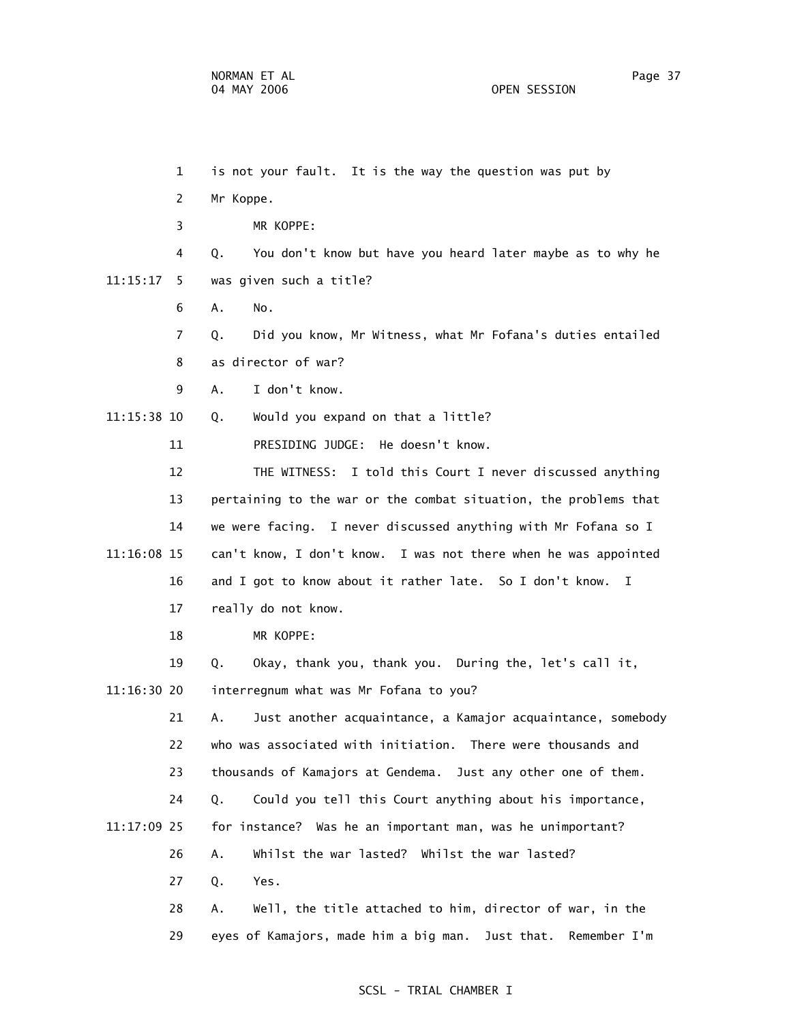1 is not your fault. It is the way the question was put by 2 Mr Koppe. 3 MR KOPPE: 4 Q. You don't know but have you heard later maybe as to why he 11:15:17 5 was given such a title? 6 A. No. 7 Q. Did you know, Mr Witness, what Mr Fofana's duties entailed 8 as director of war? 9 A. I don't know. 11:15:38 10 Q. Would you expand on that a little? 11 PRESIDING JUDGE: He doesn't know. 12 THE WITNESS: I told this Court I never discussed anything 13 pertaining to the war or the combat situation, the problems that 14 we were facing. I never discussed anything with Mr Fofana so I 11:16:08 15 can't know, I don't know. I was not there when he was appointed 16 and I got to know about it rather late. So I don't know. I 17 really do not know. 18 MR KOPPE: 19 Q. Okay, thank you, thank you. During the, let's call it, 11:16:30 20 interregnum what was Mr Fofana to you? 21 A. Just another acquaintance, a Kamajor acquaintance, somebody 22 who was associated with initiation. There were thousands and 23 thousands of Kamajors at Gendema. Just any other one of them. 24 Q. Could you tell this Court anything about his importance, 11:17:09 25 for instance? Was he an important man, was he unimportant? 26 A. Whilst the war lasted? Whilst the war lasted? 27 Q. Yes. 28 A. Well, the title attached to him, director of war, in the 29 eyes of Kamajors, made him a big man. Just that. Remember I'm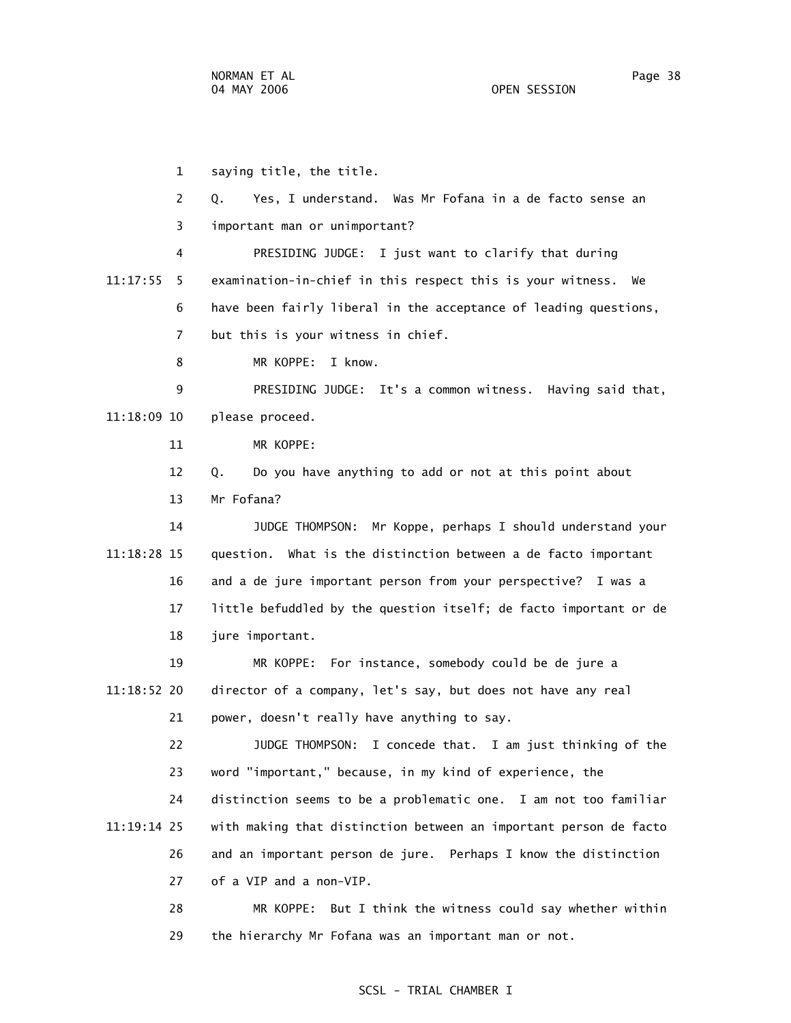1 saying title, the title. 2 Q. Yes, I understand. Was Mr Fofana in a de facto sense an 3 important man or unimportant? 4 PRESIDING JUDGE: I just want to clarify that during 11:17:55 5 examination-in-chief in this respect this is your witness. We 6 have been fairly liberal in the acceptance of leading questions, 7 but this is your witness in chief. 8 MR KOPPE: I know. 9 PRESIDING JUDGE: It's a common witness. Having said that, 11:18:09 10 please proceed. 11 MR KOPPE: 12 Q. Do you have anything to add or not at this point about 13 Mr Fofana? 14 JUDGE THOMPSON: Mr Koppe, perhaps I should understand your 11:18:28 15 question. What is the distinction between a de facto important 16 and a de jure important person from your perspective? I was a 17 little befuddled by the question itself; de facto important or de 18 jure important. 19 MR KOPPE: For instance, somebody could be de jure a 11:18:52 20 director of a company, let's say, but does not have any real 21 power, doesn't really have anything to say. 22 JUDGE THOMPSON: I concede that. I am just thinking of the 23 word "important," because, in my kind of experience, the 24 distinction seems to be a problematic one. I am not too familiar 11:19:14 25 with making that distinction between an important person de facto 26 and an important person de jure. Perhaps I know the distinction 27 of a VIP and a non-VIP. 28 MR KOPPE: But I think the witness could say whether within

# SCSL - TRIAL CHAMBER I

29 the hierarchy Mr Fofana was an important man or not.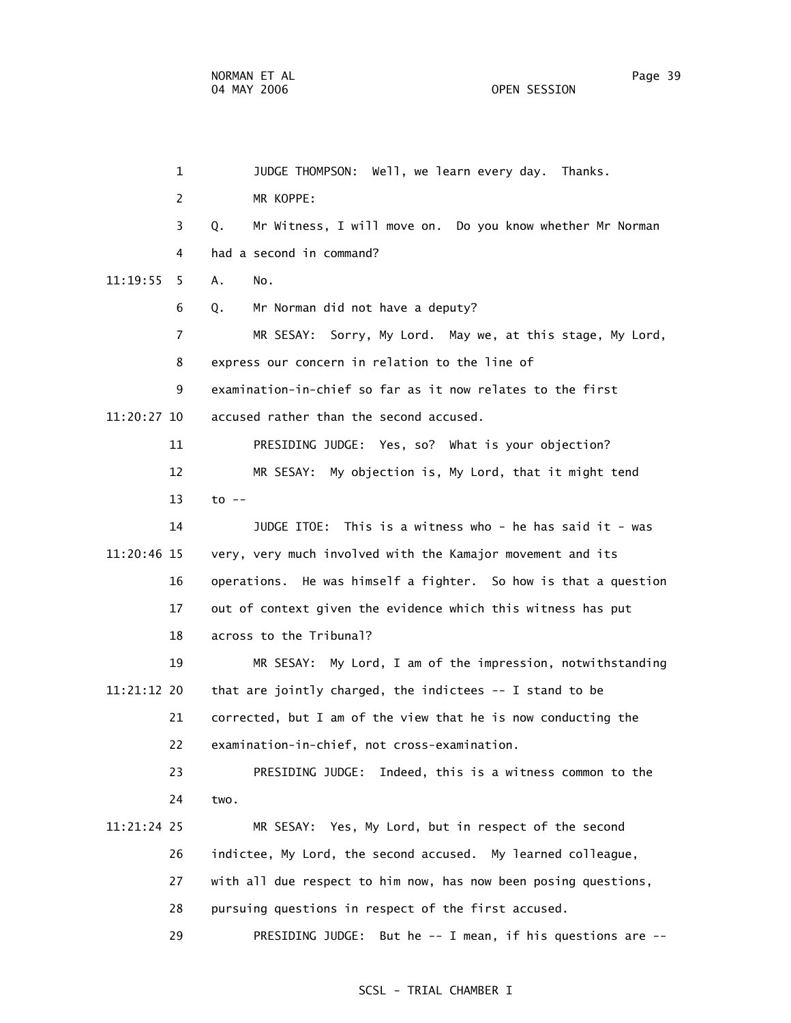|             | $\mathbf{1}$   | JUDGE THOMPSON: Well, we learn every day. Thanks.               |
|-------------|----------------|-----------------------------------------------------------------|
|             | $\overline{2}$ | MR KOPPE:                                                       |
|             | 3              | Mr Witness, I will move on. Do you know whether Mr Norman<br>Q. |
|             | 4              | had a second in command?                                        |
| 11:19:55    | 5.             | Α.<br>No.                                                       |
|             | 6              | Q.<br>Mr Norman did not have a deputy?                          |
|             | $\overline{7}$ | MR SESAY: Sorry, My Lord. May we, at this stage, My Lord,       |
|             | 8              | express our concern in relation to the line of                  |
|             | 9              | examination-in-chief so far as it now relates to the first      |
| 11:20:27 10 |                | accused rather than the second accused.                         |
|             | 11             | PRESIDING JUDGE: Yes, so? What is your objection?               |
|             | 12             | MR SESAY: My objection is, My Lord, that it might tend          |
|             | 13             | $to$ $-$                                                        |
|             | 14             | JUDGE ITOE: This is a witness who - he has said it - was        |
| 11:20:46 15 |                | very, very much involved with the Kamajor movement and its      |
|             | 16             | operations. He was himself a fighter. So how is that a question |
|             | 17             | out of context given the evidence which this witness has put    |
|             | 18             | across to the Tribunal?                                         |
|             | 19             | MR SESAY: My Lord, I am of the impression, notwithstanding      |
| 11:21:12 20 |                | that are jointly charged, the indictees -- I stand to be        |
|             | 21             | corrected, but I am of the view that he is now conducting the   |
|             | 22             | examination-in-chief, not cross-examination.                    |
|             | 23             | PRESIDING JUDGE: Indeed, this is a witness common to the        |
|             | 24             | two.                                                            |
| 11:21:24 25 |                | MR SESAY: Yes, My Lord, but in respect of the second            |
|             | 26             | indictee, My Lord, the second accused. My learned colleague,    |
|             | 27             | with all due respect to him now, has now been posing questions, |
|             | 28             | pursuing questions in respect of the first accused.             |
|             | 29             | PRESIDING JUDGE: But he -- I mean, if his questions are --      |
|             |                |                                                                 |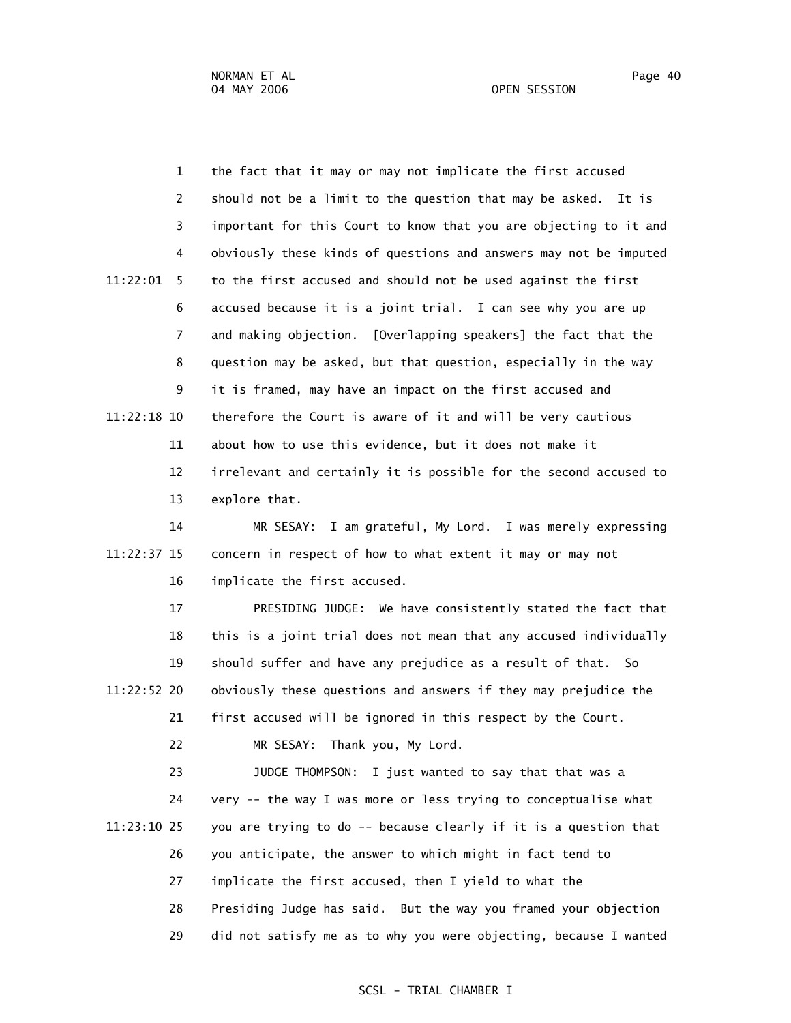1 the fact that it may or may not implicate the first accused 2 should not be a limit to the question that may be asked. It is 3 important for this Court to know that you are objecting to it and 4 obviously these kinds of questions and answers may not be imputed 11:22:01 5 to the first accused and should not be used against the first 6 accused because it is a joint trial. I can see why you are up 7 and making objection. [Overlapping speakers] the fact that the 8 question may be asked, but that question, especially in the way 9 it is framed, may have an impact on the first accused and 11:22:18 10 therefore the Court is aware of it and will be very cautious 11 about how to use this evidence, but it does not make it 12 irrelevant and certainly it is possible for the second accused to 13 explore that.

 14 MR SESAY: I am grateful, My Lord. I was merely expressing 11:22:37 15 concern in respect of how to what extent it may or may not 16 implicate the first accused.

 17 PRESIDING JUDGE: We have consistently stated the fact that 18 this is a joint trial does not mean that any accused individually 19 should suffer and have any prejudice as a result of that. So 11:22:52 20 obviously these questions and answers if they may prejudice the 21 first accused will be ignored in this respect by the Court.

22 MR SESAY: Thank you, My Lord.

 23 JUDGE THOMPSON: I just wanted to say that that was a 24 very -- the way I was more or less trying to conceptualise what 11:23:10 25 you are trying to do -- because clearly if it is a question that 26 you anticipate, the answer to which might in fact tend to 27 implicate the first accused, then I yield to what the 28 Presiding Judge has said. But the way you framed your objection 29 did not satisfy me as to why you were objecting, because I wanted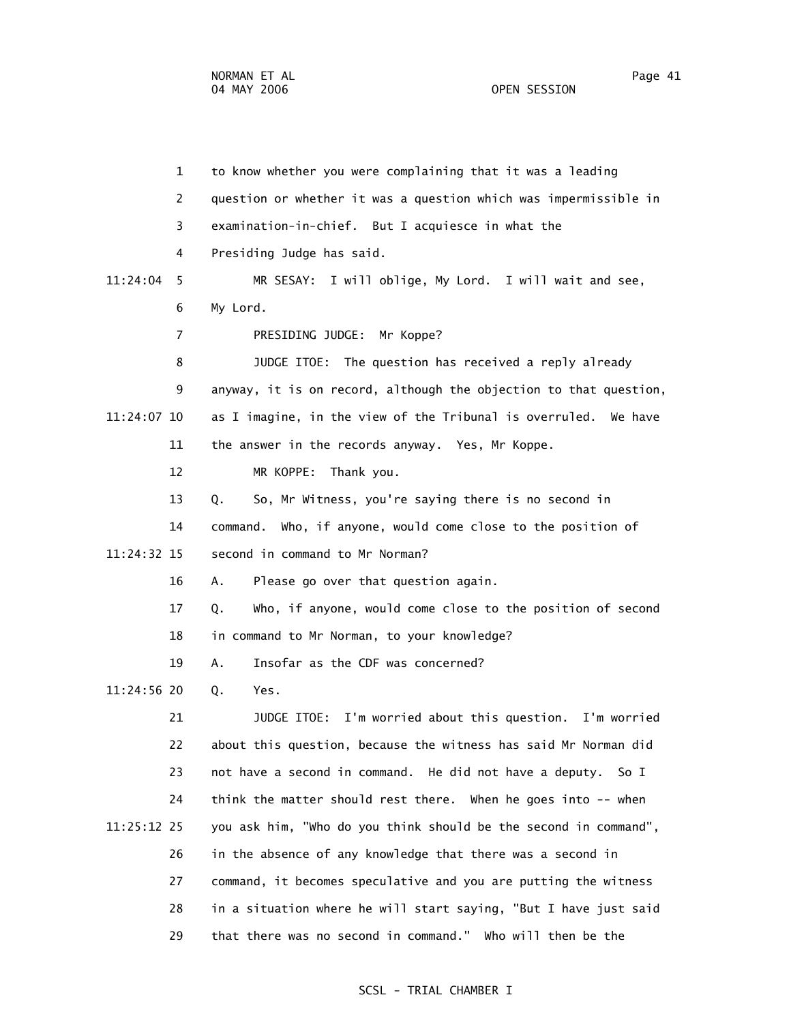|             | $\mathbf{1}$   | to know whether you were complaining that it was a leading        |
|-------------|----------------|-------------------------------------------------------------------|
|             | 2              | question or whether it was a question which was impermissible in  |
|             | 3              | examination-in-chief. But I acquiesce in what the                 |
|             | 4              | Presiding Judge has said.                                         |
| 11:24:04    | 5              | MR SESAY: I will oblige, My Lord. I will wait and see,            |
|             | 6              | My Lord.                                                          |
|             | $\overline{7}$ | PRESIDING JUDGE: Mr Koppe?                                        |
|             | 8              | JUDGE ITOE: The question has received a reply already             |
|             | 9              | anyway, it is on record, although the objection to that question, |
| 11:24:07 10 |                | as I imagine, in the view of the Tribunal is overruled. We have   |
|             | 11             | the answer in the records anyway. Yes, Mr Koppe.                  |
|             | 12             | MR KOPPE:<br>Thank you.                                           |
|             | 13             | So, Mr Witness, you're saying there is no second in<br>Q.         |
|             | 14             | command. Who, if anyone, would come close to the position of      |
| 11:24:32 15 |                | second in command to Mr Norman?                                   |
|             | 16             | Please go over that question again.<br>А.                         |
|             | 17             | Who, if anyone, would come close to the position of second<br>Q.  |
|             | 18             | in command to Mr Norman, to your knowledge?                       |
|             | 19             | Insofar as the CDF was concerned?<br>Α.                           |
| 11:24:56 20 |                | Q.<br>Yes.                                                        |
|             | 21             | JUDGE ITOE: I'm worried about this question. I'm worried          |
|             | 22             | about this question, because the witness has said Mr Norman did   |
|             | 23             | not have a second in command. He did not have a deputy.<br>So I   |
|             | 24             | think the matter should rest there. When he goes into -- when     |
| 11:25:12 25 |                | you ask him, "Who do you think should be the second in command",  |
|             | 26             | in the absence of any knowledge that there was a second in        |
|             | 27             | command, it becomes speculative and you are putting the witness   |
|             | 28             | in a situation where he will start saying, "But I have just said  |
|             | 29             | that there was no second in command." Who will then be the        |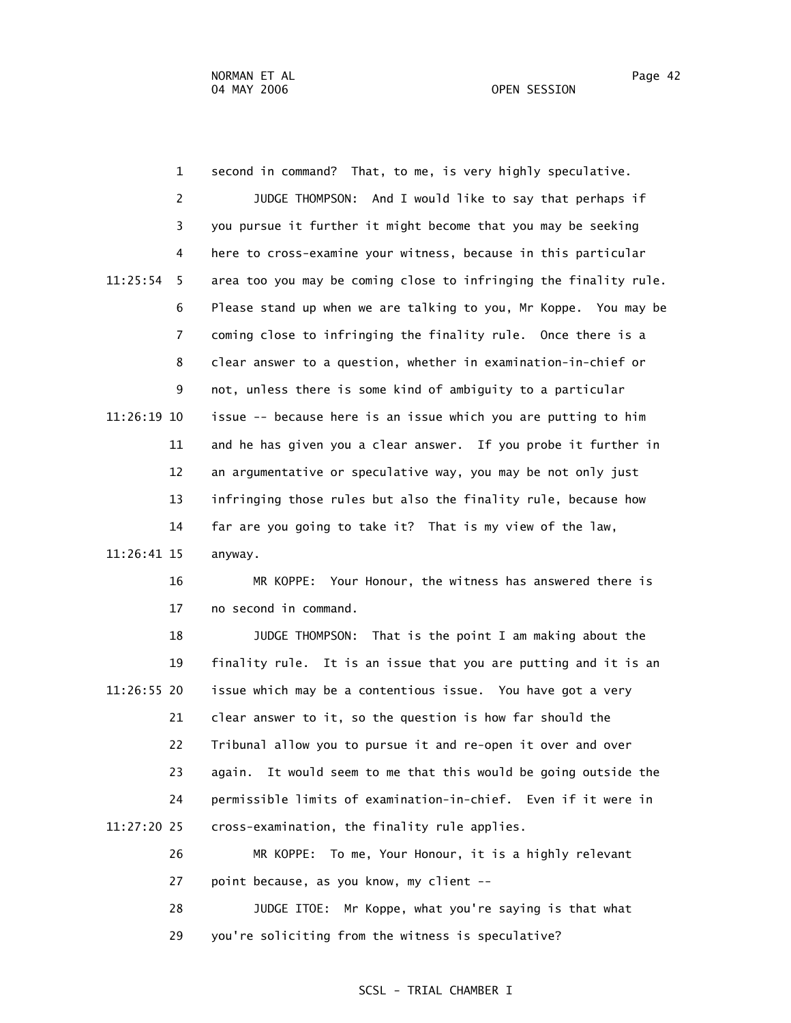1 second in command? That, to me, is very highly speculative. 2 JUDGE THOMPSON: And I would like to say that perhaps if 3 you pursue it further it might become that you may be seeking 4 here to cross-examine your witness, because in this particular 11:25:54 5 area too you may be coming close to infringing the finality rule. 6 Please stand up when we are talking to you, Mr Koppe. You may be 7 coming close to infringing the finality rule. Once there is a 8 clear answer to a question, whether in examination-in-chief or 9 not, unless there is some kind of ambiguity to a particular 11:26:19 10 issue -- because here is an issue which you are putting to him 11 and he has given you a clear answer. If you probe it further in 12 an argumentative or speculative way, you may be not only just 13 infringing those rules but also the finality rule, because how 14 far are you going to take it? That is my view of the law, 11:26:41 15 anyway.

> 16 MR KOPPE: Your Honour, the witness has answered there is 17 no second in command.

 18 JUDGE THOMPSON: That is the point I am making about the 19 finality rule. It is an issue that you are putting and it is an 11:26:55 20 issue which may be a contentious issue. You have got a very 21 clear answer to it, so the question is how far should the 22 Tribunal allow you to pursue it and re-open it over and over 23 again. It would seem to me that this would be going outside the 24 permissible limits of examination-in-chief. Even if it were in 11:27:20 25 cross-examination, the finality rule applies.

> 26 MR KOPPE: To me, Your Honour, it is a highly relevant 27 point because, as you know, my client --

> 28 JUDGE ITOE: Mr Koppe, what you're saying is that what 29 you're soliciting from the witness is speculative?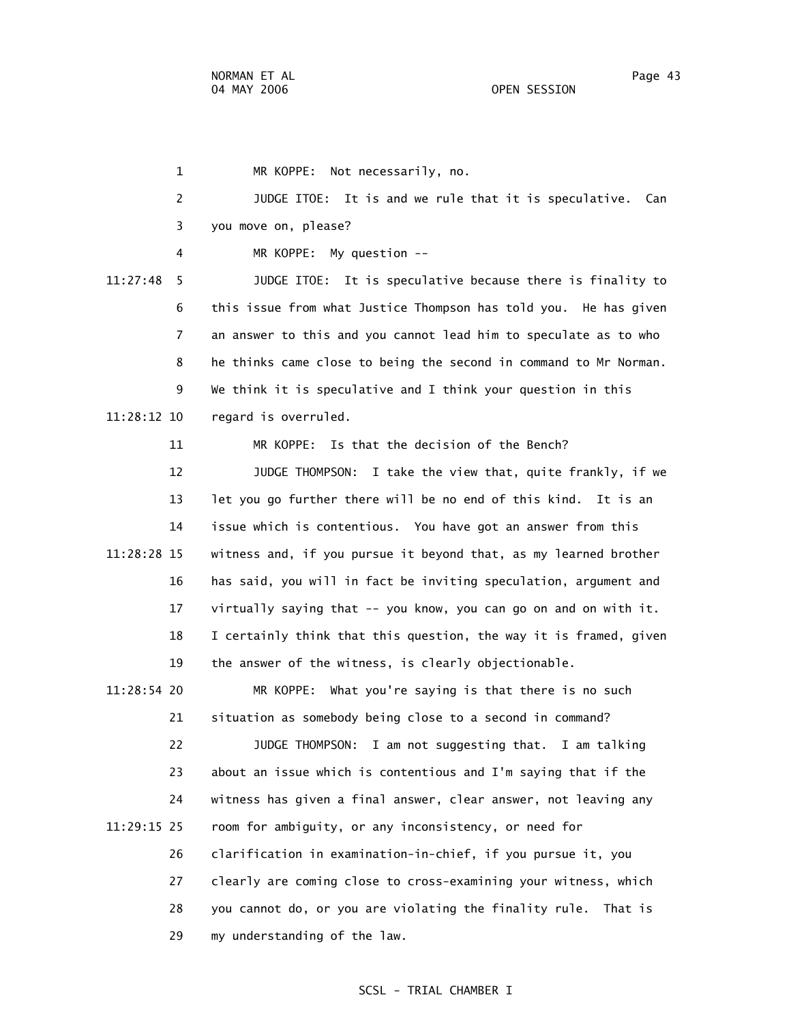1 MR KOPPE: Not necessarily, no. 2 JUDGE ITOE: It is and we rule that it is speculative. Can 3 you move on, please? 4 MR KOPPE: My question -- 11:27:48 5 JUDGE ITOE: It is speculative because there is finality to 6 this issue from what Justice Thompson has told you. He has given 7 an answer to this and you cannot lead him to speculate as to who 8 he thinks came close to being the second in command to Mr Norman. 9 We think it is speculative and I think your question in this 11:28:12 10 regard is overruled. 11 MR KOPPE: Is that the decision of the Bench? 12 JUDGE THOMPSON: I take the view that, quite frankly, if we 13 let you go further there will be no end of this kind. It is an 14 issue which is contentious. You have got an answer from this 11:28:28 15 witness and, if you pursue it beyond that, as my learned brother 16 has said, you will in fact be inviting speculation, argument and 17 virtually saying that -- you know, you can go on and on with it. 18 I certainly think that this question, the way it is framed, given 19 the answer of the witness, is clearly objectionable. 11:28:54 20 MR KOPPE: What you're saying is that there is no such 21 situation as somebody being close to a second in command? 22 JUDGE THOMPSON: I am not suggesting that. I am talking 23 about an issue which is contentious and I'm saying that if the 24 witness has given a final answer, clear answer, not leaving any 11:29:15 25 room for ambiguity, or any inconsistency, or need for

 26 clarification in examination-in-chief, if you pursue it, you 27 clearly are coming close to cross-examining your witness, which 28 you cannot do, or you are violating the finality rule. That is 29 my understanding of the law.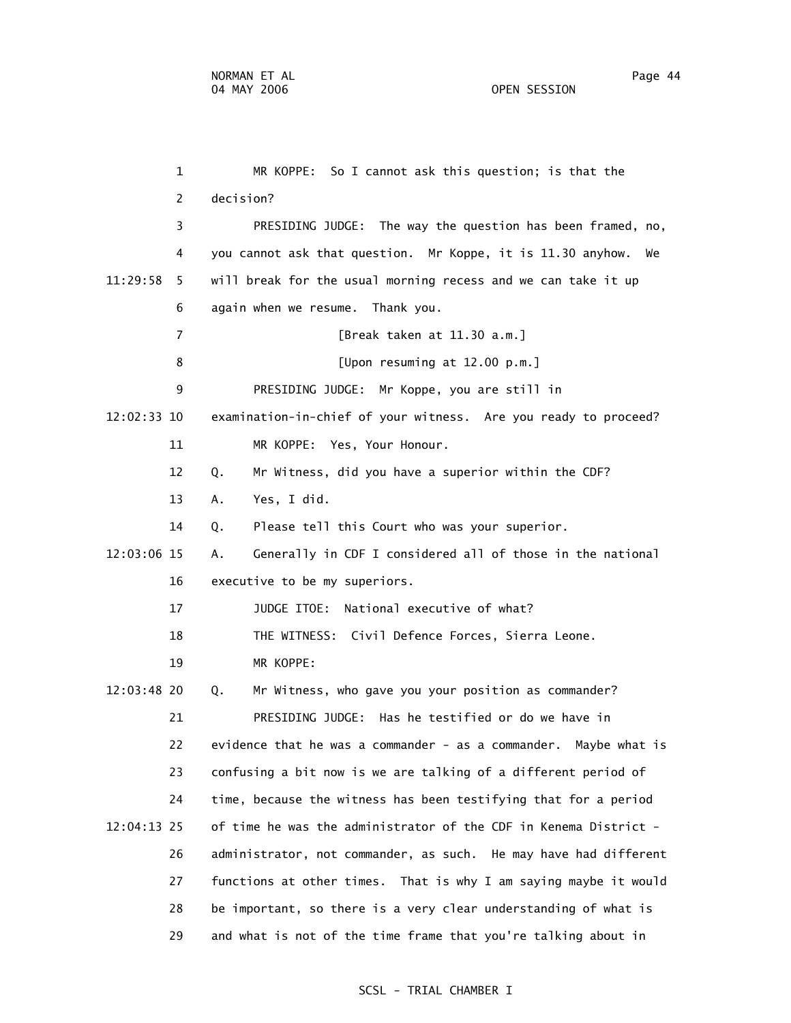1 MR KOPPE: So I cannot ask this question; is that the 2 decision? 3 PRESIDING JUDGE: The way the question has been framed, no, 4 you cannot ask that question. Mr Koppe, it is 11.30 anyhow. We 11:29:58 5 will break for the usual morning recess and we can take it up 6 again when we resume. Thank you. 7 [Break taken at 11.30 a.m.] 8 [Upon resuming at 12.00 p.m.] 9 PRESIDING JUDGE: Mr Koppe, you are still in 12:02:33 10 examination-in-chief of your witness. Are you ready to proceed? 11 MR KOPPE: Yes, Your Honour. 12 Q. Mr Witness, did you have a superior within the CDF? 13 A. Yes, I did. 14 Q. Please tell this Court who was your superior. 12:03:06 15 A. Generally in CDF I considered all of those in the national 16 executive to be my superiors. 17 JUDGE ITOE: National executive of what? 18 THE WITNESS: Civil Defence Forces, Sierra Leone. 19 MR KOPPE: 12:03:48 20 Q. Mr Witness, who gave you your position as commander? 21 PRESIDING JUDGE: Has he testified or do we have in 22 evidence that he was a commander - as a commander. Maybe what is 23 confusing a bit now is we are talking of a different period of 24 time, because the witness has been testifying that for a period 12:04:13 25 of time he was the administrator of the CDF in Kenema District - 26 administrator, not commander, as such. He may have had different 27 functions at other times. That is why I am saying maybe it would

> 28 be important, so there is a very clear understanding of what is 29 and what is not of the time frame that you're talking about in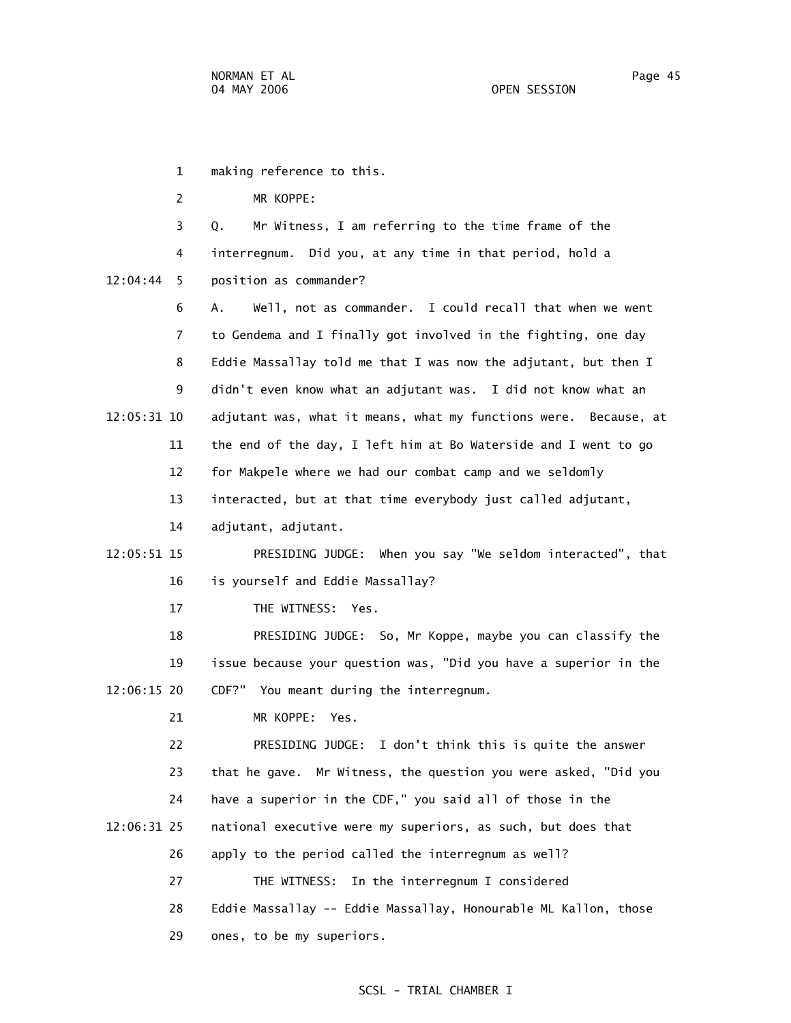1 making reference to this. 2 MR KOPPE: 3 Q. Mr Witness, I am referring to the time frame of the 4 interregnum. Did you, at any time in that period, hold a 12:04:44 5 position as commander? 6 A. Well, not as commander. I could recall that when we went 7 to Gendema and I finally got involved in the fighting, one day 8 Eddie Massallay told me that I was now the adjutant, but then I 9 didn't even know what an adjutant was. I did not know what an 12:05:31 10 adjutant was, what it means, what my functions were. Because, at 11 the end of the day, I left him at Bo Waterside and I went to go 12 for Makpele where we had our combat camp and we seldomly 13 interacted, but at that time everybody just called adjutant, 14 adjutant, adjutant. 12:05:51 15 PRESIDING JUDGE: When you say "We seldom interacted", that 16 is yourself and Eddie Massallay? 17 THE WITNESS: Yes. 18 PRESIDING JUDGE: So, Mr Koppe, maybe you can classify the 19 issue because your question was, "Did you have a superior in the 12:06:15 20 CDF?" You meant during the interregnum. 21 MR KOPPE: Yes. 22 PRESIDING JUDGE: I don't think this is quite the answer 23 that he gave. Mr Witness, the question you were asked, "Did you 24 have a superior in the CDF," you said all of those in the 12:06:31 25 national executive were my superiors, as such, but does that 26 apply to the period called the interregnum as well? 27 THE WITNESS: In the interregnum I considered 28 Eddie Massallay -- Eddie Massallay, Honourable ML Kallon, those 29 ones, to be my superiors.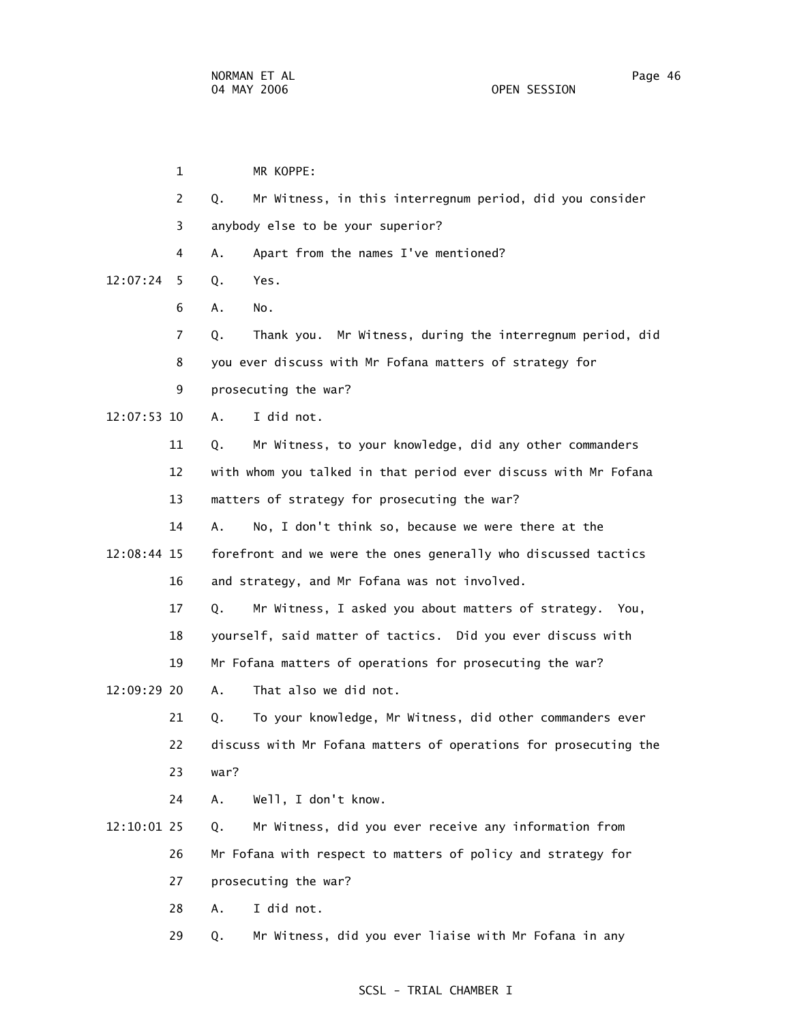1 MR KOPPE: 2 Q. Mr Witness, in this interregnum period, did you consider 3 anybody else to be your superior? 4 A. Apart from the names I've mentioned? 12:07:24 5 Q. Yes. 6 A. No. 7 Q. Thank you. Mr Witness, during the interregnum period, did 8 you ever discuss with Mr Fofana matters of strategy for 9 prosecuting the war? 12:07:53 10 A. I did not. 11 Q. Mr Witness, to your knowledge, did any other commanders 12 with whom you talked in that period ever discuss with Mr Fofana 13 matters of strategy for prosecuting the war? 14 A. No, I don't think so, because we were there at the 12:08:44 15 forefront and we were the ones generally who discussed tactics 16 and strategy, and Mr Fofana was not involved. 17 Q. Mr Witness, I asked you about matters of strategy. You, 18 yourself, said matter of tactics. Did you ever discuss with 19 Mr Fofana matters of operations for prosecuting the war? 12:09:29 20 A. That also we did not. 21 Q. To your knowledge, Mr Witness, did other commanders ever 22 discuss with Mr Fofana matters of operations for prosecuting the 23 war? 24 A. Well, I don't know. 12:10:01 25 Q. Mr Witness, did you ever receive any information from 26 Mr Fofana with respect to matters of policy and strategy for 27 prosecuting the war? 28 A. I did not. 29 Q. Mr Witness, did you ever liaise with Mr Fofana in any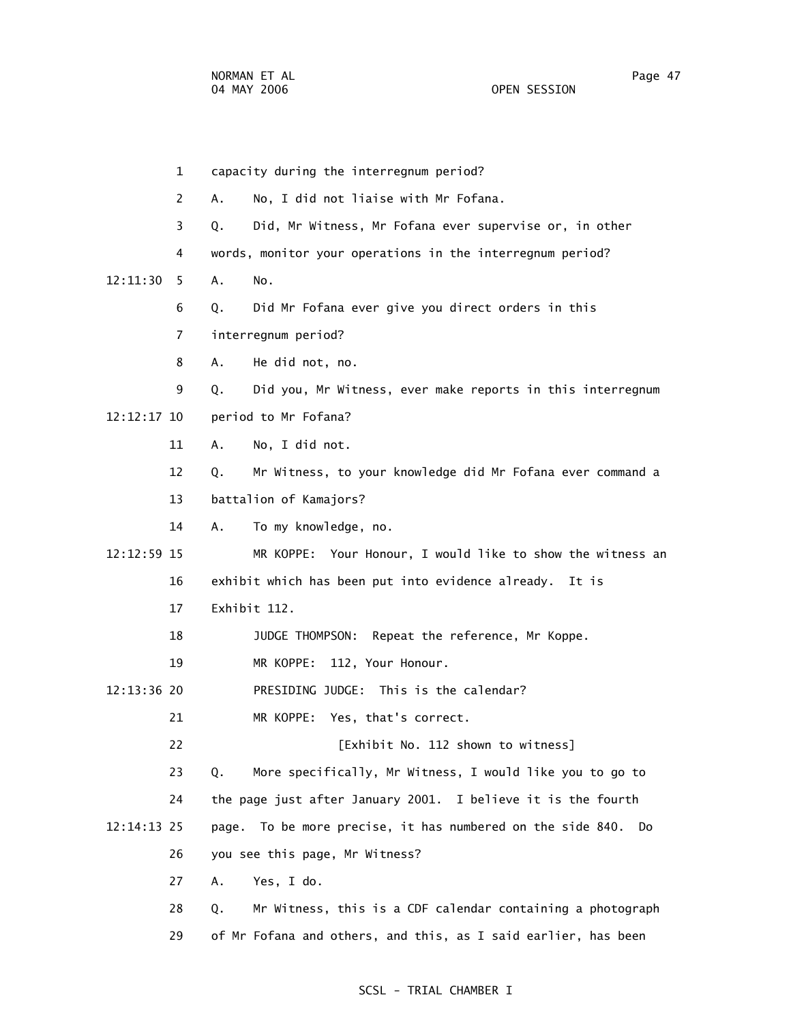1 capacity during the interregnum period? 2 A. No, I did not liaise with Mr Fofana. 3 Q. Did, Mr Witness, Mr Fofana ever supervise or, in other 4 words, monitor your operations in the interregnum period? 12:11:30 5 A. No. 6 Q. Did Mr Fofana ever give you direct orders in this 7 interregnum period? 8 A. He did not, no. 9 Q. Did you, Mr Witness, ever make reports in this interregnum 12:12:17 10 period to Mr Fofana? 11 A. No, I did not. 12 Q. Mr Witness, to your knowledge did Mr Fofana ever command a 13 battalion of Kamajors? 14 A. To my knowledge, no. 12:12:59 15 MR KOPPE: Your Honour, I would like to show the witness an 16 exhibit which has been put into evidence already. It is 17 Exhibit 112. 18 JUDGE THOMPSON: Repeat the reference, Mr Koppe. 19 MR KOPPE: 112, Your Honour. 12:13:36 20 PRESIDING JUDGE: This is the calendar? 21 MR KOPPE: Yes, that's correct. 22 [Exhibit No. 112 shown to witness] 23 Q. More specifically, Mr Witness, I would like you to go to 24 the page just after January 2001. I believe it is the fourth 12:14:13 25 page. To be more precise, it has numbered on the side 840. Do 26 you see this page, Mr Witness? 27 A. Yes, I do. 28 Q. Mr Witness, this is a CDF calendar containing a photograph 29 of Mr Fofana and others, and this, as I said earlier, has been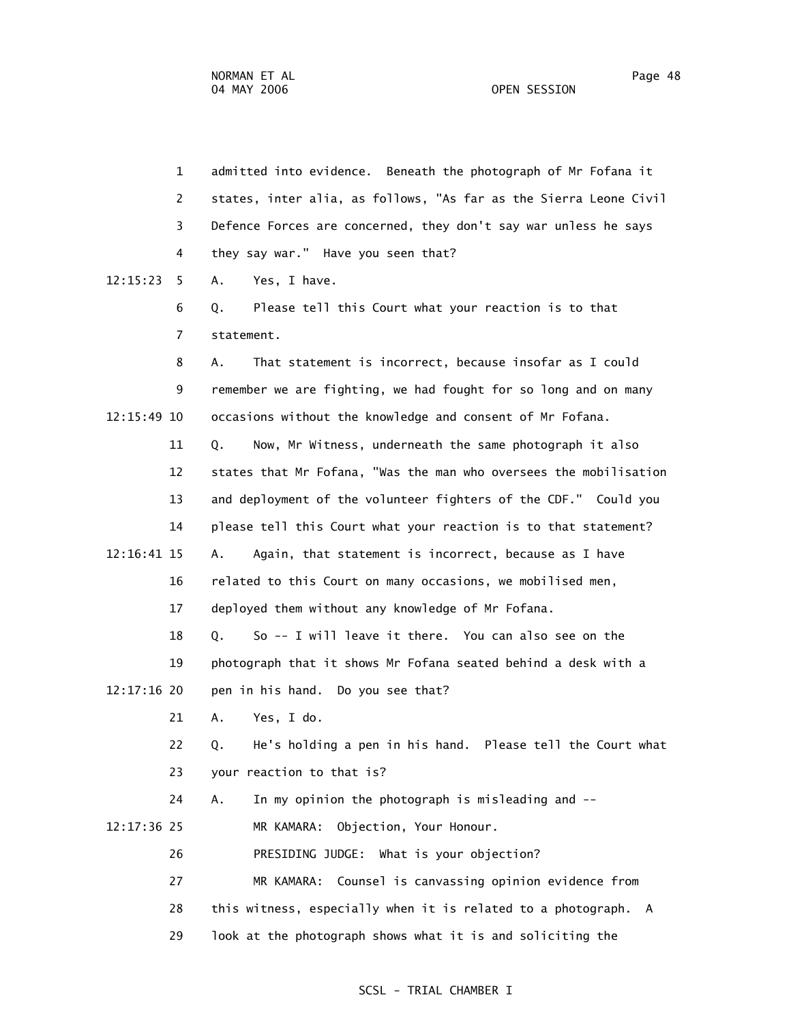1 admitted into evidence. Beneath the photograph of Mr Fofana it 2 states, inter alia, as follows, "As far as the Sierra Leone Civil 3 Defence Forces are concerned, they don't say war unless he says 4 they say war." Have you seen that? 12:15:23 5 A. Yes, I have. 6 Q. Please tell this Court what your reaction is to that 7 statement. 8 A. That statement is incorrect, because insofar as I could 9 remember we are fighting, we had fought for so long and on many 12:15:49 10 occasions without the knowledge and consent of Mr Fofana. 11 Q. Now, Mr Witness, underneath the same photograph it also 12 states that Mr Fofana, "Was the man who oversees the mobilisation 13 and deployment of the volunteer fighters of the CDF." Could you 14 please tell this Court what your reaction is to that statement? 12:16:41 15 A. Again, that statement is incorrect, because as I have 16 related to this Court on many occasions, we mobilised men, 17 deployed them without any knowledge of Mr Fofana. 18 Q. So -- I will leave it there. You can also see on the 19 photograph that it shows Mr Fofana seated behind a desk with a 12:17:16 20 pen in his hand. Do you see that? 21 A. Yes, I do. 22 Q. He's holding a pen in his hand. Please tell the Court what 23 your reaction to that is? 24 A. In my opinion the photograph is misleading and -- 12:17:36 25 MR KAMARA: Objection, Your Honour. 26 PRESIDING JUDGE: What is your objection? 27 MR KAMARA: Counsel is canvassing opinion evidence from 28 this witness, especially when it is related to a photograph. A 29 look at the photograph shows what it is and soliciting the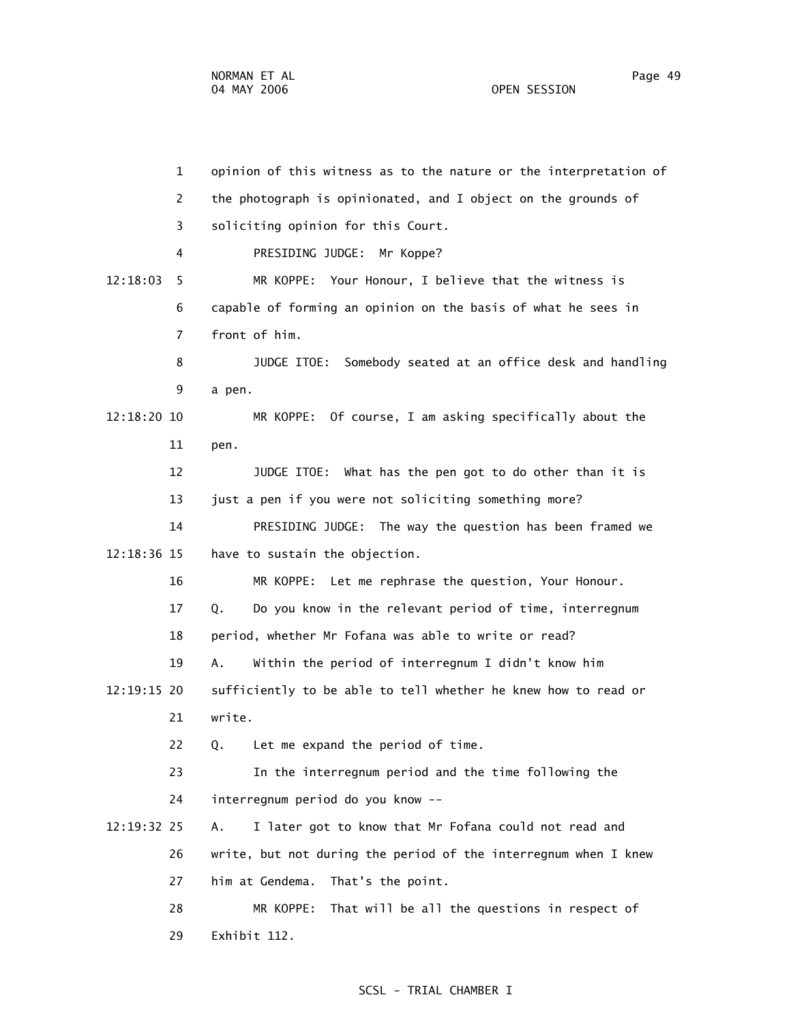1 opinion of this witness as to the nature or the interpretation of 2 the photograph is opinionated, and I object on the grounds of 3 soliciting opinion for this Court. 4 PRESIDING JUDGE: Mr Koppe? 12:18:03 5 MR KOPPE: Your Honour, I believe that the witness is 6 capable of forming an opinion on the basis of what he sees in 7 front of him. 8 JUDGE ITOE: Somebody seated at an office desk and handling 9 a pen. 12:18:20 10 MR KOPPE: Of course, I am asking specifically about the 11 pen. 12 JUDGE ITOE: What has the pen got to do other than it is 13 just a pen if you were not soliciting something more? 14 PRESIDING JUDGE: The way the question has been framed we 12:18:36 15 have to sustain the objection. 16 MR KOPPE: Let me rephrase the question, Your Honour. 17 Q. Do you know in the relevant period of time, interregnum 18 period, whether Mr Fofana was able to write or read? 19 A. Within the period of interregnum I didn't know him 12:19:15 20 sufficiently to be able to tell whether he knew how to read or 21 write. 22 Q. Let me expand the period of time. 23 In the interregnum period and the time following the 24 interregnum period do you know -- 12:19:32 25 A. I later got to know that Mr Fofana could not read and 26 write, but not during the period of the interregnum when I knew 27 him at Gendema. That's the point. 28 MR KOPPE: That will be all the questions in respect of 29 Exhibit 112.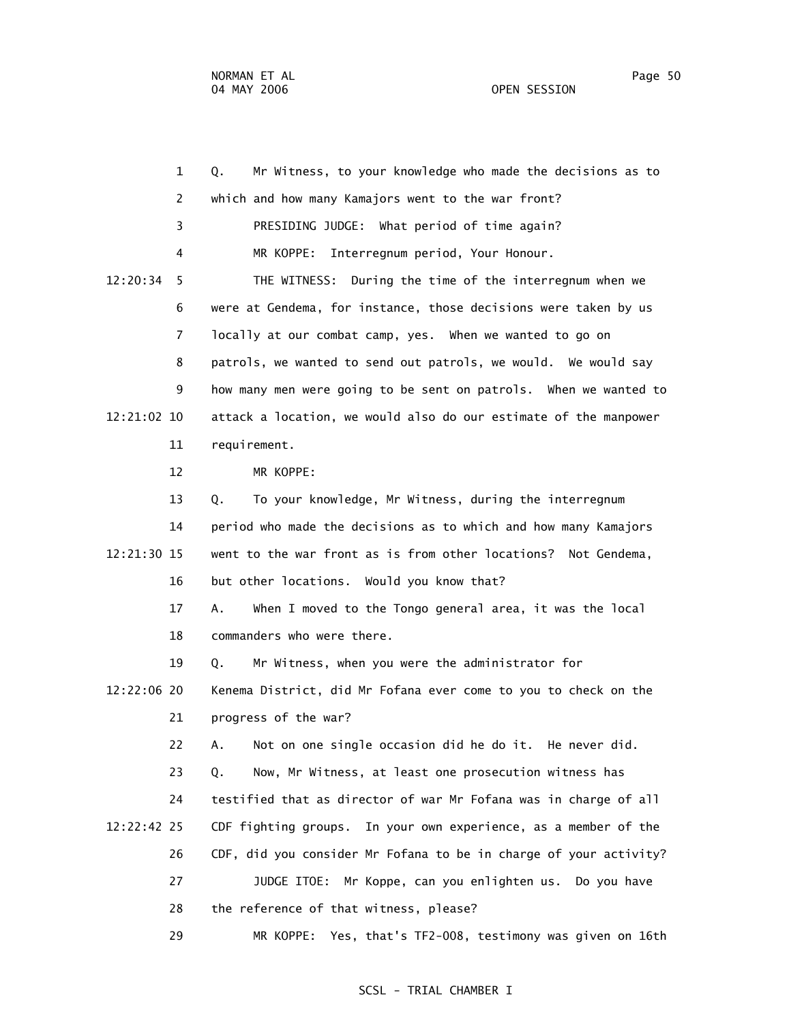1 Q. Mr Witness, to your knowledge who made the decisions as to 2 which and how many Kamajors went to the war front? 3 PRESIDING JUDGE: What period of time again? 4 MR KOPPE: Interregnum period, Your Honour. 12:20:34 5 THE WITNESS: During the time of the interregnum when we 6 were at Gendema, for instance, those decisions were taken by us 7 locally at our combat camp, yes. When we wanted to go on 8 patrols, we wanted to send out patrols, we would. We would say 9 how many men were going to be sent on patrols. When we wanted to 12:21:02 10 attack a location, we would also do our estimate of the manpower 11 requirement. 12 MR KOPPE: 13 Q. To your knowledge, Mr Witness, during the interregnum 14 period who made the decisions as to which and how many Kamajors 12:21:30 15 went to the war front as is from other locations? Not Gendema, 16 but other locations. Would you know that? 17 A. When I moved to the Tongo general area, it was the local 18 commanders who were there. 19 Q. Mr Witness, when you were the administrator for 12:22:06 20 Kenema District, did Mr Fofana ever come to you to check on the 21 progress of the war? 22 A. Not on one single occasion did he do it. He never did. 23 Q. Now, Mr Witness, at least one prosecution witness has 24 testified that as director of war Mr Fofana was in charge of all 12:22:42 25 CDF fighting groups. In your own experience, as a member of the 26 CDF, did you consider Mr Fofana to be in charge of your activity? 27 JUDGE ITOE: Mr Koppe, can you enlighten us. Do you have 28 the reference of that witness, please? 29 MR KOPPE: Yes, that's TF2-008, testimony was given on 16th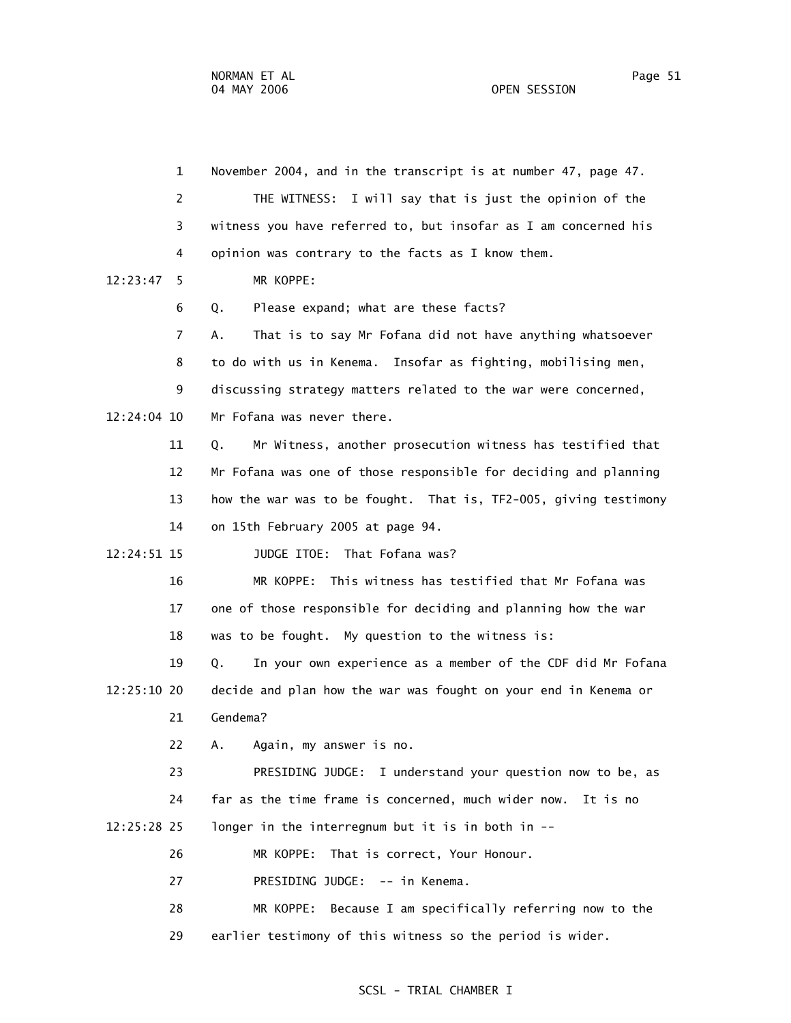1 November 2004, and in the transcript is at number 47, page 47. 2 THE WITNESS: I will say that is just the opinion of the 3 witness you have referred to, but insofar as I am concerned his 4 opinion was contrary to the facts as I know them. 12:23:47 5 MR KOPPE: 6 Q. Please expand; what are these facts? 7 A. That is to say Mr Fofana did not have anything whatsoever 8 to do with us in Kenema. Insofar as fighting, mobilising men, 9 discussing strategy matters related to the war were concerned, 12:24:04 10 Mr Fofana was never there. 11 Q. Mr Witness, another prosecution witness has testified that 12 Mr Fofana was one of those responsible for deciding and planning 13 how the war was to be fought. That is, TF2-005, giving testimony 14 on 15th February 2005 at page 94. 12:24:51 15 JUDGE ITOE: That Fofana was? 16 MR KOPPE: This witness has testified that Mr Fofana was 17 one of those responsible for deciding and planning how the war 18 was to be fought. My question to the witness is: 19 Q. In your own experience as a member of the CDF did Mr Fofana 12:25:10 20 decide and plan how the war was fought on your end in Kenema or 21 Gendema? 22 A. Again, my answer is no. 23 PRESIDING JUDGE: I understand your question now to be, as 24 far as the time frame is concerned, much wider now. It is no 12:25:28 25 longer in the interregnum but it is in both in -- 26 MR KOPPE: That is correct, Your Honour. 27 PRESIDING JUDGE: -- in Kenema. 28 MR KOPPE: Because I am specifically referring now to the 29 earlier testimony of this witness so the period is wider.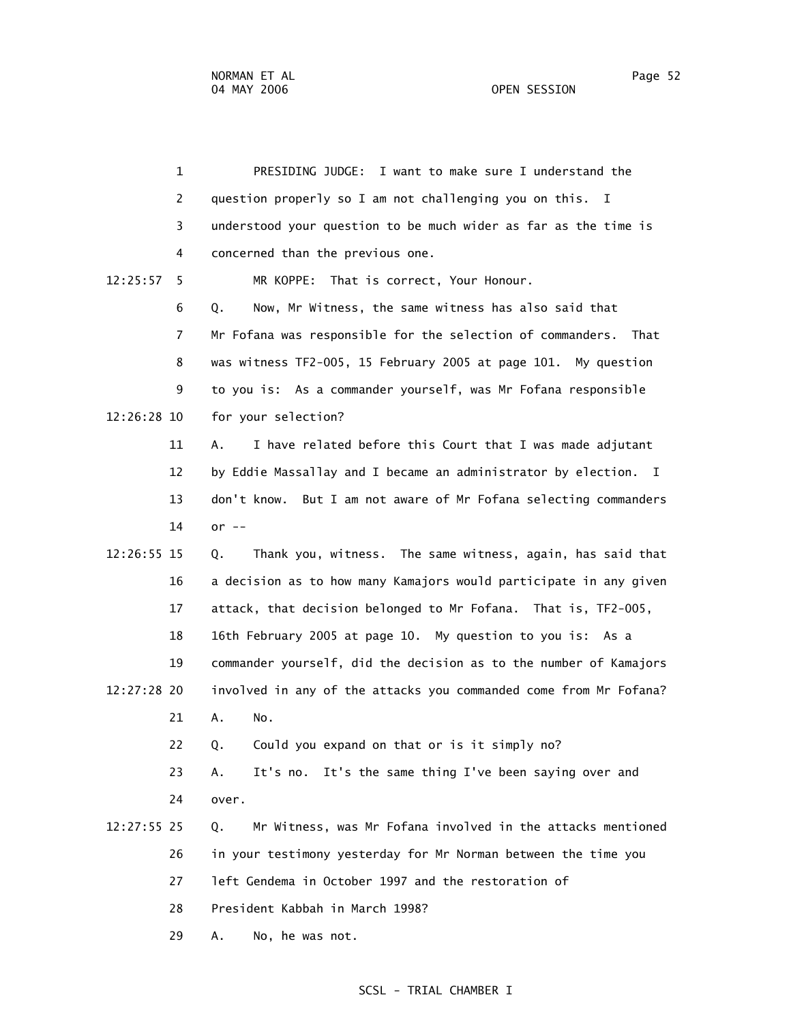|          | $\mathbf{1}$   | PRESIDING JUDGE: I want to make sure I understand the              |
|----------|----------------|--------------------------------------------------------------------|
|          | $\overline{2}$ | question properly so I am not challenging you on this. I           |
|          | 3              | understood your question to be much wider as far as the time is    |
|          | 4              | concerned than the previous one.                                   |
| 12:25:57 | 5              | MR KOPPE: That is correct, Your Honour.                            |
|          | 6              | Now, Mr Witness, the same witness has also said that<br>Q.         |
|          | 7              | Mr Fofana was responsible for the selection of commanders.<br>That |
|          | 8              | was witness TF2-005, 15 February 2005 at page 101. My question     |
|          | 9              | to you is: As a commander yourself, was Mr Fofana responsible      |
|          | 12:26:28 10    | for your selection?                                                |
|          | 11             | I have related before this Court that I was made adjutant<br>А.    |
|          | 12             | by Eddie Massallay and I became an administrator by election. I    |
|          | 13             | don't know. But I am not aware of Mr Fofana selecting commanders   |
|          | 14             | or $--$                                                            |
|          | 12:26:55 15    | Thank you, witness. The same witness, again, has said that<br>Q.   |
|          | 16             | a decision as to how many Kamajors would participate in any given  |
|          | 17             | attack, that decision belonged to Mr Fofana. That is, TF2-005,     |
|          | 18             | 16th February 2005 at page 10. My question to you is: As a         |
|          | 19             | commander yourself, did the decision as to the number of Kamajors  |
|          | 12:27:28 20    | involved in any of the attacks you commanded come from Mr Fofana?  |
|          | 21             | А.<br>No.                                                          |
|          | 22             | Could you expand on that or is it simply no?<br>Q.                 |
|          | 23             | It's no. It's the same thing I've been saying over and<br>A.       |
|          | 24             | over.                                                              |
|          | 12:27:55 25    | Mr Witness, was Mr Fofana involved in the attacks mentioned<br>Q.  |
|          | 26             | in your testimony yesterday for Mr Norman between the time you     |
|          | 27             | left Gendema in October 1997 and the restoration of                |
|          | 28             | President Kabbah in March 1998?                                    |
|          | 29             | No, he was not.<br>А.                                              |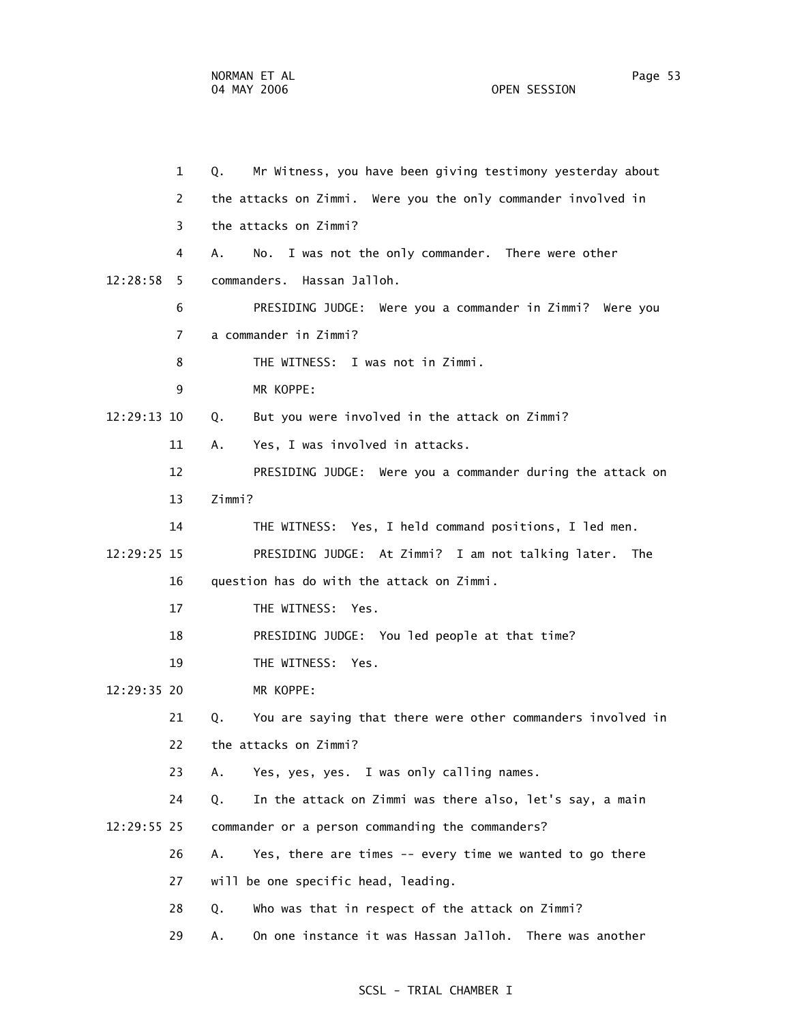1 Q. Mr Witness, you have been giving testimony yesterday about 2 the attacks on Zimmi. Were you the only commander involved in 3 the attacks on Zimmi? 4 A. No. I was not the only commander. There were other 12:28:58 5 commanders. Hassan Jalloh. 6 PRESIDING JUDGE: Were you a commander in Zimmi? Were you 7 a commander in Zimmi? 8 THE WITNESS: I was not in Zimmi. 9 MR KOPPE: 12:29:13 10 Q. But you were involved in the attack on Zimmi? 11 A. Yes, I was involved in attacks. 12 PRESIDING JUDGE: Were you a commander during the attack on 13 Zimmi? 14 THE WITNESS: Yes, I held command positions, I led men. 12:29:25 15 PRESIDING JUDGE: At Zimmi? I am not talking later. The 16 question has do with the attack on Zimmi. 17 THE WITNESS: Yes. 18 PRESIDING JUDGE: You led people at that time? 19 THE WITNESS: Yes. 12:29:35 20 MR KOPPE: 21 Q. You are saying that there were other commanders involved in 22 the attacks on Zimmi? 23 A. Yes, yes, yes. I was only calling names.

 24 Q. In the attack on Zimmi was there also, let's say, a main 12:29:55 25 commander or a person commanding the commanders?

- 26 A. Yes, there are times -- every time we wanted to go there
- 27 will be one specific head, leading.
- 28 Q. Who was that in respect of the attack on Zimmi?
- 29 A. On one instance it was Hassan Jalloh. There was another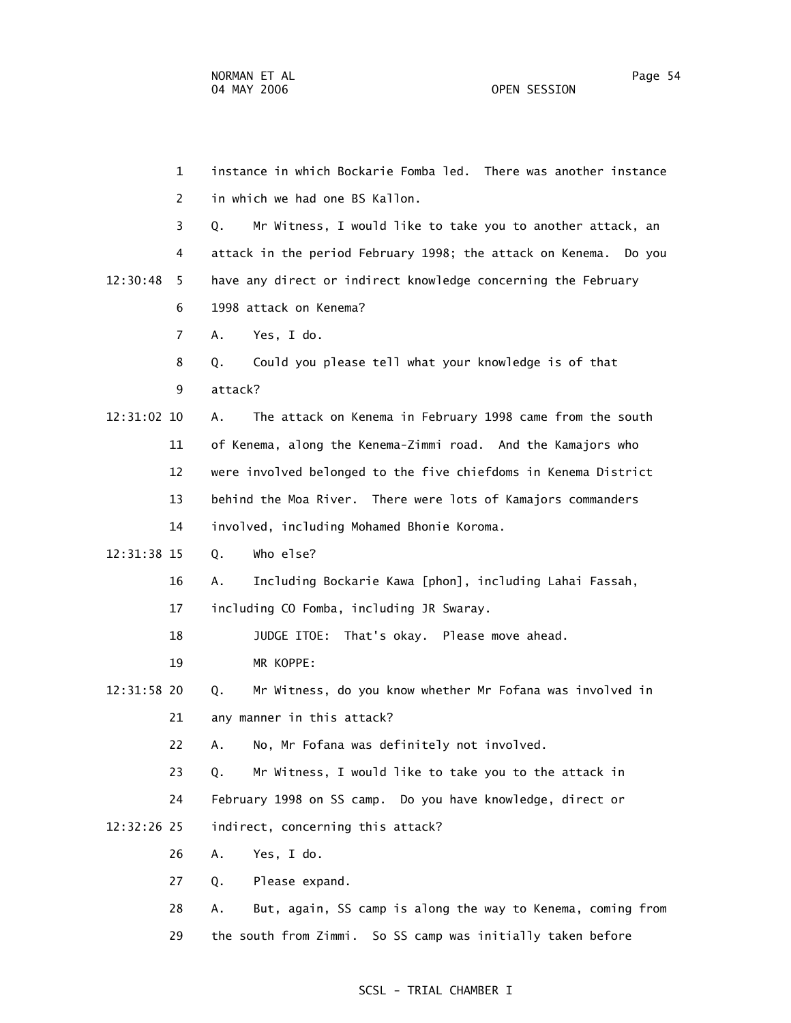1 instance in which Bockarie Fomba led. There was another instance 2 in which we had one BS Kallon. 3 Q. Mr Witness, I would like to take you to another attack, an 4 attack in the period February 1998; the attack on Kenema. Do you 12:30:48 5 have any direct or indirect knowledge concerning the February 6 1998 attack on Kenema? 7 A. Yes, I do. 8 Q. Could you please tell what your knowledge is of that 9 attack? 12:31:02 10 A. The attack on Kenema in February 1998 came from the south 11 of Kenema, along the Kenema-Zimmi road. And the Kamajors who 12 were involved belonged to the five chiefdoms in Kenema District 13 behind the Moa River. There were lots of Kamajors commanders 14 involved, including Mohamed Bhonie Koroma. 12:31:38 15 Q. Who else? 16 A. Including Bockarie Kawa [phon], including Lahai Fassah, 17 including CO Fomba, including JR Swaray. 18 JUDGE ITOE: That's okay. Please move ahead. 19 MR KOPPE: 12:31:58 20 Q. Mr Witness, do you know whether Mr Fofana was involved in 21 any manner in this attack? 22 A. No, Mr Fofana was definitely not involved. 23 Q. Mr Witness, I would like to take you to the attack in 24 February 1998 on SS camp. Do you have knowledge, direct or 12:32:26 25 indirect, concerning this attack? 26 A. Yes, I do. 27 Q. Please expand. 28 A. But, again, SS camp is along the way to Kenema, coming from 29 the south from Zimmi. So SS camp was initially taken before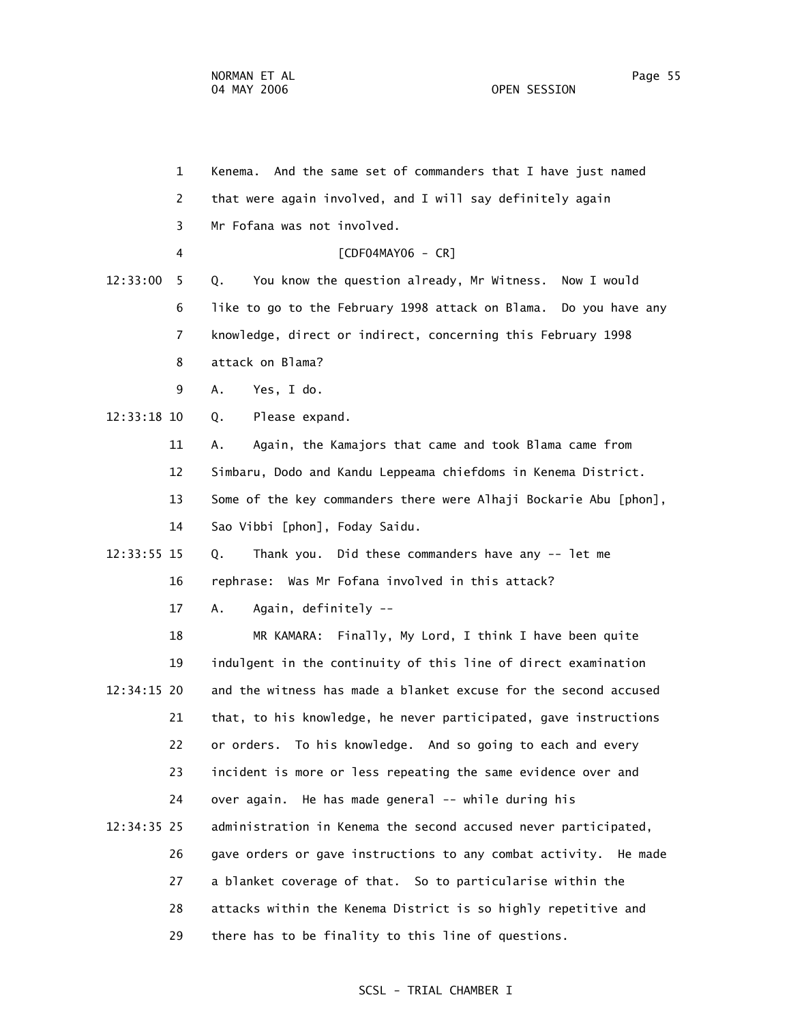1 Kenema. And the same set of commanders that I have just named 2 that were again involved, and I will say definitely again 3 Mr Fofana was not involved. 4 [CDF04MAY06 - CR] 12:33:00 5 Q. You know the question already, Mr Witness. Now I would 6 like to go to the February 1998 attack on Blama. Do you have any 7 knowledge, direct or indirect, concerning this February 1998 8 attack on Blama? 9 A. Yes, I do. 12:33:18 10 Q. Please expand. 11 A. Again, the Kamajors that came and took Blama came from 12 Simbaru, Dodo and Kandu Leppeama chiefdoms in Kenema District. 13 Some of the key commanders there were Alhaji Bockarie Abu [phon], 14 Sao Vibbi [phon], Foday Saidu. 12:33:55 15 Q. Thank you. Did these commanders have any -- let me 16 rephrase: Was Mr Fofana involved in this attack? 17 A. Again, definitely -- 18 MR KAMARA: Finally, My Lord, I think I have been quite 19 indulgent in the continuity of this line of direct examination 12:34:15 20 and the witness has made a blanket excuse for the second accused 21 that, to his knowledge, he never participated, gave instructions 22 or orders. To his knowledge. And so going to each and every 23 incident is more or less repeating the same evidence over and 24 over again. He has made general -- while during his 12:34:35 25 administration in Kenema the second accused never participated, 26 gave orders or gave instructions to any combat activity. He made 27 a blanket coverage of that. So to particularise within the 28 attacks within the Kenema District is so highly repetitive and 29 there has to be finality to this line of questions.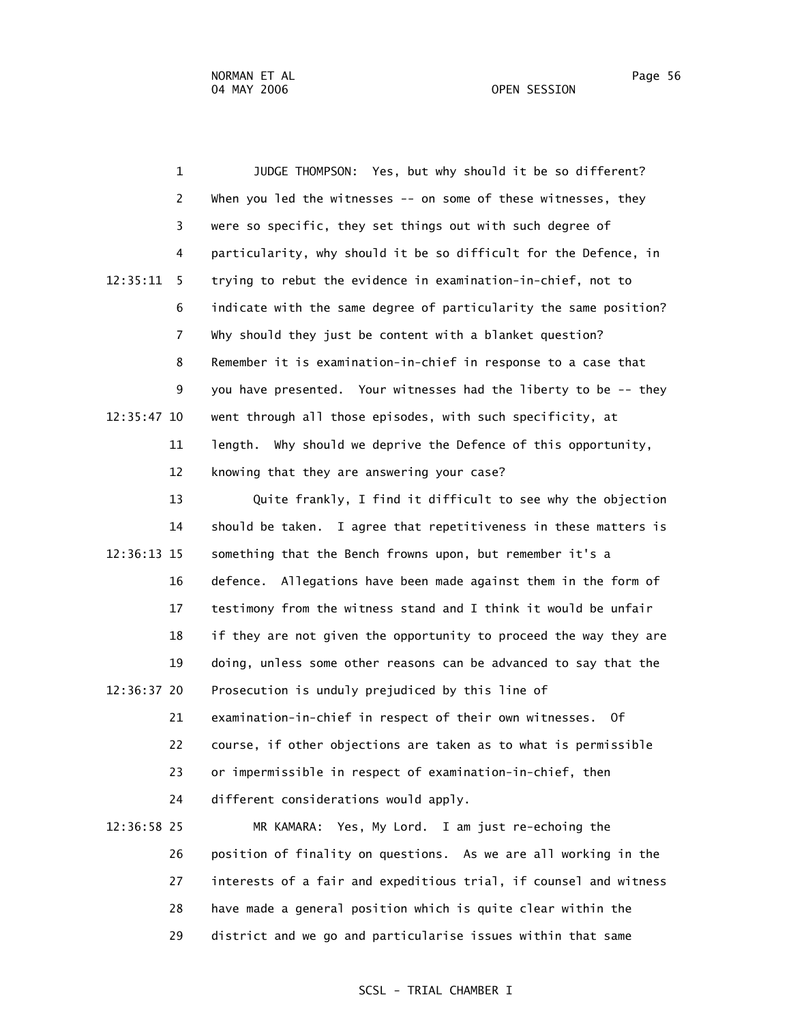1 JUDGE THOMPSON: Yes, but why should it be so different? 2 When you led the witnesses -- on some of these witnesses, they 3 were so specific, they set things out with such degree of 4 particularity, why should it be so difficult for the Defence, in 12:35:11 5 trying to rebut the evidence in examination-in-chief, not to 6 indicate with the same degree of particularity the same position? 7 Why should they just be content with a blanket question? 8 Remember it is examination-in-chief in response to a case that 9 you have presented. Your witnesses had the liberty to be -- they 12:35:47 10 went through all those episodes, with such specificity, at 11 length. Why should we deprive the Defence of this opportunity, 12 knowing that they are answering your case? 13 Quite frankly, I find it difficult to see why the objection 14 should be taken. I agree that repetitiveness in these matters is 12:36:13 15 something that the Bench frowns upon, but remember it's a 16 defence. Allegations have been made against them in the form of 17 testimony from the witness stand and I think it would be unfair 18 if they are not given the opportunity to proceed the way they are 19 doing, unless some other reasons can be advanced to say that the 12:36:37 20 Prosecution is unduly prejudiced by this line of 21 examination-in-chief in respect of their own witnesses. Of

 22 course, if other objections are taken as to what is permissible 23 or impermissible in respect of examination-in-chief, then

24 different considerations would apply.

 12:36:58 25 MR KAMARA: Yes, My Lord. I am just re-echoing the 26 position of finality on questions. As we are all working in the 27 interests of a fair and expeditious trial, if counsel and witness 28 have made a general position which is quite clear within the 29 district and we go and particularise issues within that same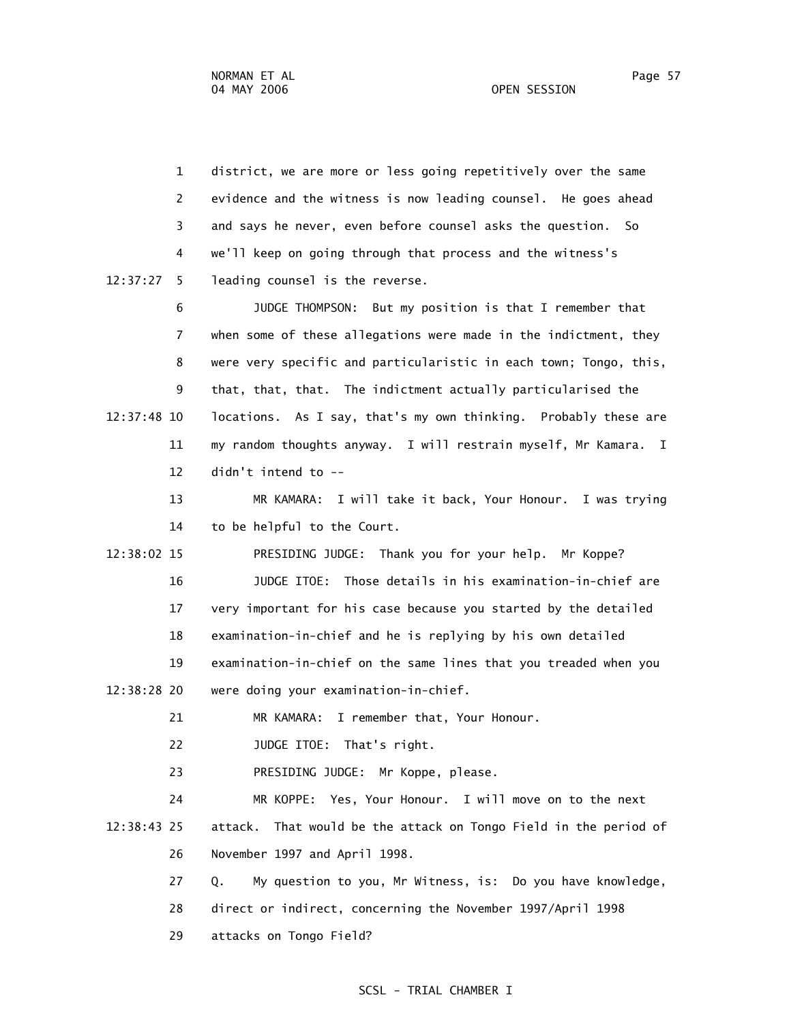| $\mathbf{1}$   | district, we are more or less going repetitively over the same                |
|----------------|-------------------------------------------------------------------------------|
| 2              | evidence and the witness is now leading counsel. He goes ahead                |
| 3              | and says he never, even before counsel asks the question. So                  |
| 4              | we'll keep on going through that process and the witness's                    |
| 12:37:27<br>5. | leading counsel is the reverse.                                               |
| 6              | JUDGE THOMPSON: But my position is that I remember that                       |
| 7              | when some of these allegations were made in the indictment, they              |
| 8              | were very specific and particularistic in each town; Tongo, this,             |
| 9              | that, that, that. The indictment actually particularised the                  |
| 12:37:48 10    | locations. As I say, that's my own thinking. Probably these are               |
| 11             | my random thoughts anyway. I will restrain myself, Mr Kamara.<br>$\mathbf{I}$ |
| 12             | didn't intend to --                                                           |
| 13             | MR KAMARA: I will take it back, Your Honour. I was trying                     |
| 14             | to be helpful to the Court.                                                   |
| 12:38:02 15    | PRESIDING JUDGE: Thank you for your help. Mr Koppe?                           |
| 16             | JUDGE ITOE: Those details in his examination-in-chief are                     |
| 17             | very important for his case because you started by the detailed               |
| 18             | examination-in-chief and he is replying by his own detailed                   |
| 19             | examination-in-chief on the same lines that you treaded when you              |
| 12:38:28 20    | were doing your examination-in-chief.                                         |
| 21             | I remember that, Your Honour.<br>MR KAMARA:                                   |
| 22             | JUDGE ITOE: That's right.                                                     |
| 23             | PRESIDING JUDGE: Mr Koppe, please.                                            |
| 24             | MR KOPPE: Yes, Your Honour. I will move on to the next                        |
| 12:38:43 25    | attack. That would be the attack on Tongo Field in the period of              |
| 26             | November 1997 and April 1998.                                                 |
| 27             | My question to you, Mr Witness, is: Do you have knowledge,<br>Q.              |
| 28             | direct or indirect, concerning the November 1997/April 1998                   |
|                |                                                                               |

29 attacks on Tongo Field?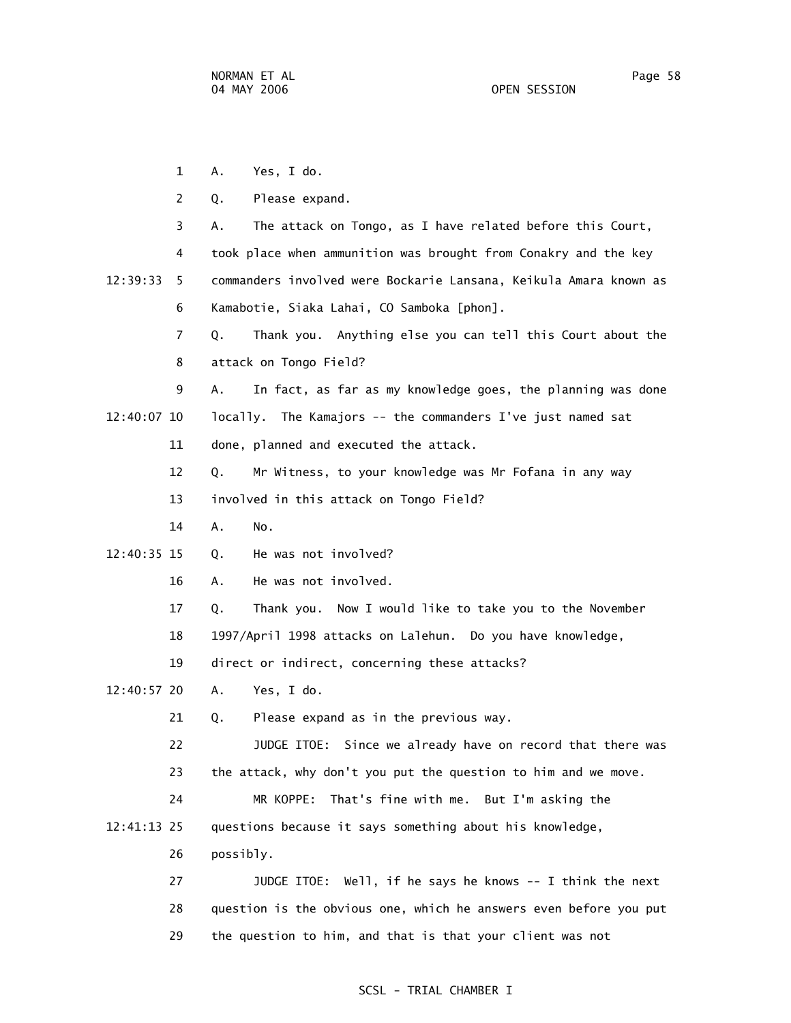1 A. Yes, I do. 2 Q. Please expand. 3 A. The attack on Tongo, as I have related before this Court, 4 took place when ammunition was brought from Conakry and the key 12:39:33 5 commanders involved were Bockarie Lansana, Keikula Amara known as 6 Kamabotie, Siaka Lahai, CO Samboka [phon]. 7 Q. Thank you. Anything else you can tell this Court about the 8 attack on Tongo Field? 9 A. In fact, as far as my knowledge goes, the planning was done 12:40:07 10 locally. The Kamajors -- the commanders I've just named sat 11 done, planned and executed the attack. 12 Q. Mr Witness, to your knowledge was Mr Fofana in any way 13 involved in this attack on Tongo Field? 14 A. No. 12:40:35 15 Q. He was not involved? 16 A. He was not involved. 17 Q. Thank you. Now I would like to take you to the November 18 1997/April 1998 attacks on Lalehun. Do you have knowledge, 19 direct or indirect, concerning these attacks? 12:40:57 20 A. Yes, I do. 21 Q. Please expand as in the previous way. 22 JUDGE ITOE: Since we already have on record that there was 23 the attack, why don't you put the question to him and we move. 24 MR KOPPE: That's fine with me. But I'm asking the 12:41:13 25 questions because it says something about his knowledge, 26 possibly. 27 JUDGE ITOE: Well, if he says he knows -- I think the next 28 question is the obvious one, which he answers even before you put 29 the question to him, and that is that your client was not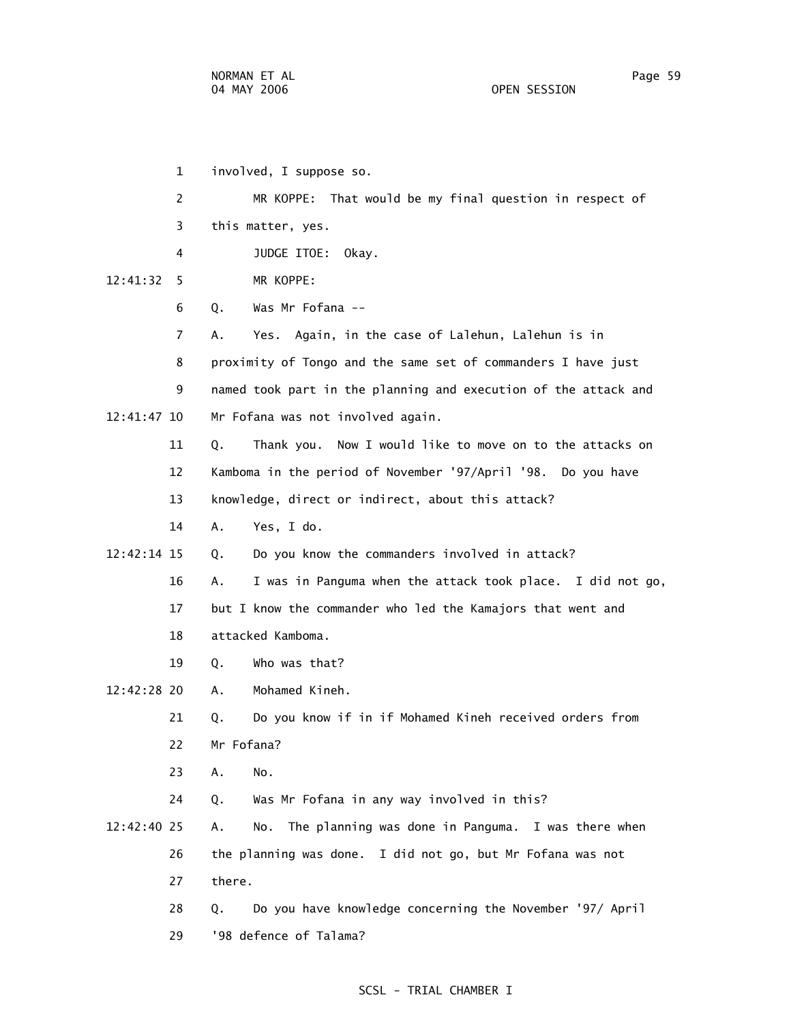| $\mathbf 1$    | involved, I suppose so.                                          |
|----------------|------------------------------------------------------------------|
| $\overline{c}$ | That would be my final question in respect of<br>MR KOPPE:       |
| 3              | this matter, yes.                                                |
| 4              | JUDGE ITOE:<br>Okay.                                             |
| 12:41:32<br>5. | MR KOPPE:                                                        |
| 6              | Was Mr Fofana --<br>Q.                                           |
| $\overline{7}$ | Yes. Again, in the case of Lalehun, Lalehun is in<br>А.          |
| 8              | proximity of Tongo and the same set of commanders I have just    |
| 9              | named took part in the planning and execution of the attack and  |
| 12:41:47 10    | Mr Fofana was not involved again.                                |
| 11             | Thank you. Now I would like to move on to the attacks on<br>Q.   |
| 12             | Kamboma in the period of November '97/April '98. Do you have     |
| 13             | knowledge, direct or indirect, about this attack?                |
| 14             | Yes, I do.<br>А.                                                 |
| 12:42:14 15    | Do you know the commanders involved in attack?<br>Q.             |
| 16             | I was in Panguma when the attack took place. I did not go,<br>Α. |
| 17             | but I know the commander who led the Kamajors that went and      |
| 18             | attacked Kamboma.                                                |
| 19             | Who was that?<br>Q.                                              |
| 12:42:28 20    | Mohamed Kineh.<br>Α.                                             |
| 21             | Do you know if in if Mohamed Kineh received orders from<br>Q.    |
| 22             | Mr Fofana?                                                       |
| 23             | No.<br>Α.                                                        |
| 24             | Was Mr Fofana in any way involved in this?<br>Q.                 |
| 12:42:40 25    | The planning was done in Panguma. I was there when<br>Α.<br>No.  |
| 26             | the planning was done. I did not go, but Mr Fofana was not       |
| 27             | there.                                                           |
| 28             | Do you have knowledge concerning the November '97/ April<br>Q.   |
| 29             | '98 defence of Talama?                                           |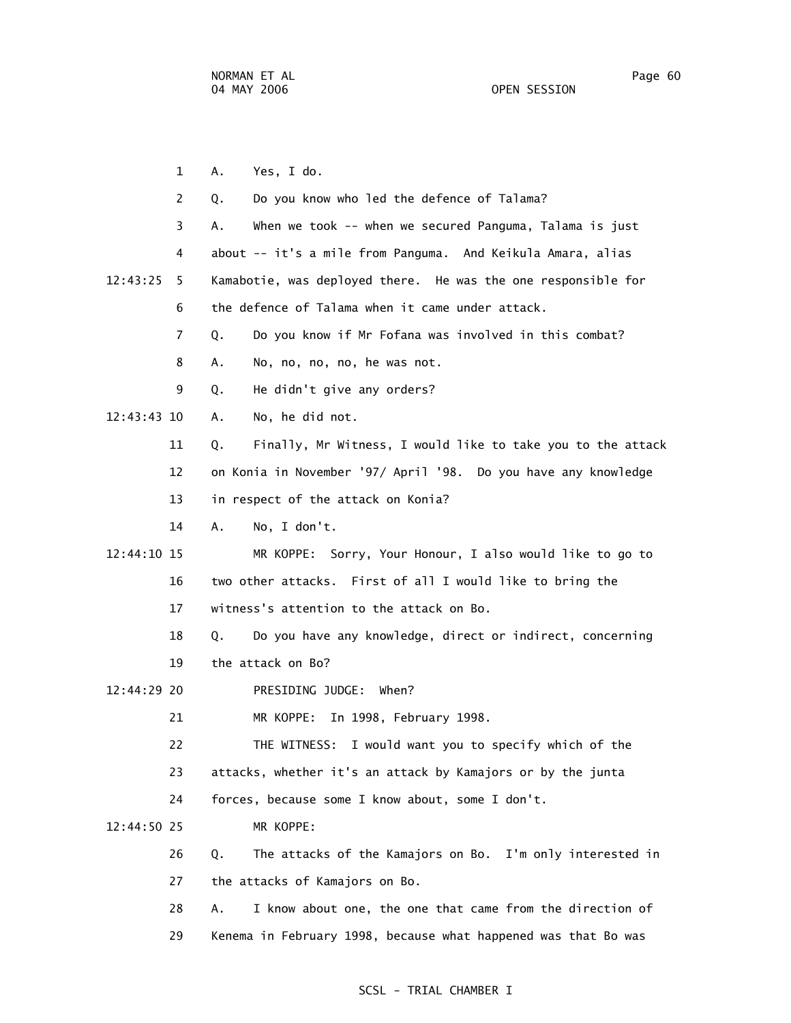1 A. Yes, I do. 2 Q. Do you know who led the defence of Talama? 3 A. When we took -- when we secured Panguma, Talama is just 4 about -- it's a mile from Panguma. And Keikula Amara, alias 12:43:25 5 Kamabotie, was deployed there. He was the one responsible for 6 the defence of Talama when it came under attack. 7 Q. Do you know if Mr Fofana was involved in this combat? 8 A. No, no, no, no, he was not. 9 Q. He didn't give any orders? 12:43:43 10 A. No, he did not. 11 Q. Finally, Mr Witness, I would like to take you to the attack 12 on Konia in November '97/ April '98. Do you have any knowledge 13 in respect of the attack on Konia? 14 A. No, I don't. 12:44:10 15 MR KOPPE: Sorry, Your Honour, I also would like to go to 16 two other attacks. First of all I would like to bring the 17 witness's attention to the attack on Bo. 18 Q. Do you have any knowledge, direct or indirect, concerning 19 the attack on Bo? 12:44:29 20 PRESIDING JUDGE: When? 21 MR KOPPE: In 1998, February 1998. 22 THE WITNESS: I would want you to specify which of the 23 attacks, whether it's an attack by Kamajors or by the junta 24 forces, because some I know about, some I don't. 12:44:50 25 MR KOPPE: 26 Q. The attacks of the Kamajors on Bo. I'm only interested in 27 the attacks of Kamajors on Bo. 28 A. I know about one, the one that came from the direction of 29 Kenema in February 1998, because what happened was that Bo was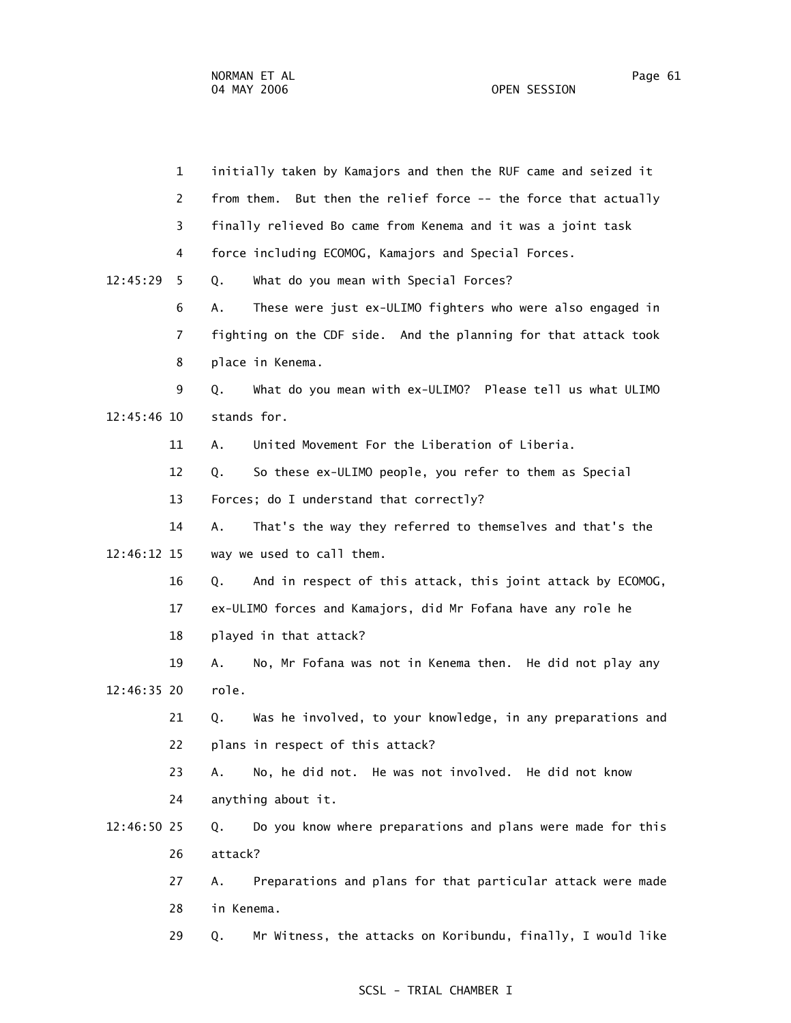1 initially taken by Kamajors and then the RUF came and seized it 2 from them. But then the relief force -- the force that actually 3 finally relieved Bo came from Kenema and it was a joint task 4 force including ECOMOG, Kamajors and Special Forces. 12:45:29 5 Q. What do you mean with Special Forces? 6 A. These were just ex-ULIMO fighters who were also engaged in 7 fighting on the CDF side. And the planning for that attack took 8 place in Kenema. 9 Q. What do you mean with ex-ULIMO? Please tell us what ULIMO 12:45:46 10 stands for. 11 A. United Movement For the Liberation of Liberia. 12 Q. So these ex-ULIMO people, you refer to them as Special 13 Forces; do I understand that correctly? 14 A. That's the way they referred to themselves and that's the 12:46:12 15 way we used to call them. 16 Q. And in respect of this attack, this joint attack by ECOMOG, 17 ex-ULIMO forces and Kamajors, did Mr Fofana have any role he 18 played in that attack? 19 A. No, Mr Fofana was not in Kenema then. He did not play any 12:46:35 20 role. 21 Q. Was he involved, to your knowledge, in any preparations and 22 plans in respect of this attack? 23 A. No, he did not. He was not involved. He did not know 24 anything about it. 12:46:50 25 Q. Do you know where preparations and plans were made for this 26 attack? 27 A. Preparations and plans for that particular attack were made 28 in Kenema. 29 Q. Mr Witness, the attacks on Koribundu, finally, I would like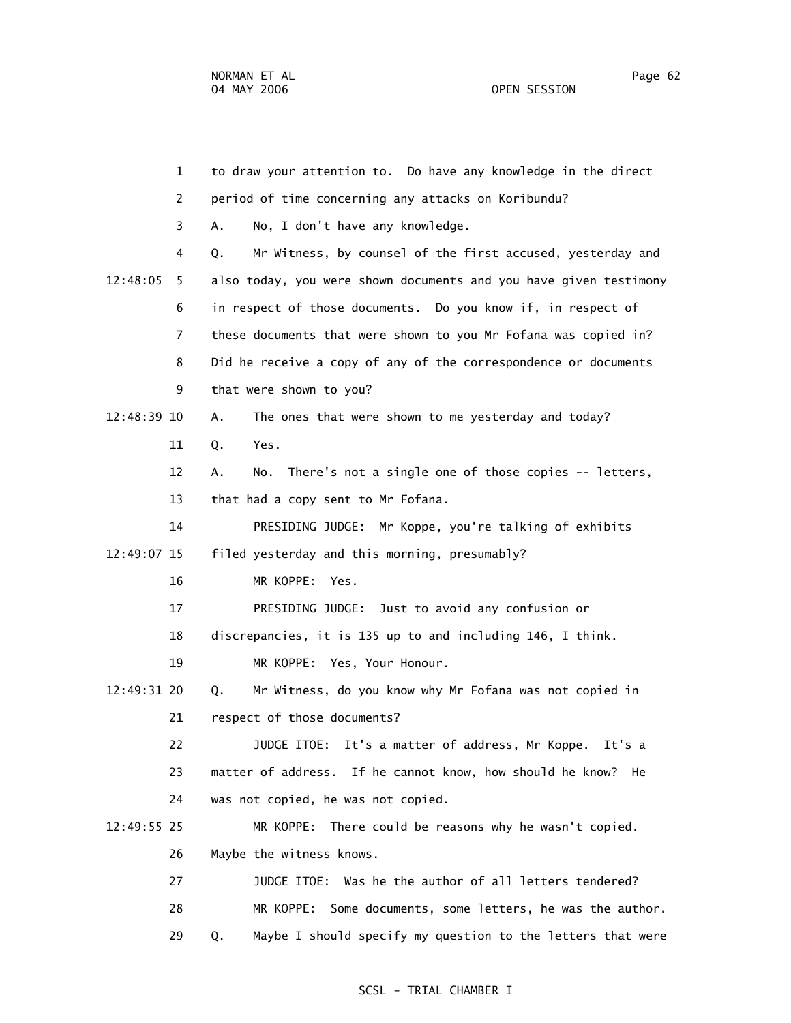1 to draw your attention to. Do have any knowledge in the direct 2 period of time concerning any attacks on Koribundu? 3 A. No, I don't have any knowledge. 4 Q. Mr Witness, by counsel of the first accused, yesterday and 12:48:05 5 also today, you were shown documents and you have given testimony 6 in respect of those documents. Do you know if, in respect of 7 these documents that were shown to you Mr Fofana was copied in? 8 Did he receive a copy of any of the correspondence or documents 9 that were shown to you? 12:48:39 10 A. The ones that were shown to me yesterday and today? 11 Q. Yes. 12 A. No. There's not a single one of those copies -- letters, 13 that had a copy sent to Mr Fofana. 14 PRESIDING JUDGE: Mr Koppe, you're talking of exhibits 12:49:07 15 filed yesterday and this morning, presumably? 16 MR KOPPE: Yes. 17 PRESIDING JUDGE: Just to avoid any confusion or 18 discrepancies, it is 135 up to and including 146, I think. 19 MR KOPPE: Yes, Your Honour. 12:49:31 20 Q. Mr Witness, do you know why Mr Fofana was not copied in 21 respect of those documents? 22 JUDGE ITOE: It's a matter of address, Mr Koppe. It's a 23 matter of address. If he cannot know, how should he know? He 24 was not copied, he was not copied. 12:49:55 25 MR KOPPE: There could be reasons why he wasn't copied. 26 Maybe the witness knows. 27 JUDGE ITOE: Was he the author of all letters tendered? 28 MR KOPPE: Some documents, some letters, he was the author.

# SCSL - TRIAL CHAMBER I

29 Q. Maybe I should specify my question to the letters that were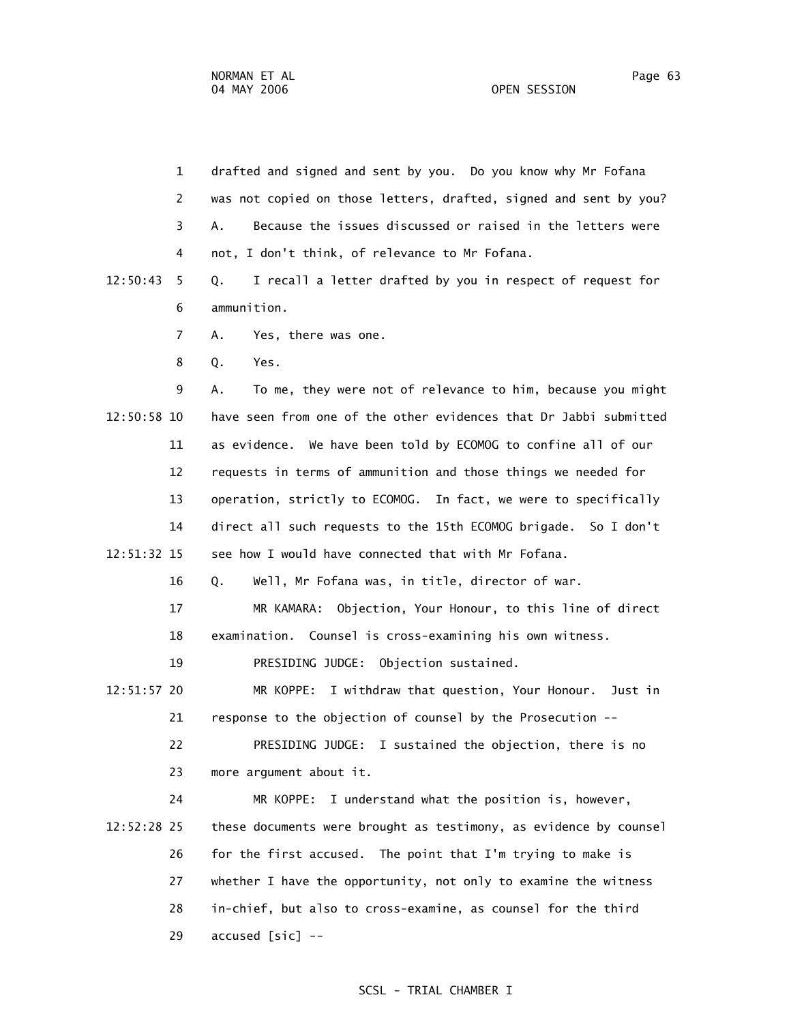29 accused [sic] --

| $\mathbf{1}$   | drafted and signed and sent by you. Do you know why Mr Fofana     |
|----------------|-------------------------------------------------------------------|
| 2              | was not copied on those letters, drafted, signed and sent by you? |
| 3              | Because the issues discussed or raised in the letters were<br>А.  |
| 4              | not, I don't think, of relevance to Mr Fofana.                    |
| 12:50:43<br>5  | I recall a letter drafted by you in respect of request for<br>Q.  |
| 6              | ammunition.                                                       |
| $\overline{7}$ | А.<br>Yes, there was one.                                         |
| 8              | Q.<br>Yes.                                                        |
| 9              | To me, they were not of relevance to him, because you might<br>Α. |
| 12:50:58 10    | have seen from one of the other evidences that Dr Jabbi submitted |
| 11             | as evidence. We have been told by ECOMOG to confine all of our    |
| 12             | requests in terms of ammunition and those things we needed for    |
| 13             | operation, strictly to ECOMOG. In fact, we were to specifically   |
| 14             | direct all such requests to the 15th ECOMOG brigade. So I don't   |
| 12:51:32 15    | see how I would have connected that with Mr Fofana.               |
| 16             | Well, Mr Fofana was, in title, director of war.<br>Q.             |
| 17             | Objection, Your Honour, to this line of direct<br>MR KAMARA:      |
| 18             | examination. Counsel is cross-examining his own witness.          |
| 19             | PRESIDING JUDGE: Objection sustained.                             |
| 12:51:57 20    | MR KOPPE: I withdraw that question, Your Honour. Just in          |
| 21             | response to the objection of counsel by the Prosecution --        |
| 22             | PRESIDING JUDGE: I sustained the objection, there is no           |
| 23             | more argument about it.                                           |
| 24             | I understand what the position is, however,<br>MR KOPPE:          |
| 12:52:28 25    | these documents were brought as testimony, as evidence by counsel |
| 26             | for the first accused. The point that I'm trying to make is       |
| 27             | whether I have the opportunity, not only to examine the witness   |
| 28             | in-chief, but also to cross-examine, as counsel for the third     |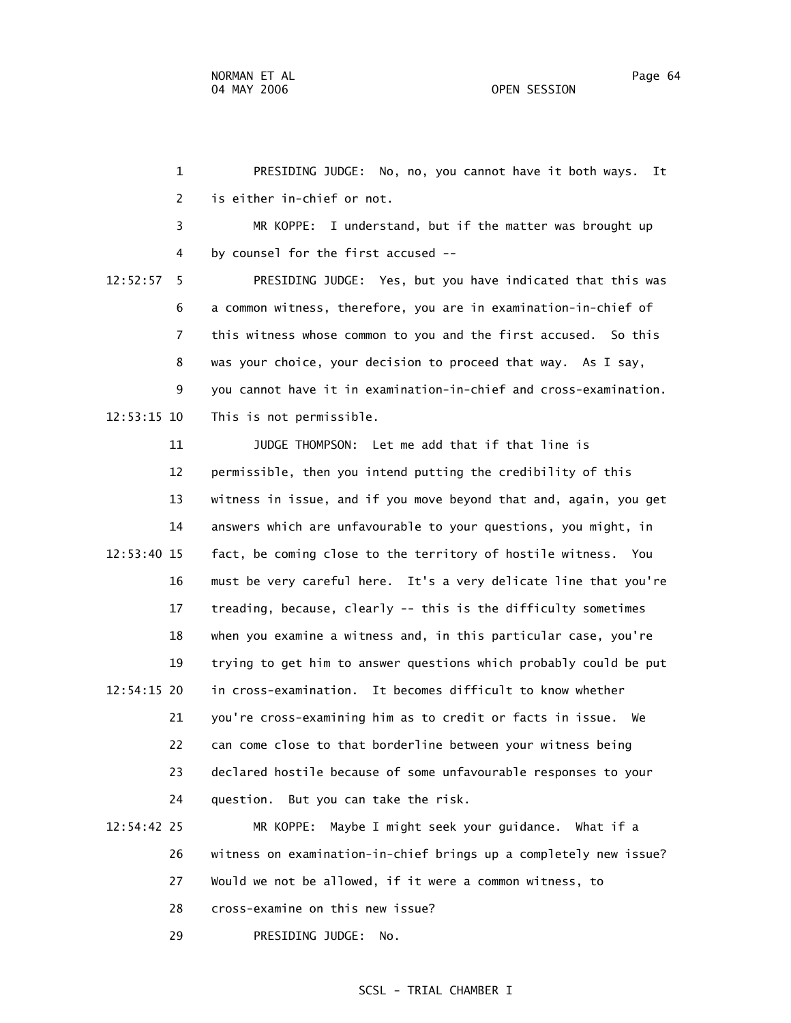1 PRESIDING JUDGE: No, no, you cannot have it both ways. It 2 is either in-chief or not. 3 MR KOPPE: I understand, but if the matter was brought up 4 by counsel for the first accused -- 12:52:57 5 PRESIDING JUDGE: Yes, but you have indicated that this was 6 a common witness, therefore, you are in examination-in-chief of 7 this witness whose common to you and the first accused. So this 8 was your choice, your decision to proceed that way. As I say, 9 you cannot have it in examination-in-chief and cross-examination. 12:53:15 10 This is not permissible. 11 JUDGE THOMPSON: Let me add that if that line is 12 permissible, then you intend putting the credibility of this 13 witness in issue, and if you move beyond that and, again, you get 14 answers which are unfavourable to your questions, you might, in 12:53:40 15 fact, be coming close to the territory of hostile witness. You 16 must be very careful here. It's a very delicate line that you're 17 treading, because, clearly -- this is the difficulty sometimes 18 when you examine a witness and, in this particular case, you're 19 trying to get him to answer questions which probably could be put 12:54:15 20 in cross-examination. It becomes difficult to know whether 21 you're cross-examining him as to credit or facts in issue. We 22 can come close to that borderline between your witness being 23 declared hostile because of some unfavourable responses to your 24 question. But you can take the risk.

 12:54:42 25 MR KOPPE: Maybe I might seek your guidance. What if a 26 witness on examination-in-chief brings up a completely new issue? 27 Would we not be allowed, if it were a common witness, to 28 cross-examine on this new issue? 29 PRESIDING JUDGE: No.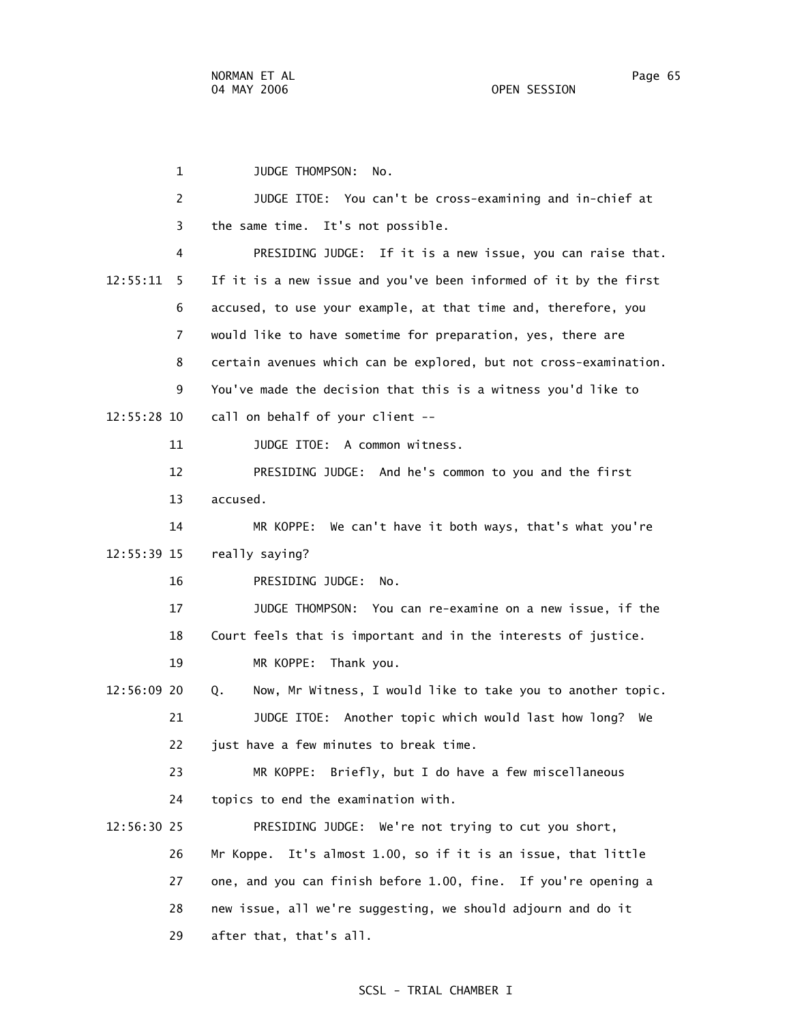1 JUDGE THOMPSON: No. 2 JUDGE ITOE: You can't be cross-examining and in-chief at 3 the same time. It's not possible. 4 PRESIDING JUDGE: If it is a new issue, you can raise that. 12:55:11 5 If it is a new issue and you've been informed of it by the first 6 accused, to use your example, at that time and, therefore, you 7 would like to have sometime for preparation, yes, there are 8 certain avenues which can be explored, but not cross-examination. 9 You've made the decision that this is a witness you'd like to 12:55:28 10 call on behalf of your client -- 11 JUDGE ITOE: A common witness. 12 PRESIDING JUDGE: And he's common to you and the first 13 accused. 14 MR KOPPE: We can't have it both ways, that's what you're 12:55:39 15 really saying? 16 PRESIDING JUDGE: No. 17 JUDGE THOMPSON: You can re-examine on a new issue, if the 18 Court feels that is important and in the interests of justice. 19 MR KOPPE: Thank you. 12:56:09 20 Q. Now, Mr Witness, I would like to take you to another topic. 21 JUDGE ITOE: Another topic which would last how long? We 22 just have a few minutes to break time. 23 MR KOPPE: Briefly, but I do have a few miscellaneous 24 topics to end the examination with. 12:56:30 25 PRESIDING JUDGE: We're not trying to cut you short, 26 Mr Koppe. It's almost 1.00, so if it is an issue, that little 27 one, and you can finish before 1.00, fine. If you're opening a 28 new issue, all we're suggesting, we should adjourn and do it 29 after that, that's all.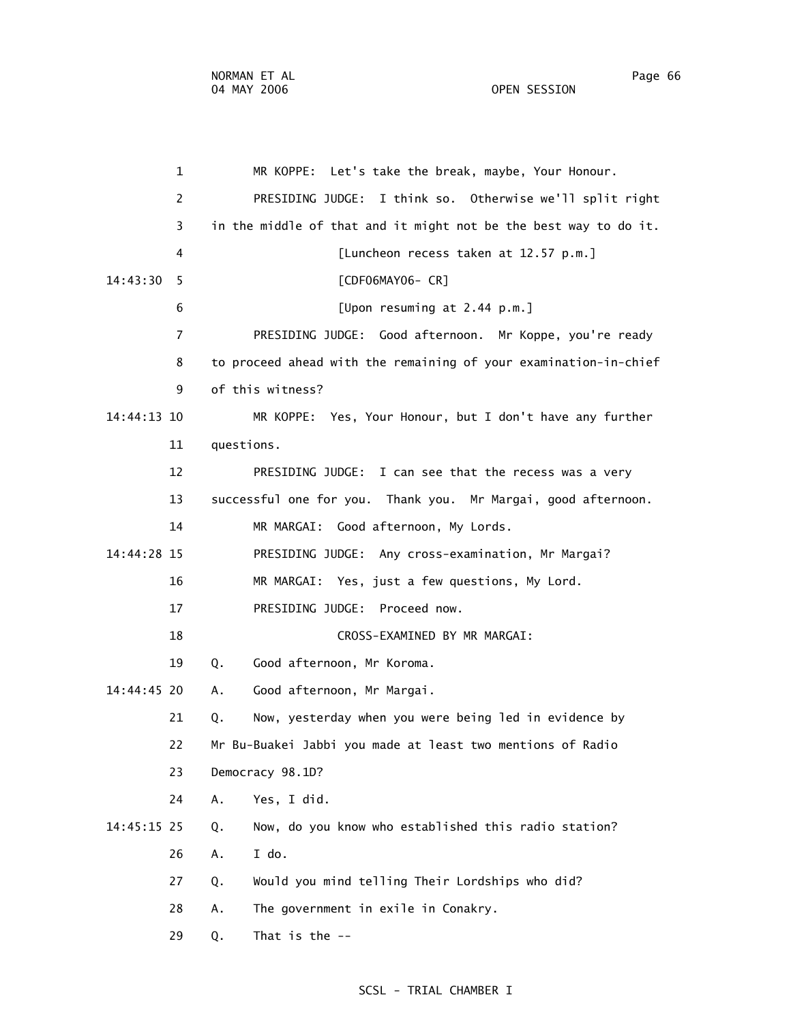1 MR KOPPE: Let's take the break, maybe, Your Honour. 2 PRESIDING JUDGE: I think so. Otherwise we'll split right 3 in the middle of that and it might not be the best way to do it. 4 [Luncheon recess taken at 12.57 p.m.] 14:43:30 5 [CDF06MAY06- CR] 6 [Upon resuming at 2.44 p.m.] 7 PRESIDING JUDGE: Good afternoon. Mr Koppe, you're ready 8 to proceed ahead with the remaining of your examination-in-chief 9 of this witness? 14:44:13 10 MR KOPPE: Yes, Your Honour, but I don't have any further 11 questions. 12 PRESIDING JUDGE: I can see that the recess was a very 13 successful one for you. Thank you. Mr Margai, good afternoon. 14 MR MARGAI: Good afternoon, My Lords. 14:44:28 15 PRESIDING JUDGE: Any cross-examination, Mr Margai? 16 MR MARGAI: Yes, just a few questions, My Lord. 17 PRESIDING JUDGE: Proceed now. 18 CROSS-EXAMINED BY MR MARGAI: 19 Q. Good afternoon, Mr Koroma. 14:44:45 20 A. Good afternoon, Mr Margai. 21 Q. Now, yesterday when you were being led in evidence by 22 Mr Bu-Buakei Jabbi you made at least two mentions of Radio 23 Democracy 98.1D? 24 A. Yes, I did. 14:45:15 25 Q. Now, do you know who established this radio station? 26 A. I do. 27 Q. Would you mind telling Their Lordships who did? 28 A. The government in exile in Conakry. 29 Q. That is the --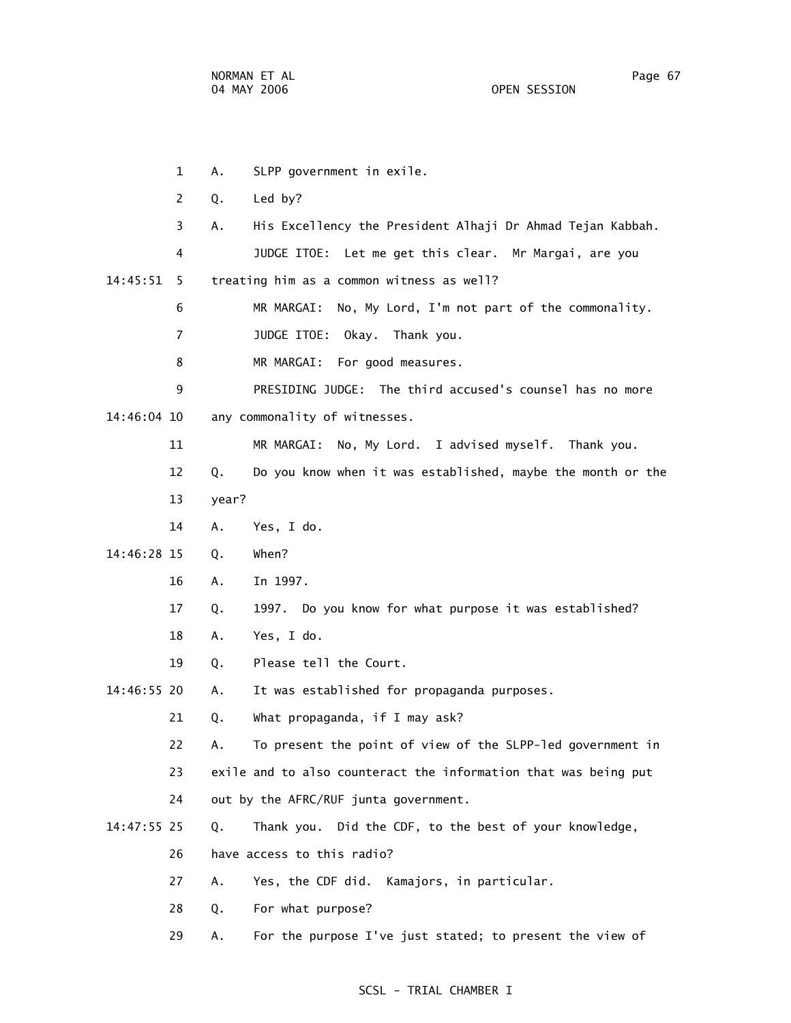1 A. SLPP government in exile. 2 Q. Led by? 3 A. His Excellency the President Alhaji Dr Ahmad Tejan Kabbah. 4 JUDGE ITOE: Let me get this clear. Mr Margai, are you 14:45:51 5 treating him as a common witness as well? 6 MR MARGAI: No, My Lord, I'm not part of the commonality. 7 JUDGE ITOE: Okay. Thank you. 8 MR MARGAI: For good measures. 9 PRESIDING JUDGE: The third accused's counsel has no more 14:46:04 10 any commonality of witnesses. 11 MR MARGAI: No, My Lord. I advised myself. Thank you. 12 Q. Do you know when it was established, maybe the month or the 13 year? 14 A. Yes, I do. 14:46:28 15 Q. When? 16 A. In 1997. 17 Q. 1997. Do you know for what purpose it was established? 18 A. Yes, I do. 19 Q. Please tell the Court. 14:46:55 20 A. It was established for propaganda purposes. 21 Q. What propaganda, if I may ask? 22 A. To present the point of view of the SLPP-led government in 23 exile and to also counteract the information that was being put 24 out by the AFRC/RUF junta government. 14:47:55 25 Q. Thank you. Did the CDF, to the best of your knowledge, 26 have access to this radio? 27 A. Yes, the CDF did. Kamajors, in particular. 28 Q. For what purpose?

29 A. For the purpose I've just stated; to present the view of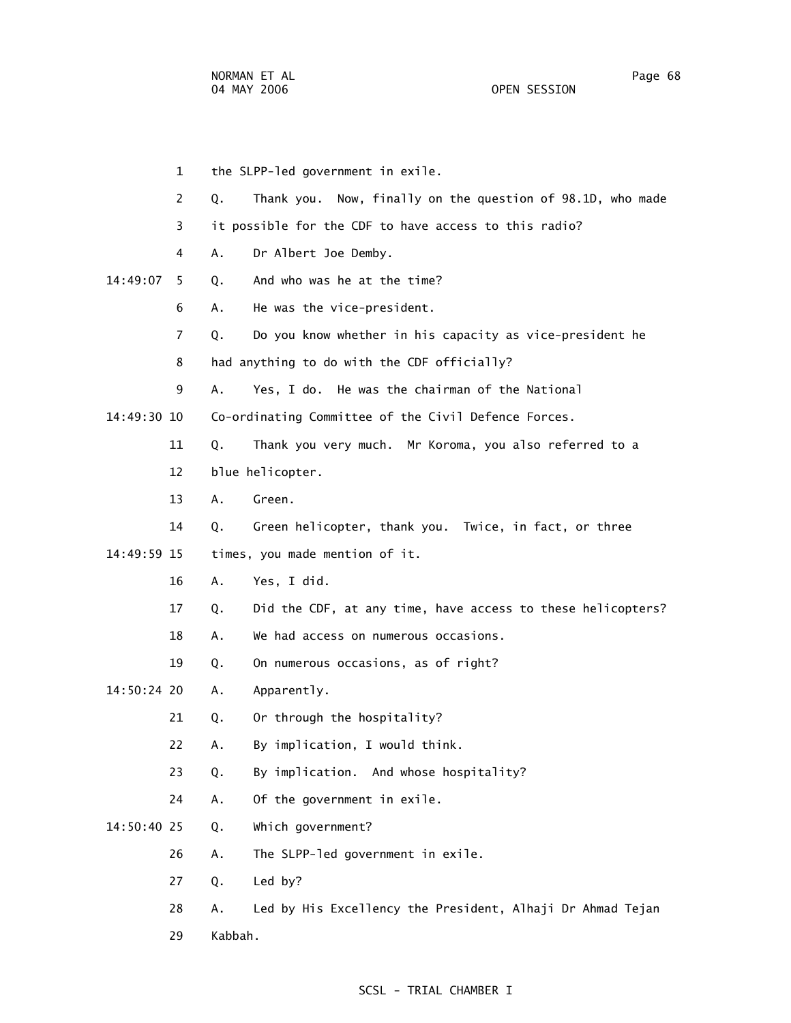1 the SLPP-led government in exile. 2 Q. Thank you. Now, finally on the question of 98.1D, who made 3 it possible for the CDF to have access to this radio? 4 A. Dr Albert Joe Demby. 14:49:07 5 Q. And who was he at the time? 6 A. He was the vice-president.

- 7 Q. Do you know whether in his capacity as vice-president he
- 8 had anything to do with the CDF officially?

9 A. Yes, I do. He was the chairman of the National

14:49:30 10 Co-ordinating Committee of the Civil Defence Forces.

11 Q. Thank you very much. Mr Koroma, you also referred to a

- 12 blue helicopter.
- 13 A. Green.
- 14 Q. Green helicopter, thank you. Twice, in fact, or three

14:49:59 15 times, you made mention of it.

- 16 A. Yes, I did.
- 17 Q. Did the CDF, at any time, have access to these helicopters?
- 18 A. We had access on numerous occasions.
- 19 Q. On numerous occasions, as of right?

14:50:24 20 A. Apparently.

- 21 Q. Or through the hospitality?
- 22 A. By implication, I would think.
- 23 Q. By implication. And whose hospitality?
- 24 A. Of the government in exile.
- 14:50:40 25 Q. Which government?
	- 26 A. The SLPP-led government in exile.
	- 27 Q. Led by?
	- 28 A. Led by His Excellency the President, Alhaji Dr Ahmad Tejan
	- 29 Kabbah.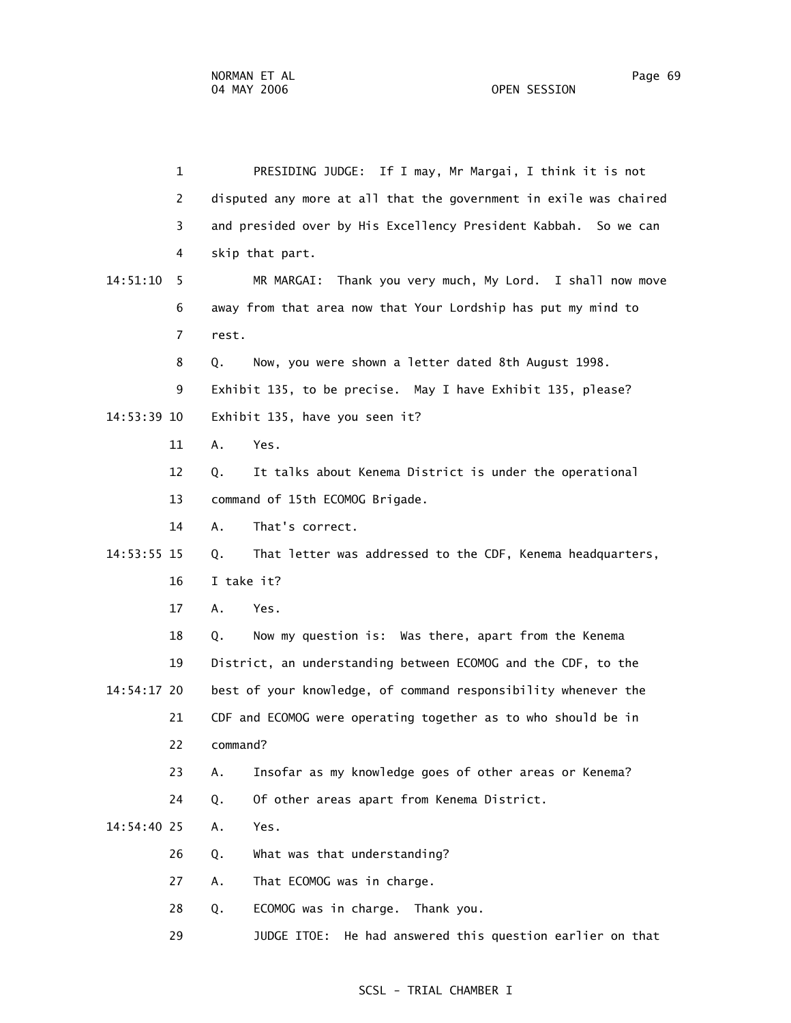1 PRESIDING JUDGE: If I may, Mr Margai, I think it is not 2 disputed any more at all that the government in exile was chaired 3 and presided over by His Excellency President Kabbah. So we can 4 skip that part. 14:51:10 5 MR MARGAI: Thank you very much, My Lord. I shall now move 6 away from that area now that Your Lordship has put my mind to 7 rest. 8 Q. Now, you were shown a letter dated 8th August 1998. 9 Exhibit 135, to be precise. May I have Exhibit 135, please? 14:53:39 10 Exhibit 135, have you seen it? 11 A. Yes. 12 Q. It talks about Kenema District is under the operational 13 command of 15th ECOMOG Brigade. 14 A. That's correct. 14:53:55 15 Q. That letter was addressed to the CDF, Kenema headquarters, 16 I take it? 17 A. Yes. 18 Q. Now my question is: Was there, apart from the Kenema 19 District, an understanding between ECOMOG and the CDF, to the 14:54:17 20 best of your knowledge, of command responsibility whenever the 21 CDF and ECOMOG were operating together as to who should be in 22 command? 23 A. Insofar as my knowledge goes of other areas or Kenema? 24 Q. Of other areas apart from Kenema District. 14:54:40 25 A. Yes. 26 Q. What was that understanding? 27 A. That ECOMOG was in charge. 28 Q. ECOMOG was in charge. Thank you. 29 JUDGE ITOE: He had answered this question earlier on that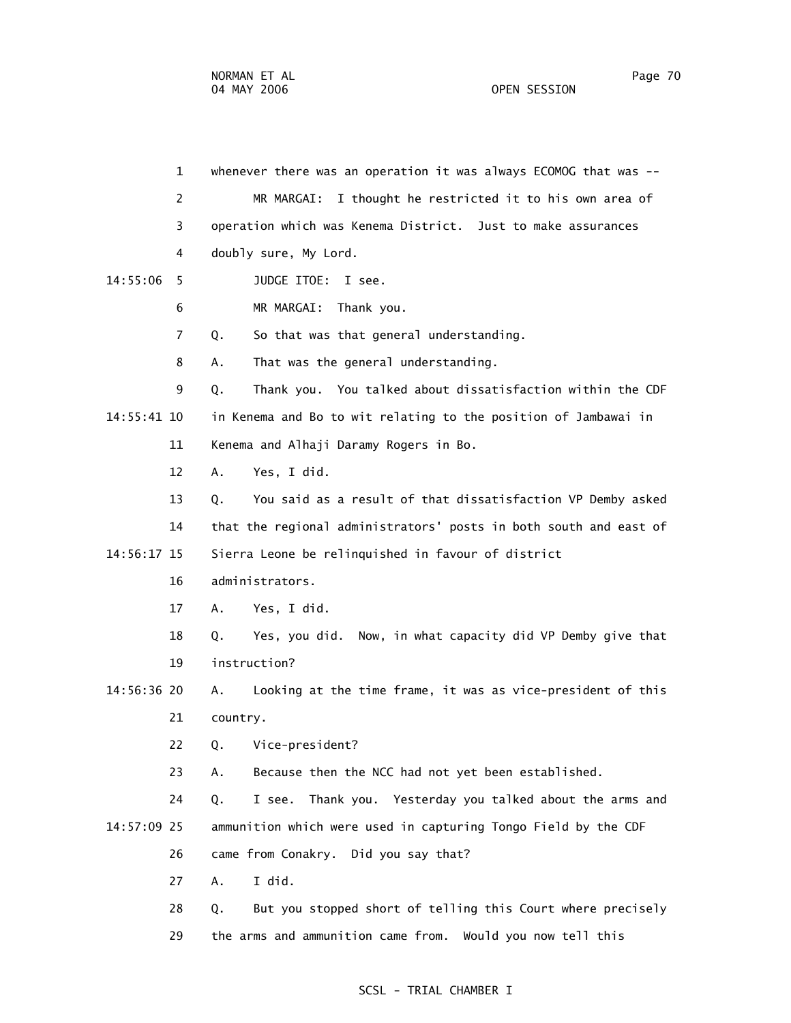1 whenever there was an operation it was always ECOMOG that was -- 2 MR MARGAI: I thought he restricted it to his own area of 3 operation which was Kenema District. Just to make assurances 4 doubly sure, My Lord. 14:55:06 5 JUDGE ITOE: I see. 6 MR MARGAI: Thank you. 7 Q. So that was that general understanding. 8 A. That was the general understanding. 9 Q. Thank you. You talked about dissatisfaction within the CDF 14:55:41 10 in Kenema and Bo to wit relating to the position of Jambawai in 11 Kenema and Alhaji Daramy Rogers in Bo. 12 A. Yes, I did. 13 Q. You said as a result of that dissatisfaction VP Demby asked 14 that the regional administrators' posts in both south and east of 14:56:17 15 Sierra Leone be relinquished in favour of district 16 administrators. 17 A. Yes, I did. 18 Q. Yes, you did. Now, in what capacity did VP Demby give that 19 instruction? 14:56:36 20 A. Looking at the time frame, it was as vice-president of this 21 country. 22 Q. Vice-president? 23 A. Because then the NCC had not yet been established. 24 Q. I see. Thank you. Yesterday you talked about the arms and 14:57:09 25 ammunition which were used in capturing Tongo Field by the CDF 26 came from Conakry. Did you say that? 27 A. I did. 28 Q. But you stopped short of telling this Court where precisely 29 the arms and ammunition came from. Would you now tell this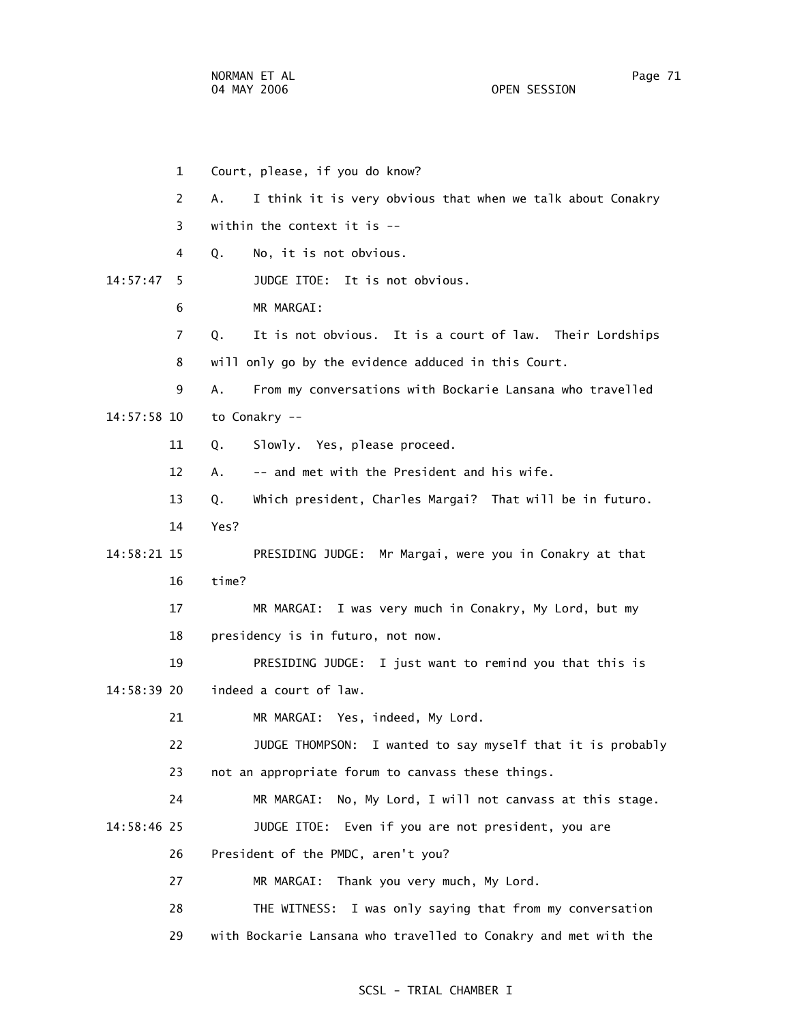1 Court, please, if you do know? 2 A. I think it is very obvious that when we talk about Conakry 3 within the context it is -- 4 Q. No, it is not obvious. 14:57:47 5 JUDGE ITOE: It is not obvious. 6 MR MARGAI: 7 Q. It is not obvious. It is a court of law. Their Lordships 8 will only go by the evidence adduced in this Court. 9 A. From my conversations with Bockarie Lansana who travelled 14:57:58 10 to Conakry -- 11 Q. Slowly. Yes, please proceed. 12 A. -- and met with the President and his wife. 13 Q. Which president, Charles Margai? That will be in futuro. 14 Yes? 14:58:21 15 PRESIDING JUDGE: Mr Margai, were you in Conakry at that 16 time? 17 MR MARGAI: I was very much in Conakry, My Lord, but my 18 presidency is in futuro, not now. 19 PRESIDING JUDGE: I just want to remind you that this is 14:58:39 20 indeed a court of law. 21 MR MARGAI: Yes, indeed, My Lord. 22 JUDGE THOMPSON: I wanted to say myself that it is probably 23 not an appropriate forum to canvass these things. 24 MR MARGAI: No, My Lord, I will not canvass at this stage. 14:58:46 25 JUDGE ITOE: Even if you are not president, you are 26 President of the PMDC, aren't you? 27 MR MARGAI: Thank you very much, My Lord. 28 THE WITNESS: I was only saying that from my conversation 29 with Bockarie Lansana who travelled to Conakry and met with the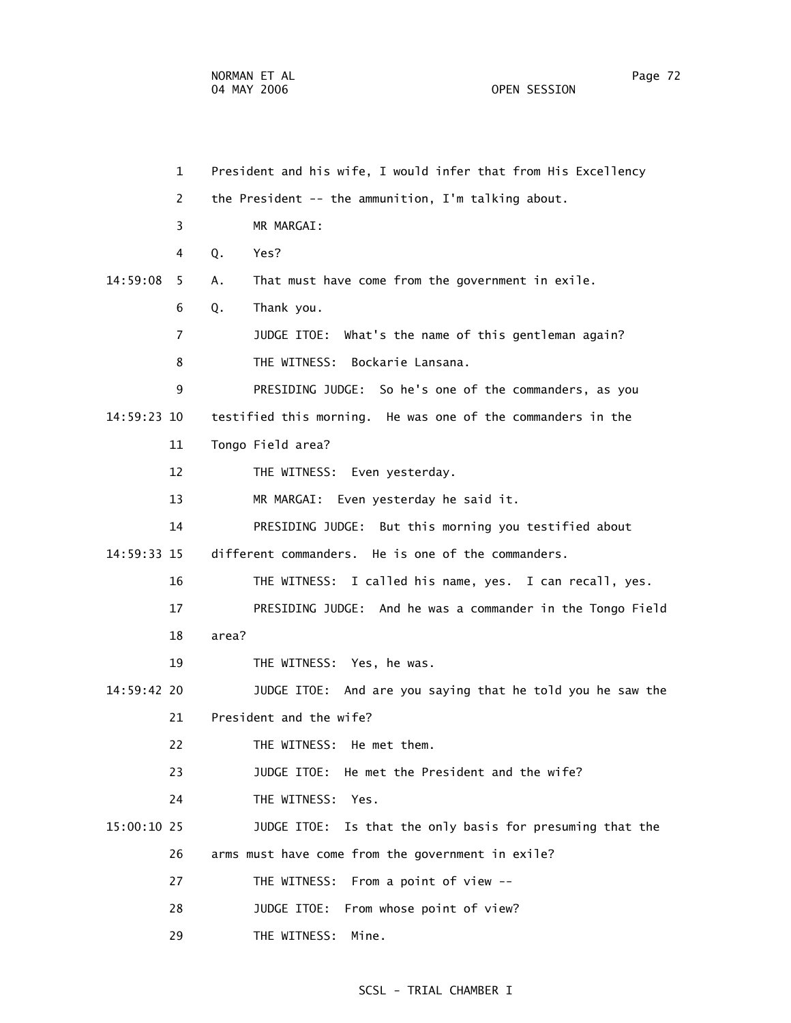1 President and his wife, I would infer that from His Excellency 2 the President -- the ammunition, I'm talking about. 3 MR MARGAI: 4 Q. Yes? 14:59:08 5 A. That must have come from the government in exile. 6 Q. Thank you. 7 JUDGE ITOE: What's the name of this gentleman again? 8 THE WITNESS: Bockarie Lansana. 9 PRESIDING JUDGE: So he's one of the commanders, as you 14:59:23 10 testified this morning. He was one of the commanders in the 11 Tongo Field area? 12 THE WITNESS: Even yesterday. 13 MR MARGAI: Even yesterday he said it. 14 PRESIDING JUDGE: But this morning you testified about 14:59:33 15 different commanders. He is one of the commanders. 16 THE WITNESS: I called his name, yes. I can recall, yes. 17 PRESIDING JUDGE: And he was a commander in the Tongo Field 18 area? 19 THE WITNESS: Yes, he was. 14:59:42 20 JUDGE ITOE: And are you saying that he told you he saw the 21 President and the wife? 22 THE WITNESS: He met them. 23 JUDGE ITOE: He met the President and the wife? 24 THE WITNESS: Yes. 15:00:10 25 JUDGE ITOE: Is that the only basis for presuming that the 26 arms must have come from the government in exile? 27 THE WITNESS: From a point of view -- 28 JUDGE ITOE: From whose point of view? 29 THE WITNESS: Mine.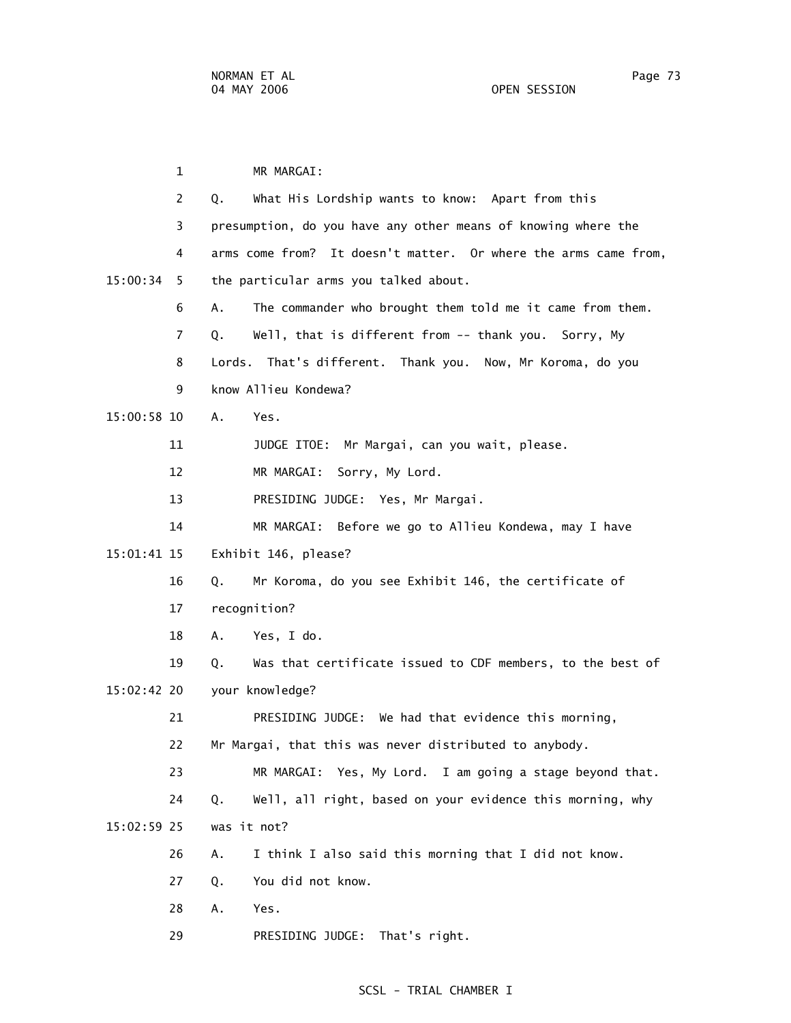1 MR MARGAI: 2 Q. What His Lordship wants to know: Apart from this 3 presumption, do you have any other means of knowing where the 4 arms come from? It doesn't matter. Or where the arms came from, 15:00:34 5 the particular arms you talked about. 6 A. The commander who brought them told me it came from them. 7 Q. Well, that is different from -- thank you. Sorry, My 8 Lords. That's different. Thank you. Now, Mr Koroma, do you 9 know Allieu Kondewa? 15:00:58 10 A. Yes. 11 JUDGE ITOE: Mr Margai, can you wait, please. 12 MR MARGAI: Sorry, My Lord. 13 PRESIDING JUDGE: Yes, Mr Margai. 14 MR MARGAI: Before we go to Allieu Kondewa, may I have 15:01:41 15 Exhibit 146, please? 16 Q. Mr Koroma, do you see Exhibit 146, the certificate of 17 recognition? 18 A. Yes, I do. 19 Q. Was that certificate issued to CDF members, to the best of 15:02:42 20 your knowledge? 21 PRESIDING JUDGE: We had that evidence this morning, 22 Mr Margai, that this was never distributed to anybody. 23 MR MARGAI: Yes, My Lord. I am going a stage beyond that. 24 Q. Well, all right, based on your evidence this morning, why 15:02:59 25 was it not? 26 A. I think I also said this morning that I did not know. 27 Q. You did not know. 28 A. Yes. 29 PRESIDING JUDGE: That's right.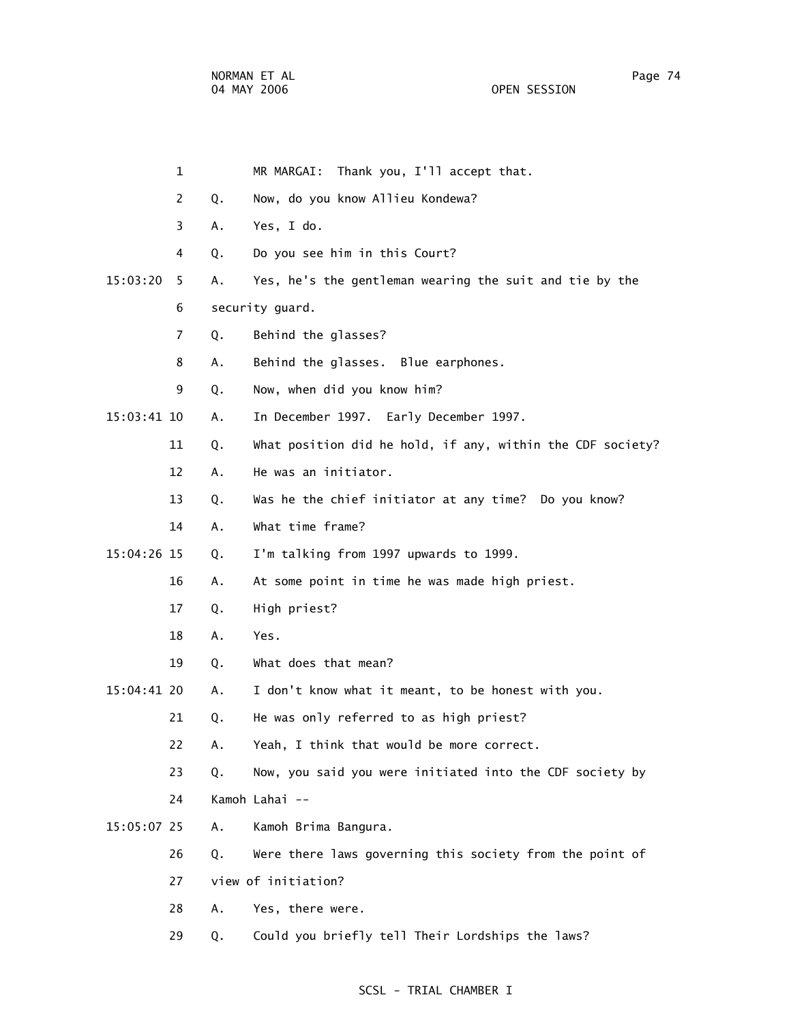|             | 1  |    | MR MARGAI: Thank you, I'll accept that.                    |
|-------------|----|----|------------------------------------------------------------|
|             | 2  | Q. | Now, do you know Allieu Kondewa?                           |
|             | 3  | Α. | Yes, I do.                                                 |
|             | 4  | Q. | Do you see him in this Court?                              |
| 15:03:20    | 5. | Α. | Yes, he's the gentleman wearing the suit and tie by the    |
|             | 6  |    | security guard.                                            |
|             | 7  | Q. | Behind the glasses?                                        |
|             | 8  | Α. | Behind the glasses. Blue earphones.                        |
|             | 9  | Q. | Now, when did you know him?                                |
| 15:03:41 10 |    | Α. | In December 1997. Early December 1997.                     |
|             | 11 | Q. | What position did he hold, if any, within the CDF society? |
|             | 12 | Α. | He was an initiator.                                       |
|             | 13 | Q. | Was he the chief initiator at any time? Do you know?       |
|             | 14 | Α. | What time frame?                                           |
| 15:04:26 15 |    | Q. | I'm talking from 1997 upwards to 1999.                     |
|             | 16 | Α. | At some point in time he was made high priest.             |
|             | 17 | Q. | High priest?                                               |
|             | 18 | Α. | Yes.                                                       |
|             | 19 | Q. | What does that mean?                                       |
| 15:04:41 20 |    | Α. | I don't know what it meant, to be honest with you.         |
|             | 21 | Q. | He was only referred to as high priest?                    |
|             | 22 | Α. | Yeah, I think that would be more correct.                  |
|             | 23 | Q. | Now, you said you were initiated into the CDF society by   |
|             | 24 |    | Kamoh Lahai --                                             |
| 15:05:07 25 |    | Α. | Kamoh Brima Bangura.                                       |
|             | 26 | Q. | Were there laws governing this society from the point of   |
|             | 27 |    | view of initiation?                                        |
|             | 28 | Α. | Yes, there were.                                           |
|             | 29 | Q. | Could you briefly tell Their Lordships the laws?           |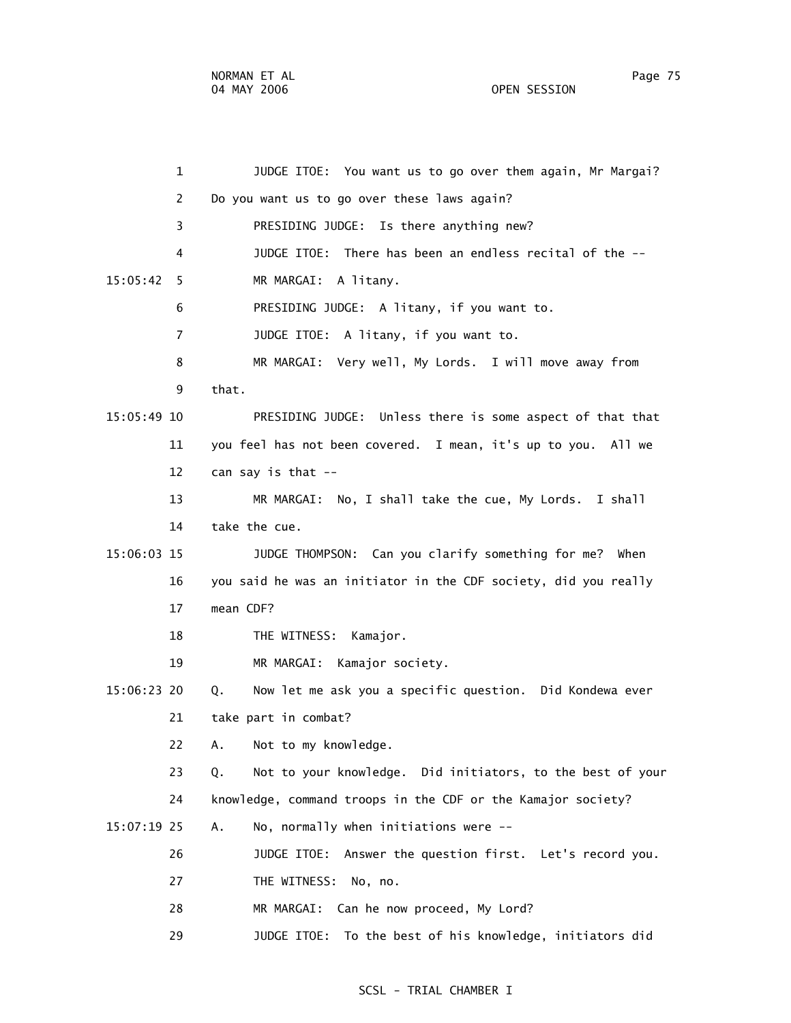1 JUDGE ITOE: You want us to go over them again, Mr Margai? 2 Do you want us to go over these laws again? 3 PRESIDING JUDGE: Is there anything new? 4 JUDGE ITOE: There has been an endless recital of the -- 15:05:42 5 MR MARGAI: A litany. 6 PRESIDING JUDGE: A litany, if you want to. 7 JUDGE ITOE: A litany, if you want to. 8 MR MARGAI: Very well, My Lords. I will move away from 9 that. 15:05:49 10 PRESIDING JUDGE: Unless there is some aspect of that that 11 you feel has not been covered. I mean, it's up to you. All we 12 can say is that -- 13 MR MARGAI: No, I shall take the cue, My Lords. I shall 14 take the cue. 15:06:03 15 JUDGE THOMPSON: Can you clarify something for me? When 16 you said he was an initiator in the CDF society, did you really 17 mean CDF? 18 THE WITNESS: Kamajor. 19 MR MARGAI: Kamajor society. 15:06:23 20 Q. Now let me ask you a specific question. Did Kondewa ever 21 take part in combat? 22 A. Not to my knowledge. 23 Q. Not to your knowledge. Did initiators, to the best of your 24 knowledge, command troops in the CDF or the Kamajor society? 15:07:19 25 A. No, normally when initiations were -- 26 JUDGE ITOE: Answer the question first. Let's record you. 27 THE WITNESS: No, no. 28 MR MARGAI: Can he now proceed, My Lord? 29 JUDGE ITOE: To the best of his knowledge, initiators did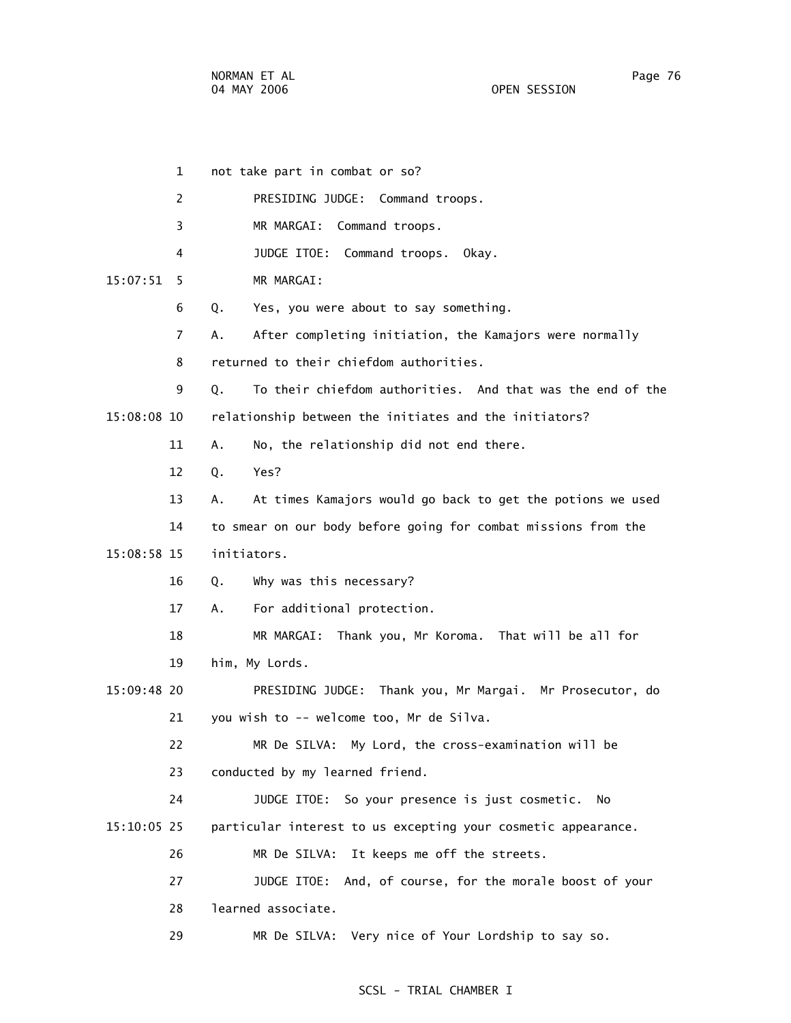|               | 1              | not take part in combat or so?                                   |
|---------------|----------------|------------------------------------------------------------------|
|               | $\overline{2}$ | PRESIDING JUDGE: Command troops.                                 |
|               | 3              | MR MARGAI: Command troops.                                       |
|               | 4              | JUDGE ITOE: Command troops. Okay.                                |
| 15:07:51      | 5              | MR MARGAI:                                                       |
|               | 6              | Yes, you were about to say something.<br>Q.                      |
|               | 7              | After completing initiation, the Kamajors were normally<br>А.    |
|               | 8              | returned to their chiefdom authorities.                          |
|               | 9              | To their chiefdom authorities. And that was the end of the<br>Q. |
| 15:08:08 10   |                | relationship between the initiates and the initiators?           |
|               | 11             | No, the relationship did not end there.<br>Α.                    |
|               | 12             | Yes?<br>Q.                                                       |
|               | 13             | At times Kamajors would go back to get the potions we used<br>А. |
|               | 14             | to smear on our body before going for combat missions from the   |
| 15:08:58 15   |                | initiators.                                                      |
|               | 16             | Why was this necessary?<br>Q.                                    |
|               | 17             | For additional protection.<br>А.                                 |
|               | 18             | MR MARGAI: Thank you, Mr Koroma. That will be all for            |
|               | 19             | him, My Lords.                                                   |
| $15:09:48$ 20 |                | PRESIDING JUDGE: Thank you, Mr Margai. Mr Prosecutor, do         |
|               | 21             | you wish to -- welcome too, Mr de Silva.                         |
|               | 22             | MR De SILVA: My Lord, the cross-examination will be              |
|               | 23             | conducted by my learned friend.                                  |
|               | 24             | JUDGE ITOE: So your presence is just cosmetic.<br>- No           |
| $15:10:05$ 25 |                | particular interest to us excepting your cosmetic appearance.    |
|               | 26             | MR De SILVA:<br>It keeps me off the streets.                     |
|               | 27             | And, of course, for the morale boost of your<br>JUDGE ITOE:      |
|               | 28             | learned associate.                                               |
|               | 29             | Very nice of Your Lordship to say so.<br>MR De SILVA:            |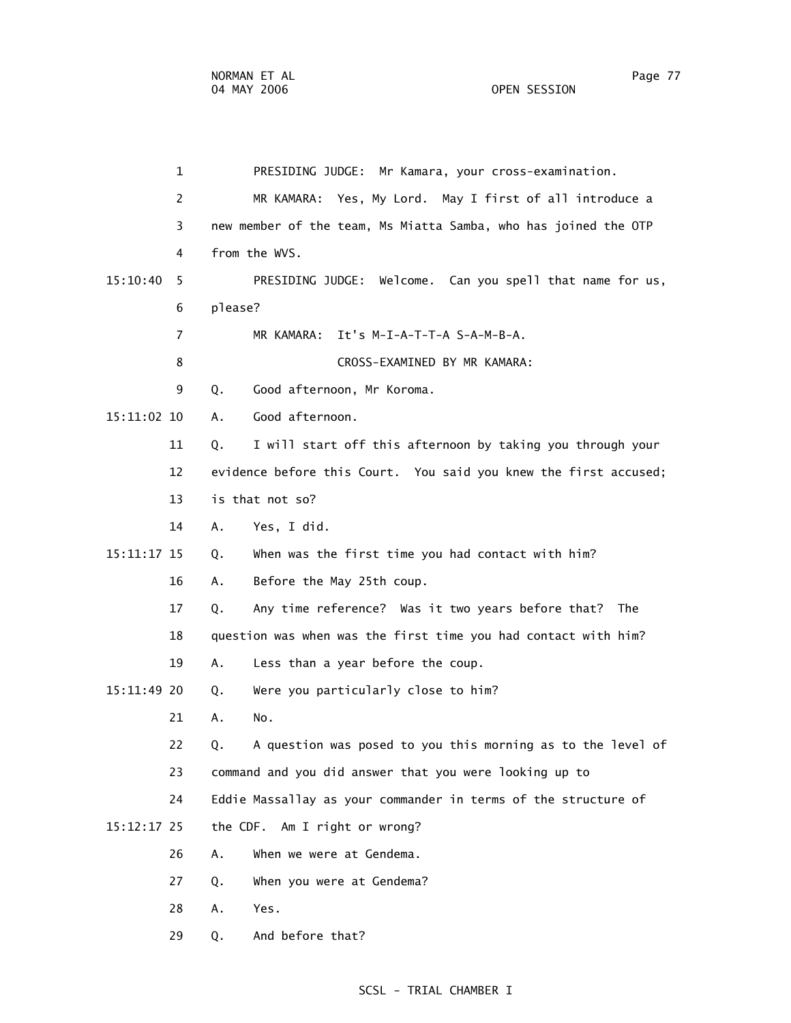1 PRESIDING JUDGE: Mr Kamara, your cross-examination. 2 MR KAMARA: Yes, My Lord. May I first of all introduce a 3 new member of the team, Ms Miatta Samba, who has joined the OTP 4 from the WVS. 15:10:40 5 PRESIDING JUDGE: Welcome. Can you spell that name for us, 6 please? 7 MR KAMARA: It's M-I-A-T-T-A S-A-M-B-A. 8 CROSS-EXAMINED BY MR KAMARA: 9 Q. Good afternoon, Mr Koroma. 15:11:02 10 A. Good afternoon. 11 Q. I will start off this afternoon by taking you through your 12 evidence before this Court. You said you knew the first accused; 13 is that not so? 14 A. Yes, I did. 15:11:17 15 Q. When was the first time you had contact with him? 16 A. Before the May 25th coup. 17 Q. Any time reference? Was it two years before that? The 18 question was when was the first time you had contact with him? 19 A. Less than a year before the coup. 15:11:49 20 Q. Were you particularly close to him? 21 A. No. 22 Q. A question was posed to you this morning as to the level of 23 command and you did answer that you were looking up to 24 Eddie Massallay as your commander in terms of the structure of 15:12:17 25 the CDF. Am I right or wrong? 26 A. When we were at Gendema. 27 Q. When you were at Gendema? 28 A. Yes.

- 
- 29 Q. And before that?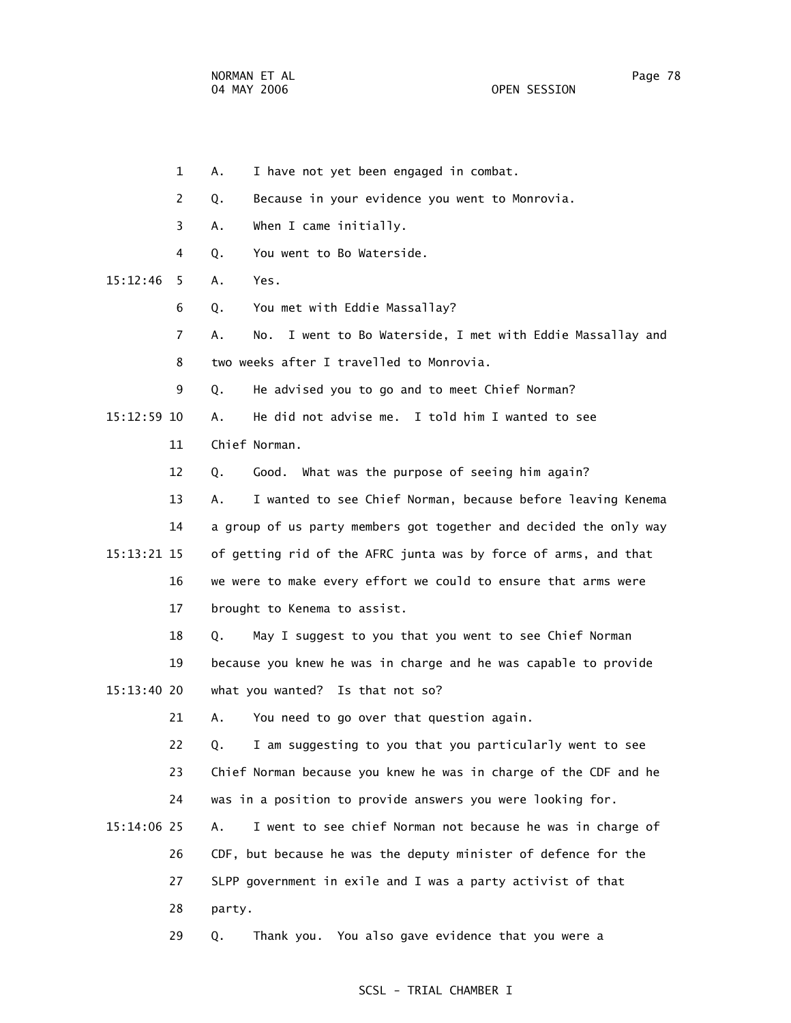1 A. I have not yet been engaged in combat. 2 Q. Because in your evidence you went to Monrovia. 3 A. When I came initially. 4 Q. You went to Bo Waterside. 15:12:46 5 A. Yes. 6 Q. You met with Eddie Massallay? 7 A. No. I went to Bo Waterside, I met with Eddie Massallay and 8 two weeks after I travelled to Monrovia. 9 Q. He advised you to go and to meet Chief Norman? 15:12:59 10 A. He did not advise me. I told him I wanted to see 11 Chief Norman. 12 Q. Good. What was the purpose of seeing him again? 13 A. I wanted to see Chief Norman, because before leaving Kenema 14 a group of us party members got together and decided the only way 15:13:21 15 of getting rid of the AFRC junta was by force of arms, and that 16 we were to make every effort we could to ensure that arms were 17 brought to Kenema to assist. 18 Q. May I suggest to you that you went to see Chief Norman 19 because you knew he was in charge and he was capable to provide 15:13:40 20 what you wanted? Is that not so? 21 A. You need to go over that question again. 22 Q. I am suggesting to you that you particularly went to see 23 Chief Norman because you knew he was in charge of the CDF and he 24 was in a position to provide answers you were looking for. 15:14:06 25 A. I went to see chief Norman not because he was in charge of 26 CDF, but because he was the deputy minister of defence for the 27 SLPP government in exile and I was a party activist of that 28 party. 29 Q. Thank you. You also gave evidence that you were a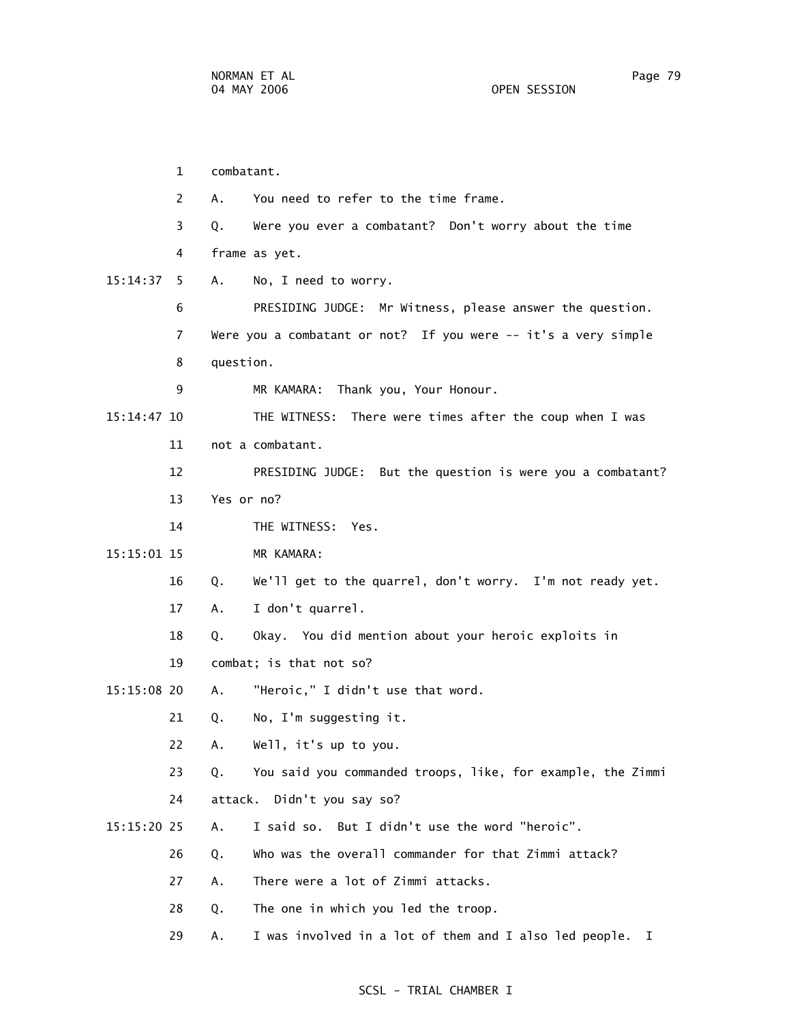1 combatant. 2 A. You need to refer to the time frame. 3 Q. Were you ever a combatant? Don't worry about the time 4 frame as yet. 15:14:37 5 A. No, I need to worry. 6 PRESIDING JUDGE: Mr Witness, please answer the question. 7 Were you a combatant or not? If you were -- it's a very simple 8 question. 9 MR KAMARA: Thank you, Your Honour. 15:14:47 10 THE WITNESS: There were times after the coup when I was 11 not a combatant. 12 PRESIDING JUDGE: But the question is were you a combatant? 13 Yes or no? 14 THE WITNESS: Yes. 15:15:01 15 MR KAMARA: 16 Q. We'll get to the quarrel, don't worry. I'm not ready yet. 17 A. I don't quarrel. 18 Q. Okay. You did mention about your heroic exploits in 19 combat; is that not so? 15:15:08 20 A. "Heroic," I didn't use that word. 21 Q. No, I'm suggesting it. 22 A. Well, it's up to you. 23 Q. You said you commanded troops, like, for example, the Zimmi 24 attack. Didn't you say so? 15:15:20 25 A. I said so. But I didn't use the word "heroic". 26 Q. Who was the overall commander for that Zimmi attack? 27 A. There were a lot of Zimmi attacks. 28 Q. The one in which you led the troop. 29 A. I was involved in a lot of them and I also led people. I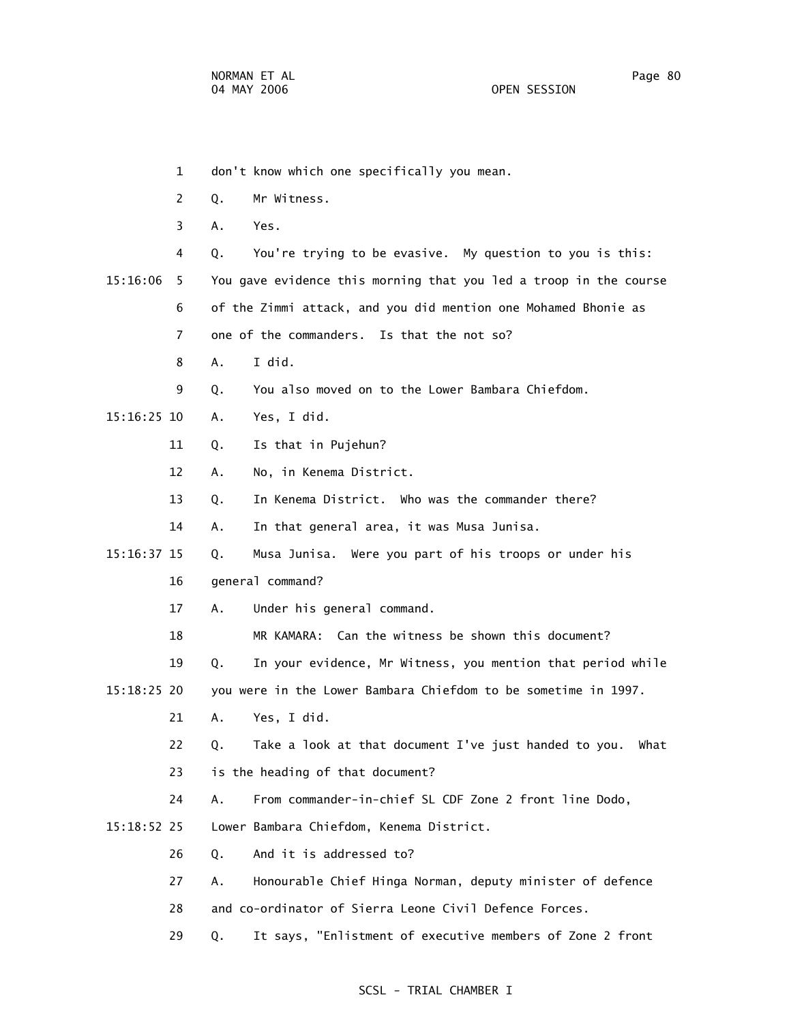1 don't know which one specifically you mean. 2 Q. Mr Witness. 3 A. Yes. 4 Q. You're trying to be evasive. My question to you is this: 15:16:06 5 You gave evidence this morning that you led a troop in the course 6 of the Zimmi attack, and you did mention one Mohamed Bhonie as 7 one of the commanders. Is that the not so? 8 A. I did. 9 Q. You also moved on to the Lower Bambara Chiefdom. 15:16:25 10 A. Yes, I did. 11 Q. Is that in Pujehun? 12 A. No, in Kenema District. 13 Q. In Kenema District. Who was the commander there? 14 A. In that general area, it was Musa Junisa. 15:16:37 15 Q. Musa Junisa. Were you part of his troops or under his 16 general command? 17 A. Under his general command. 18 MR KAMARA: Can the witness be shown this document? 19 Q. In your evidence, Mr Witness, you mention that period while 15:18:25 20 you were in the Lower Bambara Chiefdom to be sometime in 1997. 21 A. Yes, I did. 22 Q. Take a look at that document I've just handed to you. What 23 is the heading of that document? 24 A. From commander-in-chief SL CDF Zone 2 front line Dodo, 15:18:52 25 Lower Bambara Chiefdom, Kenema District. 26 Q. And it is addressed to? 27 A. Honourable Chief Hinga Norman, deputy minister of defence 28 and co-ordinator of Sierra Leone Civil Defence Forces. 29 Q. It says, "Enlistment of executive members of Zone 2 front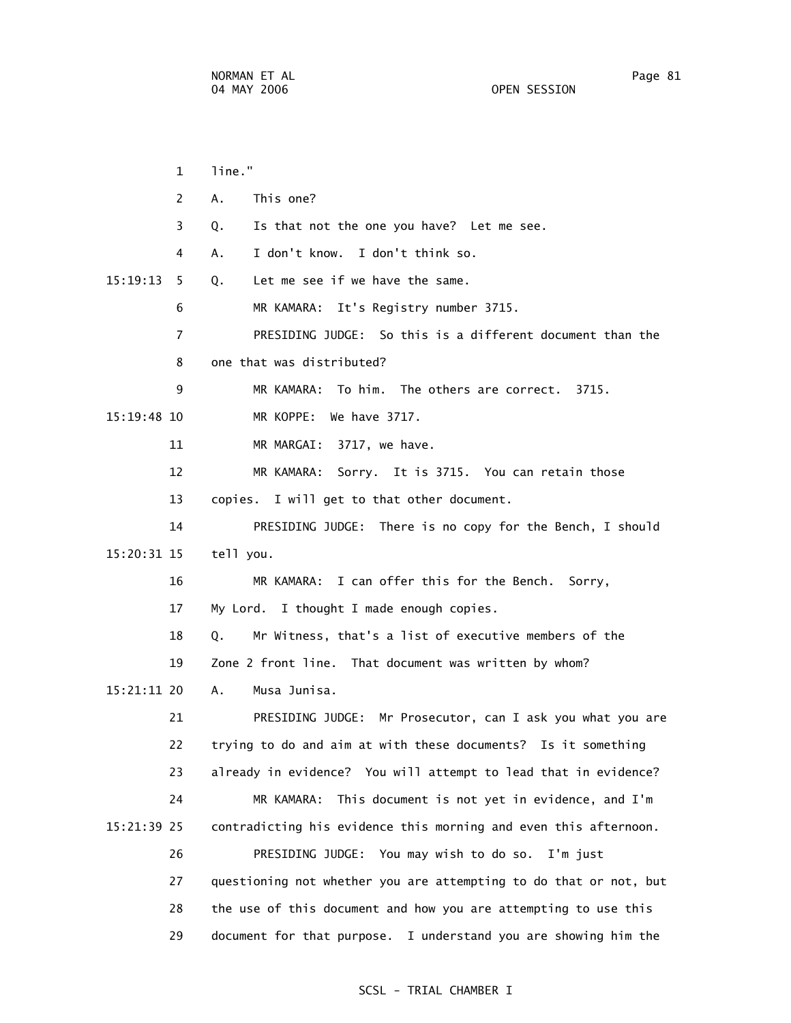| $\mathbf{1}$   | line."                                                            |
|----------------|-------------------------------------------------------------------|
| 2              | Α.<br>This one?                                                   |
| 3              | Is that not the one you have? Let me see.<br>Q.                   |
| 4              | I don't know. I don't think so.<br>А.                             |
| 15:19:13<br>5  | Let me see if we have the same.<br>Q.                             |
| 6              | MR KAMARA: It's Registry number 3715.                             |
| $\overline{7}$ | PRESIDING JUDGE: So this is a different document than the         |
| 8              | one that was distributed?                                         |
| 9              | MR KAMARA: To him. The others are correct. 3715.                  |
| 15:19:48 10    | MR KOPPE: We have 3717.                                           |
| 11             | MR MARGAI: 3717, we have.                                         |
| 12             | Sorry. It is 3715. You can retain those<br>MR KAMARA:             |
| 13             | copies. I will get to that other document.                        |
| 14             | PRESIDING JUDGE: There is no copy for the Bench, I should         |
| 15:20:31 15    | tell you.                                                         |
| 16             | MR KAMARA: I can offer this for the Bench. Sorry,                 |
| 17             | My Lord. I thought I made enough copies.                          |
| 18             | Mr Witness, that's a list of executive members of the<br>Q.       |
| 19             | Zone 2 front line. That document was written by whom?             |
| 15:21:11 20    | Musa Junisa.<br>А.                                                |
| 21             | PRESIDING JUDGE: Mr Prosecutor, can I ask you what you are        |
| 22             | trying to do and aim at with these documents? Is it something     |
| 23             | already in evidence? You will attempt to lead that in evidence?   |
| 24             | This document is not yet in evidence, and I'm<br>MR KAMARA:       |
| 15:21:39 25    | contradicting his evidence this morning and even this afternoon.  |
| 26             | PRESIDING JUDGE: You may wish to do so. I'm just                  |
| 27             | questioning not whether you are attempting to do that or not, but |
| 28             | the use of this document and how you are attempting to use this   |
| 29             | document for that purpose. I understand you are showing him the   |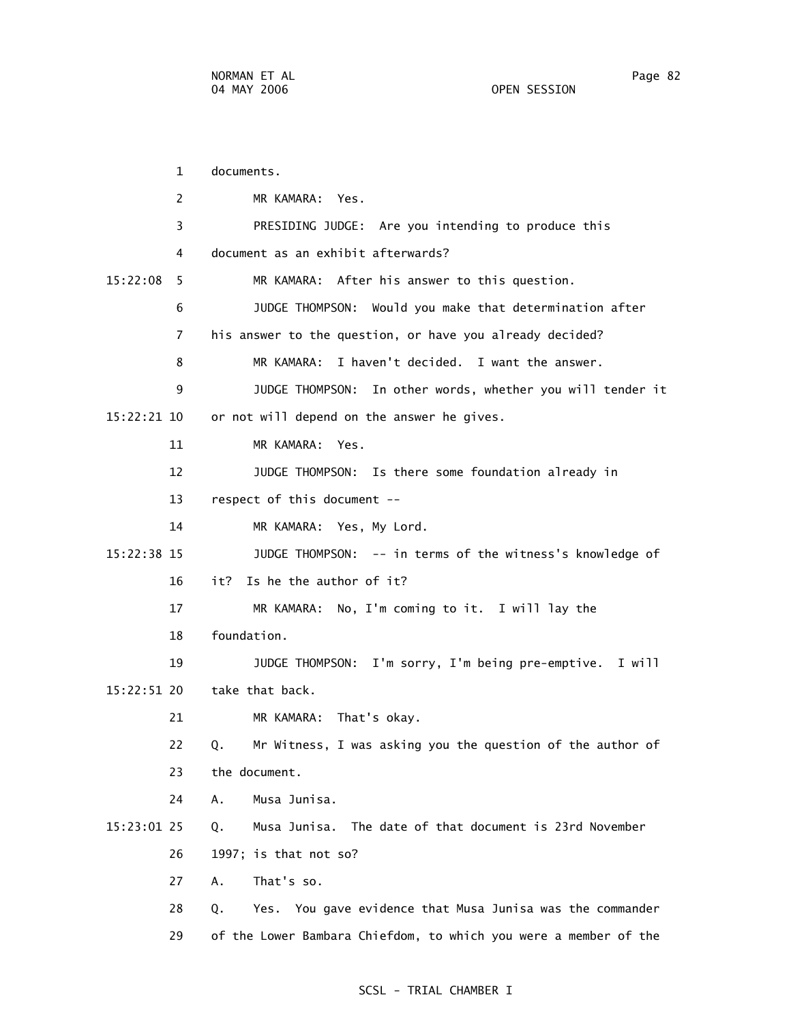1 documents. 2 MR KAMARA: Yes. 3 PRESIDING JUDGE: Are you intending to produce this 4 document as an exhibit afterwards? 15:22:08 5 MR KAMARA: After his answer to this question. 6 JUDGE THOMPSON: Would you make that determination after 7 his answer to the question, or have you already decided? 8 MR KAMARA: I haven't decided. I want the answer. 9 JUDGE THOMPSON: In other words, whether you will tender it 15:22:21 10 or not will depend on the answer he gives. 11 MR KAMARA: Yes. 12 JUDGE THOMPSON: Is there some foundation already in 13 respect of this document -- 14 MR KAMARA: Yes, My Lord. 15:22:38 15 JUDGE THOMPSON: -- in terms of the witness's knowledge of 16 it? Is he the author of it? 17 MR KAMARA: No, I'm coming to it. I will lay the 18 foundation. 19 JUDGE THOMPSON: I'm sorry, I'm being pre-emptive. I will 15:22:51 20 take that back. 21 MR KAMARA: That's okay. 22 Q. Mr Witness, I was asking you the question of the author of 23 the document. 24 A. Musa Junisa. 15:23:01 25 Q. Musa Junisa. The date of that document is 23rd November 26 1997; is that not so? 27 A. That's so. 28 Q. Yes. You gave evidence that Musa Junisa was the commander 29 of the Lower Bambara Chiefdom, to which you were a member of the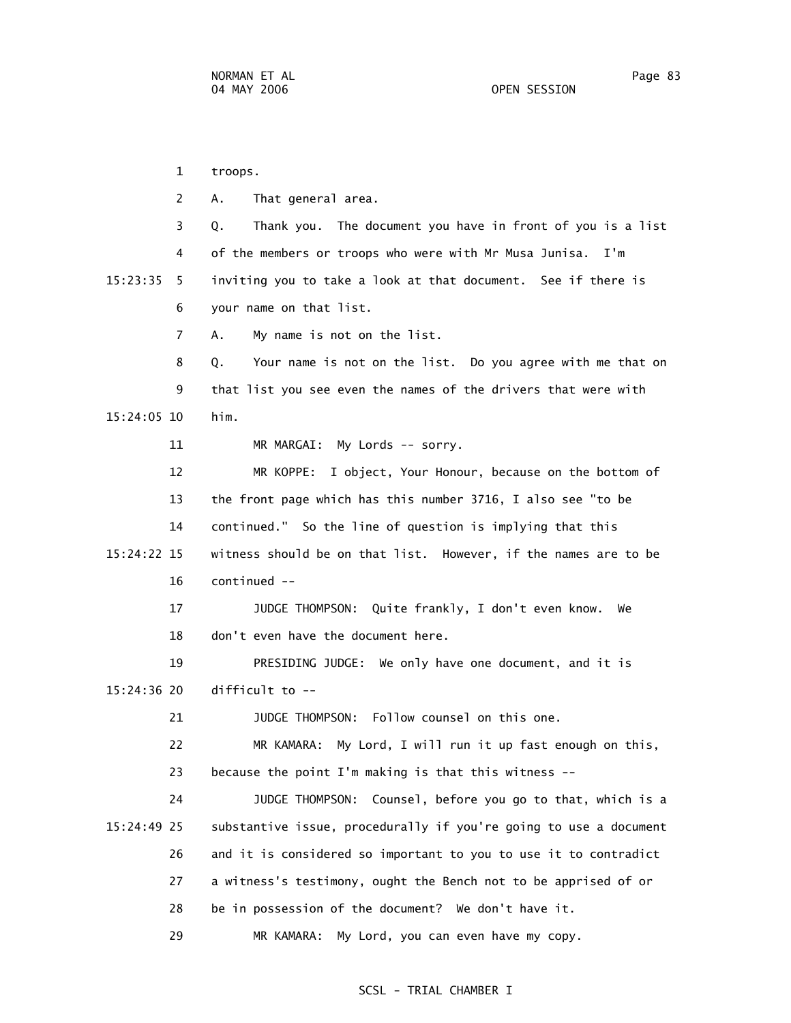1 troops. 2 A. That general area. 3 Q. Thank you. The document you have in front of you is a list 4 of the members or troops who were with Mr Musa Junisa. I'm 15:23:35 5 inviting you to take a look at that document. See if there is 6 your name on that list. 7 A. My name is not on the list. 8 Q. Your name is not on the list. Do you agree with me that on 9 that list you see even the names of the drivers that were with 15:24:05 10 him. 11 MR MARGAI: My Lords -- sorry. 12 MR KOPPE: I object, Your Honour, because on the bottom of 13 the front page which has this number 3716, I also see "to be 14 continued." So the line of question is implying that this 15:24:22 15 witness should be on that list. However, if the names are to be 16 continued -- 17 JUDGE THOMPSON: Quite frankly, I don't even know. We 18 don't even have the document here. 19 PRESIDING JUDGE: We only have one document, and it is 15:24:36 20 difficult to -- 21 JUDGE THOMPSON: Follow counsel on this one. 22 MR KAMARA: My Lord, I will run it up fast enough on this, 23 because the point I'm making is that this witness -- 24 JUDGE THOMPSON: Counsel, before you go to that, which is a 15:24:49 25 substantive issue, procedurally if you're going to use a document 26 and it is considered so important to you to use it to contradict 27 a witness's testimony, ought the Bench not to be apprised of or 28 be in possession of the document? We don't have it. 29 MR KAMARA: My Lord, you can even have my copy.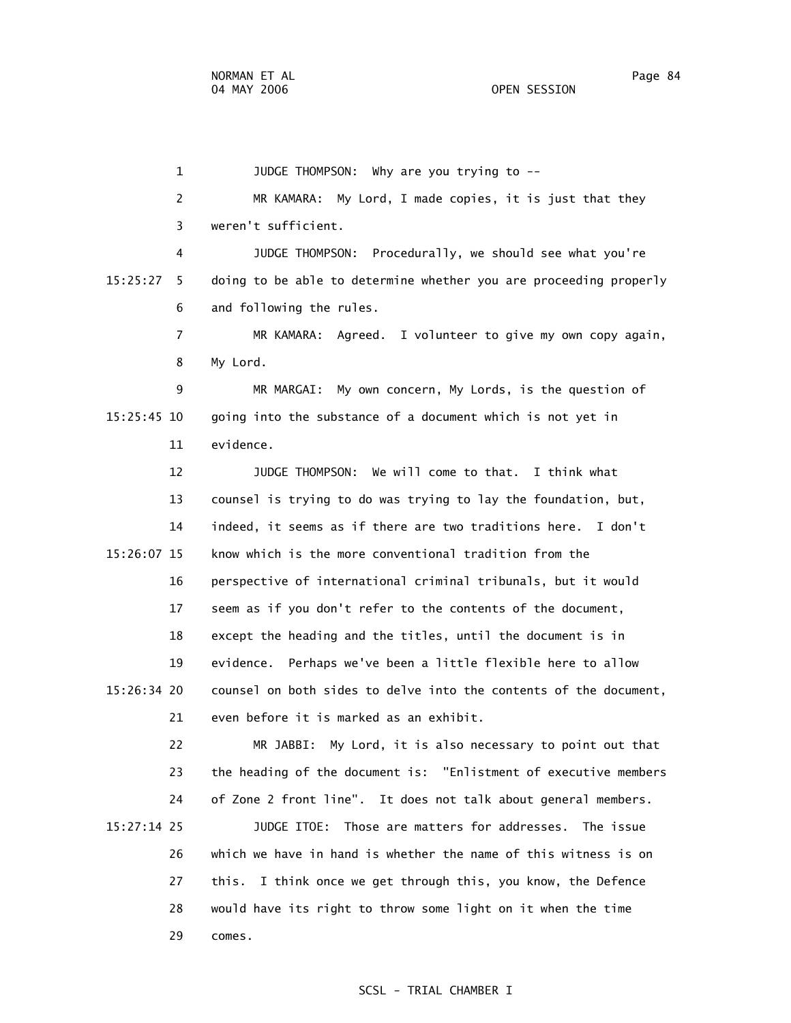1 JUDGE THOMPSON: Why are you trying to -- 2 MR KAMARA: My Lord, I made copies, it is just that they 3 weren't sufficient. 4 JUDGE THOMPSON: Procedurally, we should see what you're 15:25:27 5 doing to be able to determine whether you are proceeding properly 6 and following the rules. 7 MR KAMARA: Agreed. I volunteer to give my own copy again, 8 My Lord. 9 MR MARGAI: My own concern, My Lords, is the question of 15:25:45 10 going into the substance of a document which is not yet in 11 evidence. 12 JUDGE THOMPSON: We will come to that. I think what 13 counsel is trying to do was trying to lay the foundation, but, 14 indeed, it seems as if there are two traditions here. I don't 15:26:07 15 know which is the more conventional tradition from the 16 perspective of international criminal tribunals, but it would 17 seem as if you don't refer to the contents of the document, 18 except the heading and the titles, until the document is in 19 evidence. Perhaps we've been a little flexible here to allow 15:26:34 20 counsel on both sides to delve into the contents of the document, 21 even before it is marked as an exhibit. 22 MR JABBI: My Lord, it is also necessary to point out that 23 the heading of the document is: "Enlistment of executive members 24 of Zone 2 front line". It does not talk about general members. 15:27:14 25 JUDGE ITOE: Those are matters for addresses. The issue 26 which we have in hand is whether the name of this witness is on 27 this. I think once we get through this, you know, the Defence 28 would have its right to throw some light on it when the time 29 comes.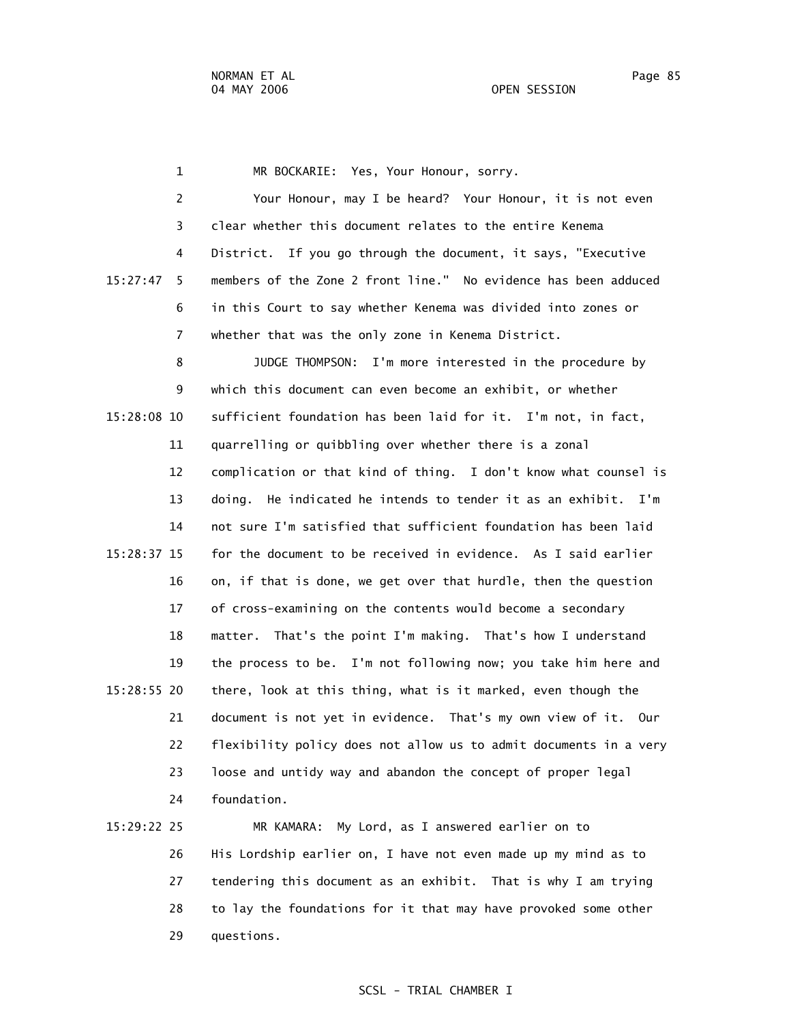1 MR BOCKARIE: Yes, Your Honour, sorry. 2 Your Honour, may I be heard? Your Honour, it is not even 3 clear whether this document relates to the entire Kenema 4 District. If you go through the document, it says, "Executive 15:27:47 5 members of the Zone 2 front line." No evidence has been adduced 6 in this Court to say whether Kenema was divided into zones or 7 whether that was the only zone in Kenema District. 8 JUDGE THOMPSON: I'm more interested in the procedure by 9 which this document can even become an exhibit, or whether 15:28:08 10 sufficient foundation has been laid for it. I'm not, in fact, 11 quarrelling or quibbling over whether there is a zonal 12 complication or that kind of thing. I don't know what counsel is 13 doing. He indicated he intends to tender it as an exhibit. I'm 14 not sure I'm satisfied that sufficient foundation has been laid 15:28:37 15 for the document to be received in evidence. As I said earlier 16 on, if that is done, we get over that hurdle, then the question 17 of cross-examining on the contents would become a secondary 18 matter. That's the point I'm making. That's how I understand 19 the process to be. I'm not following now; you take him here and 15:28:55 20 there, look at this thing, what is it marked, even though the 21 document is not yet in evidence. That's my own view of it. Our 22 flexibility policy does not allow us to admit documents in a very 23 loose and untidy way and abandon the concept of proper legal 24 foundation.

# 15:29:22 25 MR KAMARA: My Lord, as I answered earlier on to 26 His Lordship earlier on, I have not even made up my mind as to 27 tendering this document as an exhibit. That is why I am trying 28 to lay the foundations for it that may have provoked some other 29 questions.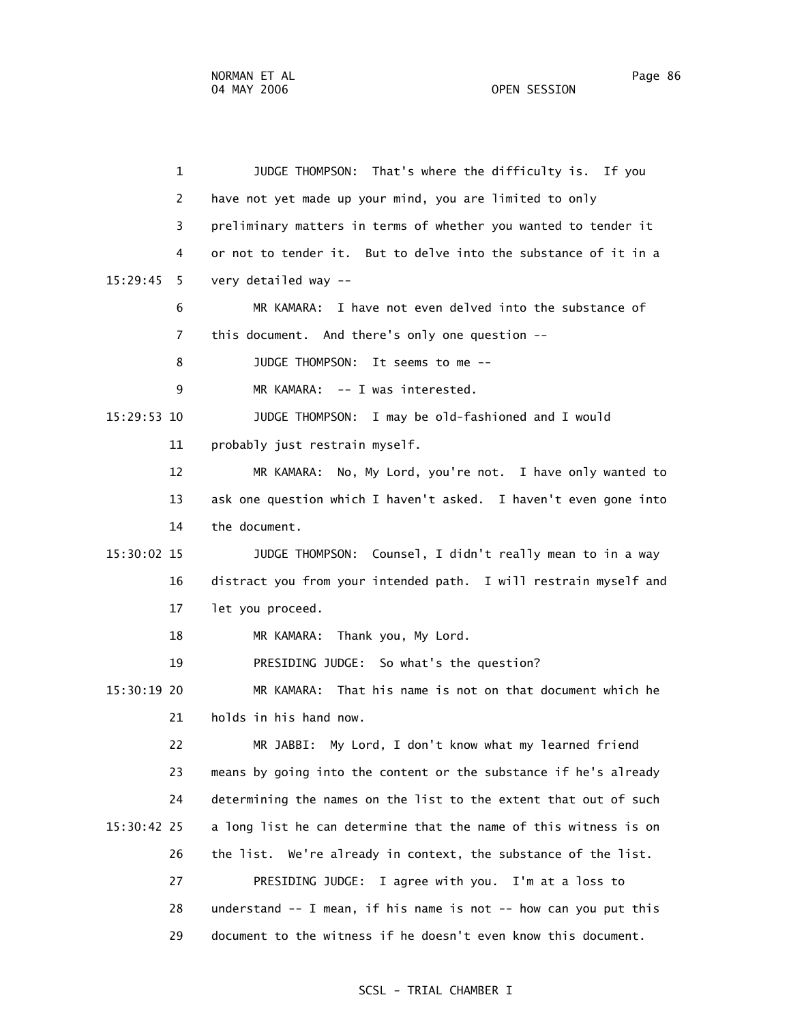1 JUDGE THOMPSON: That's where the difficulty is. If you 2 have not yet made up your mind, you are limited to only 3 preliminary matters in terms of whether you wanted to tender it 4 or not to tender it. But to delve into the substance of it in a 15:29:45 5 very detailed way -- 6 MR KAMARA: I have not even delved into the substance of 7 this document. And there's only one question -- 8 JUDGE THOMPSON: It seems to me -- 9 MR KAMARA: -- I was interested. 15:29:53 10 JUDGE THOMPSON: I may be old-fashioned and I would 11 probably just restrain myself. 12 MR KAMARA: No, My Lord, you're not. I have only wanted to 13 ask one question which I haven't asked. I haven't even gone into 14 the document. 15:30:02 15 JUDGE THOMPSON: Counsel, I didn't really mean to in a way 16 distract you from your intended path. I will restrain myself and 17 let you proceed. 18 MR KAMARA: Thank you, My Lord. 19 PRESIDING JUDGE: So what's the question? 15:30:19 20 MR KAMARA: That his name is not on that document which he 21 holds in his hand now. 22 MR JABBI: My Lord, I don't know what my learned friend 23 means by going into the content or the substance if he's already 24 determining the names on the list to the extent that out of such 15:30:42 25 a long list he can determine that the name of this witness is on 26 the list. We're already in context, the substance of the list. 27 PRESIDING JUDGE: I agree with you. I'm at a loss to 28 understand -- I mean, if his name is not -- how can you put this 29 document to the witness if he doesn't even know this document.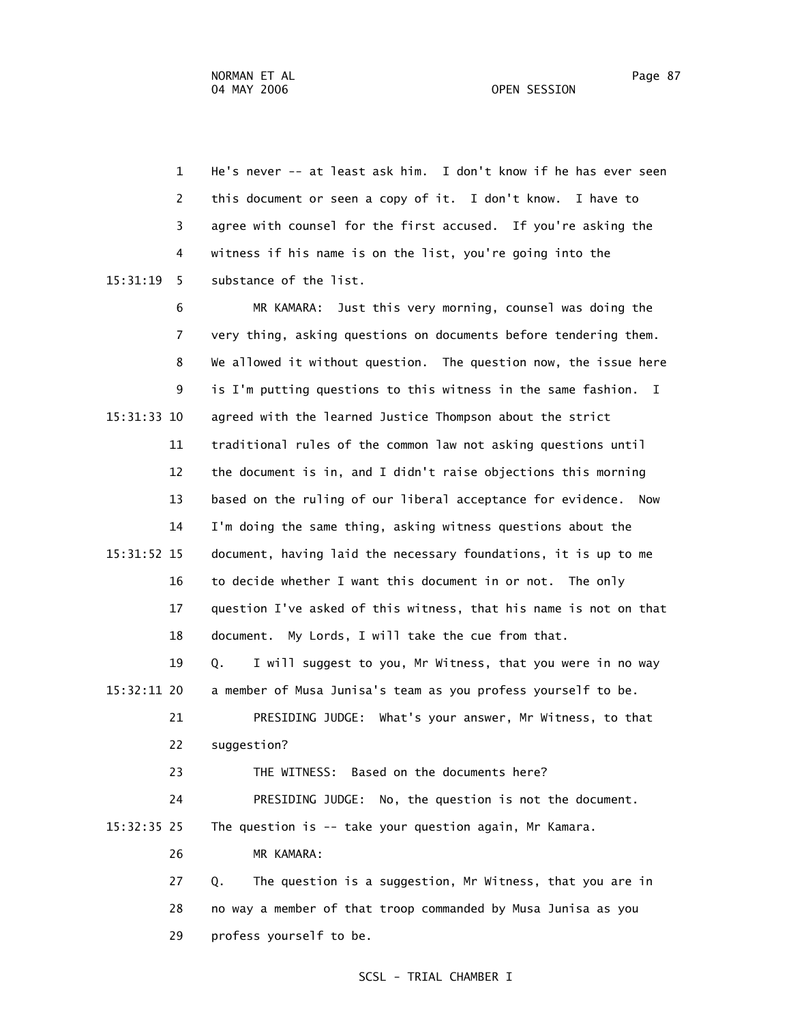1 He's never -- at least ask him. I don't know if he has ever seen 2 this document or seen a copy of it. I don't know. I have to 3 agree with counsel for the first accused. If you're asking the 4 witness if his name is on the list, you're going into the 15:31:19 5 substance of the list.

 6 MR KAMARA: Just this very morning, counsel was doing the 7 very thing, asking questions on documents before tendering them. 8 We allowed it without question. The question now, the issue here 9 is I'm putting questions to this witness in the same fashion. I 15:31:33 10 agreed with the learned Justice Thompson about the strict 11 traditional rules of the common law not asking questions until 12 the document is in, and I didn't raise objections this morning 13 based on the ruling of our liberal acceptance for evidence. Now 14 I'm doing the same thing, asking witness questions about the 15:31:52 15 document, having laid the necessary foundations, it is up to me 16 to decide whether I want this document in or not. The only 17 question I've asked of this witness, that his name is not on that 18 document. My Lords, I will take the cue from that. 19 Q. I will suggest to you, Mr Witness, that you were in no way 15:32:11 20 a member of Musa Junisa's team as you profess yourself to be.

 21 PRESIDING JUDGE: What's your answer, Mr Witness, to that 22 suggestion?

23 THE WITNESS: Based on the documents here?

 24 PRESIDING JUDGE: No, the question is not the document. 15:32:35 25 The question is -- take your question again, Mr Kamara.

26 MR KAMARA:

 27 Q. The question is a suggestion, Mr Witness, that you are in 28 no way a member of that troop commanded by Musa Junisa as you 29 profess yourself to be.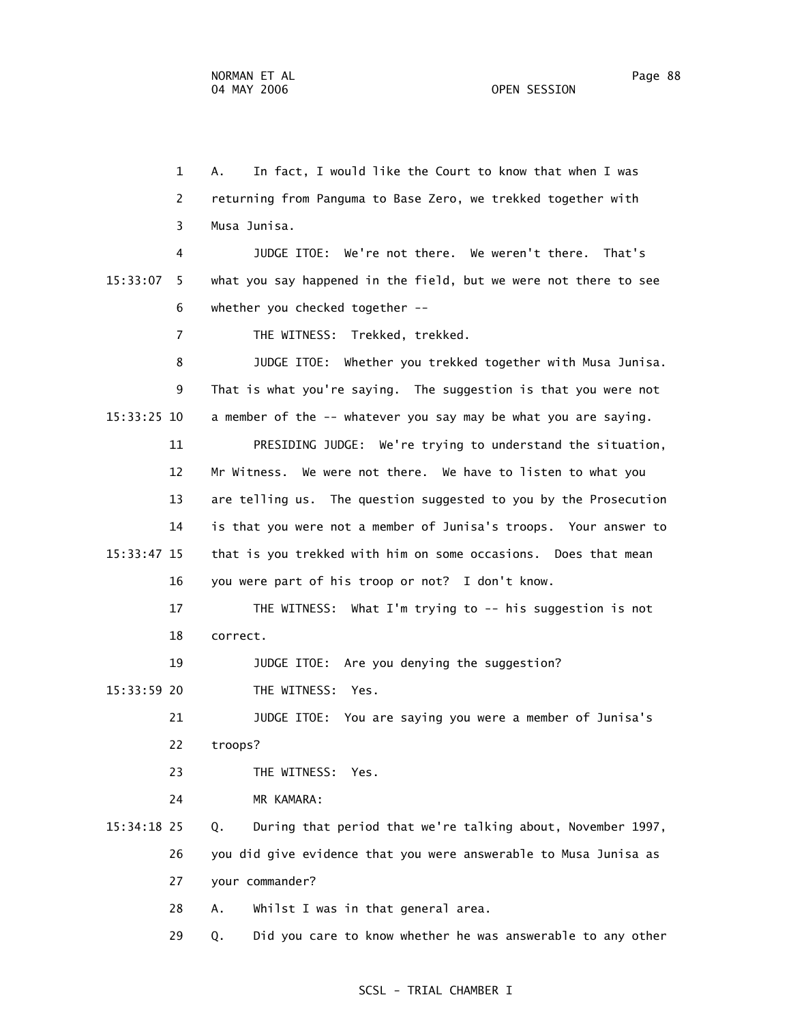1 A. In fact, I would like the Court to know that when I was 2 returning from Panguma to Base Zero, we trekked together with 3 Musa Junisa. 4 JUDGE ITOE: We're not there. We weren't there. That's 15:33:07 5 what you say happened in the field, but we were not there to see 6 whether you checked together -- 7 THE WITNESS: Trekked, trekked. 8 JUDGE ITOE: Whether you trekked together with Musa Junisa. 9 That is what you're saying. The suggestion is that you were not 15:33:25 10 a member of the -- whatever you say may be what you are saying. 11 PRESIDING JUDGE: We're trying to understand the situation, 12 Mr Witness. We were not there. We have to listen to what you 13 are telling us. The question suggested to you by the Prosecution 14 is that you were not a member of Junisa's troops. Your answer to 15:33:47 15 that is you trekked with him on some occasions. Does that mean 16 you were part of his troop or not? I don't know. 17 THE WITNESS: What I'm trying to -- his suggestion is not 18 correct. 19 JUDGE ITOE: Are you denying the suggestion? 15:33:59 20 THE WITNESS: Yes. 21 JUDGE ITOE: You are saying you were a member of Junisa's 22 troops? 23 THE WITNESS: Yes. 24 MR KAMARA: 15:34:18 25 Q. During that period that we're talking about, November 1997, 26 you did give evidence that you were answerable to Musa Junisa as 27 your commander? 28 A. Whilst I was in that general area. 29 Q. Did you care to know whether he was answerable to any other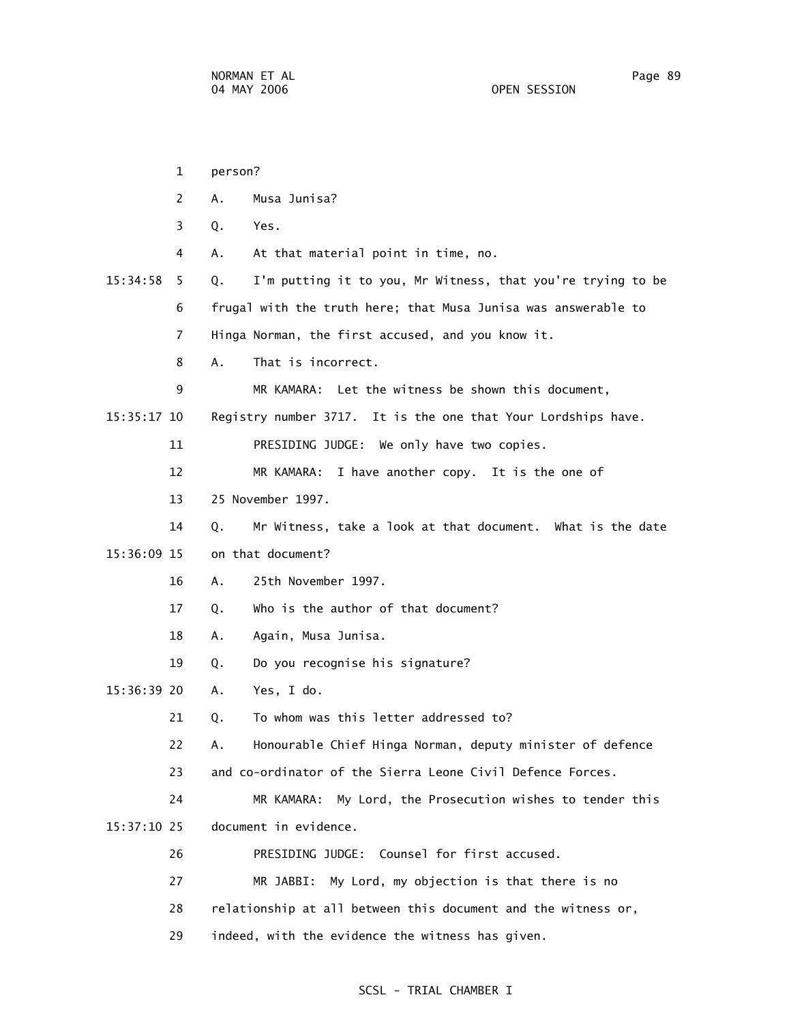|             | $\mathbf 1$ | person? |                                                                |
|-------------|-------------|---------|----------------------------------------------------------------|
|             | 2           | A.      | Musa Junisa?                                                   |
|             | 3           | Q.      | Yes.                                                           |
|             | 4           | Α.      | At that material point in time, no.                            |
| 15:34:58    | 5.          | Q.      | I'm putting it to you, Mr Witness, that you're trying to be    |
|             | 6           |         | frugal with the truth here; that Musa Junisa was answerable to |
|             | 7           |         | Hinga Norman, the first accused, and you know it.              |
|             | 8           | A.      | That is incorrect.                                             |
|             | 9           |         | MR KAMARA: Let the witness be shown this document,             |
| 15:35:17 10 |             |         | Registry number 3717. It is the one that Your Lordships have.  |
|             | 11          |         | PRESIDING JUDGE: We only have two copies.                      |
|             | 12          |         | MR KAMARA: I have another copy. It is the one of               |
|             | 13          |         | 25 November 1997.                                              |
|             | 14          | Q.      | Mr Witness, take a look at that document. What is the date     |
| 15:36:09 15 |             |         | on that document?                                              |
|             | 16          | А.      | 25th November 1997.                                            |
|             | 17          | Q.      | Who is the author of that document?                            |
|             | 18          | Α.      | Again, Musa Junisa.                                            |
|             | 19          | Q.      | Do you recognise his signature?                                |
| 15:36:39 20 |             | А.      | Yes, I do.                                                     |
|             | 21          | Q.      | To whom was this letter addressed to?                          |
|             | 22          | А.      | Honourable Chief Hinga Norman, deputy minister of defence      |
|             | 23          |         | and co-ordinator of the Sierra Leone Civil Defence Forces.     |
|             | 24          |         | My Lord, the Prosecution wishes to tender this<br>MR KAMARA:   |
| 15:37:10 25 |             |         | document in evidence.                                          |
|             | 26          |         | Counsel for first accused.<br>PRESIDING JUDGE:                 |
|             | 27          |         | MR JABBI:<br>My Lord, my objection is that there is no         |
|             | 28          |         | relationship at all between this document and the witness or,  |
|             | 29          |         | indeed, with the evidence the witness has given.               |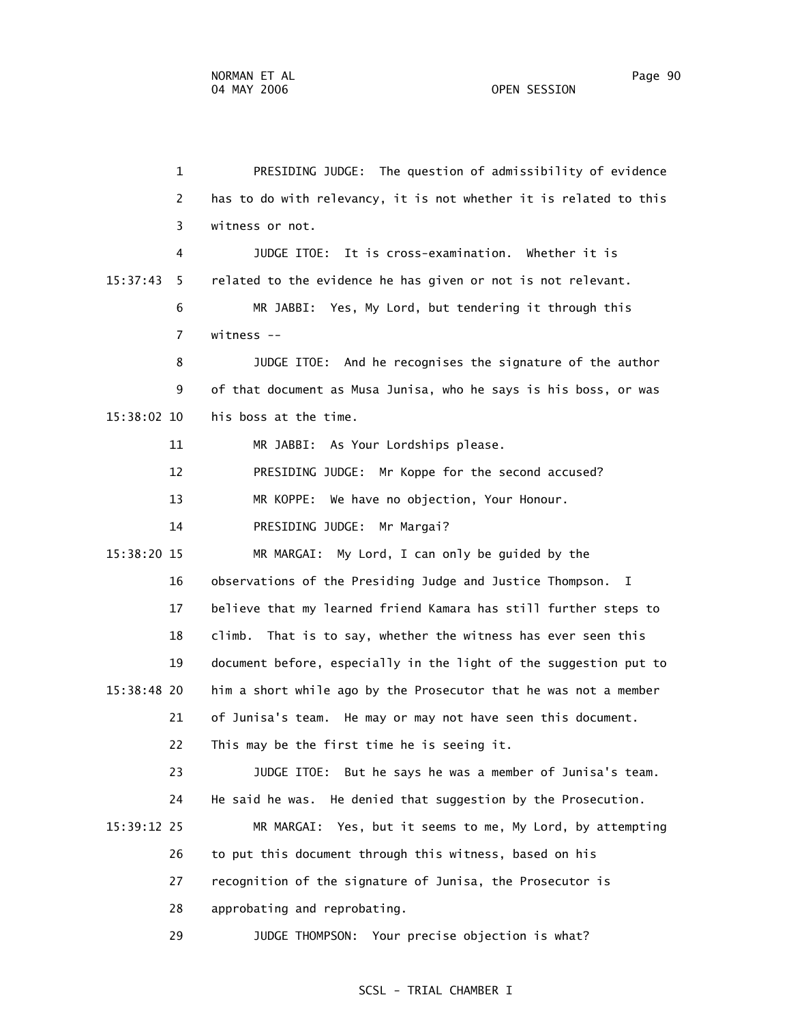1 PRESIDING JUDGE: The question of admissibility of evidence 2 has to do with relevancy, it is not whether it is related to this 3 witness or not. 4 JUDGE ITOE: It is cross-examination. Whether it is 15:37:43 5 related to the evidence he has given or not is not relevant. 6 MR JABBI: Yes, My Lord, but tendering it through this 7 witness -- 8 JUDGE ITOE: And he recognises the signature of the author 9 of that document as Musa Junisa, who he says is his boss, or was 15:38:02 10 his boss at the time. 11 MR JABBI: As Your Lordships please. 12 PRESIDING JUDGE: Mr Koppe for the second accused? 13 MR KOPPE: We have no objection, Your Honour. 14 PRESIDING JUDGE: Mr Margai? 15:38:20 15 MR MARGAI: My Lord, I can only be guided by the 16 observations of the Presiding Judge and Justice Thompson. I 17 believe that my learned friend Kamara has still further steps to 18 climb. That is to say, whether the witness has ever seen this 19 document before, especially in the light of the suggestion put to 15:38:48 20 him a short while ago by the Prosecutor that he was not a member 21 of Junisa's team. He may or may not have seen this document. 22 This may be the first time he is seeing it. 23 JUDGE ITOE: But he says he was a member of Junisa's team. 24 He said he was. He denied that suggestion by the Prosecution. 15:39:12 25 MR MARGAI: Yes, but it seems to me, My Lord, by attempting 26 to put this document through this witness, based on his 27 recognition of the signature of Junisa, the Prosecutor is 28 approbating and reprobating. 29 JUDGE THOMPSON: Your precise objection is what?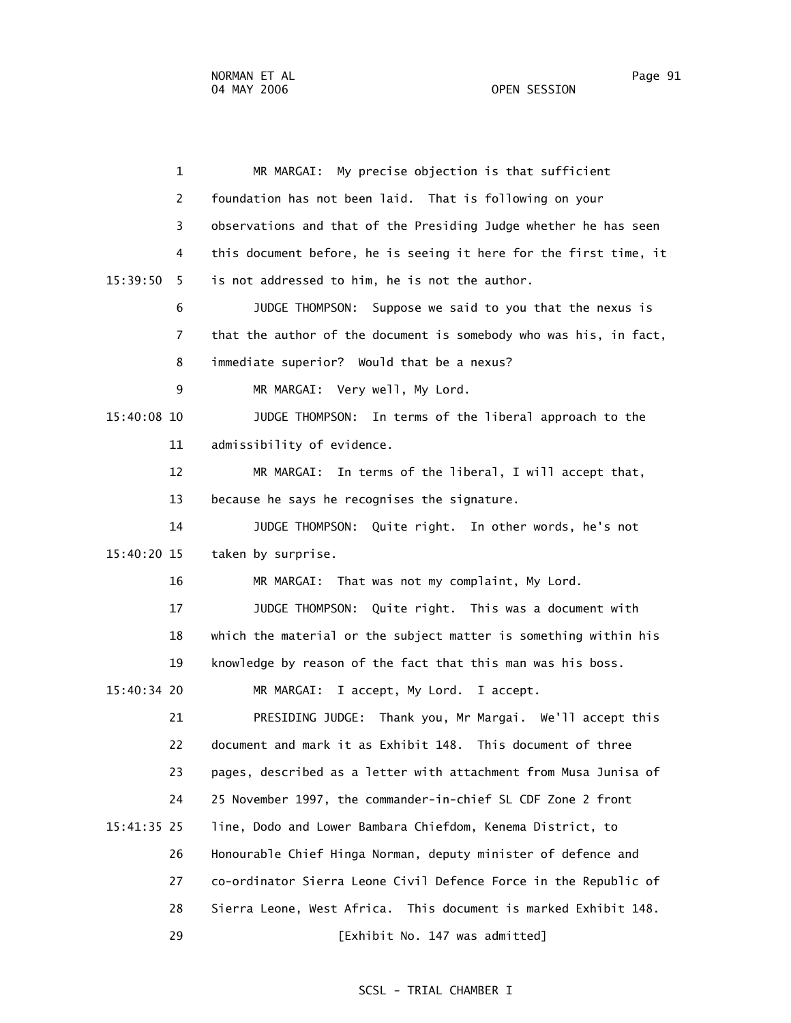1 MR MARGAI: My precise objection is that sufficient 2 foundation has not been laid. That is following on your 3 observations and that of the Presiding Judge whether he has seen 4 this document before, he is seeing it here for the first time, it 15:39:50 5 is not addressed to him, he is not the author. 6 JUDGE THOMPSON: Suppose we said to you that the nexus is 7 that the author of the document is somebody who was his, in fact, 8 immediate superior? Would that be a nexus? 9 MR MARGAI: Very well, My Lord. 15:40:08 10 JUDGE THOMPSON: In terms of the liberal approach to the 11 admissibility of evidence. 12 MR MARGAI: In terms of the liberal, I will accept that, 13 because he says he recognises the signature. 14 JUDGE THOMPSON: Quite right. In other words, he's not 15:40:20 15 taken by surprise. 16 MR MARGAI: That was not my complaint, My Lord. 17 JUDGE THOMPSON: Quite right. This was a document with 18 which the material or the subject matter is something within his 19 knowledge by reason of the fact that this man was his boss. 15:40:34 20 MR MARGAI: I accept, My Lord. I accept. 21 PRESIDING JUDGE: Thank you, Mr Margai. We'll accept this 22 document and mark it as Exhibit 148. This document of three 23 pages, described as a letter with attachment from Musa Junisa of 24 25 November 1997, the commander-in-chief SL CDF Zone 2 front 15:41:35 25 line, Dodo and Lower Bambara Chiefdom, Kenema District, to 26 Honourable Chief Hinga Norman, deputy minister of defence and 27 co-ordinator Sierra Leone Civil Defence Force in the Republic of 28 Sierra Leone, West Africa. This document is marked Exhibit 148. 29 [Exhibit No. 147 was admitted]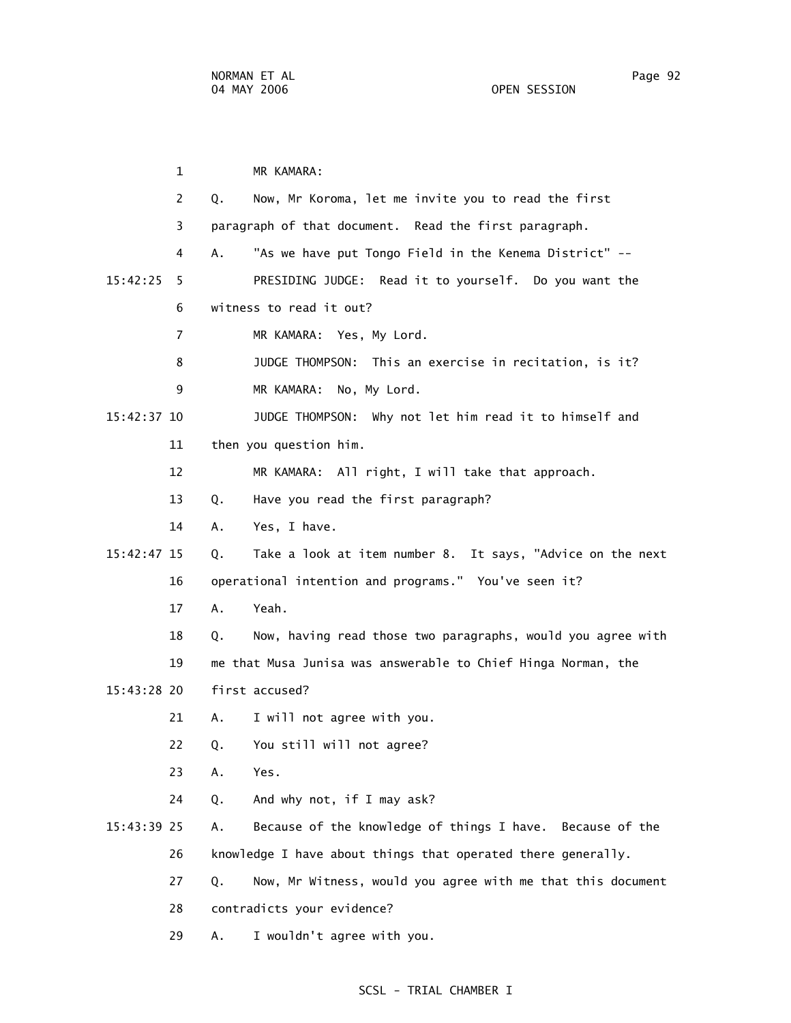1 MR KAMARA: 2 Q. Now, Mr Koroma, let me invite you to read the first 3 paragraph of that document. Read the first paragraph. 4 A. "As we have put Tongo Field in the Kenema District" -- 15:42:25 5 PRESIDING JUDGE: Read it to yourself. Do you want the 6 witness to read it out? 7 MR KAMARA: Yes, My Lord. 8 JUDGE THOMPSON: This an exercise in recitation, is it? 9 MR KAMARA: No, My Lord. 15:42:37 10 JUDGE THOMPSON: Why not let him read it to himself and 11 then you question him. 12 MR KAMARA: All right, I will take that approach. 13 Q. Have you read the first paragraph? 14 A. Yes, I have. 15:42:47 15 Q. Take a look at item number 8. It says, "Advice on the next 16 operational intention and programs." You've seen it? 17 A. Yeah. 18 Q. Now, having read those two paragraphs, would you agree with 19 me that Musa Junisa was answerable to Chief Hinga Norman, the 15:43:28 20 first accused? 21 A. I will not agree with you. 22 Q. You still will not agree? 23 A. Yes. 24 Q. And why not, if I may ask? 15:43:39 25 A. Because of the knowledge of things I have. Because of the 26 knowledge I have about things that operated there generally. 27 Q. Now, Mr Witness, would you agree with me that this document 28 contradicts your evidence? 29 A. I wouldn't agree with you.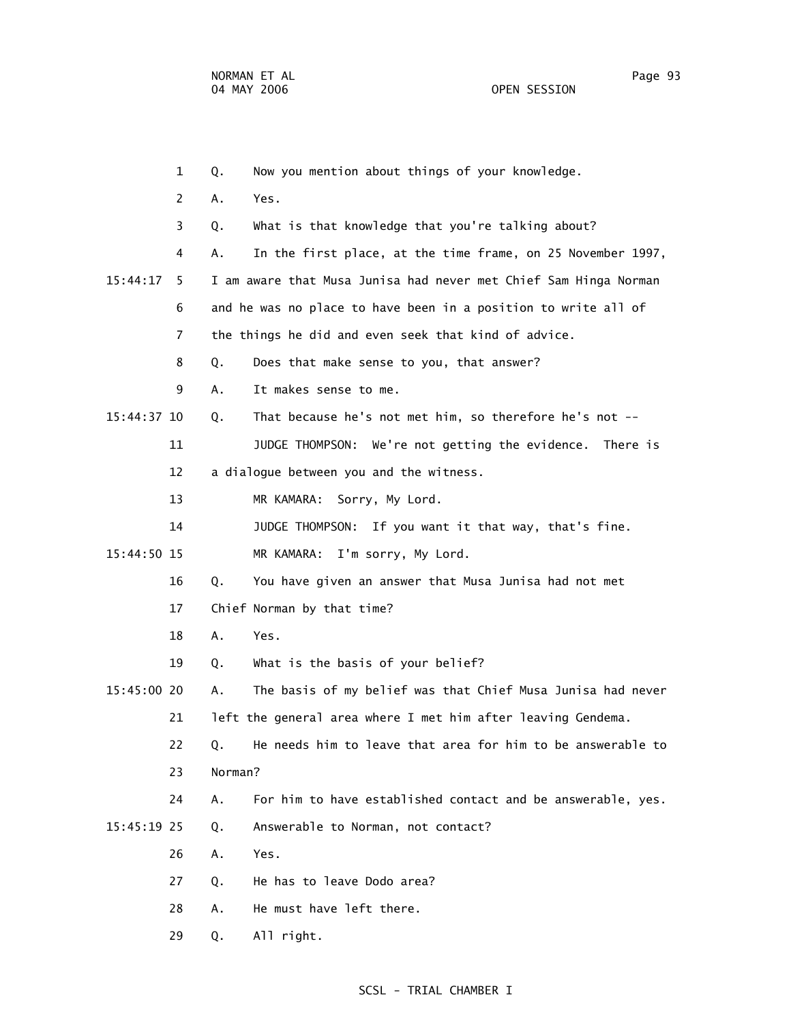1 Q. Now you mention about things of your knowledge. 2 A. Yes. 3 Q. What is that knowledge that you're talking about? 4 A. In the first place, at the time frame, on 25 November 1997, 15:44:17 5 I am aware that Musa Junisa had never met Chief Sam Hinga Norman 6 and he was no place to have been in a position to write all of 7 the things he did and even seek that kind of advice. 8 Q. Does that make sense to you, that answer? 9 A. It makes sense to me. 15:44:37 10 Q. That because he's not met him, so therefore he's not -- 11 JUDGE THOMPSON: We're not getting the evidence. There is 12 a dialogue between you and the witness. 13 MR KAMARA: Sorry, My Lord. 14 JUDGE THOMPSON: If you want it that way, that's fine. 15:44:50 15 MR KAMARA: I'm sorry, My Lord. 16 Q. You have given an answer that Musa Junisa had not met 17 Chief Norman by that time? 18 A. Yes. 19 Q. What is the basis of your belief? 15:45:00 20 A. The basis of my belief was that Chief Musa Junisa had never 21 left the general area where I met him after leaving Gendema. 22 Q. He needs him to leave that area for him to be answerable to 23 Norman? 24 A. For him to have established contact and be answerable, yes. 15:45:19 25 Q. Answerable to Norman, not contact? 26 A. Yes. 27 Q. He has to leave Dodo area? 28 A. He must have left there. 29 Q. All right.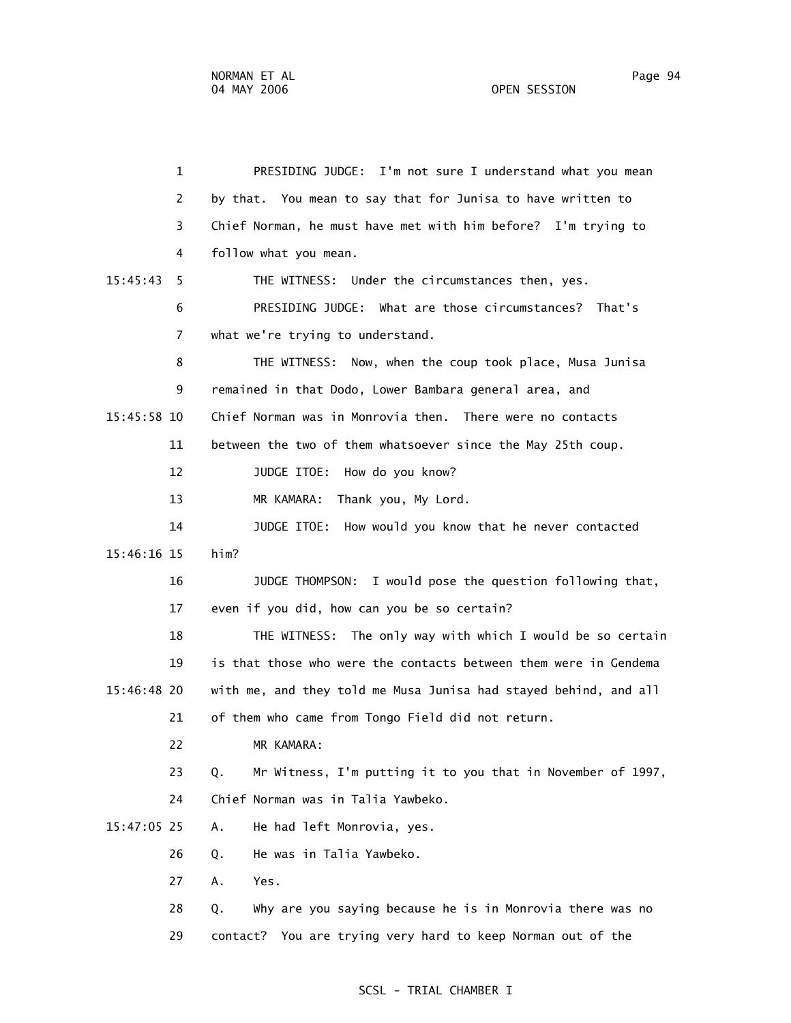1 PRESIDING JUDGE: I'm not sure I understand what you mean 2 by that. You mean to say that for Junisa to have written to 3 Chief Norman, he must have met with him before? I'm trying to 4 follow what you mean. 15:45:43 5 THE WITNESS: Under the circumstances then, yes. 6 PRESIDING JUDGE: What are those circumstances? That's 7 what we're trying to understand. 8 THE WITNESS: Now, when the coup took place, Musa Junisa 9 remained in that Dodo, Lower Bambara general area, and 15:45:58 10 Chief Norman was in Monrovia then. There were no contacts 11 between the two of them whatsoever since the May 25th coup. 12 JUDGE ITOE: How do you know? 13 MR KAMARA: Thank you, My Lord. 14 JUDGE ITOE: How would you know that he never contacted 15:46:16 15 him? 16 JUDGE THOMPSON: I would pose the question following that, 17 even if you did, how can you be so certain? 18 THE WITNESS: The only way with which I would be so certain 19 is that those who were the contacts between them were in Gendema 15:46:48 20 with me, and they told me Musa Junisa had stayed behind, and all 21 of them who came from Tongo Field did not return. 22 MR KAMARA: 23 Q. Mr Witness, I'm putting it to you that in November of 1997, 24 Chief Norman was in Talia Yawbeko. 15:47:05 25 A. He had left Monrovia, yes. 26 Q. He was in Talia Yawbeko. 27 A. Yes. 28 Q. Why are you saying because he is in Monrovia there was no 29 contact? You are trying very hard to keep Norman out of the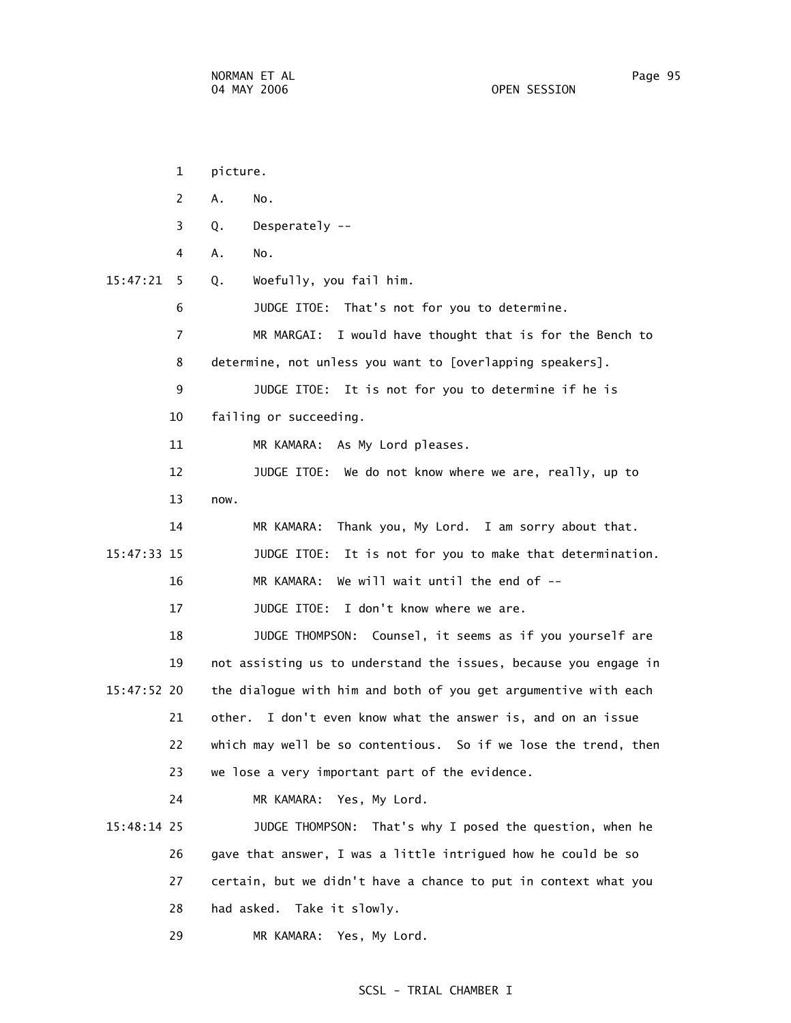|             | $\mathbf{1}$ | picture.                                                         |
|-------------|--------------|------------------------------------------------------------------|
|             | 2            | Α.<br>No.                                                        |
|             | 3            | Desperately --<br>Q.                                             |
|             | 4            | Α.<br>No.                                                        |
| 15:47:21    | 5            | Woefully, you fail him.<br>Q.                                    |
|             | 6            | JUDGE ITOE: That's not for you to determine.                     |
|             | 7            | MR MARGAI: I would have thought that is for the Bench to         |
|             | 8            | determine, not unless you want to [overlapping speakers].        |
|             | 9            | JUDGE ITOE: It is not for you to determine if he is              |
|             | 10           | failing or succeeding.                                           |
|             | 11           | As My Lord pleases.<br>MR KAMARA:                                |
|             | 12           | JUDGE ITOE: We do not know where we are, really, up to           |
|             | 13           | now.                                                             |
|             | 14           | Thank you, My Lord. I am sorry about that.<br>MR KAMARA:         |
| 15:47:33 15 |              | JUDGE ITOE: It is not for you to make that determination.        |
|             | 16           | We will wait until the end of $-$ -<br>MR KAMARA:                |
|             | 17           | JUDGE ITOE: I don't know where we are.                           |
|             | 18           | JUDGE THOMPSON: Counsel, it seems as if you yourself are         |
|             | 19           | not assisting us to understand the issues, because you engage in |
| 15:47:52 20 |              | the dialogue with him and both of you get argumentive with each  |
|             | 21           | I don't even know what the answer is, and on an issue<br>other.  |
|             | 22           | which may well be so contentious. So if we lose the trend, then  |
|             | 23           | we lose a very important part of the evidence.                   |
|             | 24           | MR KAMARA: Yes, My Lord.                                         |
| 15:48:14 25 |              | That's why I posed the question, when he<br>JUDGE THOMPSON:      |
|             | 26           | gave that answer, I was a little intrigued how he could be so    |
|             | 27           | certain, but we didn't have a chance to put in context what you  |
|             | 28           | had asked. Take it slowly.                                       |
|             | 29           | MR KAMARA: Yes, My Lord.                                         |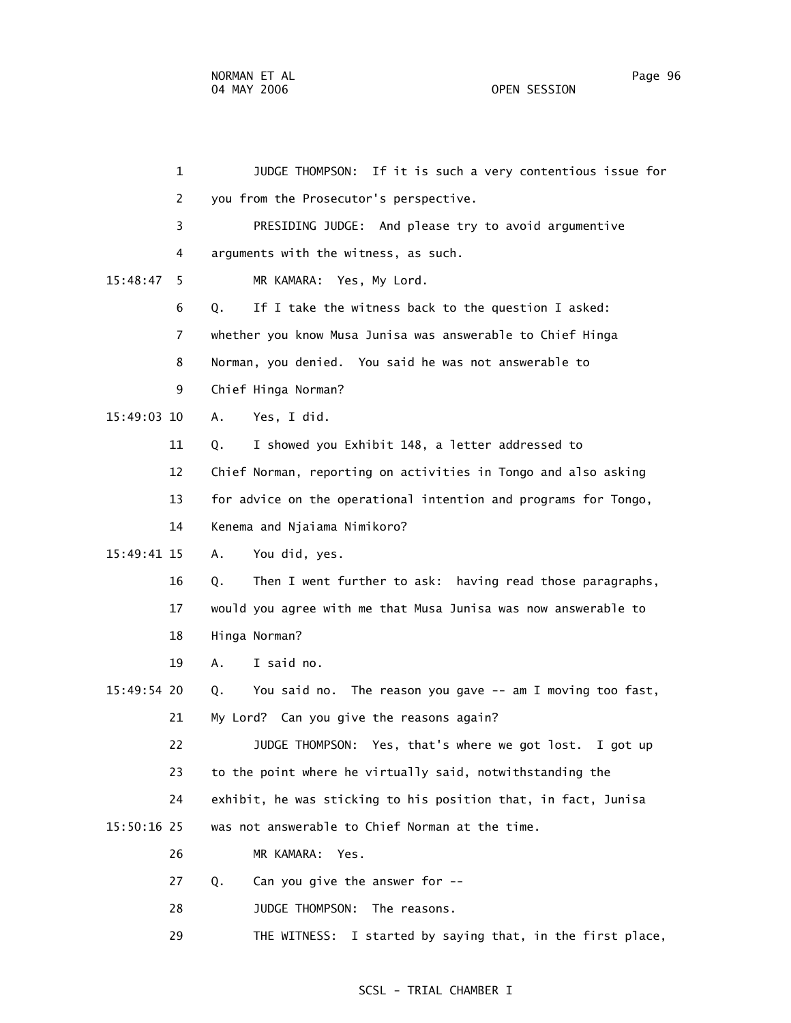| $\mathbf{1}$   |    | JUDGE THOMPSON: If it is such a very contentious issue for      |
|----------------|----|-----------------------------------------------------------------|
| 2              |    | you from the Prosecutor's perspective.                          |
| 3              |    | PRESIDING JUDGE: And please try to avoid argumentive            |
| 4              |    | arguments with the witness, as such.                            |
| 15:48:47<br>5  |    | MR KAMARA: Yes, My Lord.                                        |
| 6              | Q. | If I take the witness back to the question I asked:             |
| $\overline{7}$ |    | whether you know Musa Junisa was answerable to Chief Hinga      |
| 8              |    | Norman, you denied. You said he was not answerable to           |
| 9              |    | Chief Hinga Norman?                                             |
| 15:49:03 10    | Α. | Yes, I did.                                                     |
| 11             | Q. | I showed you Exhibit 148, a letter addressed to                 |
| 12             |    | Chief Norman, reporting on activities in Tongo and also asking  |
| 13             |    | for advice on the operational intention and programs for Tongo, |
| 14             |    | Kenema and Njaiama Nimikoro?                                    |
| 15:49:41 15    | Α. | You did, yes.                                                   |
| 16             | Q. | Then I went further to ask: having read those paragraphs,       |
| 17             |    | would you agree with me that Musa Junisa was now answerable to  |
| 18             |    | Hinga Norman?                                                   |
| 19             | Α. | I said no.                                                      |
| 15:49:54 20    | Q. | You said no. The reason you gave -- am I moving too fast,       |
| 21             |    | My Lord? Can you give the reasons again?                        |
| 22             |    | JUDGE THOMPSON: Yes, that's where we got lost. I got up         |
| 23             |    | to the point where he virtually said, notwithstanding the       |
| 24             |    | exhibit, he was sticking to his position that, in fact, Junisa  |
| $15:50:16$ 25  |    | was not answerable to Chief Norman at the time.                 |
| 26             |    | MR KAMARA: Yes.                                                 |
| 27             | Q. | Can you give the answer for --                                  |
| 28             |    | JUDGE THOMPSON:<br>The reasons.                                 |
| 29             |    | I started by saying that, in the first place,<br>THE WITNESS:   |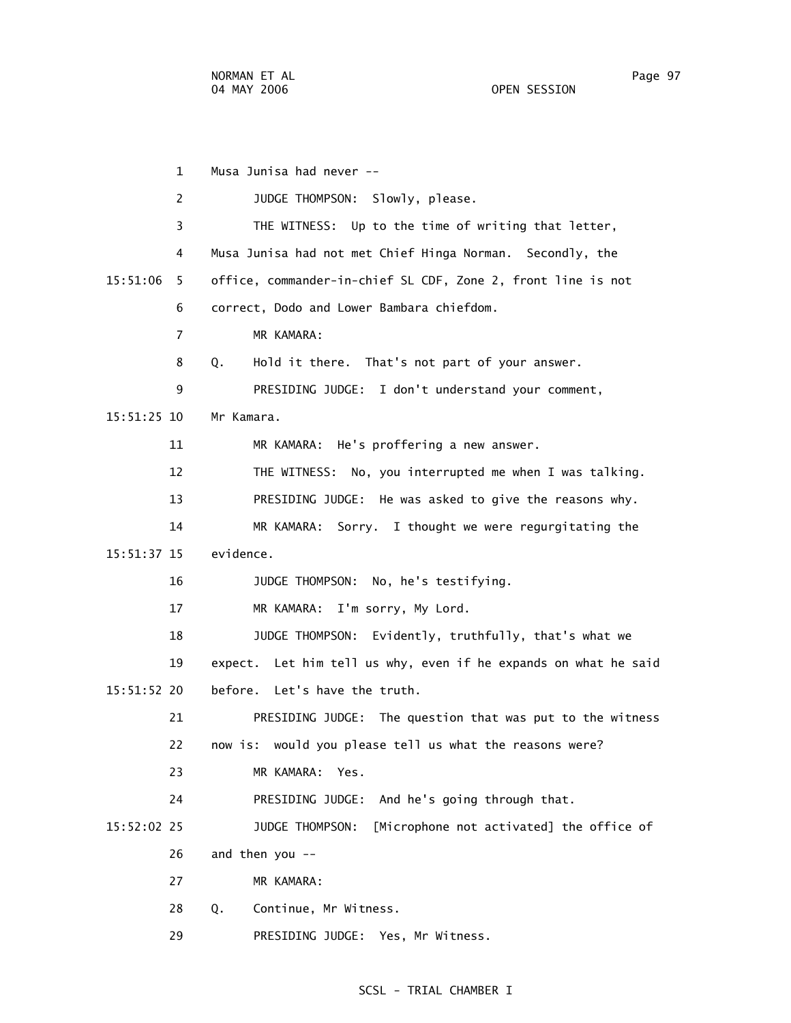1 Musa Junisa had never -- 2 JUDGE THOMPSON: Slowly, please. 3 THE WITNESS: Up to the time of writing that letter, 4 Musa Junisa had not met Chief Hinga Norman. Secondly, the 15:51:06 5 office, commander-in-chief SL CDF, Zone 2, front line is not 6 correct, Dodo and Lower Bambara chiefdom. 7 MR KAMARA: 8 Q. Hold it there. That's not part of your answer. 9 PRESIDING JUDGE: I don't understand your comment, 15:51:25 10 Mr Kamara. 11 MR KAMARA: He's proffering a new answer. 12 THE WITNESS: No, you interrupted me when I was talking. 13 PRESIDING JUDGE: He was asked to give the reasons why. 14 MR KAMARA: Sorry. I thought we were regurgitating the 15:51:37 15 evidence. 16 JUDGE THOMPSON: No, he's testifying. 17 MR KAMARA: I'm sorry, My Lord. 18 JUDGE THOMPSON: Evidently, truthfully, that's what we 19 expect. Let him tell us why, even if he expands on what he said 15:51:52 20 before. Let's have the truth. 21 PRESIDING JUDGE: The question that was put to the witness 22 now is: would you please tell us what the reasons were? 23 MR KAMARA: Yes. 24 PRESIDING JUDGE: And he's going through that. 15:52:02 25 JUDGE THOMPSON: [Microphone not activated] the office of 26 and then you -- 27 MR KAMARA: 28 Q. Continue, Mr Witness. 29 PRESIDING JUDGE: Yes, Mr Witness.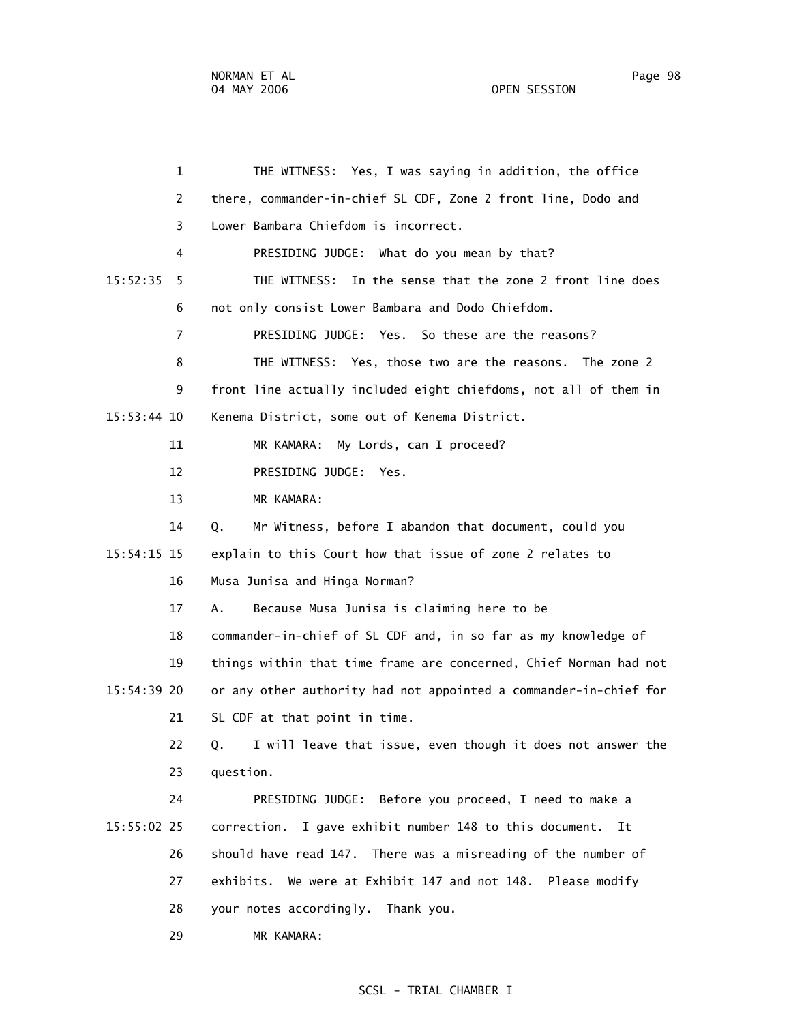1 THE WITNESS: Yes, I was saying in addition, the office 2 there, commander-in-chief SL CDF, Zone 2 front line, Dodo and 3 Lower Bambara Chiefdom is incorrect. 4 PRESIDING JUDGE: What do you mean by that? 15:52:35 5 THE WITNESS: In the sense that the zone 2 front line does 6 not only consist Lower Bambara and Dodo Chiefdom. 7 PRESIDING JUDGE: Yes. So these are the reasons? 8 THE WITNESS: Yes, those two are the reasons. The zone 2 9 front line actually included eight chiefdoms, not all of them in 15:53:44 10 Kenema District, some out of Kenema District. 11 MR KAMARA: My Lords, can I proceed? 12 PRESIDING JUDGE: Yes. 13 MR KAMARA: 14 Q. Mr Witness, before I abandon that document, could you 15:54:15 15 explain to this Court how that issue of zone 2 relates to 16 Musa Junisa and Hinga Norman? 17 A. Because Musa Junisa is claiming here to be 18 commander-in-chief of SL CDF and, in so far as my knowledge of 19 things within that time frame are concerned, Chief Norman had not 15:54:39 20 or any other authority had not appointed a commander-in-chief for 21 SL CDF at that point in time. 22 Q. I will leave that issue, even though it does not answer the 23 question. 24 PRESIDING JUDGE: Before you proceed, I need to make a 15:55:02 25 correction. I gave exhibit number 148 to this document. It 26 should have read 147. There was a misreading of the number of 27 exhibits. We were at Exhibit 147 and not 148. Please modify 28 your notes accordingly. Thank you. 29 MR KAMARA: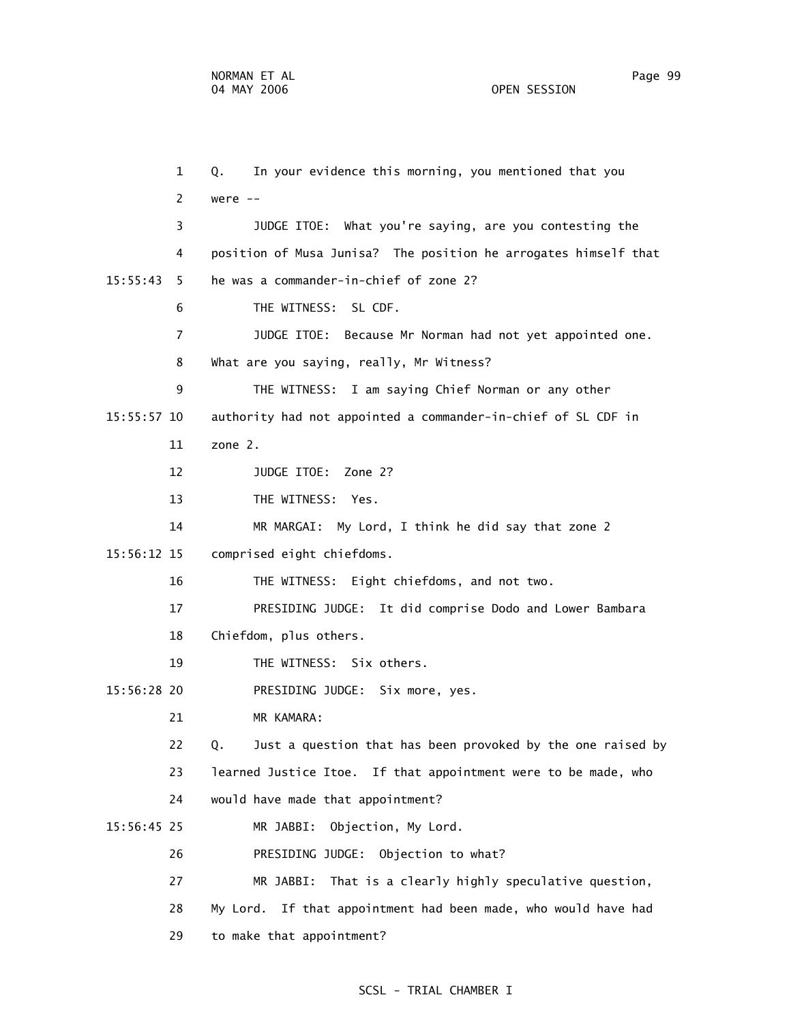1 Q. In your evidence this morning, you mentioned that you 2 were -- 3 JUDGE ITOE: What you're saying, are you contesting the 4 position of Musa Junisa? The position he arrogates himself that 15:55:43 5 he was a commander-in-chief of zone 2? 6 THE WITNESS: SL CDF. 7 JUDGE ITOE: Because Mr Norman had not yet appointed one. 8 What are you saying, really, Mr Witness? 9 THE WITNESS: I am saying Chief Norman or any other 15:55:57 10 authority had not appointed a commander-in-chief of SL CDF in 11 zone 2. 12 JUDGE ITOE: Zone 2? 13 THE WITNESS: Yes. 14 MR MARGAI: My Lord, I think he did say that zone 2 15:56:12 15 comprised eight chiefdoms. 16 THE WITNESS: Eight chiefdoms, and not two. 17 PRESIDING JUDGE: It did comprise Dodo and Lower Bambara 18 Chiefdom, plus others. 19 THE WITNESS: Six others. 15:56:28 20 PRESIDING JUDGE: Six more, yes. 21 MR KAMARA: 22 Q. Just a question that has been provoked by the one raised by 23 learned Justice Itoe. If that appointment were to be made, who 24 would have made that appointment? 15:56:45 25 MR JABBI: Objection, My Lord. 26 PRESIDING JUDGE: Objection to what? 27 MR JABBI: That is a clearly highly speculative question,

28 My Lord. If that appointment had been made, who would have had

29 to make that appointment?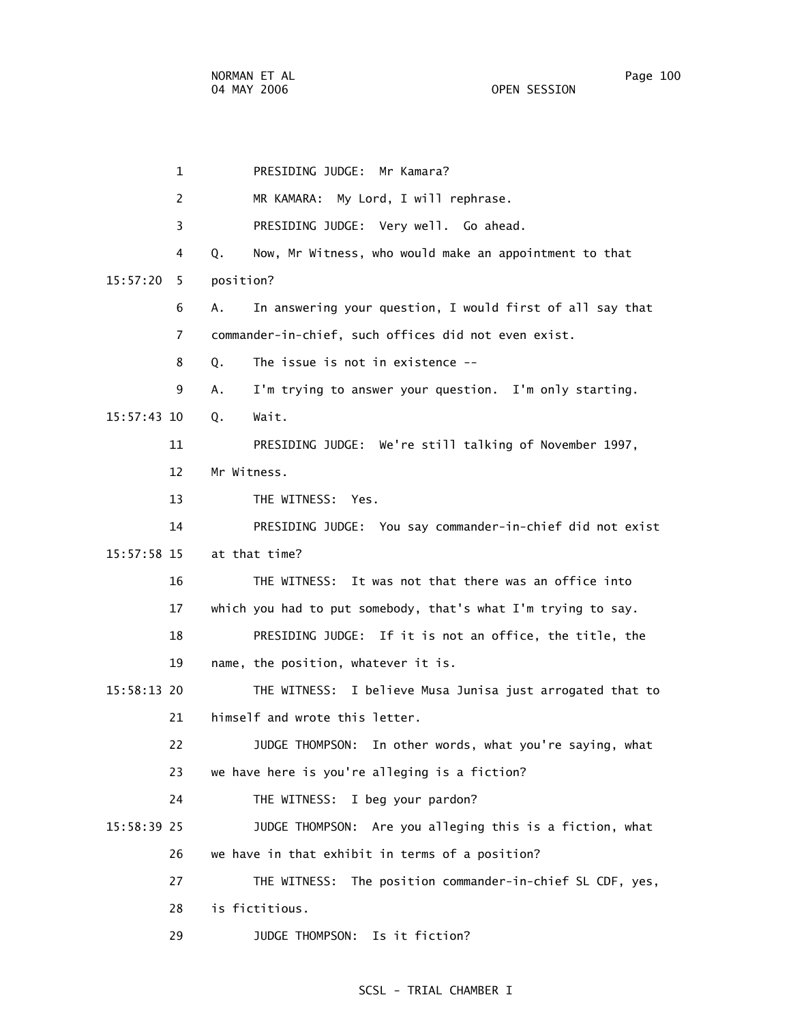1 PRESIDING JUDGE: Mr Kamara? 2 MR KAMARA: My Lord, I will rephrase. 3 PRESIDING JUDGE: Very well. Go ahead. 4 Q. Now, Mr Witness, who would make an appointment to that 15:57:20 5 position? 6 A. In answering your question, I would first of all say that 7 commander-in-chief, such offices did not even exist. 8 Q. The issue is not in existence -- 9 A. I'm trying to answer your question. I'm only starting. 15:57:43 10 Q. Wait. 11 PRESIDING JUDGE: We're still talking of November 1997, 12 Mr Witness. 13 THE WITNESS: Yes. 14 PRESIDING JUDGE: You say commander-in-chief did not exist 15:57:58 15 at that time? 16 THE WITNESS: It was not that there was an office into 17 which you had to put somebody, that's what I'm trying to say. 18 PRESIDING JUDGE: If it is not an office, the title, the 19 name, the position, whatever it is. 15:58:13 20 THE WITNESS: I believe Musa Junisa just arrogated that to 21 himself and wrote this letter. 22 JUDGE THOMPSON: In other words, what you're saying, what 23 we have here is you're alleging is a fiction? 24 THE WITNESS: I beg your pardon? 15:58:39 25 JUDGE THOMPSON: Are you alleging this is a fiction, what 26 we have in that exhibit in terms of a position? 27 THE WITNESS: The position commander-in-chief SL CDF, yes, 28 is fictitious. 29 JUDGE THOMPSON: Is it fiction?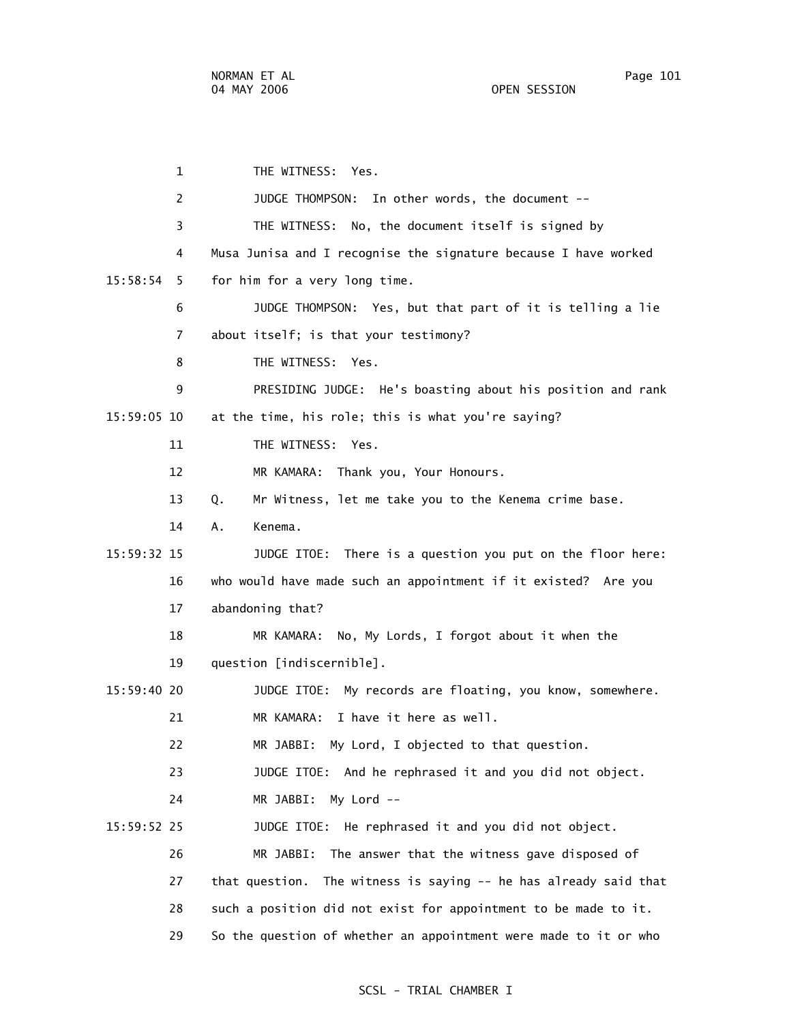1 THE WITNESS: Yes. 2 JUDGE THOMPSON: In other words, the document -- 3 THE WITNESS: No, the document itself is signed by 4 Musa Junisa and I recognise the signature because I have worked 15:58:54 5 for him for a very long time. 6 JUDGE THOMPSON: Yes, but that part of it is telling a lie 7 about itself; is that your testimony? 8 THE WITNESS: Yes. 9 PRESIDING JUDGE: He's boasting about his position and rank 15:59:05 10 at the time, his role; this is what you're saying? 11 THE WITNESS: Yes. 12 MR KAMARA: Thank you, Your Honours. 13 Q. Mr Witness, let me take you to the Kenema crime base. 14 A. Kenema. 15:59:32 15 JUDGE ITOE: There is a question you put on the floor here: 16 who would have made such an appointment if it existed? Are you 17 abandoning that? 18 MR KAMARA: No, My Lords, I forgot about it when the 19 question [indiscernible]. 15:59:40 20 JUDGE ITOE: My records are floating, you know, somewhere. 21 MR KAMARA: I have it here as well. 22 MR JABBI: My Lord, I objected to that question. 23 JUDGE ITOE: And he rephrased it and you did not object. 24 MR JABBI: My Lord -- 15:59:52 25 JUDGE ITOE: He rephrased it and you did not object. 26 MR JABBI: The answer that the witness gave disposed of 27 that question. The witness is saying -- he has already said that 28 such a position did not exist for appointment to be made to it. 29 So the question of whether an appointment were made to it or who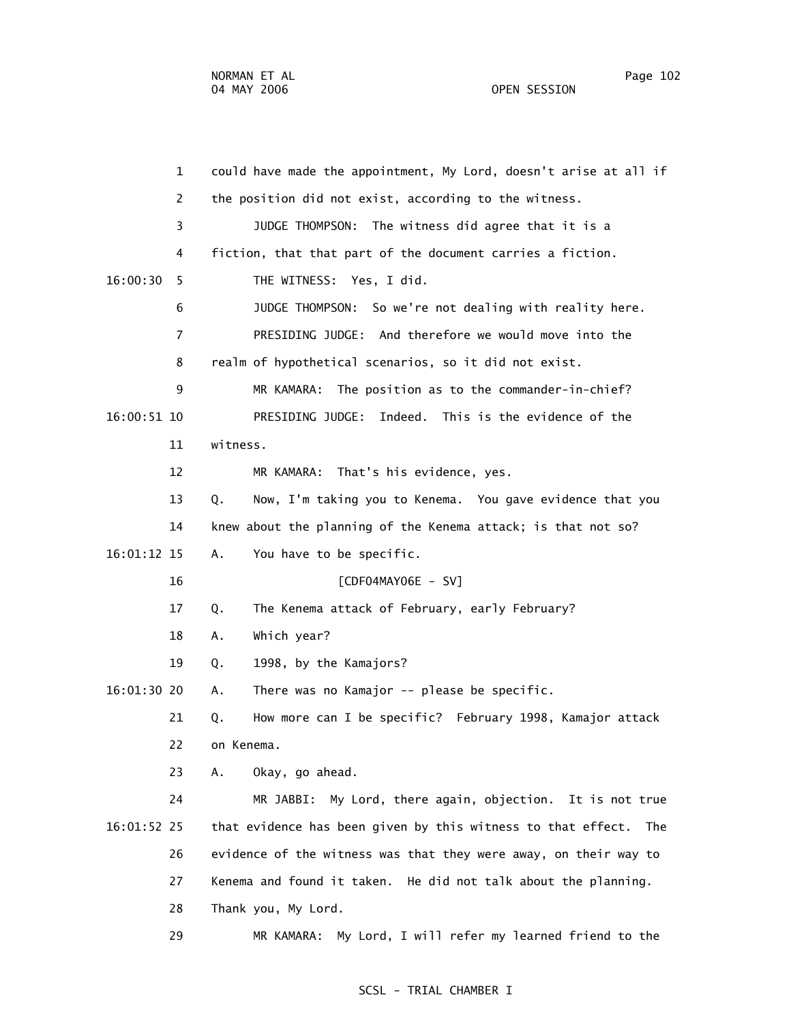1 could have made the appointment, My Lord, doesn't arise at all if 2 the position did not exist, according to the witness. 3 JUDGE THOMPSON: The witness did agree that it is a 4 fiction, that that part of the document carries a fiction. 16:00:30 5 THE WITNESS: Yes, I did. 6 JUDGE THOMPSON: So we're not dealing with reality here. 7 PRESIDING JUDGE: And therefore we would move into the 8 realm of hypothetical scenarios, so it did not exist. 9 MR KAMARA: The position as to the commander-in-chief? 16:00:51 10 PRESIDING JUDGE: Indeed. This is the evidence of the 11 witness. 12 MR KAMARA: That's his evidence, yes. 13 Q. Now, I'm taking you to Kenema. You gave evidence that you 14 knew about the planning of the Kenema attack; is that not so? 16:01:12 15 A. You have to be specific. 16 [CDF04MAY06E - SV] 17 Q. The Kenema attack of February, early February? 18 A. Which year? 19 Q. 1998, by the Kamajors? 16:01:30 20 A. There was no Kamajor -- please be specific. 21 Q. How more can I be specific? February 1998, Kamajor attack 22 on Kenema. 23 A. Okay, go ahead. 24 MR JABBI: My Lord, there again, objection. It is not true 16:01:52 25 that evidence has been given by this witness to that effect. The 26 evidence of the witness was that they were away, on their way to 27 Kenema and found it taken. He did not talk about the planning. 28 Thank you, My Lord. 29 MR KAMARA: My Lord, I will refer my learned friend to the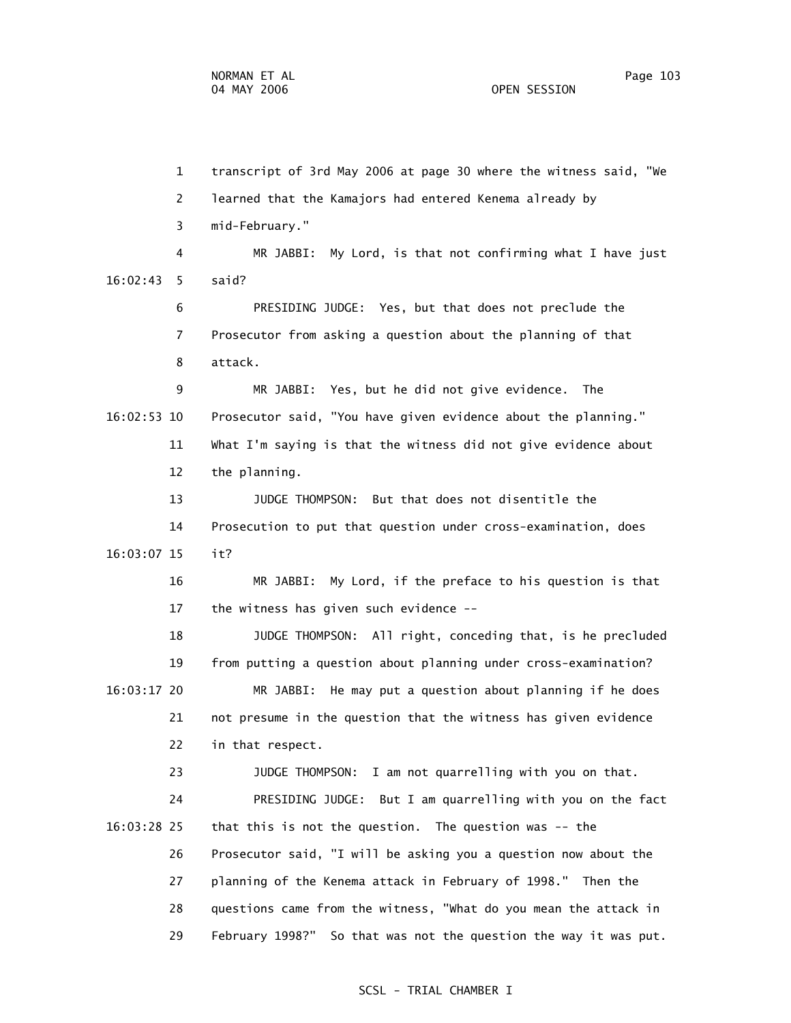1 transcript of 3rd May 2006 at page 30 where the witness said, "We 2 learned that the Kamajors had entered Kenema already by 3 mid-February." 4 MR JABBI: My Lord, is that not confirming what I have just 16:02:43 5 said? 6 PRESIDING JUDGE: Yes, but that does not preclude the 7 Prosecutor from asking a question about the planning of that 8 attack. 9 MR JABBI: Yes, but he did not give evidence. The 16:02:53 10 Prosecutor said, "You have given evidence about the planning." 11 What I'm saying is that the witness did not give evidence about 12 the planning. 13 JUDGE THOMPSON: But that does not disentitle the 14 Prosecution to put that question under cross-examination, does 16:03:07 15 it? 16 MR JABBI: My Lord, if the preface to his question is that 17 the witness has given such evidence -- 18 JUDGE THOMPSON: All right, conceding that, is he precluded 19 from putting a question about planning under cross-examination? 16:03:17 20 MR JABBI: He may put a question about planning if he does 21 not presume in the question that the witness has given evidence 22 in that respect. 23 JUDGE THOMPSON: I am not quarrelling with you on that. 24 PRESIDING JUDGE: But I am quarrelling with you on the fact 16:03:28 25 that this is not the question. The question was -- the 26 Prosecutor said, "I will be asking you a question now about the 27 planning of the Kenema attack in February of 1998." Then the

28 questions came from the witness, "What do you mean the attack in

29 February 1998?" So that was not the question the way it was put.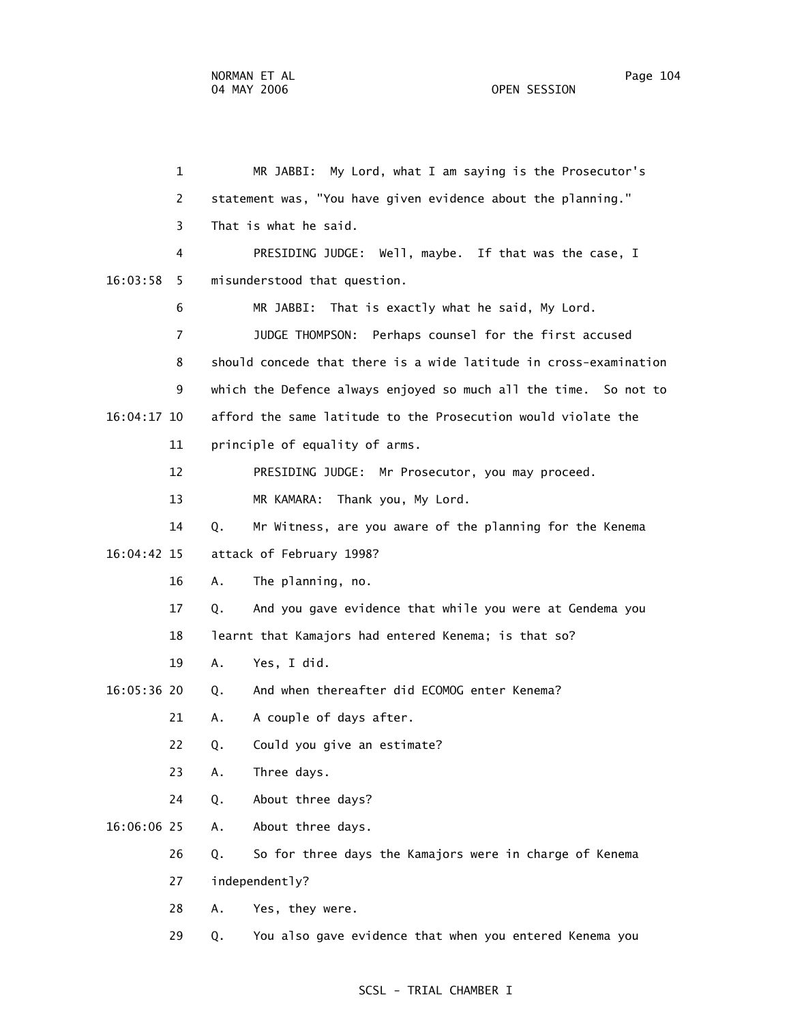1 MR JABBI: My Lord, what I am saying is the Prosecutor's 2 statement was, "You have given evidence about the planning." 3 That is what he said. 4 PRESIDING JUDGE: Well, maybe. If that was the case, I 16:03:58 5 misunderstood that question. 6 MR JABBI: That is exactly what he said, My Lord. 7 JUDGE THOMPSON: Perhaps counsel for the first accused 8 should concede that there is a wide latitude in cross-examination 9 which the Defence always enjoyed so much all the time. So not to 16:04:17 10 afford the same latitude to the Prosecution would violate the 11 principle of equality of arms. 12 PRESIDING JUDGE: Mr Prosecutor, you may proceed. 13 MR KAMARA: Thank you, My Lord. 14 Q. Mr Witness, are you aware of the planning for the Kenema 16:04:42 15 attack of February 1998? 16 A. The planning, no. 17 Q. And you gave evidence that while you were at Gendema you 18 learnt that Kamajors had entered Kenema; is that so? 19 A. Yes, I did. 16:05:36 20 Q. And when thereafter did ECOMOG enter Kenema? 21 A. A couple of days after. 22 Q. Could you give an estimate? 23 A. Three days. 24 Q. About three days? 16:06:06 25 A. About three days. 26 Q. So for three days the Kamajors were in charge of Kenema 27 independently? 28 A. Yes, they were. 29 Q. You also gave evidence that when you entered Kenema you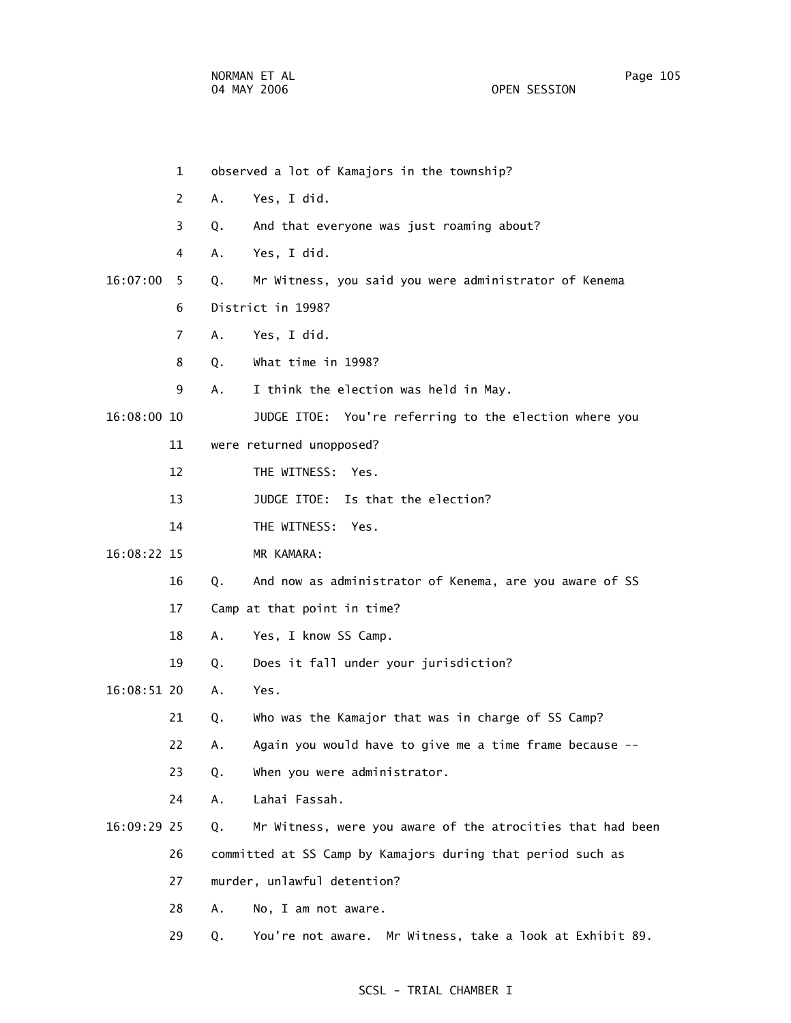1 observed a lot of Kamajors in the township? 2 A. Yes, I did. 3 Q. And that everyone was just roaming about? 4 A. Yes, I did. 16:07:00 5 Q. Mr Witness, you said you were administrator of Kenema 6 District in 1998? 7 A. Yes, I did. 8 Q. What time in 1998? 9 A. I think the election was held in May. 16:08:00 10 JUDGE ITOE: You're referring to the election where you 11 were returned unopposed? 12 THE WITNESS: Yes. 13 **JUDGE ITOE:** Is that the election? 14 THE WITNESS: Yes. 16:08:22 15 MR KAMARA: 16 Q. And now as administrator of Kenema, are you aware of SS 17 Camp at that point in time? 18 A. Yes, I know SS Camp. 19 Q. Does it fall under your jurisdiction? 16:08:51 20 A. Yes. 21 Q. Who was the Kamajor that was in charge of SS Camp? 22 A. Again you would have to give me a time frame because -- 23 Q. When you were administrator. 24 A. Lahai Fassah. 16:09:29 25 Q. Mr Witness, were you aware of the atrocities that had been 26 committed at SS Camp by Kamajors during that period such as 27 murder, unlawful detention? 28 A. No, I am not aware. 29 Q. You're not aware. Mr Witness, take a look at Exhibit 89.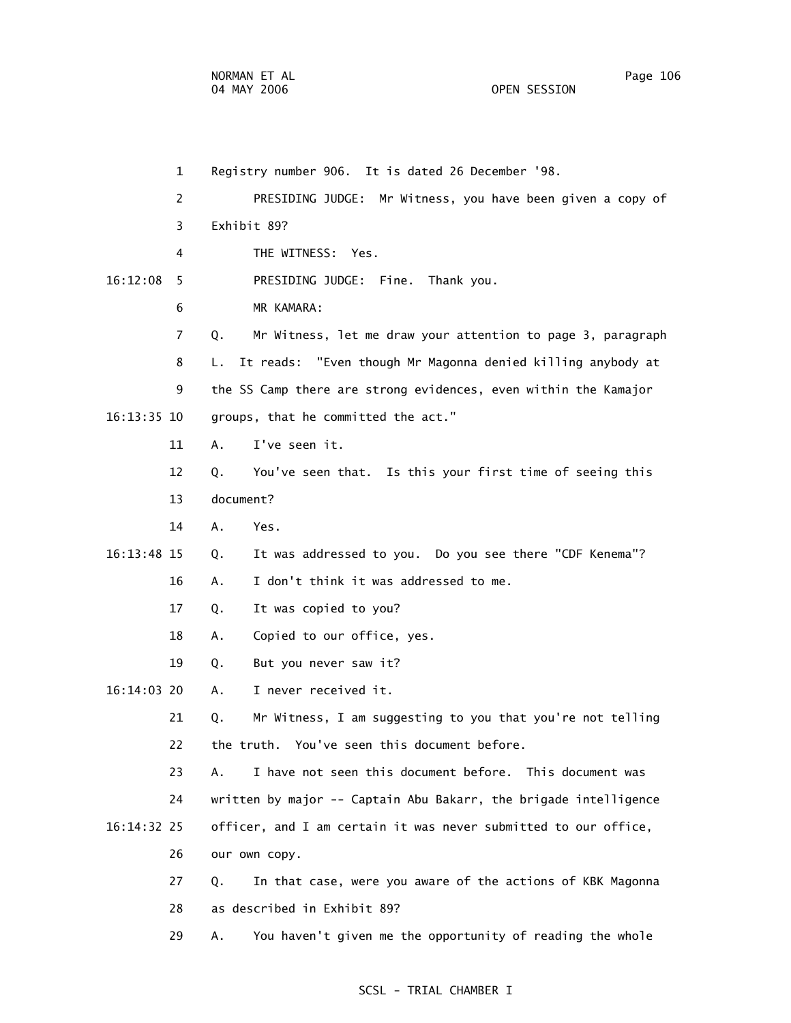1 Registry number 906. It is dated 26 December '98. 2 PRESIDING JUDGE: Mr Witness, you have been given a copy of 3 Exhibit 89? 4 THE WITNESS: Yes. 16:12:08 5 PRESIDING JUDGE: Fine. Thank you. 6 MR KAMARA: 7 Q. Mr Witness, let me draw your attention to page 3, paragraph 8 L. It reads: "Even though Mr Magonna denied killing anybody at 9 the SS Camp there are strong evidences, even within the Kamajor 16:13:35 10 groups, that he committed the act." 11 A. I've seen it. 12 Q. You've seen that. Is this your first time of seeing this 13 document? 14 A. Yes. 16:13:48 15 Q. It was addressed to you. Do you see there "CDF Kenema"? 16 A. I don't think it was addressed to me. 17 Q. It was copied to you? 18 A. Copied to our office, yes. 19 Q. But you never saw it? 16:14:03 20 A. I never received it. 21 Q. Mr Witness, I am suggesting to you that you're not telling 22 the truth. You've seen this document before. 23 A. I have not seen this document before. This document was 24 written by major -- Captain Abu Bakarr, the brigade intelligence 16:14:32 25 officer, and I am certain it was never submitted to our office, 26 our own copy. 27 Q. In that case, were you aware of the actions of KBK Magonna 28 as described in Exhibit 89? 29 A. You haven't given me the opportunity of reading the whole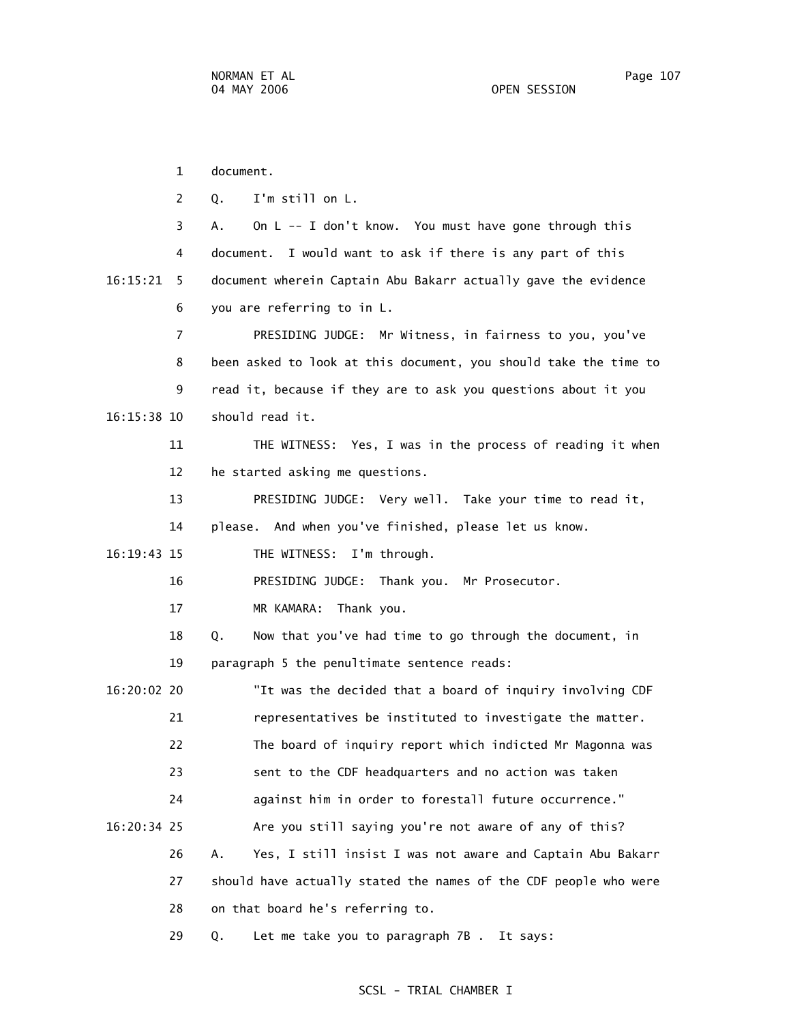1 document. 2 Q. I'm still on L. 3 A. On L -- I don't know. You must have gone through this 4 document. I would want to ask if there is any part of this 16:15:21 5 document wherein Captain Abu Bakarr actually gave the evidence 6 you are referring to in L. 7 PRESIDING JUDGE: Mr Witness, in fairness to you, you've 8 been asked to look at this document, you should take the time to 9 read it, because if they are to ask you questions about it you 16:15:38 10 should read it. 11 THE WITNESS: Yes, I was in the process of reading it when 12 he started asking me questions. 13 PRESIDING JUDGE: Very well. Take your time to read it, 14 please. And when you've finished, please let us know. 16:19:43 15 THE WITNESS: I'm through. 16 PRESIDING JUDGE: Thank you. Mr Prosecutor. 17 MR KAMARA: Thank you. 18 Q. Now that you've had time to go through the document, in 19 paragraph 5 the penultimate sentence reads: 16:20:02 20 "It was the decided that a board of inquiry involving CDF 21 representatives be instituted to investigate the matter. 22 The board of inquiry report which indicted Mr Magonna was 23 sent to the CDF headquarters and no action was taken 24 against him in order to forestall future occurrence." 16:20:34 25 Are you still saying you're not aware of any of this? 26 A. Yes, I still insist I was not aware and Captain Abu Bakarr 27 should have actually stated the names of the CDF people who were 28 on that board he's referring to. 29 Q. Let me take you to paragraph 7B . It says: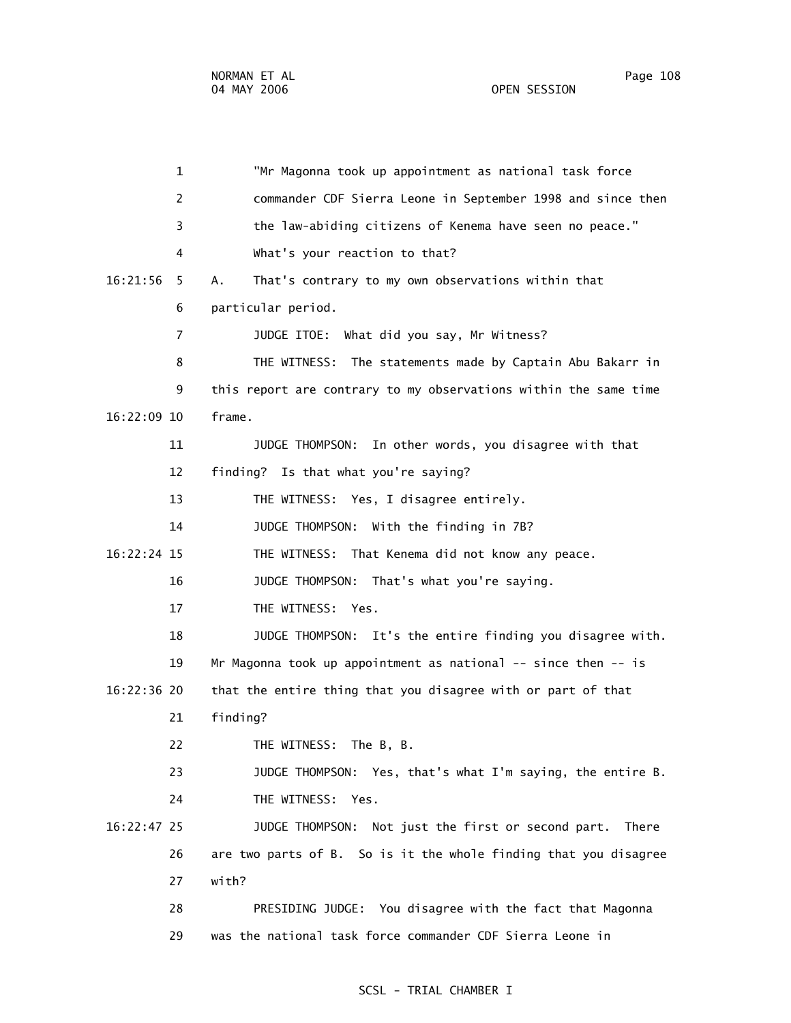1 "Mr Magonna took up appointment as national task force 2 commander CDF Sierra Leone in September 1998 and since then 3 the law-abiding citizens of Kenema have seen no peace." 4 What's your reaction to that? 16:21:56 5 A. That's contrary to my own observations within that 6 particular period. 7 JUDGE ITOE: What did you say, Mr Witness? 8 THE WITNESS: The statements made by Captain Abu Bakarr in 9 this report are contrary to my observations within the same time 16:22:09 10 frame. 11 JUDGE THOMPSON: In other words, you disagree with that 12 finding? Is that what you're saying? 13 THE WITNESS: Yes, I disagree entirely. 14 JUDGE THOMPSON: With the finding in 7B? 16:22:24 15 THE WITNESS: That Kenema did not know any peace. 16 JUDGE THOMPSON: That's what you're saying. 17 THE WITNESS: Yes. 18 JUDGE THOMPSON: It's the entire finding you disagree with. 19 Mr Magonna took up appointment as national -- since then -- is 16:22:36 20 that the entire thing that you disagree with or part of that 21 finding? 22 THE WITNESS: The B, B. 23 JUDGE THOMPSON: Yes, that's what I'm saying, the entire B. 24 THE WITNESS: Yes. 16:22:47 25 JUDGE THOMPSON: Not just the first or second part. There 26 are two parts of B. So is it the whole finding that you disagree 27 with? 28 PRESIDING JUDGE: You disagree with the fact that Magonna 29 was the national task force commander CDF Sierra Leone in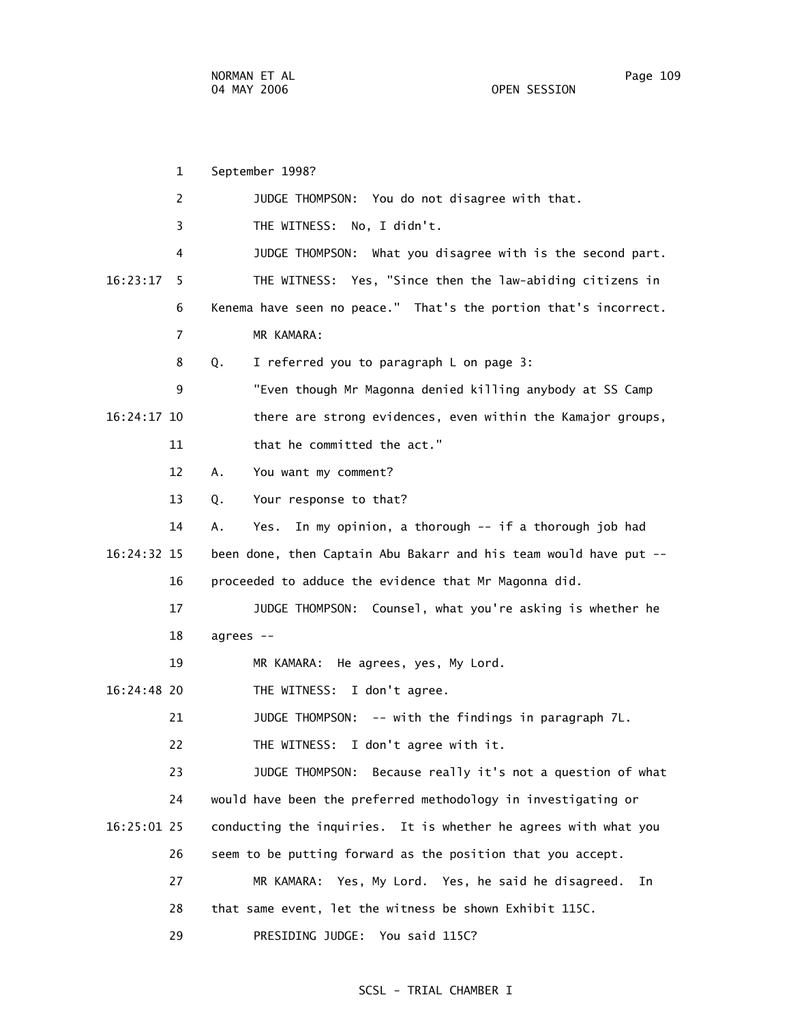1 September 1998? 2 JUDGE THOMPSON: You do not disagree with that. 3 THE WITNESS: No, I didn't. 4 JUDGE THOMPSON: What you disagree with is the second part. 16:23:17 5 THE WITNESS: Yes, "Since then the law-abiding citizens in 6 Kenema have seen no peace." That's the portion that's incorrect. 7 MR KAMARA: 8 Q. I referred you to paragraph L on page 3: 9 "Even though Mr Magonna denied killing anybody at SS Camp 16:24:17 10 there are strong evidences, even within the Kamajor groups, 11 that he committed the act." 12 A. You want my comment? 13 Q. Your response to that? 14 A. Yes. In my opinion, a thorough -- if a thorough job had 16:24:32 15 been done, then Captain Abu Bakarr and his team would have put -- 16 proceeded to adduce the evidence that Mr Magonna did. 17 JUDGE THOMPSON: Counsel, what you're asking is whether he 18 agrees -- 19 MR KAMARA: He agrees, yes, My Lord. 16:24:48 20 THE WITNESS: I don't agree. 21 JUDGE THOMPSON: -- with the findings in paragraph 7L. 22 THE WITNESS: I don't agree with it. 23 JUDGE THOMPSON: Because really it's not a question of what 24 would have been the preferred methodology in investigating or 16:25:01 25 conducting the inquiries. It is whether he agrees with what you 26 seem to be putting forward as the position that you accept. 27 MR KAMARA: Yes, My Lord. Yes, he said he disagreed. In 28 that same event, let the witness be shown Exhibit 115C.

#### SCSL - TRIAL CHAMBER I

29 PRESIDING JUDGE: You said 115C?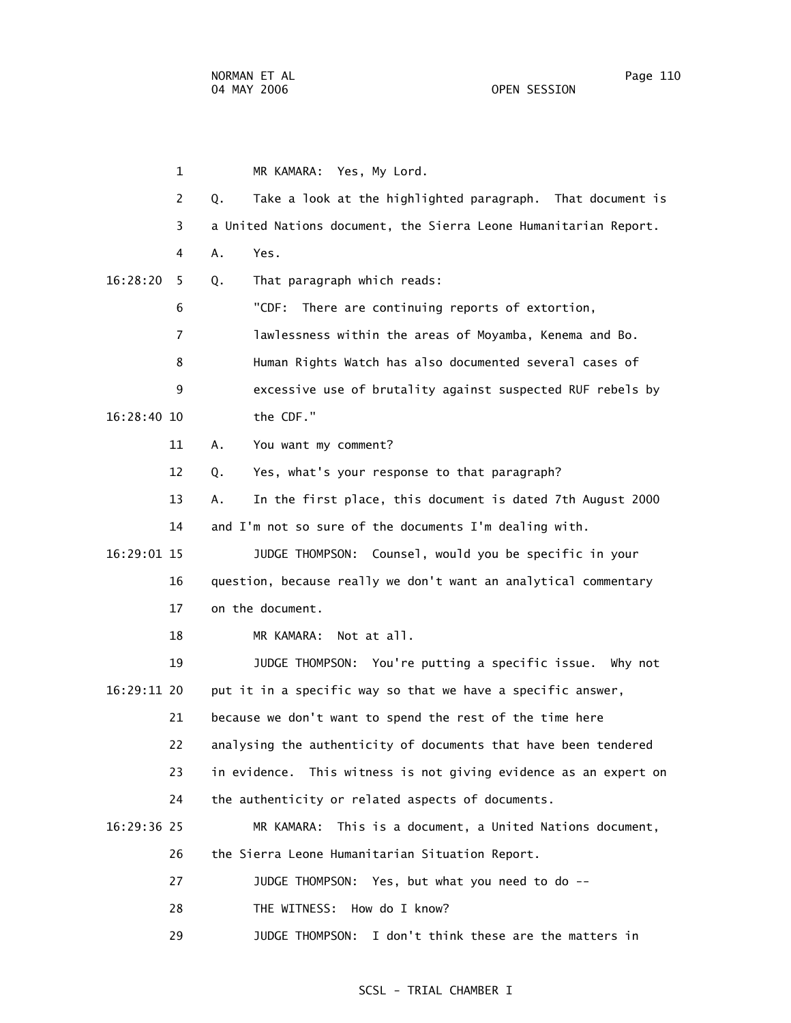1 MR KAMARA: Yes, My Lord. 2 Q. Take a look at the highlighted paragraph. That document is 3 a United Nations document, the Sierra Leone Humanitarian Report. 4 A. Yes. 16:28:20 5 Q. That paragraph which reads: 6 "CDF: There are continuing reports of extortion, 7 lawlessness within the areas of Moyamba, Kenema and Bo. 8 Human Rights Watch has also documented several cases of 9 excessive use of brutality against suspected RUF rebels by 16:28:40 10 the CDF." 11 A. You want my comment? 12 Q. Yes, what's your response to that paragraph? 13 A. In the first place, this document is dated 7th August 2000 14 and I'm not so sure of the documents I'm dealing with. 16:29:01 15 JUDGE THOMPSON: Counsel, would you be specific in your 16 question, because really we don't want an analytical commentary 17 on the document. 18 MR KAMARA: Not at all. 19 JUDGE THOMPSON: You're putting a specific issue. Why not 16:29:11 20 put it in a specific way so that we have a specific answer, 21 because we don't want to spend the rest of the time here 22 analysing the authenticity of documents that have been tendered 23 in evidence. This witness is not giving evidence as an expert on 24 the authenticity or related aspects of documents. 16:29:36 25 MR KAMARA: This is a document, a United Nations document, 26 the Sierra Leone Humanitarian Situation Report. 27 JUDGE THOMPSON: Yes, but what you need to do -- 28 THE WITNESS: How do I know?

29 JUDGE THOMPSON: I don't think these are the matters in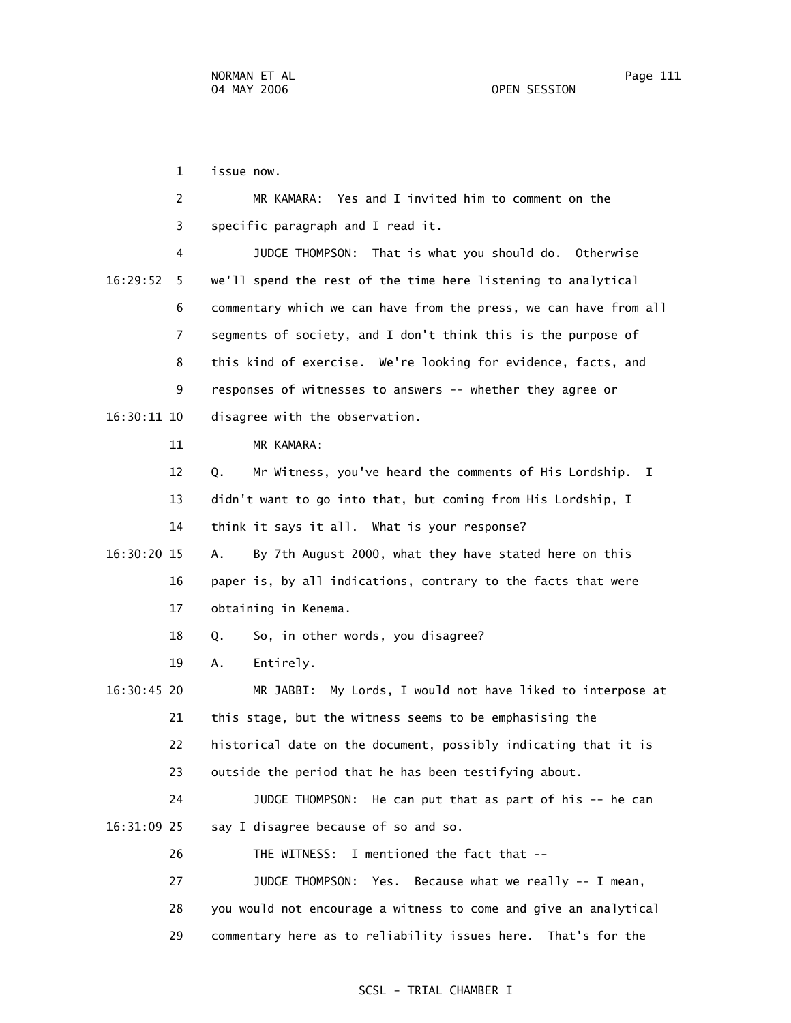1 issue now.

|                                     |  |  | MR KAMARA: Yes and I invited him to comment on the |  |
|-------------------------------------|--|--|----------------------------------------------------|--|
| 3 specific paragraph and I read it. |  |  |                                                    |  |

 4 JUDGE THOMPSON: That is what you should do. Otherwise 16:29:52 5 we'll spend the rest of the time here listening to analytical 6 commentary which we can have from the press, we can have from all 7 segments of society, and I don't think this is the purpose of 8 this kind of exercise. We're looking for evidence, facts, and 9 responses of witnesses to answers -- whether they agree or 16:30:11 10 disagree with the observation.

11 MR KAMARA:

 12 Q. Mr Witness, you've heard the comments of His Lordship. I 13 didn't want to go into that, but coming from His Lordship, I 14 think it says it all. What is your response?

 16:30:20 15 A. By 7th August 2000, what they have stated here on this 16 paper is, by all indications, contrary to the facts that were 17 obtaining in Kenema.

18 Q. So, in other words, you disagree?

19 A. Entirely.

 16:30:45 20 MR JABBI: My Lords, I would not have liked to interpose at 21 this stage, but the witness seems to be emphasising the 22 historical date on the document, possibly indicating that it is 23 outside the period that he has been testifying about.

 24 JUDGE THOMPSON: He can put that as part of his -- he can 16:31:09 25 say I disagree because of so and so.

26 THE WITNESS: I mentioned the fact that --

 27 JUDGE THOMPSON: Yes. Because what we really -- I mean, 28 you would not encourage a witness to come and give an analytical 29 commentary here as to reliability issues here. That's for the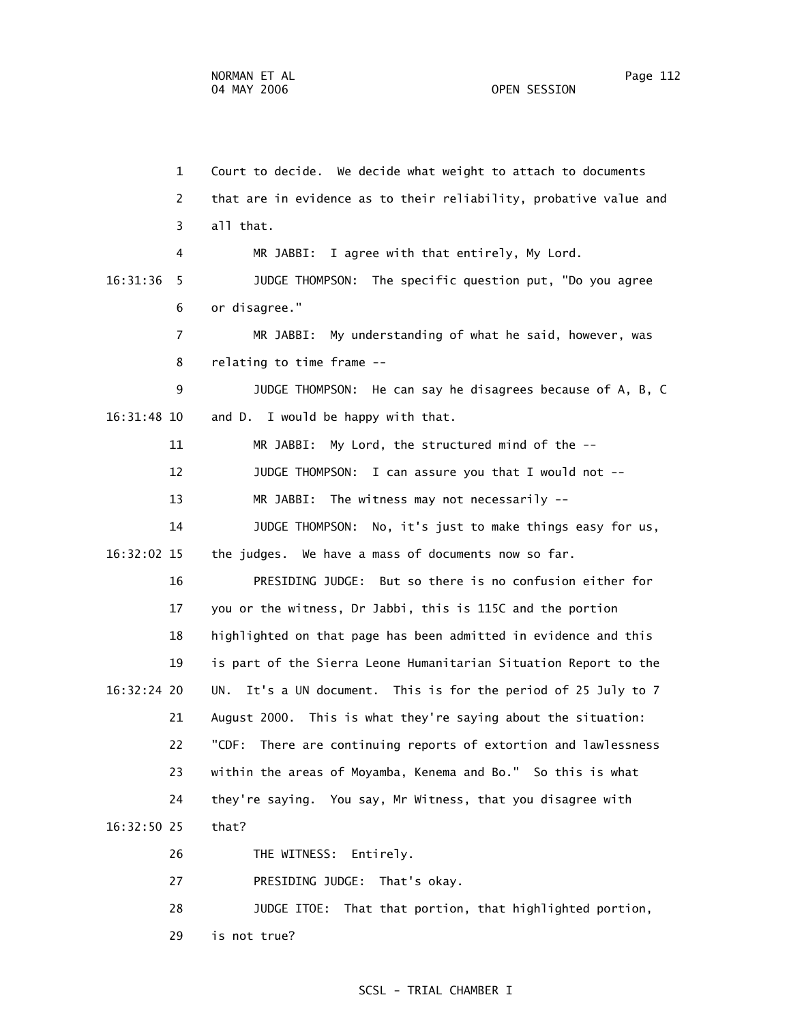1 Court to decide. We decide what weight to attach to documents 2 that are in evidence as to their reliability, probative value and 3 all that. 4 MR JABBI: I agree with that entirely, My Lord. 16:31:36 5 JUDGE THOMPSON: The specific question put, "Do you agree 6 or disagree." 7 MR JABBI: My understanding of what he said, however, was 8 relating to time frame -- 9 JUDGE THOMPSON: He can say he disagrees because of A, B, C 16:31:48 10 and D. I would be happy with that. 11 MR JABBI: My Lord, the structured mind of the -- 12 JUDGE THOMPSON: I can assure you that I would not -- 13 MR JABBI: The witness may not necessarily -- 14 JUDGE THOMPSON: No, it's just to make things easy for us, 16:32:02 15 the judges. We have a mass of documents now so far. 16 PRESIDING JUDGE: But so there is no confusion either for 17 you or the witness, Dr Jabbi, this is 115C and the portion 18 highlighted on that page has been admitted in evidence and this 19 is part of the Sierra Leone Humanitarian Situation Report to the 16:32:24 20 UN. It's a UN document. This is for the period of 25 July to 7 21 August 2000. This is what they're saying about the situation: 22 "CDF: There are continuing reports of extortion and lawlessness 23 within the areas of Moyamba, Kenema and Bo." So this is what 24 they're saying. You say, Mr Witness, that you disagree with 16:32:50 25 that? 26 THE WITNESS: Entirely. 27 PRESIDING JUDGE: That's okay.

28 JUDGE ITOE: That that portion, that highlighted portion,

29 is not true?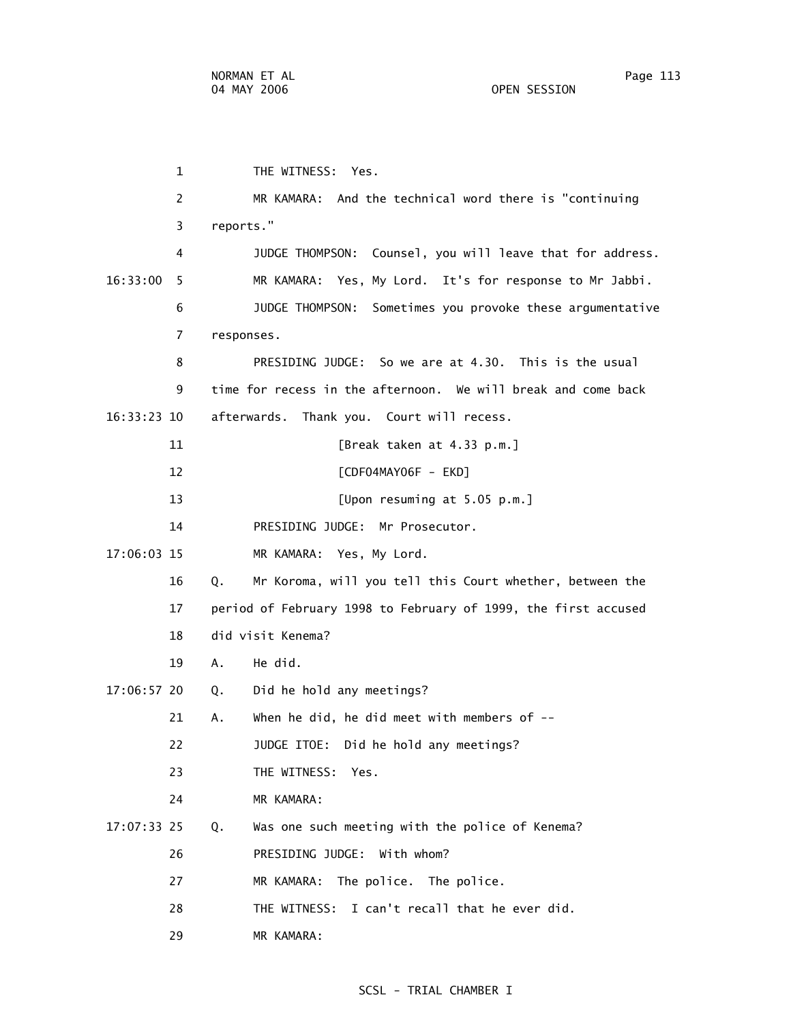1 THE WITNESS: Yes. 2 MR KAMARA: And the technical word there is "continuing 3 reports." 4 JUDGE THOMPSON: Counsel, you will leave that for address. 16:33:00 5 MR KAMARA: Yes, My Lord. It's for response to Mr Jabbi. 6 JUDGE THOMPSON: Sometimes you provoke these argumentative 7 responses. 8 PRESIDING JUDGE: So we are at 4.30. This is the usual 9 time for recess in the afternoon. We will break and come back 16:33:23 10 afterwards. Thank you. Court will recess. 11 [Break taken at 4.33 p.m.] 12 [CDF04MAY06F - EKD] 13 [Upon resuming at 5.05 p.m.] 14 PRESIDING JUDGE: Mr Prosecutor. 17:06:03 15 MR KAMARA: Yes, My Lord. 16 Q. Mr Koroma, will you tell this Court whether, between the 17 period of February 1998 to February of 1999, the first accused 18 did visit Kenema? 19 A. He did. 17:06:57 20 Q. Did he hold any meetings? 21 A. When he did, he did meet with members of -- 22 JUDGE ITOE: Did he hold any meetings? 23 THE WITNESS: Yes. 24 MR KAMARA: 17:07:33 25 Q. Was one such meeting with the police of Kenema? 26 PRESIDING JUDGE: With whom? 27 MR KAMARA: The police. The police. 28 THE WITNESS: I can't recall that he ever did. 29 MR KAMARA: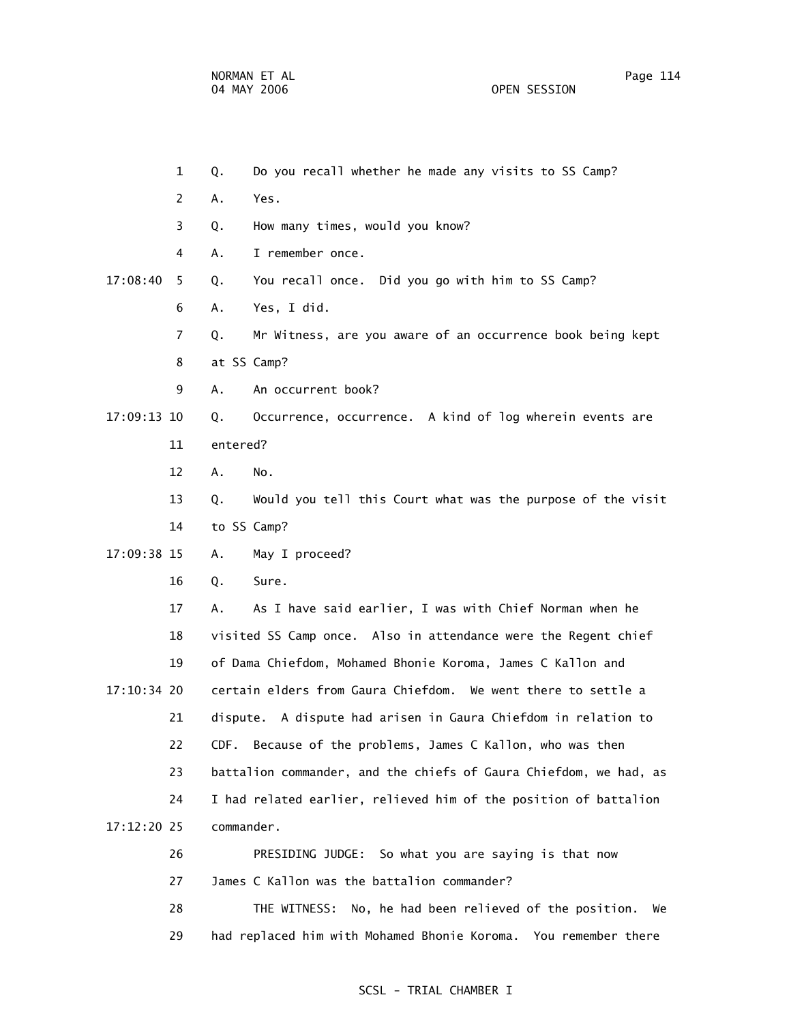1 Q. Do you recall whether he made any visits to SS Camp?

2 A. Yes.

3 Q. How many times, would you know?

4 A. I remember once.

17:08:40 5 Q. You recall once. Did you go with him to SS Camp?

6 A. Yes, I did.

7 Q. Mr Witness, are you aware of an occurrence book being kept

8 at SS Camp?

9 A. An occurrent book?

 17:09:13 10 Q. Occurrence, occurrence. A kind of log wherein events are 11 entered?

12 A. No.

 13 Q. Would you tell this Court what was the purpose of the visit 14 to SS Camp?

17:09:38 15 A. May I proceed?

16 Q. Sure.

 17 A. As I have said earlier, I was with Chief Norman when he 18 visited SS Camp once. Also in attendance were the Regent chief 19 of Dama Chiefdom, Mohamed Bhonie Koroma, James C Kallon and 17:10:34 20 certain elders from Gaura Chiefdom. We went there to settle a 21 dispute. A dispute had arisen in Gaura Chiefdom in relation to 22 CDF. Because of the problems, James C Kallon, who was then 23 battalion commander, and the chiefs of Gaura Chiefdom, we had, as 24 I had related earlier, relieved him of the position of battalion 17:12:20 25 commander.

> 26 PRESIDING JUDGE: So what you are saying is that now 27 James C Kallon was the battalion commander?

 28 THE WITNESS: No, he had been relieved of the position. We 29 had replaced him with Mohamed Bhonie Koroma. You remember there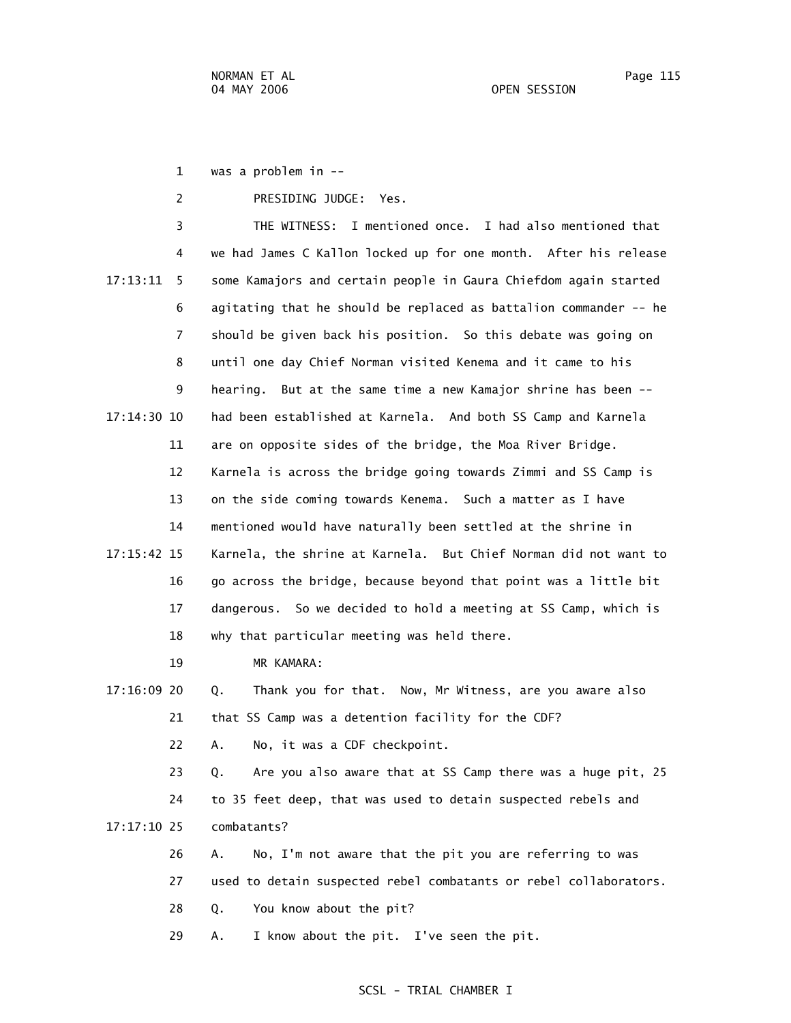1 was a problem in --

2 PRESIDING JUDGE: Yes.

 3 THE WITNESS: I mentioned once. I had also mentioned that 4 we had James C Kallon locked up for one month. After his release 17:13:11 5 some Kamajors and certain people in Gaura Chiefdom again started 6 agitating that he should be replaced as battalion commander -- he 7 should be given back his position. So this debate was going on 8 until one day Chief Norman visited Kenema and it came to his 9 hearing. But at the same time a new Kamajor shrine has been -- 17:14:30 10 had been established at Karnela. And both SS Camp and Karnela 11 are on opposite sides of the bridge, the Moa River Bridge. 12 Karnela is across the bridge going towards Zimmi and SS Camp is 13 on the side coming towards Kenema. Such a matter as I have 14 mentioned would have naturally been settled at the shrine in 17:15:42 15 Karnela, the shrine at Karnela. But Chief Norman did not want to 16 go across the bridge, because beyond that point was a little bit 17 dangerous. So we decided to hold a meeting at SS Camp, which is 18 why that particular meeting was held there.

19 MR KAMARA:

 17:16:09 20 Q. Thank you for that. Now, Mr Witness, are you aware also 21 that SS Camp was a detention facility for the CDF?

22 A. No, it was a CDF checkpoint.

 23 Q. Are you also aware that at SS Camp there was a huge pit, 25 24 to 35 feet deep, that was used to detain suspected rebels and 17:17:10 25 combatants?

 26 A. No, I'm not aware that the pit you are referring to was 27 used to detain suspected rebel combatants or rebel collaborators. 28 Q. You know about the pit?

29 A. I know about the pit. I've seen the pit.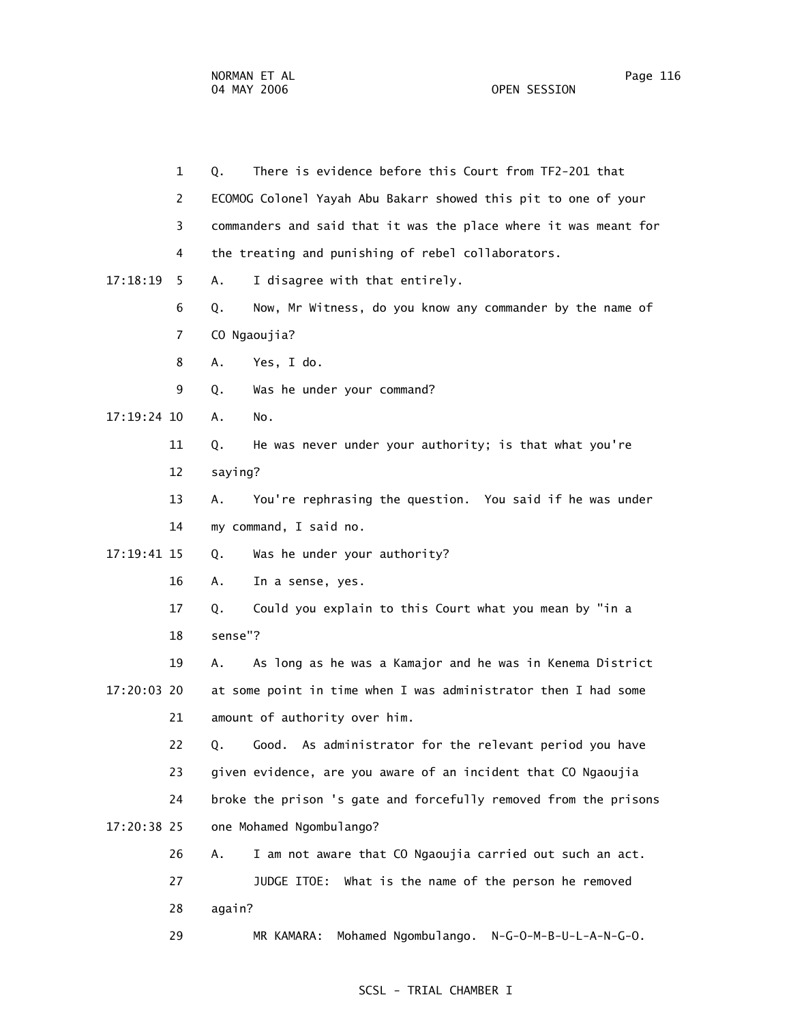1 Q. There is evidence before this Court from TF2-201 that 2 ECOMOG Colonel Yayah Abu Bakarr showed this pit to one of your 3 commanders and said that it was the place where it was meant for 4 the treating and punishing of rebel collaborators. 17:18:19 5 A. I disagree with that entirely. 6 Q. Now, Mr Witness, do you know any commander by the name of 7 CO Ngaoujia? 8 A. Yes, I do. 9 Q. Was he under your command? 17:19:24 10 A. No. 11 Q. He was never under your authority; is that what you're 12 saying? 13 A. You're rephrasing the question. You said if he was under 14 my command, I said no. 17:19:41 15 Q. Was he under your authority? 16 A. In a sense, yes. 17 Q. Could you explain to this Court what you mean by "in a 18 sense"? 19 A. As long as he was a Kamajor and he was in Kenema District 17:20:03 20 at some point in time when I was administrator then I had some 21 amount of authority over him. 22 Q. Good. As administrator for the relevant period you have 23 given evidence, are you aware of an incident that CO Ngaoujia 24 broke the prison 's gate and forcefully removed from the prisons 17:20:38 25 one Mohamed Ngombulango? 26 A. I am not aware that CO Ngaoujia carried out such an act. 27 JUDGE ITOE: What is the name of the person he removed 28 again? 29 MR KAMARA: Mohamed Ngombulango. N-G-O-M-B-U-L-A-N-G-O.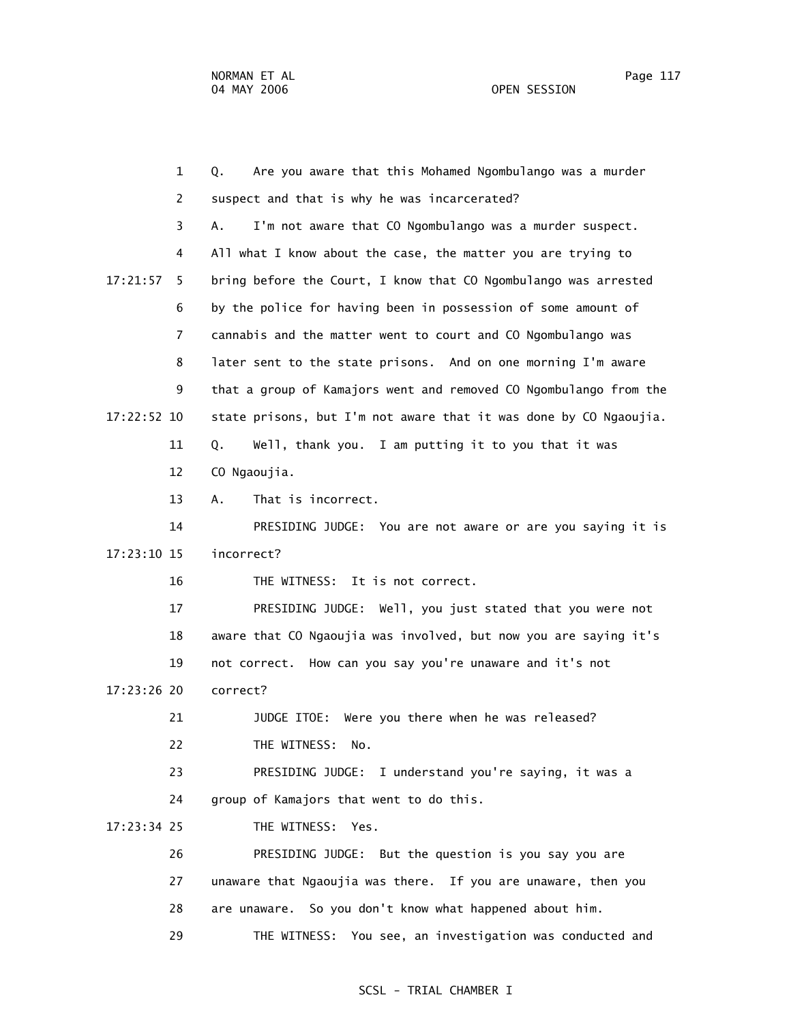1 Q. Are you aware that this Mohamed Ngombulango was a murder 2 suspect and that is why he was incarcerated? 3 A. I'm not aware that CO Ngombulango was a murder suspect. 4 All what I know about the case, the matter you are trying to 17:21:57 5 bring before the Court, I know that CO Ngombulango was arrested 6 by the police for having been in possession of some amount of 7 cannabis and the matter went to court and CO Ngombulango was 8 later sent to the state prisons. And on one morning I'm aware 9 that a group of Kamajors went and removed CO Ngombulango from the 17:22:52 10 state prisons, but I'm not aware that it was done by CO Ngaoujia. 11 Q. Well, thank you. I am putting it to you that it was 12 CO Ngaoujia. 13 A. That is incorrect. 14 PRESIDING JUDGE: You are not aware or are you saying it is 17:23:10 15 incorrect? 16 THE WITNESS: It is not correct. 17 PRESIDING JUDGE: Well, you just stated that you were not 18 aware that CO Ngaoujia was involved, but now you are saying it's 19 not correct. How can you say you're unaware and it's not 17:23:26 20 correct? 21 JUDGE ITOE: Were you there when he was released? 22 THE WITNESS: No. 23 PRESIDING JUDGE: I understand you're saying, it was a 24 group of Kamajors that went to do this. 17:23:34 25 THE WITNESS: Yes. 26 PRESIDING JUDGE: But the question is you say you are 27 unaware that Ngaoujia was there. If you are unaware, then you 28 are unaware. So you don't know what happened about him. 29 THE WITNESS: You see, an investigation was conducted and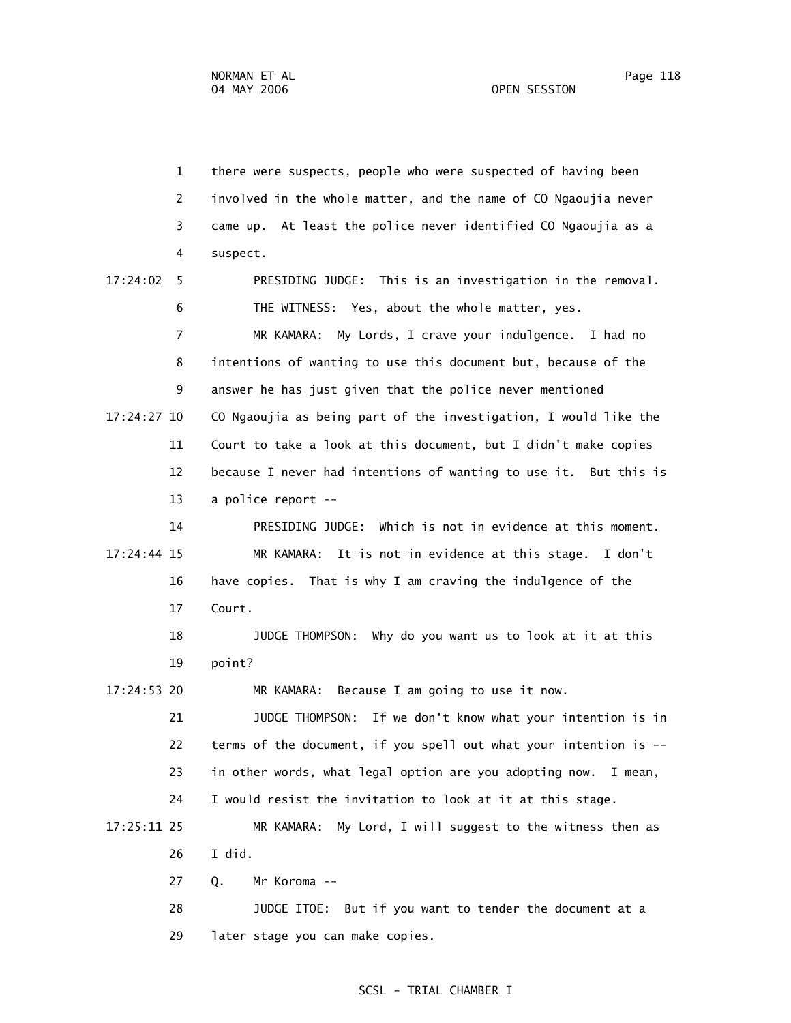1 there were suspects, people who were suspected of having been 2 involved in the whole matter, and the name of CO Ngaoujia never 3 came up. At least the police never identified CO Ngaoujia as a 4 suspect. 17:24:02 5 PRESIDING JUDGE: This is an investigation in the removal. 6 THE WITNESS: Yes, about the whole matter, yes. 7 MR KAMARA: My Lords, I crave your indulgence. I had no 8 intentions of wanting to use this document but, because of the 9 answer he has just given that the police never mentioned 17:24:27 10 CO Ngaoujia as being part of the investigation, I would like the 11 Court to take a look at this document, but I didn't make copies 12 because I never had intentions of wanting to use it. But this is 13 a police report -- 14 PRESIDING JUDGE: Which is not in evidence at this moment. 17:24:44 15 MR KAMARA: It is not in evidence at this stage. I don't 16 have copies. That is why I am craving the indulgence of the 17 Court. 18 JUDGE THOMPSON: Why do you want us to look at it at this 19 point? 17:24:53 20 MR KAMARA: Because I am going to use it now. 21 JUDGE THOMPSON: If we don't know what your intention is in 22 terms of the document, if you spell out what your intention is -- 23 in other words, what legal option are you adopting now. I mean, 24 I would resist the invitation to look at it at this stage. 17:25:11 25 MR KAMARA: My Lord, I will suggest to the witness then as 26 I did. 27 Q. Mr Koroma -- 28 JUDGE ITOE: But if you want to tender the document at a 29 later stage you can make copies.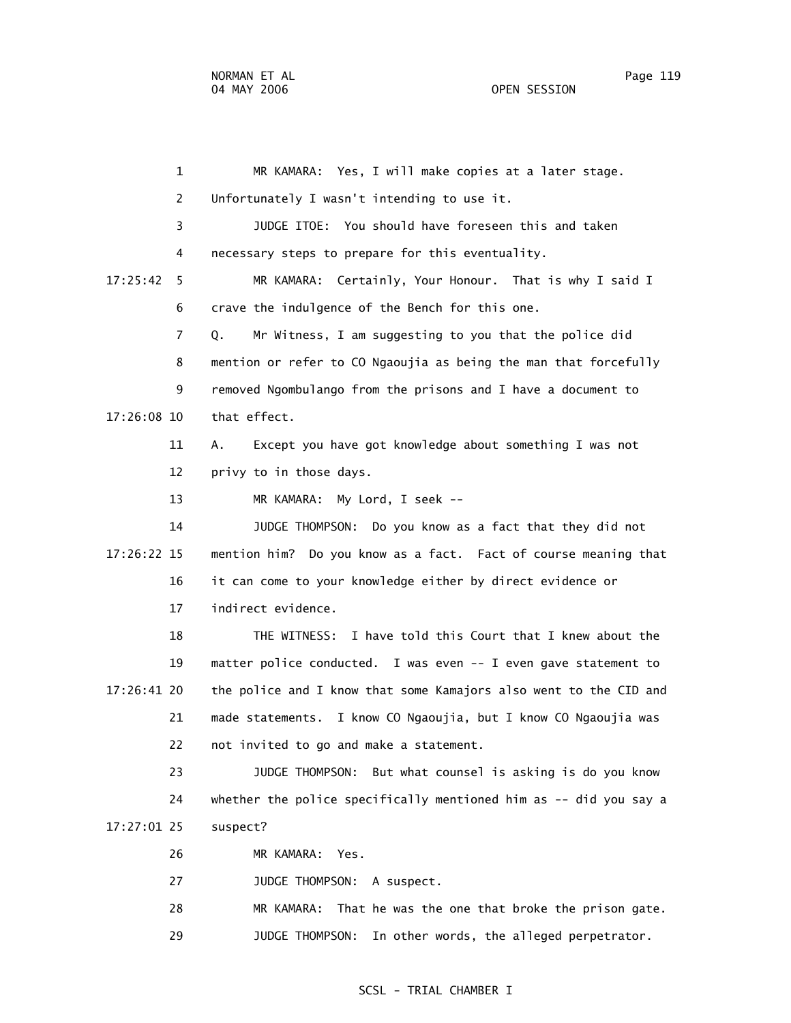1 MR KAMARA: Yes, I will make copies at a later stage. 2 Unfortunately I wasn't intending to use it. 3 JUDGE ITOE: You should have foreseen this and taken 4 necessary steps to prepare for this eventuality. 17:25:42 5 MR KAMARA: Certainly, Your Honour. That is why I said I 6 crave the indulgence of the Bench for this one. 7 Q. Mr Witness, I am suggesting to you that the police did 8 mention or refer to CO Ngaoujia as being the man that forcefully 9 removed Ngombulango from the prisons and I have a document to 17:26:08 10 that effect. 11 A. Except you have got knowledge about something I was not 12 privy to in those days. 13 MR KAMARA: My Lord, I seek -- 14 JUDGE THOMPSON: Do you know as a fact that they did not 17:26:22 15 mention him? Do you know as a fact. Fact of course meaning that 16 it can come to your knowledge either by direct evidence or 17 indirect evidence. 18 THE WITNESS: I have told this Court that I knew about the 19 matter police conducted. I was even -- I even gave statement to 17:26:41 20 the police and I know that some Kamajors also went to the CID and 21 made statements. I know CO Ngaoujia, but I know CO Ngaoujia was 22 not invited to go and make a statement. 23 JUDGE THOMPSON: But what counsel is asking is do you know 24 whether the police specifically mentioned him as -- did you say a 17:27:01 25 suspect? 26 MR KAMARA: Yes. 27 JUDGE THOMPSON: A suspect. 28 MR KAMARA: That he was the one that broke the prison gate.

29 JUDGE THOMPSON: In other words, the alleged perpetrator.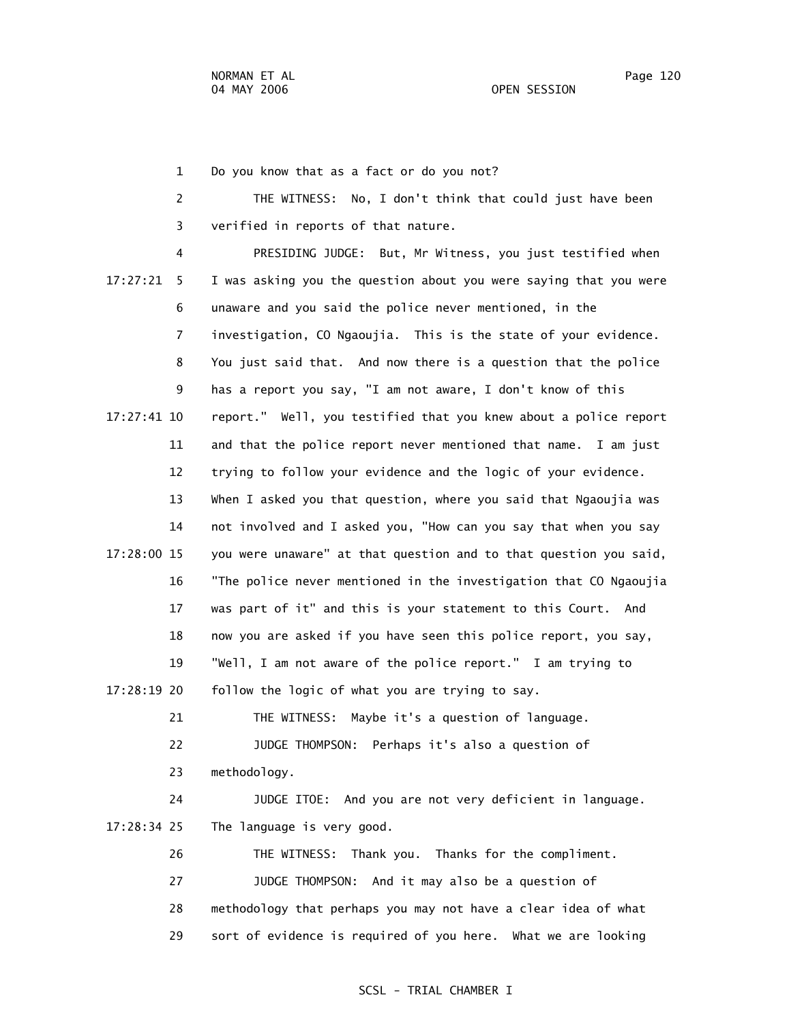1 Do you know that as a fact or do you not?

 2 THE WITNESS: No, I don't think that could just have been 3 verified in reports of that nature.

 4 PRESIDING JUDGE: But, Mr Witness, you just testified when 17:27:21 5 I was asking you the question about you were saying that you were 6 unaware and you said the police never mentioned, in the 7 investigation, CO Ngaoujia. This is the state of your evidence. 8 You just said that. And now there is a question that the police 9 has a report you say, "I am not aware, I don't know of this 17:27:41 10 report." Well, you testified that you knew about a police report 11 and that the police report never mentioned that name. I am just 12 trying to follow your evidence and the logic of your evidence. 13 When I asked you that question, where you said that Ngaoujia was 14 not involved and I asked you, "How can you say that when you say 17:28:00 15 you were unaware" at that question and to that question you said, 16 "The police never mentioned in the investigation that CO Ngaoujia 17 was part of it" and this is your statement to this Court. And 18 now you are asked if you have seen this police report, you say, 19 "Well, I am not aware of the police report." I am trying to 17:28:19 20 follow the logic of what you are trying to say. 21 THE WITNESS: Maybe it's a question of language. 22 JUDGE THOMPSON: Perhaps it's also a question of 23 methodology. 24 JUDGE ITOE: And you are not very deficient in language. 17:28:34 25 The language is very good. 26 THE WITNESS: Thank you. Thanks for the compliment. 27 JUDGE THOMPSON: And it may also be a question of

> 28 methodology that perhaps you may not have a clear idea of what 29 sort of evidence is required of you here. What we are looking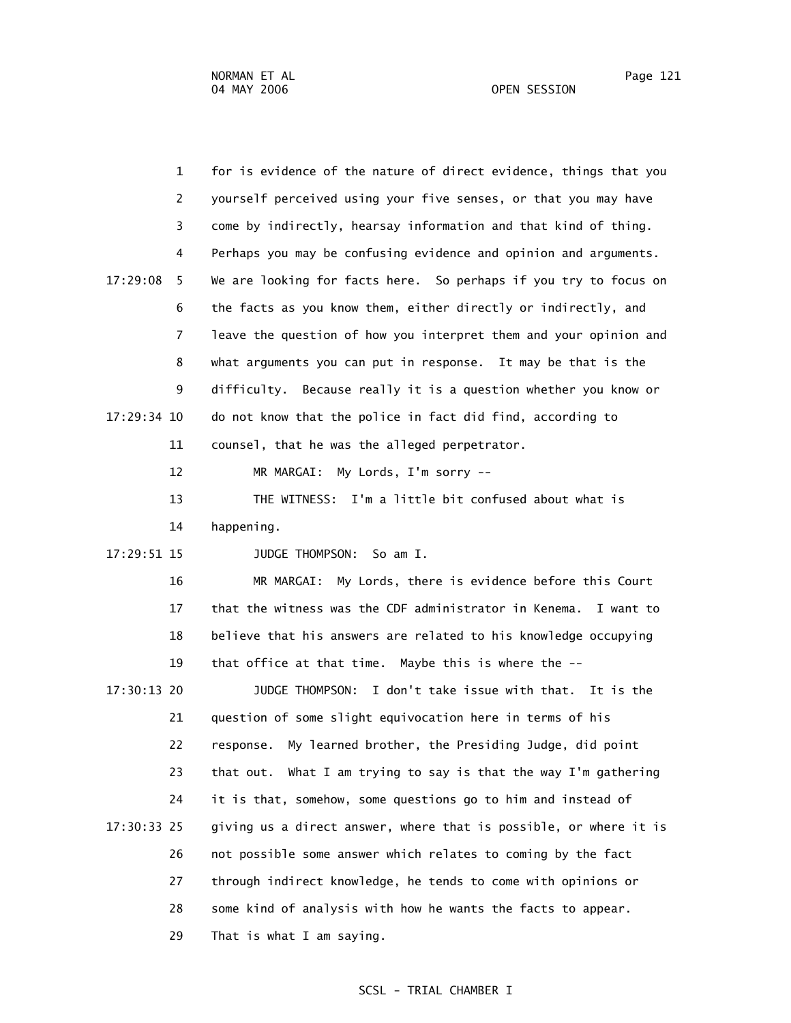|             | $\mathbf{1}$   | for is evidence of the nature of direct evidence, things that you  |
|-------------|----------------|--------------------------------------------------------------------|
|             | $\overline{c}$ | yourself perceived using your five senses, or that you may have    |
|             | 3              | come by indirectly, hearsay information and that kind of thing.    |
|             | 4              | Perhaps you may be confusing evidence and opinion and arguments.   |
| 17:29:08    | 5              | We are looking for facts here. So perhaps if you try to focus on   |
|             | 6              | the facts as you know them, either directly or indirectly, and     |
|             | $\overline{7}$ | leave the question of how you interpret them and your opinion and  |
|             | 8              | what arguments you can put in response. It may be that is the      |
|             | 9              | Because really it is a question whether you know or<br>difficulty. |
| 17:29:34 10 |                | do not know that the police in fact did find, according to         |
|             | 11             | counsel, that he was the alleged perpetrator.                      |
|             | 12             | MR MARGAI:<br>My Lords, I'm sorry --                               |
|             | 13             | THE WITNESS: I'm a little bit confused about what is               |
|             | 14             | happening.                                                         |
| 17:29:51 15 |                | JUDGE THOMPSON:<br>So am I.                                        |
|             | 16             | My Lords, there is evidence before this Court<br>MR MARGAI:        |
|             | 17             | that the witness was the CDF administrator in Kenema.<br>I want to |
|             | 18             | believe that his answers are related to his knowledge occupying    |
|             | 19             | that office at that time. Maybe this is where the --               |
| 17:30:13 20 |                | JUDGE THOMPSON: I don't take issue with that. It is the            |
|             | 21             | question of some slight equivocation here in terms of his          |
|             | 22             | response. My learned brother, the Presiding Judge, did point       |
|             | 23             | that out. What I am trying to say is that the way I'm gathering    |
|             | 24             | it is that, somehow, some questions go to him and instead of       |
| 17:30:33 25 |                | giving us a direct answer, where that is possible, or where it is  |
|             | 26             | not possible some answer which relates to coming by the fact       |
|             | 27             | through indirect knowledge, he tends to come with opinions or      |
|             | 28             | some kind of analysis with how he wants the facts to appear.       |
|             | 29             | That is what I am saying.                                          |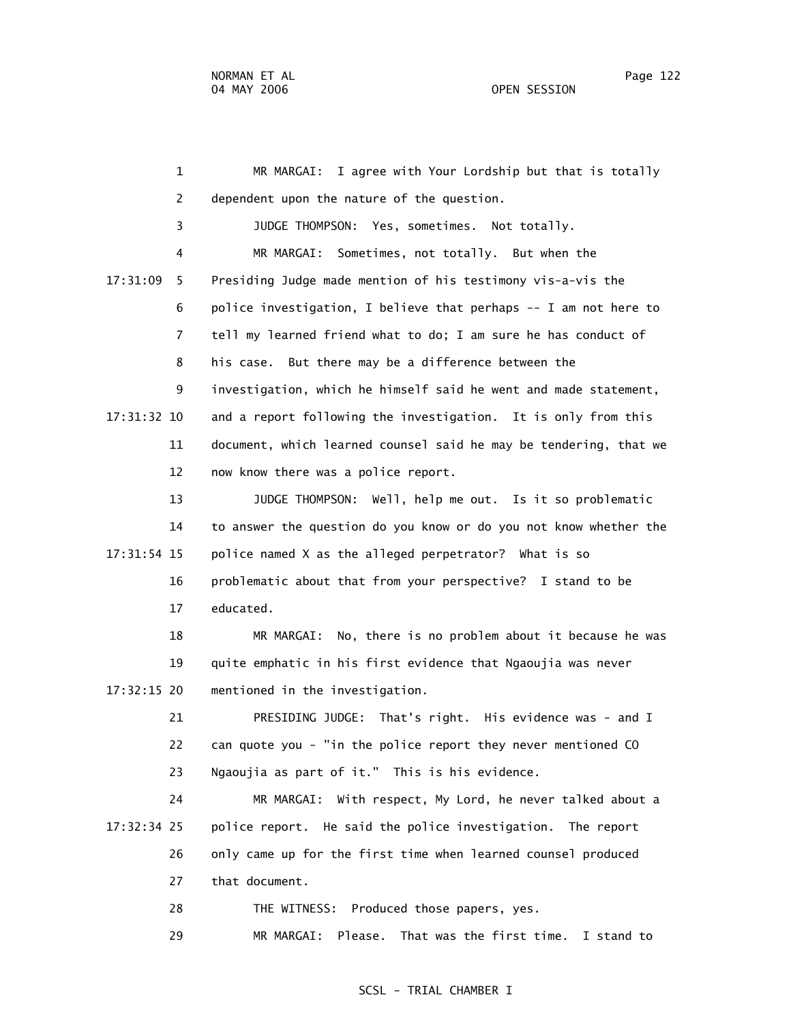1 MR MARGAI: I agree with Your Lordship but that is totally 2 dependent upon the nature of the question. 3 JUDGE THOMPSON: Yes, sometimes. Not totally. 4 MR MARGAI: Sometimes, not totally. But when the 17:31:09 5 Presiding Judge made mention of his testimony vis-a-vis the 6 police investigation, I believe that perhaps -- I am not here to 7 tell my learned friend what to do; I am sure he has conduct of 8 his case. But there may be a difference between the 9 investigation, which he himself said he went and made statement, 17:31:32 10 and a report following the investigation. It is only from this 11 document, which learned counsel said he may be tendering, that we 12 now know there was a police report. 13 JUDGE THOMPSON: Well, help me out. Is it so problematic 14 to answer the question do you know or do you not know whether the 17:31:54 15 police named X as the alleged perpetrator? What is so 16 problematic about that from your perspective? I stand to be 17 educated. 18 MR MARGAI: No, there is no problem about it because he was 19 quite emphatic in his first evidence that Ngaoujia was never 17:32:15 20 mentioned in the investigation. 21 PRESIDING JUDGE: That's right. His evidence was - and I 22 can quote you - "in the police report they never mentioned CO 23 Ngaoujia as part of it." This is his evidence. 24 MR MARGAI: With respect, My Lord, he never talked about a 17:32:34 25 police report. He said the police investigation. The report 26 only came up for the first time when learned counsel produced 27 that document. 28 THE WITNESS: Produced those papers, yes. 29 MR MARGAI: Please. That was the first time. I stand to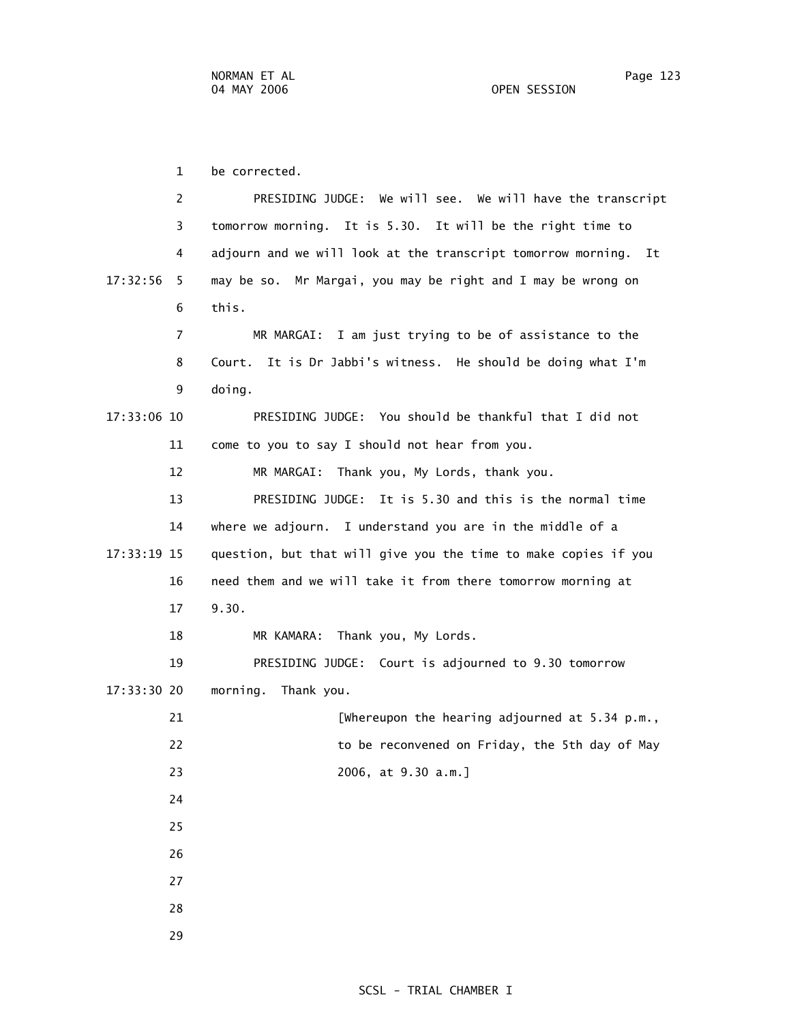1 be corrected. 2 PRESIDING JUDGE: We will see. We will have the transcript 3 tomorrow morning. It is 5.30. It will be the right time to 4 adjourn and we will look at the transcript tomorrow morning. It 17:32:56 5 may be so. Mr Margai, you may be right and I may be wrong on 6 this. 7 MR MARGAI: I am just trying to be of assistance to the 8 Court. It is Dr Jabbi's witness. He should be doing what I'm 9 doing. 17:33:06 10 PRESIDING JUDGE: You should be thankful that I did not 11 come to you to say I should not hear from you. 12 MR MARGAI: Thank you, My Lords, thank you. 13 PRESIDING JUDGE: It is 5.30 and this is the normal time 14 where we adjourn. I understand you are in the middle of a 17:33:19 15 question, but that will give you the time to make copies if you 16 need them and we will take it from there tomorrow morning at 17 9.30. 18 MR KAMARA: Thank you, My Lords. 19 PRESIDING JUDGE: Court is adjourned to 9.30 tomorrow 17:33:30 20 morning. Thank you. 21 [Whereupon the hearing adjourned at 5.34 p.m., 22 to be reconvened on Friday, the 5th day of May 23 2006, at 9.30 a.m.] 24 25 26 27 28

29